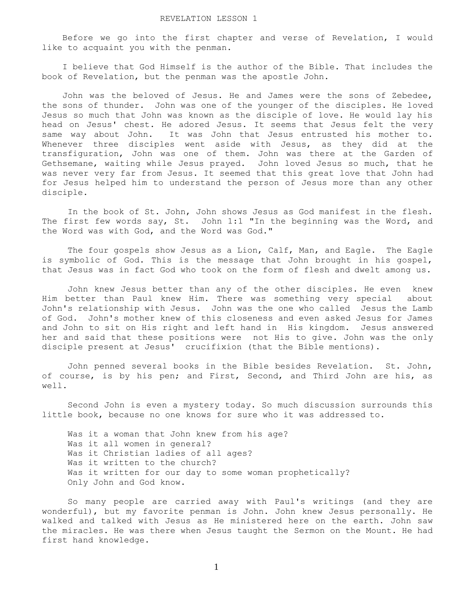Before we go into the first chapter and verse of Revelation, I would like to acquaint you with the penman.

 I believe that God Himself is the author of the Bible. That includes the book of Revelation, but the penman was the apostle John.

 John was the beloved of Jesus. He and James were the sons of Zebedee, the sons of thunder. John was one of the younger of the disciples. He loved Jesus so much that John was known as the disciple of love. He would lay his head on Jesus' chest. He adored Jesus. It seems that Jesus felt the very same way about John. It was John that Jesus entrusted his mother to. Whenever three disciples went aside with Jesus, as they did at the transfiguration, John was one of them. John was there at the Garden of Gethsemane, waiting while Jesus prayed. John loved Jesus so much, that he was never very far from Jesus. It seemed that this great love that John had for Jesus helped him to understand the person of Jesus more than any other disciple.

 In the book of St. John, John shows Jesus as God manifest in the flesh. The first few words say, St. John 1:1 "In the beginning was the Word, and the Word was with God, and the Word was God."

 The four gospels show Jesus as a Lion, Calf, Man, and Eagle. The Eagle is symbolic of God. This is the message that John brought in his gospel, that Jesus was in fact God who took on the form of flesh and dwelt among us.

 John knew Jesus better than any of the other disciples. He even knew Him better than Paul knew Him. There was something very special about John's relationship with Jesus. John was the one who called Jesus the Lamb of God. John's mother knew of this closeness and even asked Jesus for James and John to sit on His right and left hand in His kingdom. Jesus answered her and said that these positions were not His to give. John was the only disciple present at Jesus' crucifixion (that the Bible mentions).

 John penned several books in the Bible besides Revelation. St. John, of course, is by his pen; and First, Second, and Third John are his, as well.

 Second John is even a mystery today. So much discussion surrounds this little book, because no one knows for sure who it was addressed to.

 Was it a woman that John knew from his age? Was it all women in general? Was it Christian ladies of all ages? Was it written to the church? Was it written for our day to some woman prophetically? Only John and God know.

 So many people are carried away with Paul's writings (and they are wonderful), but my favorite penman is John. John knew Jesus personally. He walked and talked with Jesus as He ministered here on the earth. John saw the miracles. He was there when Jesus taught the Sermon on the Mount. He had first hand knowledge.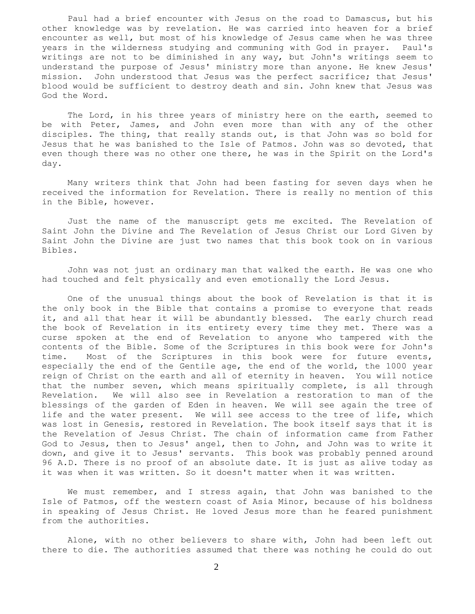Paul had a brief encounter with Jesus on the road to Damascus, but his other knowledge was by revelation. He was carried into heaven for a brief encounter as well, but most of his knowledge of Jesus came when he was three years in the wilderness studying and communing with God in prayer. Paul's writings are not to be diminished in any way, but John's writings seem to understand the purpose of Jesus' ministry more than anyone. He knew Jesus' mission. John understood that Jesus was the perfect sacrifice; that Jesus' blood would be sufficient to destroy death and sin. John knew that Jesus was God the Word.

The Lord, in his three years of ministry here on the earth, seemed to be with Peter, James, and John even more than with any of the other disciples. The thing, that really stands out, is that John was so bold for Jesus that he was banished to the Isle of Patmos. John was so devoted, that even though there was no other one there, he was in the Spirit on the Lord's day.

 Many writers think that John had been fasting for seven days when he received the information for Revelation. There is really no mention of this in the Bible, however.

 Just the name of the manuscript gets me excited. The Revelation of Saint John the Divine and The Revelation of Jesus Christ our Lord Given by Saint John the Divine are just two names that this book took on in various Bibles.

 John was not just an ordinary man that walked the earth. He was one who had touched and felt physically and even emotionally the Lord Jesus.

 One of the unusual things about the book of Revelation is that it is the only book in the Bible that contains a promise to everyone that reads it, and all that hear it will be abundantly blessed. The early church read the book of Revelation in its entirety every time they met. There was a curse spoken at the end of Revelation to anyone who tampered with the contents of the Bible. Some of the Scriptures in this book were for John's time. Most of the Scriptures in this book were for future events, especially the end of the Gentile age, the end of the world, the 1000 year reign of Christ on the earth and all of eternity in heaven. You will notice that the number seven, which means spiritually complete, is all through Revelation. We will also see in Revelation a restoration to man of the blessings of the garden of Eden in heaven. We will see again the tree of life and the water present. We will see access to the tree of life, which was lost in Genesis, restored in Revelation. The book itself says that it is the Revelation of Jesus Christ. The chain of information came from Father God to Jesus, then to Jesus' angel, then to John, and John was to write it down, and give it to Jesus' servants. This book was probably penned around 96 A.D. There is no proof of an absolute date. It is just as alive today as it was when it was written. So it doesn't matter when it was written.

 We must remember, and I stress again, that John was banished to the Isle of Patmos, off the western coast of Asia Minor, because of his boldness in speaking of Jesus Christ. He loved Jesus more than he feared punishment from the authorities.

 Alone, with no other believers to share with, John had been left out there to die. The authorities assumed that there was nothing he could do out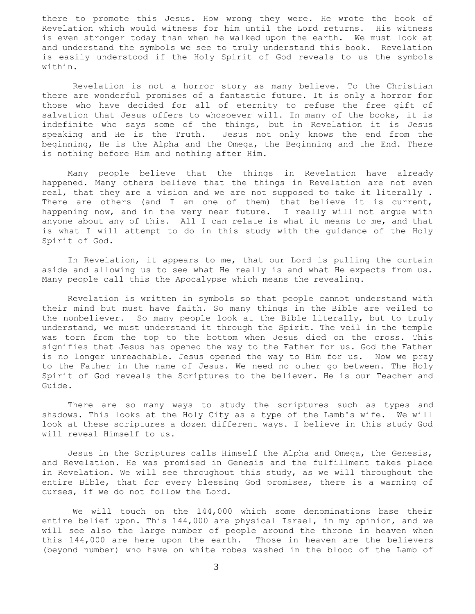there to promote this Jesus. How wrong they were. He wrote the book of Revelation which would witness for him until the Lord returns. His witness is even stronger today than when he walked upon the earth. We must look at and understand the symbols we see to truly understand this book. Revelation is easily understood if the Holy Spirit of God reveals to us the symbols within.

 Revelation is not a horror story as many believe. To the Christian there are wonderful promises of a fantastic future. It is only a horror for those who have decided for all of eternity to refuse the free gift of salvation that Jesus offers to whosoever will. In many of the books, it is indefinite who says some of the things, but in Revelation it is Jesus speaking and He is the Truth. Jesus not only knows the end from the beginning, He is the Alpha and the Omega, the Beginning and the End. There is nothing before Him and nothing after Him.

 Many people believe that the things in Revelation have already happened. Many others believe that the things in Revelation are not even real, that they are a vision and we are not supposed to take it literally . There are others (and I am one of them) that believe it is current, happening now, and in the very near future. I really will not argue with anyone about any of this. All I can relate is what it means to me, and that is what I will attempt to do in this study with the guidance of the Holy Spirit of God.

 In Revelation, it appears to me, that our Lord is pulling the curtain aside and allowing us to see what He really is and what He expects from us. Many people call this the Apocalypse which means the revealing.

 Revelation is written in symbols so that people cannot understand with their mind but must have faith. So many things in the Bible are veiled to the nonbeliever. So many people look at the Bible literally, but to truly understand, we must understand it through the Spirit. The veil in the temple was torn from the top to the bottom when Jesus died on the cross. This signifies that Jesus has opened the way to the Father for us. God the Father is no longer unreachable. Jesus opened the way to Him for us. Now we pray to the Father in the name of Jesus. We need no other go between. The Holy Spirit of God reveals the Scriptures to the believer. He is our Teacher and Guide.

 There are so many ways to study the scriptures such as types and shadows. This looks at the Holy City as a type of the Lamb's wife. We will look at these scriptures a dozen different ways. I believe in this study God will reveal Himself to us.

 Jesus in the Scriptures calls Himself the Alpha and Omega, the Genesis, and Revelation. He was promised in Genesis and the fulfillment takes place in Revelation. We will see throughout this study, as we will throughout the entire Bible, that for every blessing God promises, there is a warning of curses, if we do not follow the Lord.

 We will touch on the 144,000 which some denominations base their entire belief upon. This 144,000 are physical Israel, in my opinion, and we will see also the large number of people around the throne in heaven when this 144,000 are here upon the earth. Those in heaven are the believers (beyond number) who have on white robes washed in the blood of the Lamb of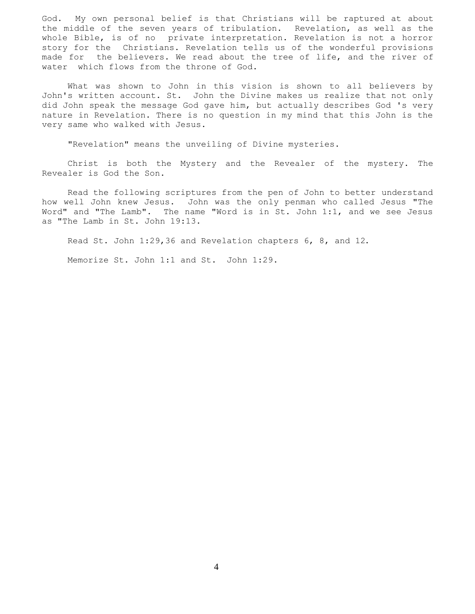God. My own personal belief is that Christians will be raptured at about the middle of the seven years of tribulation. Revelation, as well as the whole Bible, is of no private interpretation. Revelation is not a horror story for the Christians. Revelation tells us of the wonderful provisions made for the believers. We read about the tree of life, and the river of water which flows from the throne of God.

 What was shown to John in this vision is shown to all believers by John's written account. St. John the Divine makes us realize that not only did John speak the message God gave him, but actually describes God 's very nature in Revelation. There is no question in my mind that this John is the very same who walked with Jesus.

"Revelation" means the unveiling of Divine mysteries.

 Christ is both the Mystery and the Revealer of the mystery. The Revealer is God the Son.

 Read the following scriptures from the pen of John to better understand how well John knew Jesus. John was the only penman who called Jesus "The Word" and "The Lamb". The name "Word is in St. John 1:1, and we see Jesus as "The Lamb in St. John 19:13.

Read St. John 1:29,36 and Revelation chapters 6, 8, and 12.

Memorize St. John 1:1 and St. John 1:29.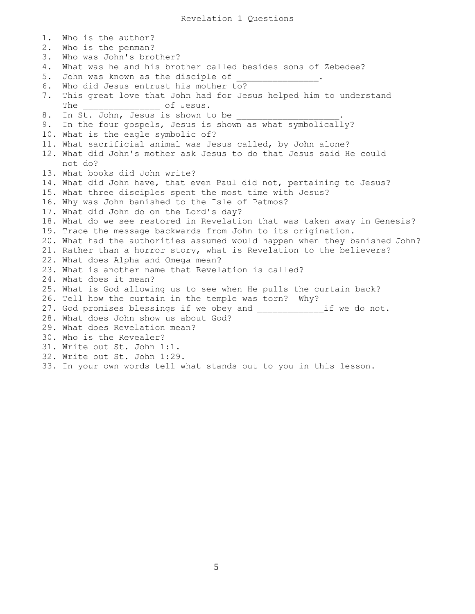1. Who is the author? 2. Who is the penman? 3. Who was John's brother? 4. What was he and his brother called besides sons of Zebedee? 5. John was known as the disciple of 6. Who did Jesus entrust his mother to? 7. This great love that John had for Jesus helped him to understand The \_\_\_\_\_\_\_\_\_\_\_\_\_\_\_\_\_\_\_\_\_\_\_ of Jesus. 8. In St. John, Jesus is shown to be 9. In the four gospels, Jesus is shown as what symbolically? 10. What is the eagle symbolic of? 11. What sacrificial animal was Jesus called, by John alone? 12. What did John's mother ask Jesus to do that Jesus said He could not do? 13. What books did John write? 14. What did John have, that even Paul did not, pertaining to Jesus? 15. What three disciples spent the most time with Jesus? 16. Why was John banished to the Isle of Patmos? 17. What did John do on the Lord's day? 18. What do we see restored in Revelation that was taken away in Genesis? 19. Trace the message backwards from John to its origination. 20. What had the authorities assumed would happen when they banished John? 21. Rather than a horror story, what is Revelation to the believers? 22. What does Alpha and Omega mean? 23. What is another name that Revelation is called? 24. What does it mean? 25. What is God allowing us to see when He pulls the curtain back? 26. Tell how the curtain in the temple was torn? Why? 27. God promises blessings if we obey and \_\_\_\_\_\_\_\_\_\_\_\_\_\_\_\_if we do not. 28. What does John show us about God? 29. What does Revelation mean? 30. Who is the Revealer? 31. Write out St. John 1:1. 32. Write out St. John 1:29. 33. In your own words tell what stands out to you in this lesson.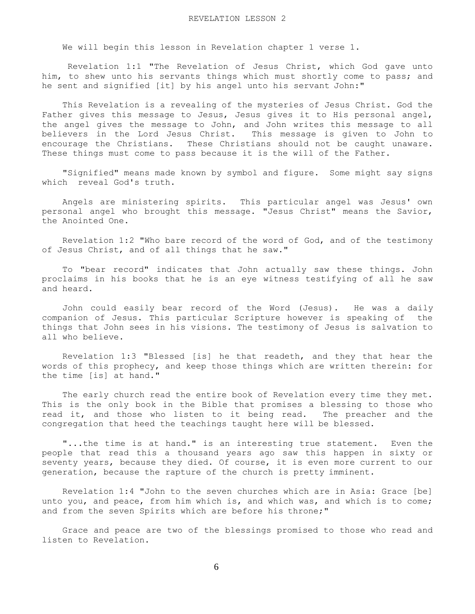We will begin this lesson in Revelation chapter 1 verse 1.

 Revelation 1:1 "The Revelation of Jesus Christ, which God gave unto him, to shew unto his servants things which must shortly come to pass; and he sent and signified [it] by his angel unto his servant John:"

 This Revelation is a revealing of the mysteries of Jesus Christ. God the Father gives this message to Jesus, Jesus gives it to His personal angel, the angel gives the message to John, and John writes this message to all believers in the Lord Jesus Christ. This message is given to John to encourage the Christians. These Christians should not be caught unaware. These things must come to pass because it is the will of the Father.

 "Signified" means made known by symbol and figure. Some might say signs which reveal God's truth.

 Angels are ministering spirits. This particular angel was Jesus' own personal angel who brought this message. "Jesus Christ" means the Savior, the Anointed One.

 Revelation 1:2 "Who bare record of the word of God, and of the testimony of Jesus Christ, and of all things that he saw."

 To "bear record" indicates that John actually saw these things. John proclaims in his books that he is an eye witness testifying of all he saw and heard.

 John could easily bear record of the Word (Jesus). He was a daily companion of Jesus. This particular Scripture however is speaking of the things that John sees in his visions. The testimony of Jesus is salvation to all who believe.

 Revelation 1:3 "Blessed [is] he that readeth, and they that hear the words of this prophecy, and keep those things which are written therein: for the time [is] at hand."

 The early church read the entire book of Revelation every time they met. This is the only book in the Bible that promises a blessing to those who read it, and those who listen to it being read. The preacher and the congregation that heed the teachings taught here will be blessed.

 "...the time is at hand." is an interesting true statement. Even the people that read this a thousand years ago saw this happen in sixty or seventy years, because they died. Of course, it is even more current to our generation, because the rapture of the church is pretty imminent.

 Revelation 1:4 "John to the seven churches which are in Asia: Grace [be] unto you, and peace, from him which is, and which was, and which is to come; and from the seven Spirits which are before his throne;"

 Grace and peace are two of the blessings promised to those who read and listen to Revelation.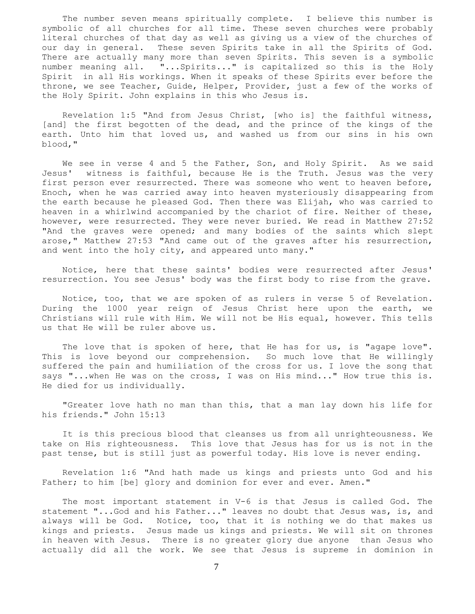The number seven means spiritually complete. I believe this number is symbolic of all churches for all time. These seven churches were probably literal churches of that day as well as giving us a view of the churches of our day in general. These seven Spirits take in all the Spirits of God. There are actually many more than seven Spirits. This seven is a symbolic number meaning all. "...Spirits..." is capitalized so this is the Holy Spirit in all His workings. When it speaks of these Spirits ever before the throne, we see Teacher, Guide, Helper, Provider, just a few of the works of the Holy Spirit. John explains in this who Jesus is.

 Revelation 1:5 "And from Jesus Christ, [who is] the faithful witness, [and] the first begotten of the dead, and the prince of the kings of the earth. Unto him that loved us, and washed us from our sins in his own blood,"

We see in verse 4 and 5 the Father, Son, and Holy Spirit. As we said Jesus' witness is faithful, because He is the Truth. Jesus was the very first person ever resurrected. There was someone who went to heaven before, Enoch, when he was carried away into heaven mysteriously disappearing from the earth because he pleased God. Then there was Elijah, who was carried to heaven in a whirlwind accompanied by the chariot of fire. Neither of these, however, were resurrected. They were never buried. We read in Matthew 27:52 "And the graves were opened; and many bodies of the saints which slept arose," Matthew 27:53 "And came out of the graves after his resurrection, and went into the holy city, and appeared unto many."

 Notice, here that these saints' bodies were resurrected after Jesus' resurrection. You see Jesus' body was the first body to rise from the grave.

 Notice, too, that we are spoken of as rulers in verse 5 of Revelation. During the 1000 year reign of Jesus Christ here upon the earth, we Christians will rule with Him. We will not be His equal, however. This tells us that He will be ruler above us.

The love that is spoken of here, that He has for us, is "agape love". This is love beyond our comprehension. So much love that He willingly suffered the pain and humiliation of the cross for us. I love the song that says "...when He was on the cross, I was on His mind..." How true this is. He died for us individually.

 "Greater love hath no man than this, that a man lay down his life for his friends." John 15:13

 It is this precious blood that cleanses us from all unrighteousness. We take on His righteousness. This love that Jesus has for us is not in the past tense, but is still just as powerful today. His love is never ending.

 Revelation 1:6 "And hath made us kings and priests unto God and his Father; to him [be] glory and dominion for ever and ever. Amen."

 The most important statement in V-6 is that Jesus is called God. The statement "...God and his Father..." leaves no doubt that Jesus was, is, and always will be God. Notice, too, that it is nothing we do that makes us kings and priests. Jesus made us kings and priests. We will sit on thrones in heaven with Jesus. There is no greater glory due anyone than Jesus who actually did all the work. We see that Jesus is supreme in dominion in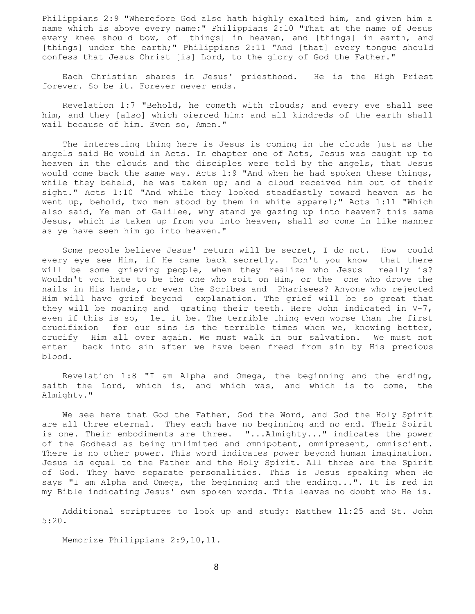Philippians 2:9 "Wherefore God also hath highly exalted him, and given him a name which is above every name:" Philippians 2:10 "That at the name of Jesus every knee should bow, of [things] in heaven, and [things] in earth, and [things] under the earth;" Philippians 2:11 "And [that] every tongue should confess that Jesus Christ [is] Lord, to the glory of God the Father."

 Each Christian shares in Jesus' priesthood. He is the High Priest forever. So be it. Forever never ends.

 Revelation 1:7 "Behold, he cometh with clouds; and every eye shall see him, and they [also] which pierced him: and all kindreds of the earth shall wail because of him. Even so, Amen."

 The interesting thing here is Jesus is coming in the clouds just as the angels said He would in Acts. In chapter one of Acts, Jesus was caught up to heaven in the clouds and the disciples were told by the angels, that Jesus would come back the same way. Acts 1:9 "And when he had spoken these things, while they beheld, he was taken up; and a cloud received him out of their sight." Acts 1:10 "And while they looked steadfastly toward heaven as he went up, behold, two men stood by them in white apparel;" Acts 1:11 "Which also said, Ye men of Galilee, why stand ye gazing up into heaven? this same Jesus, which is taken up from you into heaven, shall so come in like manner as ye have seen him go into heaven."

 Some people believe Jesus' return will be secret, I do not. How could every eye see Him, if He came back secretly. Don't you know that there will be some grieving people, when they realize who Jesus really is? Wouldn't you hate to be the one who spit on Him, or the one who drove the nails in His hands, or even the Scribes and Pharisees? Anyone who rejected Him will have grief beyond explanation. The grief will be so great that they will be moaning and grating their teeth. Here John indicated in V-7, even if this is so, let it be. The terrible thing even worse than the first crucifixion for our sins is the terrible times when we, knowing better, crucify Him all over again. We must walk in our salvation. We must not enter back into sin after we have been freed from sin by His precious blood.

 Revelation 1:8 "I am Alpha and Omega, the beginning and the ending, saith the Lord, which is, and which was, and which is to come, the Almighty."

 We see here that God the Father, God the Word, and God the Holy Spirit are all three eternal. They each have no beginning and no end. Their Spirit is one. Their embodiments are three. "...Almighty..." indicates the power of the Godhead as being unlimited and omnipotent, omnipresent, omniscient. There is no other power. This word indicates power beyond human imagination. Jesus is equal to the Father and the Holy Spirit. All three are the Spirit of God. They have separate personalities. This is Jesus speaking when He says "I am Alpha and Omega, the beginning and the ending...". It is red in my Bible indicating Jesus' own spoken words. This leaves no doubt who He is.

 Additional scriptures to look up and study: Matthew ll:25 and St. John 5:20.

Memorize Philippians 2:9,10,11.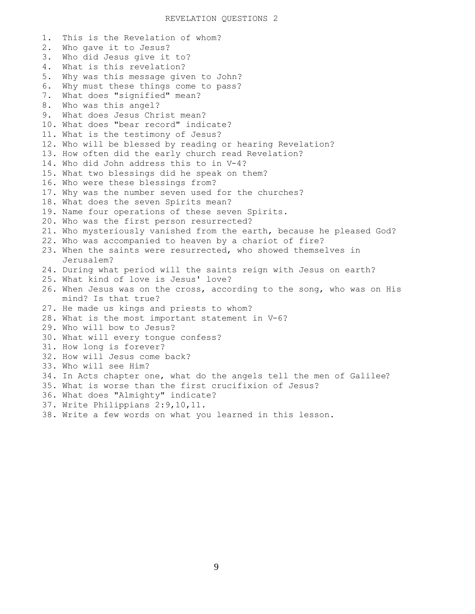1. This is the Revelation of whom? 2. Who gave it to Jesus? 3. Who did Jesus give it to? 4. What is this revelation? 5. Why was this message given to John? 6. Why must these things come to pass? 7. What does "signified" mean? 8. Who was this angel? 9. What does Jesus Christ mean? 10. What does "bear record" indicate? 11. What is the testimony of Jesus? 12. Who will be blessed by reading or hearing Revelation? 13. How often did the early church read Revelation? 14. Who did John address this to in V-4? 15. What two blessings did he speak on them? 16. Who were these blessings from? 17. Why was the number seven used for the churches? 18. What does the seven Spirits mean? 19. Name four operations of these seven Spirits. 20. Who was the first person resurrected? 21. Who mysteriously vanished from the earth, because he pleased God? 22. Who was accompanied to heaven by a chariot of fire? 23. When the saints were resurrected, who showed themselves in Jerusalem? 24. During what period will the saints reign with Jesus on earth? 25. What kind of love is Jesus' love? 26. When Jesus was on the cross, according to the song, who was on His mind? Is that true? 27. He made us kings and priests to whom? 28. What is the most important statement in V-6? 29. Who will bow to Jesus? 30. What will every tongue confess? 31. How long is forever? 32. How will Jesus come back? 33. Who will see Him? 34. In Acts chapter one, what do the angels tell the men of Galilee? 35. What is worse than the first crucifixion of Jesus? 36. What does "Almighty" indicate? 37. Write Philippians 2:9,10,11. 38. Write a few words on what you learned in this lesson.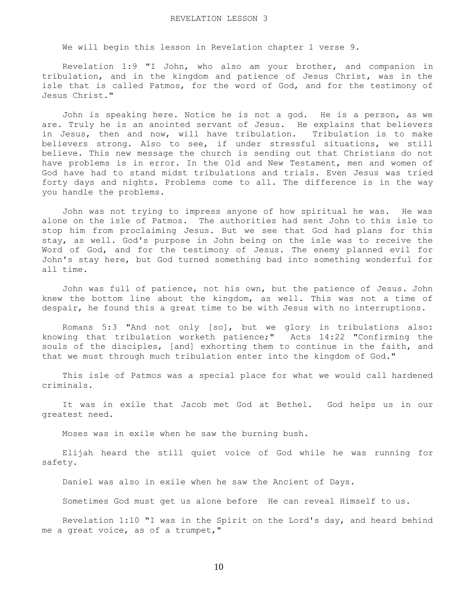We will begin this lesson in Revelation chapter 1 verse 9.

 Revelation 1:9 "I John, who also am your brother, and companion in tribulation, and in the kingdom and patience of Jesus Christ, was in the isle that is called Patmos, for the word of God, and for the testimony of Jesus Christ."

 John is speaking here. Notice he is not a god. He is a person, as we are. Truly he is an anointed servant of Jesus. He explains that believers in Jesus, then and now, will have tribulation. Tribulation is to make believers strong. Also to see, if under stressful situations, we still believe. This new message the church is sending out that Christians do not have problems is in error. In the Old and New Testament, men and women of God have had to stand midst tribulations and trials. Even Jesus was tried forty days and nights. Problems come to all. The difference is in the way you handle the problems.

 John was not trying to impress anyone of how spiritual he was. He was alone on the isle of Patmos. The authorities had sent John to this isle to stop him from proclaiming Jesus. But we see that God had plans for this stay, as well. God's purpose in John being on the isle was to receive the Word of God, and for the testimony of Jesus. The enemy planned evil for John's stay here, but God turned something bad into something wonderful for all time.

 John was full of patience, not his own, but the patience of Jesus. John knew the bottom line about the kingdom, as well. This was not a time of despair, he found this a great time to be with Jesus with no interruptions.

Romans 5:3 "And not only [so], but we glory in tribulations also: knowing that tribulation worketh patience;" Acts 14:22 "Confirming the souls of the disciples, [and] exhorting them to continue in the faith, and that we must through much tribulation enter into the kingdom of God."

 This isle of Patmos was a special place for what we would call hardened criminals.

 It was in exile that Jacob met God at Bethel. God helps us in our greatest need.

Moses was in exile when he saw the burning bush.

 Elijah heard the still quiet voice of God while he was running for safety.

Daniel was also in exile when he saw the Ancient of Days.

Sometimes God must get us alone before He can reveal Himself to us.

 Revelation 1:10 "I was in the Spirit on the Lord's day, and heard behind me a great voice, as of a trumpet,"

10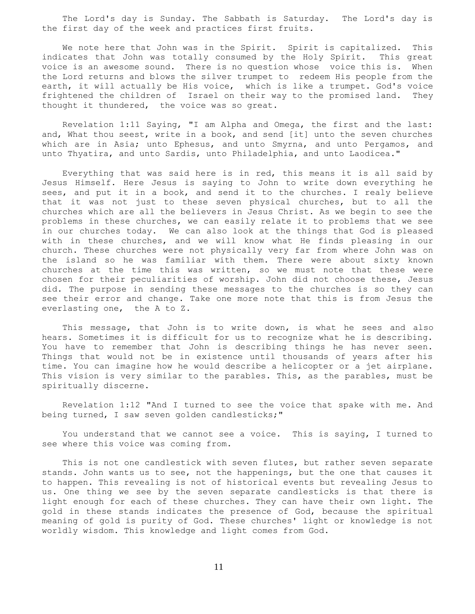The Lord's day is Sunday. The Sabbath is Saturday. The Lord's day is the first day of the week and practices first fruits.

We note here that John was in the Spirit. Spirit is capitalized. This indicates that John was totally consumed by the Holy Spirit. This great voice is an awesome sound. There is no question whose voice this is. When the Lord returns and blows the silver trumpet to redeem His people from the earth, it will actually be His voice, which is like a trumpet. God's voice frightened the children of Israel on their way to the promised land. They thought it thundered, the voice was so great.

 Revelation 1:11 Saying, "I am Alpha and Omega, the first and the last: and, What thou seest, write in a book, and send [it] unto the seven churches which are in Asia; unto Ephesus, and unto Smyrna, and unto Pergamos, and unto Thyatira, and unto Sardis, unto Philadelphia, and unto Laodicea."

 Everything that was said here is in red, this means it is all said by Jesus Himself. Here Jesus is saying to John to write down everything he sees, and put it in a book, and send it to the churches. I realy believe that it was not just to these seven physical churches, but to all the churches which are all the believers in Jesus Christ. As we begin to see the problems in these churches, we can easily relate it to problems that we see in our churches today. We can also look at the things that God is pleased with in these churches, and we will know what He finds pleasing in our church. These churches were not physically very far from where John was on the island so he was familiar with them. There were about sixty known churches at the time this was written, so we must note that these were chosen for their peculiarities of worship. John did not choose these, Jesus did. The purpose in sending these messages to the churches is so they can see their error and change. Take one more note that this is from Jesus the everlasting one, the A to Z.

 This message, that John is to write down, is what he sees and also hears. Sometimes it is difficult for us to recognize what he is describing. You have to remember that John is describing things he has never seen. Things that would not be in existence until thousands of years after his time. You can imagine how he would describe a helicopter or a jet airplane. This vision is very similar to the parables. This, as the parables, must be spiritually discerne.

 Revelation 1:12 "And I turned to see the voice that spake with me. And being turned, I saw seven golden candlesticks;"

 You understand that we cannot see a voice. This is saying, I turned to see where this voice was coming from.

 This is not one candlestick with seven flutes, but rather seven separate stands. John wants us to see, not the happenings, but the one that causes it to happen. This revealing is not of historical events but revealing Jesus to us. One thing we see by the seven separate candlesticks is that there is light enough for each of these churches. They can have their own light. The gold in these stands indicates the presence of God, because the spiritual meaning of gold is purity of God. These churches' light or knowledge is not worldly wisdom. This knowledge and light comes from God.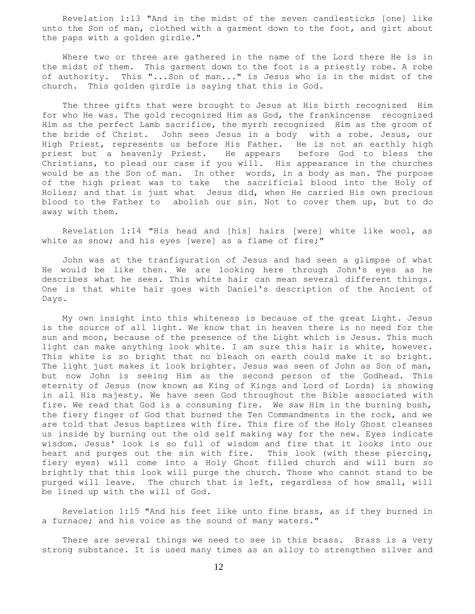Revelation 1:13 "And in the midst of the seven candlesticks [one] like unto the Son of man, clothed with a garment down to the foot, and girt about the paps with a golden girdle."

 Where two or three are gathered in the name of the Lord there He is in the midst of them. This garment down to the foot is a priestly robe. A robe of authority. This "...Son of man..." is Jesus who is in the midst of the church. This golden girdle is saying that this is God.

 The three gifts that were brought to Jesus at His birth recognized Him for who He was. The gold recognized Him as God, the frankincense recognized Him as the perfect Lamb sacrifice, the myrrh recognized Him as the groom of the bride of Christ. John sees Jesus in a body with a robe. Jesus, our High Priest, represents us before His Father. He is not an earthly high priest but a heavenly Priest. He appears before God to bless the Christians, to plead our case if you will. His appearance in the churches would be as the Son of man. In other words, in a body as man. The purpose of the high priest was to take the sacrificial blood into the Holy of Holies; and that is just what Jesus did, when He carried His own precious blood to the Father to abolish our sin. Not to cover them up, but to do away with them.

 Revelation 1:14 "His head and [his] hairs [were] white like wool, as white as snow; and his eyes [were] as a flame of fire;"

 John was at the tranfiguration of Jesus and had seen a glimpse of what He would be like then. We are looking here through John's eyes as he describes what he sees. This white hair can mean several different things. One is that white hair goes with Daniel's description of the Ancient of Days.

 My own insight into this whiteness is because of the great Light. Jesus is the source of all light. We know that in heaven there is no need for the sun and moon, because of the presence of the Light which is Jesus. This much light can make anything look white. I am sure this hair is white, however. This white is so bright that no bleach on earth could make it so bright. The light just makes it look brighter. Jesus was seen of John as Son of man, but now John is seeing Him as the second person of the Godhead. This eternity of Jesus (now known as King of Kings and Lord of Lords) is showing in all His majesty. We have seen God throughout the Bible associated with fire. We read that God is a consuming fire. We saw Him in the burning bush, the fiery finger of God that burned the Ten Commandments in the rock, and we are told that Jesus baptizes with fire. This fire of the Holy Ghost cleanses us inside by burning out the old self making way for the new. Eyes indicate wisdom. Jesus' look is so full of wisdom and fire that it looks into our heart and purges out the sin with fire. This look (with these piercing, fiery eyes) will come into a Holy Ghost filled church and will burn so brightly that this look will purge the church. Those who cannot stand to be purged will leave. The church that is left, regardless of how small, will be lined up with the will of God.

 Revelation 1:15 "And his feet like unto fine brass, as if they burned in a furnace; and his voice as the sound of many waters."

 There are several things we need to see in this brass. Brass is a very strong substance. It is used many times as an alloy to strengthen silver and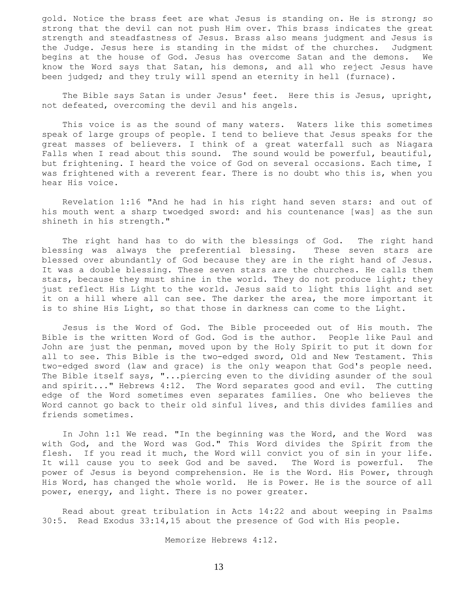gold. Notice the brass feet are what Jesus is standing on. He is strong; so strong that the devil can not push Him over. This brass indicates the great strength and steadfastness of Jesus. Brass also means judgment and Jesus is the Judge. Jesus here is standing in the midst of the churches. Judgment begins at the house of God. Jesus has overcome Satan and the demons. We know the Word says that Satan, his demons, and all who reject Jesus have been judged; and they truly will spend an eternity in hell (furnace).

 The Bible says Satan is under Jesus' feet. Here this is Jesus, upright, not defeated, overcoming the devil and his angels.

 This voice is as the sound of many waters. Waters like this sometimes speak of large groups of people. I tend to believe that Jesus speaks for the great masses of believers. I think of a great waterfall such as Niagara Falls when I read about this sound. The sound would be powerful, beautiful, but frightening. I heard the voice of God on several occasions. Each time, I was frightened with a reverent fear. There is no doubt who this is, when you hear His voice.

 Revelation 1:16 "And he had in his right hand seven stars: and out of his mouth went a sharp twoedged sword: and his countenance [was] as the sun shineth in his strength."

 The right hand has to do with the blessings of God. The right hand blessing was always the preferential blessing. These seven stars are blessed over abundantly of God because they are in the right hand of Jesus. It was a double blessing. These seven stars are the churches. He calls them stars, because they must shine in the world. They do not produce light; they just reflect His Light to the world. Jesus said to light this light and set it on a hill where all can see. The darker the area, the more important it is to shine His Light, so that those in darkness can come to the Light.

 Jesus is the Word of God. The Bible proceeded out of His mouth. The Bible is the written Word of God. God is the author. People like Paul and John are just the penman, moved upon by the Holy Spirit to put it down for all to see. This Bible is the two-edged sword, Old and New Testament. This two-edged sword (law and grace) is the only weapon that God's people need. The Bible itself says, "...piercing even to the dividing asunder of the soul and spirit..." Hebrews 4:12. The Word separates good and evil. The cutting edge of the Word sometimes even separates families. One who believes the Word cannot go back to their old sinful lives, and this divides families and friends sometimes.

 In John 1:1 We read. "In the beginning was the Word, and the Word was with God, and the Word was God." This Word divides the Spirit from the flesh. If you read it much, the Word will convict you of sin in your life. It will cause you to seek God and be saved. The Word is powerful. The power of Jesus is beyond comprehension. He is the Word. His Power, through His Word, has changed the whole world. He is Power. He is the source of all power, energy, and light. There is no power greater.

 Read about great tribulation in Acts 14:22 and about weeping in Psalms 30:5. Read Exodus 33:14,15 about the presence of God with His people.

Memorize Hebrews 4:12.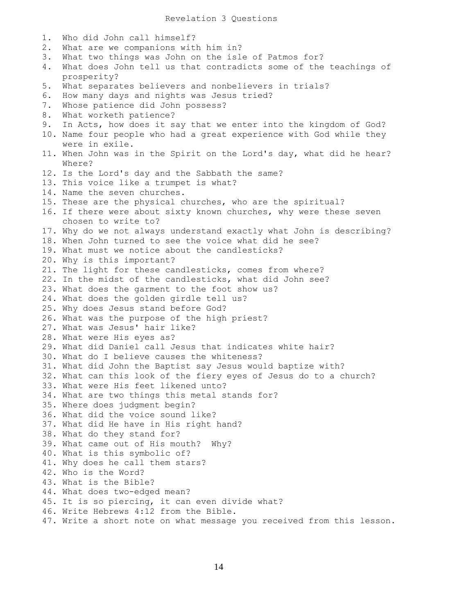Revelation 3 Questions

1. Who did John call himself? 2. What are we companions with him in? 3. What two things was John on the isle of Patmos for? 4. What does John tell us that contradicts some of the teachings of prosperity? 5. What separates believers and nonbelievers in trials? 6. How many days and nights was Jesus tried? 7. Whose patience did John possess? 8. What worketh patience? 9. In Acts, how does it say that we enter into the kingdom of God? 10. Name four people who had a great experience with God while they were in exile. 11. When John was in the Spirit on the Lord's day, what did he hear? Where? 12. Is the Lord's day and the Sabbath the same? 13. This voice like a trumpet is what? 14. Name the seven churches. 15. These are the physical churches, who are the spiritual? 16. If there were about sixty known churches, why were these seven chosen to write to? 17. Why do we not always understand exactly what John is describing? 18. When John turned to see the voice what did he see? 19. What must we notice about the candlesticks? 20. Why is this important? 21. The light for these candlesticks, comes from where? 22. In the midst of the candlesticks, what did John see? 23. What does the garment to the foot show us? 24. What does the golden girdle tell us? 25. Why does Jesus stand before God? 26. What was the purpose of the high priest? 27. What was Jesus' hair like? 28. What were His eyes as? 29. What did Daniel call Jesus that indicates white hair? 30. What do I believe causes the whiteness? 31. What did John the Baptist say Jesus would baptize with? 32. What can this look of the fiery eyes of Jesus do to a church? 33. What were His feet likened unto? 34. What are two things this metal stands for? 35. Where does judgment begin? 36. What did the voice sound like? 37. What did He have in His right hand? 38. What do they stand for? 39. What came out of His mouth? Why? 40. What is this symbolic of? 41. Why does he call them stars? 42. Who is the Word? 43. What is the Bible? 44. What does two-edged mean? 45. It is so piercing, it can even divide what? 46. Write Hebrews 4:12 from the Bible. 47. Write a short note on what message you received from this lesson.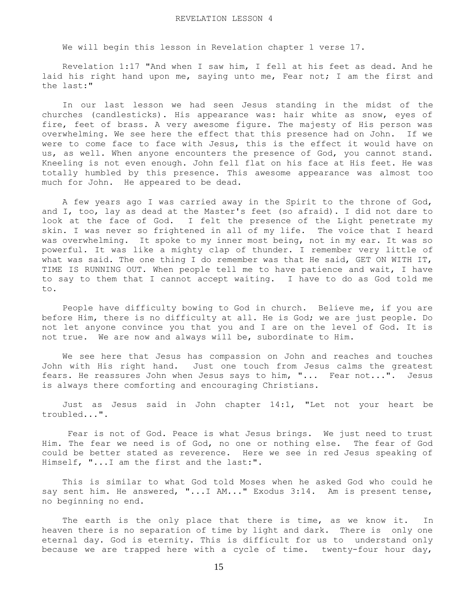We will begin this lesson in Revelation chapter 1 verse 17.

 Revelation 1:17 "And when I saw him, I fell at his feet as dead. And he laid his right hand upon me, saying unto me, Fear not; I am the first and the last:"

 In our last lesson we had seen Jesus standing in the midst of the churches (candlesticks). His appearance was: hair white as snow, eyes of fire, feet of brass. A very awesome figure. The majesty of His person was overwhelming. We see here the effect that this presence had on John. If we were to come face to face with Jesus, this is the effect it would have on us, as well. When anyone encounters the presence of God, you cannot stand. Kneeling is not even enough. John fell flat on his face at His feet. He was totally humbled by this presence. This awesome appearance was almost too much for John. He appeared to be dead.

 A few years ago I was carried away in the Spirit to the throne of God, and I, too, lay as dead at the Master's feet (so afraid). I did not dare to look at the face of God. I felt the presence of the Light penetrate my skin. I was never so frightened in all of my life. The voice that I heard was overwhelming. It spoke to my inner most being, not in my ear. It was so powerful. It was like a mighty clap of thunder. I remember very little of what was said. The one thing I do remember was that He said, GET ON WITH IT, TIME IS RUNNING OUT. When people tell me to have patience and wait, I have to say to them that I cannot accept waiting. I have to do as God told me to.

 People have difficulty bowing to God in church. Believe me, if you are before Him, there is no difficulty at all. He is God; we are just people. Do not let anyone convince you that you and I are on the level of God. It is not true. We are now and always will be, subordinate to Him.

 We see here that Jesus has compassion on John and reaches and touches John with His right hand. Just one touch from Jesus calms the greatest fears. He reassures John when Jesus says to him, "... Fear not...". Jesus is always there comforting and encouraging Christians.

 Just as Jesus said in John chapter 14:1, "Let not your heart be troubled...".

 Fear is not of God. Peace is what Jesus brings. We just need to trust Him. The fear we need is of God, no one or nothing else. The fear of God could be better stated as reverence. Here we see in red Jesus speaking of Himself, "...I am the first and the last:".

 This is similar to what God told Moses when he asked God who could he say sent him. He answered, "...I AM..." Exodus 3:14. Am is present tense, no beginning no end.

The earth is the only place that there is time, as we know it. In heaven there is no separation of time by light and dark. There is only one eternal day. God is eternity. This is difficult for us to understand only because we are trapped here with a cycle of time. twenty-four hour day,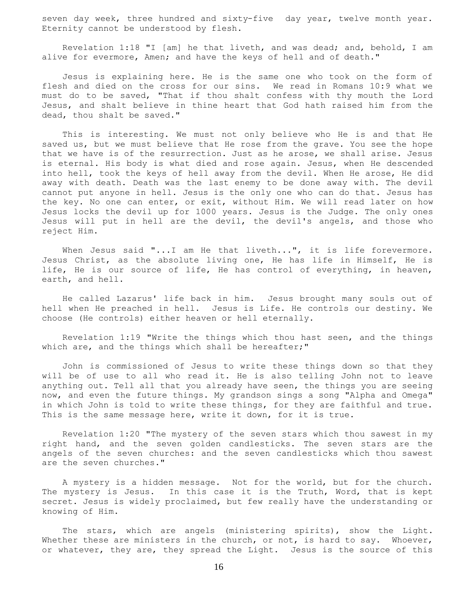seven day week, three hundred and sixty-five day year, twelve month year. Eternity cannot be understood by flesh.

 Revelation 1:18 "I [am] he that liveth, and was dead; and, behold, I am alive for evermore, Amen; and have the keys of hell and of death."

 Jesus is explaining here. He is the same one who took on the form of flesh and died on the cross for our sins. We read in Romans 10:9 what we must do to be saved, "That if thou shalt confess with thy mouth the Lord Jesus, and shalt believe in thine heart that God hath raised him from the dead, thou shalt be saved."

 This is interesting. We must not only believe who He is and that He saved us, but we must believe that He rose from the grave. You see the hope that we have is of the resurrection. Just as he arose, we shall arise. Jesus is eternal. His body is what died and rose again. Jesus, when He descended into hell, took the keys of hell away from the devil. When He arose, He did away with death. Death was the last enemy to be done away with. The devil cannot put anyone in hell. Jesus is the only one who can do that. Jesus has the key. No one can enter, or exit, without Him. We will read later on how Jesus locks the devil up for 1000 years. Jesus is the Judge. The only ones Jesus will put in hell are the devil, the devil's angels, and those who reject Him.

When Jesus said "...I am He that liveth...", it is life forevermore. Jesus Christ, as the absolute living one, He has life in Himself, He is life, He is our source of life, He has control of everything, in heaven, earth, and hell.

 He called Lazarus' life back in him. Jesus brought many souls out of hell when He preached in hell. Jesus is Life. He controls our destiny. We choose (He controls) either heaven or hell eternally.

 Revelation 1:19 "Write the things which thou hast seen, and the things which are, and the things which shall be hereafter;"

 John is commissioned of Jesus to write these things down so that they will be of use to all who read it. He is also telling John not to leave anything out. Tell all that you already have seen, the things you are seeing now, and even the future things. My grandson sings a song "Alpha and Omega" in which John is told to write these things, for they are faithful and true. This is the same message here, write it down, for it is true.

 Revelation 1:20 "The mystery of the seven stars which thou sawest in my right hand, and the seven golden candlesticks. The seven stars are the angels of the seven churches: and the seven candlesticks which thou sawest are the seven churches."

 A mystery is a hidden message. Not for the world, but for the church. The mystery is Jesus. In this case it is the Truth, Word, that is kept secret. Jesus is widely proclaimed, but few really have the understanding or knowing of Him.

The stars, which are angels (ministering spirits), show the Light. Whether these are ministers in the church, or not, is hard to say. Whoever, or whatever, they are, they spread the Light. Jesus is the source of this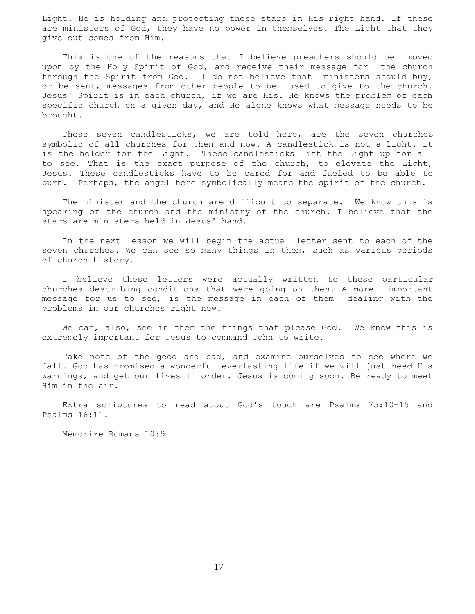Light. He is holding and protecting these stars in His right hand. If these are ministers of God, they have no power in themselves. The Light that they give out comes from Him.

 This is one of the reasons that I believe preachers should be moved upon by the Holy Spirit of God, and receive their message for the church through the Spirit from God. I do not believe that ministers should buy, or be sent, messages from other people to be used to give to the church. Jesus' Spirit is in each church, if we are His. He knows the problem of each specific church on a given day, and He alone knows what message needs to be brought.

 These seven candlesticks, we are told here, are the seven churches symbolic of all churches for then and now. A candlestick is not a light. It is the holder for the Light. These candlesticks lift the Light up for all to see. That is the exact purpose of the church, to elevate the Light, Jesus. These candlesticks have to be cared for and fueled to be able to burn. Perhaps, the angel here symbolically means the spirit of the church.

 The minister and the church are difficult to separate. We know this is speaking of the church and the ministry of the church. I believe that the stars are ministers held in Jesus' hand.

 In the next lesson we will begin the actual letter sent to each of the seven churches. We can see so many things in them, such as various periods of church history.

 I believe these letters were actually written to these particular churches describing conditions that were going on then. A more important message for us to see, is the message in each of them dealing with the problems in our churches right now.

We can, also, see in them the things that please God. We know this is extremely important for Jesus to command John to write.

 Take note of the good and bad, and examine ourselves to see where we fall. God has promised a wonderful everlasting life if we will just heed His warnings, and get our lives in order. Jesus is coming soon. Be ready to meet Him in the air.

 Extra scriptures to read about God's touch are Psalms 75:10-15 and Psalms 16:11.

Memorize Romans 10:9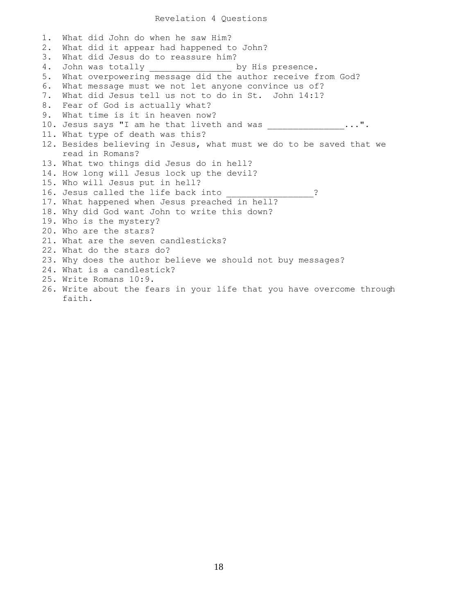## Revelation 4 Questions

1. What did John do when he saw Him? 2. What did it appear had happened to John? 3. What did Jesus do to reassure him? 4. John was totally \_\_\_\_\_\_\_\_\_\_\_\_\_\_\_\_\_ by His presence. 5. What overpowering message did the author receive from God? 6. What message must we not let anyone convince us of? 7. What did Jesus tell us not to do in St. John 14:1? 8. Fear of God is actually what? 9. What time is it in heaven now? 10. Jesus says "I am he that liveth and was \_\_\_\_\_\_\_\_\_\_\_\_\_\_...". 11. What type of death was this? 12. Besides believing in Jesus, what must we do to be saved that we read in Romans? 13. What two things did Jesus do in hell? 14. How long will Jesus lock up the devil? 15. Who will Jesus put in hell? 16. Jesus called the life back into  $\hspace{1.5cm}$  ? 17. What happened when Jesus preached in hell? 18. Why did God want John to write this down? 19. Who is the mystery? 20. Who are the stars? 21. What are the seven candlesticks? 22. What do the stars do? 23. Why does the author believe we should not buy messages? 24. What is a candlestick? 25. Write Romans 10:9. 26. Write about the fears in your life that you have overcome through faith.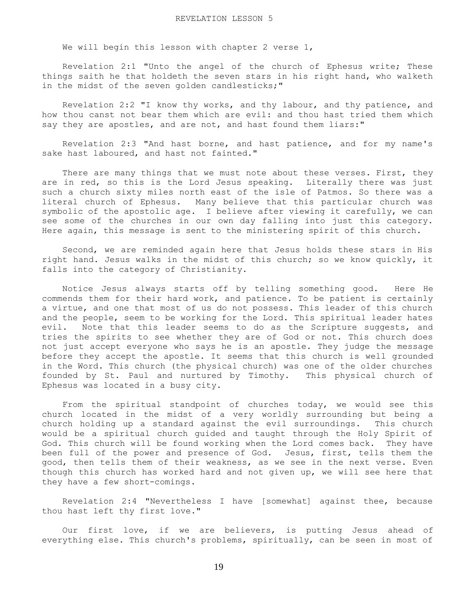We will begin this lesson with chapter 2 verse 1,

 Revelation 2:1 "Unto the angel of the church of Ephesus write; These things saith he that holdeth the seven stars in his right hand, who walketh in the midst of the seven golden candlesticks;"

 Revelation 2:2 "I know thy works, and thy labour, and thy patience, and how thou canst not bear them which are evil: and thou hast tried them which say they are apostles, and are not, and hast found them liars:"

 Revelation 2:3 "And hast borne, and hast patience, and for my name's sake hast laboured, and hast not fainted."

There are many things that we must note about these verses. First, they are in red, so this is the Lord Jesus speaking. Literally there was just such a church sixty miles north east of the isle of Patmos. So there was a literal church of Ephesus. Many believe that this particular church was symbolic of the apostolic age. I believe after viewing it carefully, we can see some of the churches in our own day falling into just this category. Here again, this message is sent to the ministering spirit of this church.

 Second, we are reminded again here that Jesus holds these stars in His right hand. Jesus walks in the midst of this church; so we know quickly, it falls into the category of Christianity.

 Notice Jesus always starts off by telling something good. Here He commends them for their hard work, and patience. To be patient is certainly a virtue, and one that most of us do not possess. This leader of this church and the people, seem to be working for the Lord. This spiritual leader hates evil. Note that this leader seems to do as the Scripture suggests, and tries the spirits to see whether they are of God or not. This church does not just accept everyone who says he is an apostle. They judge the message before they accept the apostle. It seems that this church is well grounded in the Word. This church (the physical church) was one of the older churches founded by St. Paul and nurtured by Timothy. This physical church of Ephesus was located in a busy city.

 From the spiritual standpoint of churches today, we would see this church located in the midst of a very worldly surrounding but being a church holding up a standard against the evil surroundings. This church would be a spiritual church guided and taught through the Holy Spirit of God. This church will be found working when the Lord comes back. They have been full of the power and presence of God. Jesus, first, tells them the good, then tells them of their weakness, as we see in the next verse. Even though this church has worked hard and not given up, we will see here that they have a few short-comings.

 Revelation 2:4 "Nevertheless I have [somewhat] against thee, because thou hast left thy first love."

 Our first love, if we are believers, is putting Jesus ahead of everything else. This church's problems, spiritually, can be seen in most of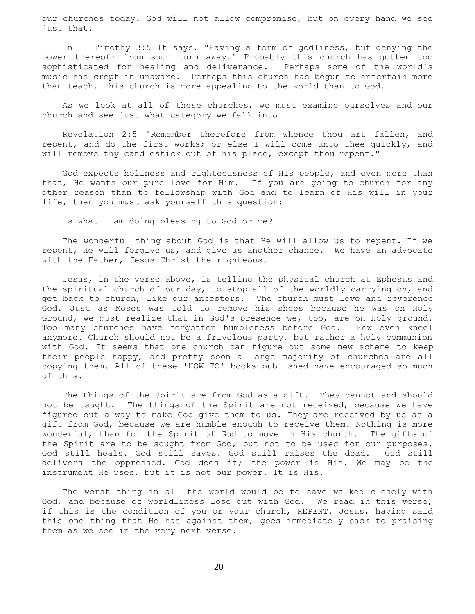our churches today. God will not allow compromise, but on every hand we see just that.

 In II Timothy 3:5 It says, "Having a form of godliness, but denying the power thereof: from such turn away." Probably this church has gotten too sophisticated for healing and deliverance. Perhaps some of the world's music has crept in unaware. Perhaps this church has begun to entertain more than teach. This church is more appealing to the world than to God.

 As we look at all of these churches, we must examine ourselves and our church and see just what category we fall into.

 Revelation 2:5 "Remember therefore from whence thou art fallen, and repent, and do the first works; or else I will come unto thee quickly, and will remove thy candlestick out of his place, except thou repent."

 God expects holiness and righteousness of His people, and even more than that, He wants our pure love for Him. If you are going to church for any other reason than to fellowship with God and to learn of His will in your life, then you must ask yourself this question:

Is what I am doing pleasing to God or me?

 The wonderful thing about God is that He will allow us to repent. If we repent, He will forgive us, and give us another chance. We have an advocate with the Father, Jesus Christ the righteous.

 Jesus, in the verse above, is telling the physical church at Ephesus and the spiritual church of our day, to stop all of the worldly carrying on, and get back to church, like our ancestors. The church must love and reverence God. Just as Moses was told to remove his shoes because he was on Holy Ground, we must realize that in God's presence we, too, are on Holy ground. Too many churches have forgotten humbleness before God. Few even kneel anymore. Church should not be a frivolous party, but rather a holy communion with God. It seems that one church can figure out some new scheme to keep their people happy, and pretty soon a large majority of churches are all copying them. All of these 'HOW TO' books published have encouraged so much of this.

 The things of the Spirit are from God as a gift. They cannot and should not be taught. The things of the Spirit are not received, because we have figured out a way to make God give them to us. They are received by us as a gift from God, because we are humble enough to receive them. Nothing is more wonderful, than for the Spirit of God to move in His church. The gifts of the Spirit are to be sought from God, but not to be used for our purposes. God still heals. God still saves. God still raises the dead. God still delivers the oppressed. God does it; the power is His. We may be the instrument He uses, but it is not our power. It is His.

 The worst thing in all the world would be to have walked closely with God, and because of worldliness lose out with God. We read in this verse, if this is the condition of you or your church, REPENT. Jesus, having said this one thing that He has against them, goes immediately back to praising them as we see in the very next verse.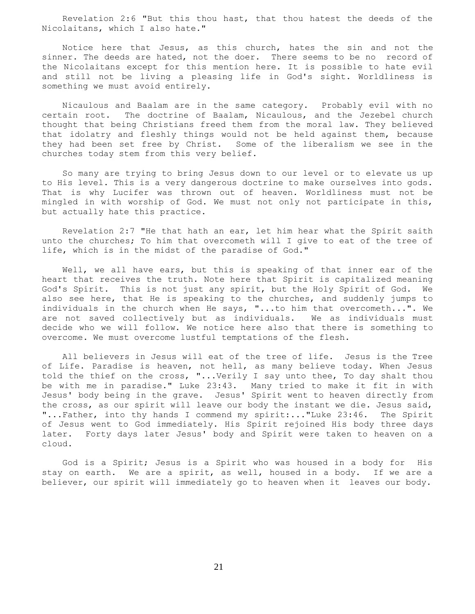Revelation 2:6 "But this thou hast, that thou hatest the deeds of the Nicolaitans, which I also hate."

 Notice here that Jesus, as this church, hates the sin and not the sinner. The deeds are hated, not the doer. There seems to be no record of the Nicolaitans except for this mention here. It is possible to hate evil and still not be living a pleasing life in God's sight. Worldliness is something we must avoid entirely.

 Nicaulous and Baalam are in the same category. Probably evil with no certain root. The doctrine of Baalam, Nicaulous, and the Jezebel church thought that being Christians freed them from the moral law. They believed that idolatry and fleshly things would not be held against them, because they had been set free by Christ. Some of the liberalism we see in the churches today stem from this very belief.

 So many are trying to bring Jesus down to our level or to elevate us up to His level. This is a very dangerous doctrine to make ourselves into gods. That is why Lucifer was thrown out of heaven. Worldliness must not be mingled in with worship of God. We must not only not participate in this, but actually hate this practice.

 Revelation 2:7 "He that hath an ear, let him hear what the Spirit saith unto the churches; To him that overcometh will I give to eat of the tree of life, which is in the midst of the paradise of God."

Well, we all have ears, but this is speaking of that inner ear of the heart that receives the truth. Note here that Spirit is capitalized meaning God's Spirit. This is not just any spirit, but the Holy Spirit of God. We also see here, that He is speaking to the churches, and suddenly jumps to individuals in the church when He says, "...to him that overcometh...". We are not saved collectively but as individuals. We as individuals must decide who we will follow. We notice here also that there is something to overcome. We must overcome lustful temptations of the flesh.

 All believers in Jesus will eat of the tree of life. Jesus is the Tree of Life. Paradise is heaven, not hell, as many believe today. When Jesus told the thief on the cross, "...Verily I say unto thee, To day shalt thou be with me in paradise." Luke 23:43. Many tried to make it fit in with Jesus' body being in the grave. Jesus' Spirit went to heaven directly from the cross, as our spirit will leave our body the instant we die. Jesus said, "...Father, into thy hands I commend my spirit:..."Luke 23:46. The Spirit of Jesus went to God immediately. His Spirit rejoined His body three days later. Forty days later Jesus' body and Spirit were taken to heaven on a cloud.

 God is a Spirit; Jesus is a Spirit who was housed in a body for His stay on earth. We are a spirit, as well, housed in a body. If we are a believer, our spirit will immediately go to heaven when it leaves our body.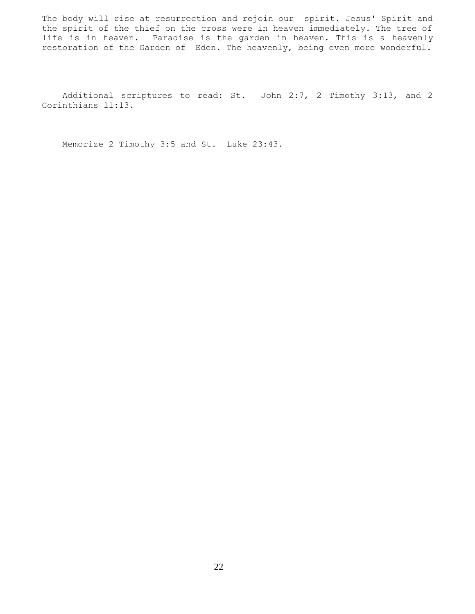The body will rise at resurrection and rejoin our spirit. Jesus' Spirit and the spirit of the thief on the cross were in heaven immediately. The tree of life is in heaven. Paradise is the garden in heaven. This is a heavenly restoration of the Garden of Eden. The heavenly, being even more wonderful.

 Additional scriptures to read: St. John 2:7, 2 Timothy 3:13, and 2 Corinthians 11:13.

Memorize 2 Timothy 3:5 and St. Luke 23:43.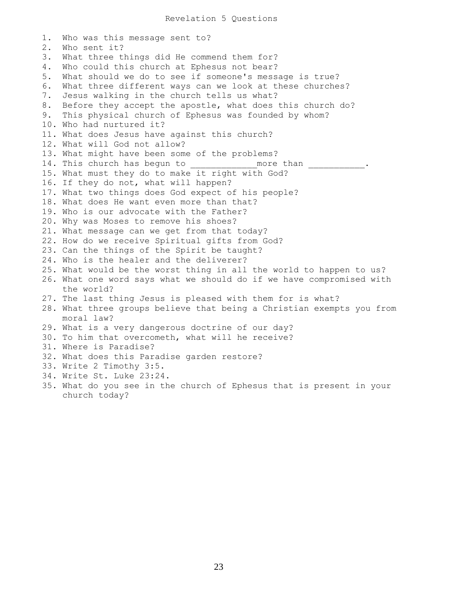```
1. Who was this message sent to?
2. Who sent it?
3. What three things did He commend them for?
4. Who could this church at Ephesus not bear?
5. What should we do to see if someone's message is true?
6. What three different ways can we look at these churches?
7. Jesus walking in the church tells us what?
8. Before they accept the apostle, what does this church do?
9. This physical church of Ephesus was founded by whom?
10. Who had nurtured it?
11. What does Jesus have against this church?
12. What will God not allow?
13. What might have been some of the problems?
14. This church has begun to __________ more than
15. What must they do to make it right with God?
16. If they do not, what will happen?
17. What two things does God expect of his people?
18. What does He want even more than that?
19. Who is our advocate with the Father?
20. Why was Moses to remove his shoes?
21. What message can we get from that today?
22. How do we receive Spiritual gifts from God?
23. Can the things of the Spirit be taught?
24. Who is the healer and the deliverer?
25. What would be the worst thing in all the world to happen to us?
26. What one word says what we should do if we have compromised with
     the world?
27. The last thing Jesus is pleased with them for is what?
28. What three groups believe that being a Christian exempts you from
    moral law?
29. What is a very dangerous doctrine of our day?
30. To him that overcometh, what will he receive?
31. Where is Paradise?
32. What does this Paradise garden restore?
33. Write 2 Timothy 3:5.
34. Write St. Luke 23:24.
35. What do you see in the church of Ephesus that is present in your
     church today?
```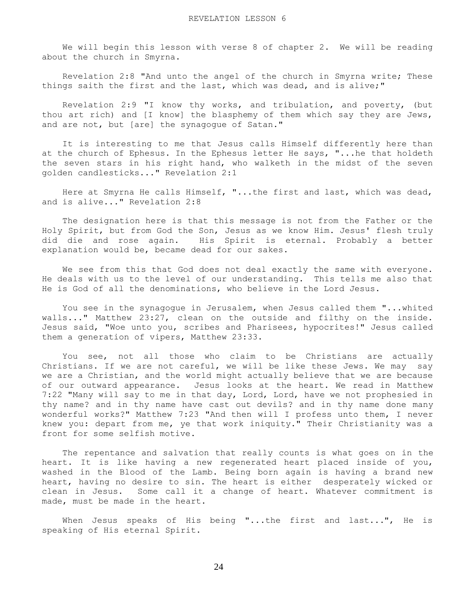We will begin this lesson with verse 8 of chapter 2. We will be reading about the church in Smyrna.

 Revelation 2:8 "And unto the angel of the church in Smyrna write; These things saith the first and the last, which was dead, and is alive;"

 Revelation 2:9 "I know thy works, and tribulation, and poverty, (but thou art rich) and [I know] the blasphemy of them which say they are Jews, and are not, but [are] the synagogue of Satan."

 It is interesting to me that Jesus calls Himself differently here than at the church of Ephesus. In the Ephesus letter He says, "...he that holdeth the seven stars in his right hand, who walketh in the midst of the seven golden candlesticks..." Revelation 2:1

 Here at Smyrna He calls Himself, "...the first and last, which was dead, and is alive..." Revelation 2:8

 The designation here is that this message is not from the Father or the Holy Spirit, but from God the Son, Jesus as we know Him. Jesus' flesh truly did die and rose again. His Spirit is eternal. Probably a better explanation would be, became dead for our sakes.

 We see from this that God does not deal exactly the same with everyone. He deals with us to the level of our understanding. This tells me also that He is God of all the denominations, who believe in the Lord Jesus.

 You see in the synagogue in Jerusalem, when Jesus called them "...whited walls..." Matthew 23:27, clean on the outside and filthy on the inside. Jesus said, "Woe unto you, scribes and Pharisees, hypocrites!" Jesus called them a generation of vipers, Matthew 23:33.

 You see, not all those who claim to be Christians are actually Christians. If we are not careful, we will be like these Jews. We may say we are a Christian, and the world might actually believe that we are because of our outward appearance. Jesus looks at the heart. We read in Matthew 7:22 "Many will say to me in that day, Lord, Lord, have we not prophesied in thy name? and in thy name have cast out devils? and in thy name done many wonderful works?" Matthew 7:23 "And then will I profess unto them, I never knew you: depart from me, ye that work iniquity." Their Christianity was a front for some selfish motive.

 The repentance and salvation that really counts is what goes on in the heart. It is like having a new regenerated heart placed inside of you, washed in the Blood of the Lamb. Being born again is having a brand new heart, having no desire to sin. The heart is either desperately wicked or clean in Jesus. Some call it a change of heart. Whatever commitment is made, must be made in the heart.

 When Jesus speaks of His being "...the first and last...", He is speaking of His eternal Spirit.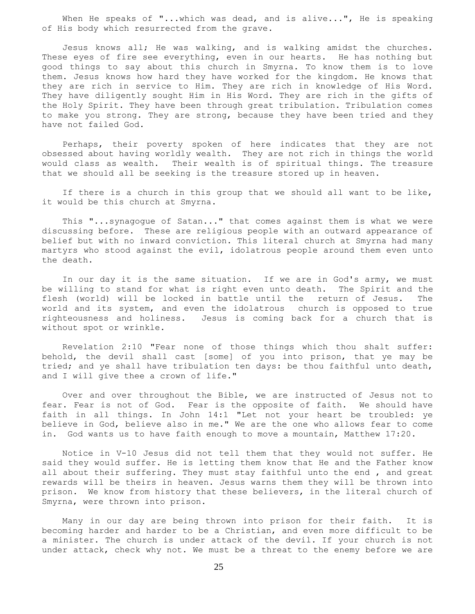When He speaks of "...which was dead, and is alive...", He is speaking of His body which resurrected from the grave.

 Jesus knows all; He was walking, and is walking amidst the churches. These eyes of fire see everything, even in our hearts. He has nothing but good things to say about this church in Smyrna. To know them is to love them. Jesus knows how hard they have worked for the kingdom. He knows that they are rich in service to Him. They are rich in knowledge of His Word. They have diligently sought Him in His Word. They are rich in the gifts of the Holy Spirit. They have been through great tribulation. Tribulation comes to make you strong. They are strong, because they have been tried and they have not failed God.

 Perhaps, their poverty spoken of here indicates that they are not obsessed about having worldly wealth. They are not rich in things the world would class as wealth. Their wealth is of spiritual things. The treasure that we should all be seeking is the treasure stored up in heaven.

 If there is a church in this group that we should all want to be like, it would be this church at Smyrna.

 This "...synagogue of Satan..." that comes against them is what we were discussing before. These are religious people with an outward appearance of belief but with no inward conviction. This literal church at Smyrna had many martyrs who stood against the evil, idolatrous people around them even unto the death.

In our day it is the same situation. If we are in God's army, we must be willing to stand for what is right even unto death. The Spirit and the flesh (world) will be locked in battle until the return of Jesus. The world and its system, and even the idolatrous church is opposed to true righteousness and holiness. Jesus is coming back for a church that is without spot or wrinkle.

 Revelation 2:10 "Fear none of those things which thou shalt suffer: behold, the devil shall cast [some] of you into prison, that ye may be tried; and ye shall have tribulation ten days: be thou faithful unto death, and I will give thee a crown of life."

 Over and over throughout the Bible, we are instructed of Jesus not to fear. Fear is not of God. Fear is the opposite of faith. We should have faith in all things. In John 14:1 "Let not your heart be troubled: ye believe in God, believe also in me." We are the one who allows fear to come in. God wants us to have faith enough to move a mountain, Matthew 17:20.

 Notice in V-10 Jesus did not tell them that they would not suffer. He said they would suffer. He is letting them know that He and the Father know all about their suffering. They must stay faithful unto the end , and great rewards will be theirs in heaven. Jesus warns them they will be thrown into prison. We know from history that these believers, in the literal church of Smyrna, were thrown into prison.

 Many in our day are being thrown into prison for their faith. It is becoming harder and harder to be a Christian, and even more difficult to be a minister. The church is under attack of the devil. If your church is not under attack, check why not. We must be a threat to the enemy before we are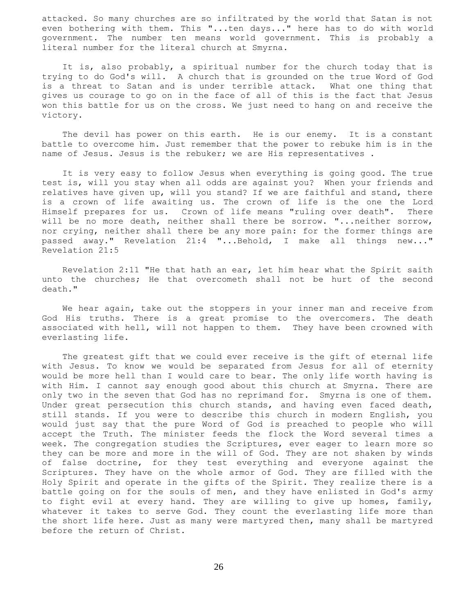attacked. So many churches are so infiltrated by the world that Satan is not even bothering with them. This "...ten days..." here has to do with world government. The number ten means world government. This is probably a literal number for the literal church at Smyrna.

 It is, also probably, a spiritual number for the church today that is trying to do God's will. A church that is grounded on the true Word of God is a threat to Satan and is under terrible attack. What one thing that gives us courage to go on in the face of all of this is the fact that Jesus won this battle for us on the cross. We just need to hang on and receive the victory.

 The devil has power on this earth. He is our enemy. It is a constant battle to overcome him. Just remember that the power to rebuke him is in the name of Jesus. Jesus is the rebuker; we are His representatives .

 It is very easy to follow Jesus when everything is going good. The true test is, will you stay when all odds are against you? When your friends and relatives have given up, will you stand? If we are faithful and stand, there is a crown of life awaiting us. The crown of life is the one the Lord Himself prepares for us. Crown of life means "ruling over death". There will be no more death, neither shall there be sorrow. "...neither sorrow, nor crying, neither shall there be any more pain: for the former things are passed away." Revelation 21:4 "...Behold, I make all things new..." Revelation 21:5

 Revelation 2:11 "He that hath an ear, let him hear what the Spirit saith unto the churches; He that overcometh shall not be hurt of the second death."

We hear again, take out the stoppers in your inner man and receive from God His truths. There is a great promise to the overcomers. The death associated with hell, will not happen to them. They have been crowned with everlasting life.

 The greatest gift that we could ever receive is the gift of eternal life with Jesus. To know we would be separated from Jesus for all of eternity would be more hell than I would care to bear. The only life worth having is with Him. I cannot say enough good about this church at Smyrna. There are only two in the seven that God has no reprimand for. Smyrna is one of them. Under great persecution this church stands, and having even faced death, still stands. If you were to describe this church in modern English, you would just say that the pure Word of God is preached to people who will accept the Truth. The minister feeds the flock the Word several times a week. The congregation studies the Scriptures, ever eager to learn more so they can be more and more in the will of God. They are not shaken by winds of false doctrine, for they test everything and everyone against the Scriptures. They have on the whole armor of God. They are filled with the Holy Spirit and operate in the gifts of the Spirit. They realize there is a battle going on for the souls of men, and they have enlisted in God's army to fight evil at every hand. They are willing to give up homes, family, whatever it takes to serve God. They count the everlasting life more than the short life here. Just as many were martyred then, many shall be martyred before the return of Christ.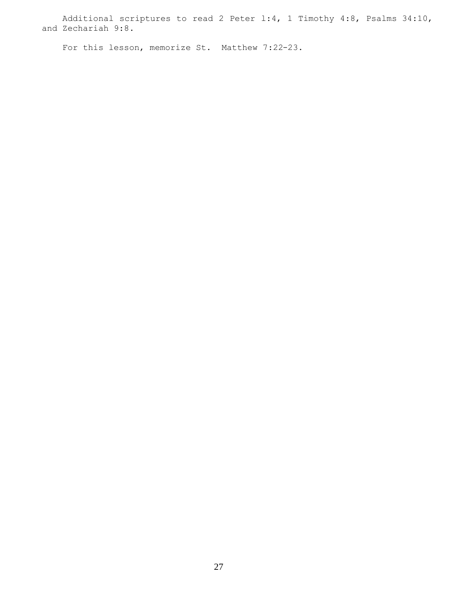Additional scriptures to read 2 Peter l:4, 1 Timothy 4:8, Psalms 34:10, and Zechariah 9:8.

For this lesson, memorize St. Matthew 7:22-23.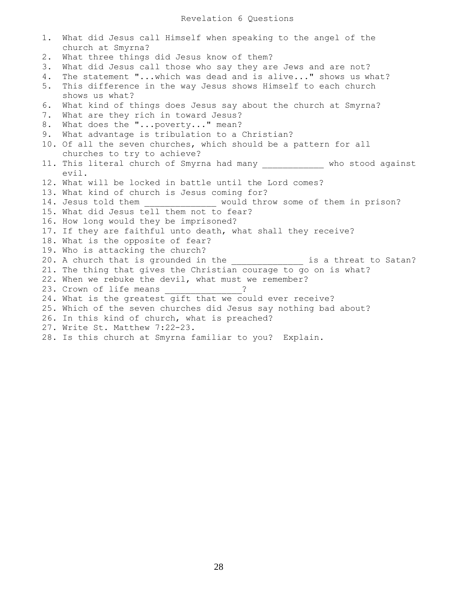## Revelation 6 Questions

1. What did Jesus call Himself when speaking to the angel of the church at Smyrna? 2. What three things did Jesus know of them? 3. What did Jesus call those who say they are Jews and are not? 4. The statement "...which was dead and is alive..." shows us what? 5. This difference in the way Jesus shows Himself to each church shows us what? 6. What kind of things does Jesus say about the church at Smyrna? 7. What are they rich in toward Jesus? 8. What does the "...poverty..." mean? 9. What advantage is tribulation to a Christian? 10. Of all the seven churches, which should be a pattern for all churches to try to achieve? 11. This literal church of Smyrna had many \_\_\_\_\_\_\_\_\_\_\_\_\_ who stood against evil. 12. What will be locked in battle until the Lord comes? 13. What kind of church is Jesus coming for? 14. Jesus told them \_\_\_\_\_\_\_\_\_\_\_\_ would throw some of them in prison? 15. What did Jesus tell them not to fear? 16. How long would they be imprisoned? 17. If they are faithful unto death, what shall they receive? 18. What is the opposite of fear? 19. Who is attacking the church? 20. A church that is grounded in the \_\_\_\_\_\_\_\_\_\_\_\_\_\_ is a threat to Satan? 21. The thing that gives the Christian courage to go on is what? 22. When we rebuke the devil, what must we remember? 23. Crown of life means  $\qquad$  ? 24. What is the greatest gift that we could ever receive? 25. Which of the seven churches did Jesus say nothing bad about? 26. In this kind of church, what is preached? 27. Write St. Matthew 7:22-23. 28. Is this church at Smyrna familiar to you? Explain.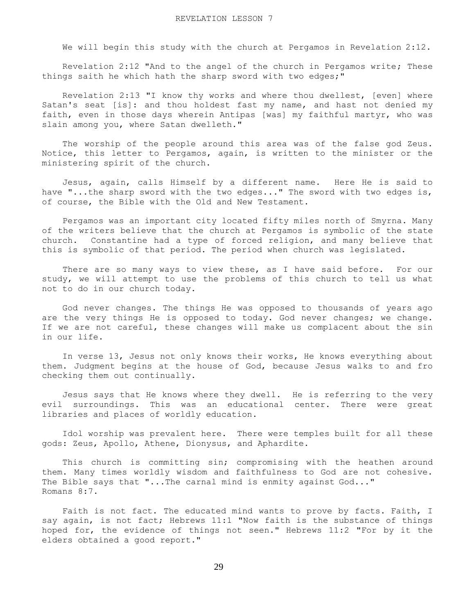We will begin this study with the church at Pergamos in Revelation 2:12.

 Revelation 2:12 "And to the angel of the church in Pergamos write; These things saith he which hath the sharp sword with two edges;"

 Revelation 2:13 "I know thy works and where thou dwellest, [even] where Satan's seat [is]: and thou holdest fast my name, and hast not denied my faith, even in those days wherein Antipas [was] my faithful martyr, who was slain among you, where Satan dwelleth."

 The worship of the people around this area was of the false god Zeus. Notice, this letter to Pergamos, again, is written to the minister or the ministering spirit of the church.

 Jesus, again, calls Himself by a different name. Here He is said to have "...the sharp sword with the two edges..." The sword with two edges is, of course, the Bible with the Old and New Testament.

 Pergamos was an important city located fifty miles north of Smyrna. Many of the writers believe that the church at Pergamos is symbolic of the state church. Constantine had a type of forced religion, and many believe that this is symbolic of that period. The period when church was legislated.

There are so many ways to view these, as I have said before. For our study, we will attempt to use the problems of this church to tell us what not to do in our church today.

 God never changes. The things He was opposed to thousands of years ago are the very things He is opposed to today. God never changes; we change. If we are not careful, these changes will make us complacent about the sin in our life.

 In verse 13, Jesus not only knows their works, He knows everything about them. Judgment begins at the house of God, because Jesus walks to and fro checking them out continually.

 Jesus says that He knows where they dwell. He is referring to the very evil surroundings. This was an educational center. There were great libraries and places of worldly education.

 Idol worship was prevalent here. There were temples built for all these gods: Zeus, Apollo, Athene, Dionysus, and Aphardite.

 This church is committing sin; compromising with the heathen around them. Many times worldly wisdom and faithfulness to God are not cohesive. The Bible says that "...The carnal mind is enmity against God..." Romans 8:7.

Faith is not fact. The educated mind wants to prove by facts. Faith, I say again, is not fact; Hebrews 11:1 "Now faith is the substance of things hoped for, the evidence of things not seen." Hebrews 11:2 "For by it the elders obtained a good report."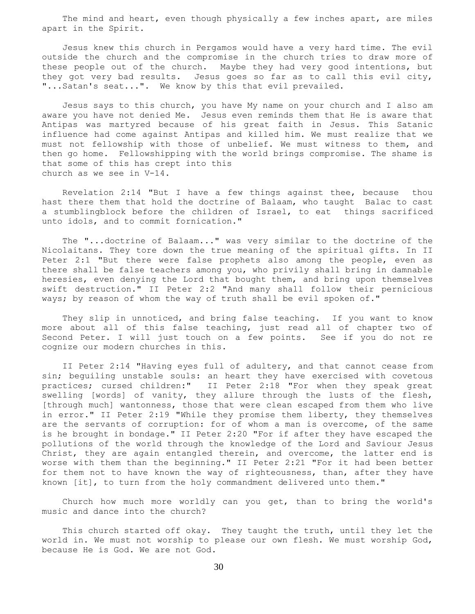The mind and heart, even though physically a few inches apart, are miles apart in the Spirit.

 Jesus knew this church in Pergamos would have a very hard time. The evil outside the church and the compromise in the church tries to draw more of these people out of the church. Maybe they had very good intentions, but they got very bad results. Jesus goes so far as to call this evil city, "...Satan's seat...". We know by this that evil prevailed.

 Jesus says to this church, you have My name on your church and I also am aware you have not denied Me. Jesus even reminds them that He is aware that Antipas was martyred because of his great faith in Jesus. This Satanic influence had come against Antipas and killed him. We must realize that we must not fellowship with those of unbelief. We must witness to them, and then go home. Fellowshipping with the world brings compromise. The shame is that some of this has crept into this church as we see in V-14.

 Revelation 2:14 "But I have a few things against thee, because thou hast there them that hold the doctrine of Balaam, who taught Balac to cast a stumblingblock before the children of Israel, to eat things sacrificed unto idols, and to commit fornication."

 The "...doctrine of Balaam..." was very similar to the doctrine of the Nicolaitans. They tore down the true meaning of the spiritual gifts. In II Peter 2:1 "But there were false prophets also among the people, even as there shall be false teachers among you, who privily shall bring in damnable heresies, even denying the Lord that bought them, and bring upon themselves swift destruction." II Peter 2:2 "And many shall follow their pernicious ways; by reason of whom the way of truth shall be evil spoken of."

 They slip in unnoticed, and bring false teaching. If you want to know more about all of this false teaching, just read all of chapter two of Second Peter. I will just touch on a few points. See if you do not re cognize our modern churches in this.

 II Peter 2:14 "Having eyes full of adultery, and that cannot cease from sin; beguiling unstable souls: an heart they have exercised with covetous practices; cursed children:" II Peter 2:18 "For when they speak great swelling [words] of vanity, they allure through the lusts of the flesh, [through much] wantonness, those that were clean escaped from them who live in error." II Peter 2:19 "While they promise them liberty, they themselves are the servants of corruption: for of whom a man is overcome, of the same is he brought in bondage." II Peter 2:20 "For if after they have escaped the pollutions of the world through the knowledge of the Lord and Saviour Jesus Christ, they are again entangled therein, and overcome, the latter end is worse with them than the beginning." II Peter 2:21 "For it had been better for them not to have known the way of righteousness, than, after they have known [it], to turn from the holy commandment delivered unto them."

 Church how much more worldly can you get, than to bring the world's music and dance into the church?

 This church started off okay. They taught the truth, until they let the world in. We must not worship to please our own flesh. We must worship God, because He is God. We are not God.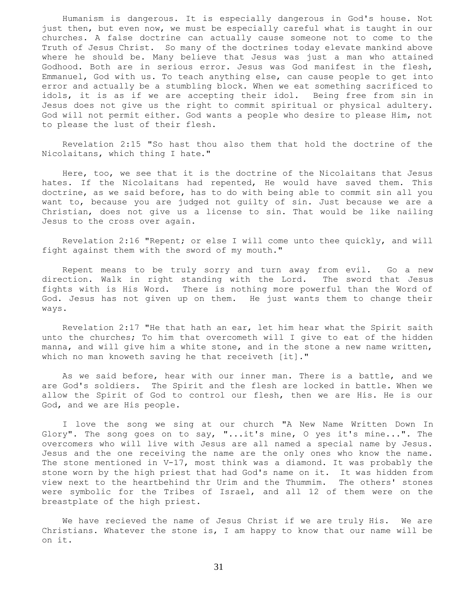Humanism is dangerous. It is especially dangerous in God's house. Not just then, but even now, we must be especially careful what is taught in our churches. A false doctrine can actually cause someone not to come to the Truth of Jesus Christ. So many of the doctrines today elevate mankind above where he should be. Many believe that Jesus was just a man who attained Godhood. Both are in serious error. Jesus was God manifest in the flesh, Emmanuel, God with us. To teach anything else, can cause people to get into error and actually be a stumbling block. When we eat something sacrificed to idols, it is as if we are accepting their idol. Being free from sin in Jesus does not give us the right to commit spiritual or physical adultery. God will not permit either. God wants a people who desire to please Him, not to please the lust of their flesh.

 Revelation 2:15 "So hast thou also them that hold the doctrine of the Nicolaitans, which thing I hate."

 Here, too, we see that it is the doctrine of the Nicolaitans that Jesus hates. If the Nicolaitans had repented, He would have saved them. This doctrine, as we said before, has to do with being able to commit sin all you want to, because you are judged not guilty of sin. Just because we are a Christian, does not give us a license to sin. That would be like nailing Jesus to the cross over again.

 Revelation 2:16 "Repent; or else I will come unto thee quickly, and will fight against them with the sword of my mouth."

 Repent means to be truly sorry and turn away from evil. Go a new direction. Walk in right standing with the Lord. The sword that Jesus fights with is His Word. There is nothing more powerful than the Word of God. Jesus has not given up on them. He just wants them to change their ways.

 Revelation 2:17 "He that hath an ear, let him hear what the Spirit saith unto the churches; To him that overcometh will I give to eat of the hidden manna, and will give him a white stone, and in the stone a new name written, which no man knoweth saving he that receiveth [it]."

 As we said before, hear with our inner man. There is a battle, and we are God's soldiers. The Spirit and the flesh are locked in battle. When we allow the Spirit of God to control our flesh, then we are His. He is our God, and we are His people.

 I love the song we sing at our church "A New Name Written Down In Glory". The song goes on to say, "...it's mine, O yes it's mine...". The overcomers who will live with Jesus are all named a special name by Jesus. Jesus and the one receiving the name are the only ones who know the name. The stone mentioned in V-17, most think was a diamond. It was probably the stone worn by the high priest that had God's name on it. It was hidden from view next to the heartbehind thr Urim and the Thummim. The others' stones were symbolic for the Tribes of Israel, and all 12 of them were on the breastplate of the high priest.

 We have recieved the name of Jesus Christ if we are truly His. We are Christians. Whatever the stone is, I am happy to know that our name will be on it.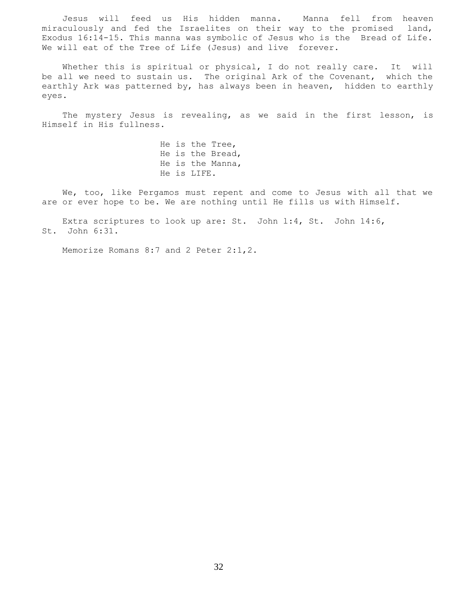Jesus will feed us His hidden manna. Manna fell from heaven miraculously and fed the Israelites on their way to the promised land, Exodus 16:14-15. This manna was symbolic of Jesus who is the Bread of Life. We will eat of the Tree of Life (Jesus) and live forever.

Whether this is spiritual or physical, I do not really care. It will be all we need to sustain us. The original Ark of the Covenant, which the earthly Ark was patterned by, has always been in heaven, hidden to earthly eyes.

 The mystery Jesus is revealing, as we said in the first lesson, is Himself in His fullness.

> He is the Tree, He is the Bread, He is the Manna, He is LIFE.

 We, too, like Pergamos must repent and come to Jesus with all that we are or ever hope to be. We are nothing until He fills us with Himself.

 Extra scriptures to look up are: St. John l:4, St. John 14:6, St. John 6:31.

Memorize Romans 8:7 and 2 Peter 2:1,2.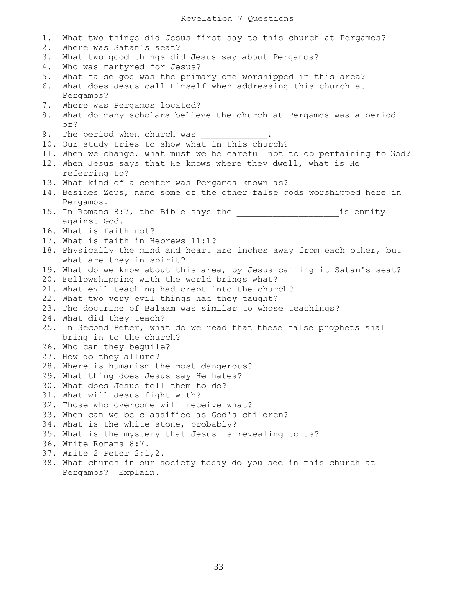1. What two things did Jesus first say to this church at Pergamos? 2. Where was Satan's seat? 3. What two good things did Jesus say about Pergamos? 4. Who was martyred for Jesus? 5. What false god was the primary one worshipped in this area? 6. What does Jesus call Himself when addressing this church at Pergamos? 7. Where was Pergamos located? 8. What do many scholars believe the church at Pergamos was a period of? 9. The period when church was 10. Our study tries to show what in this church? 11. When we change, what must we be careful not to do pertaining to God? 12. When Jesus says that He knows where they dwell, what is He referring to? 13. What kind of a center was Pergamos known as? 14. Besides Zeus, name some of the other false gods worshipped here in Pergamos. 15. In Romans 8:7, the Bible says the the same is enmity against God. 16. What is faith not? 17. What is faith in Hebrews 11:1? 18. Physically the mind and heart are inches away from each other, but what are they in spirit? 19. What do we know about this area, by Jesus calling it Satan's seat? 20. Fellowshipping with the world brings what? 21. What evil teaching had crept into the church? 22. What two very evil things had they taught? 23. The doctrine of Balaam was similar to whose teachings? 24. What did they teach? 25. In Second Peter, what do we read that these false prophets shall bring in to the church? 26. Who can they beguile? 27. How do they allure? 28. Where is humanism the most dangerous? 29. What thing does Jesus say He hates? 30. What does Jesus tell them to do? 31. What will Jesus fight with? 32. Those who overcome will receive what? 33. When can we be classified as God's children? 34. What is the white stone, probably? 35. What is the mystery that Jesus is revealing to us? 36. Write Romans 8:7. 37. Write 2 Peter 2:1,2. 38. What church in our society today do you see in this church at Pergamos? Explain.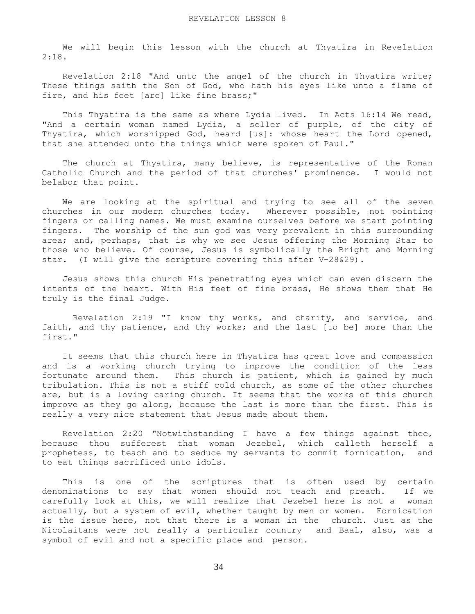We will begin this lesson with the church at Thyatira in Revelation 2:18.

 Revelation 2:18 "And unto the angel of the church in Thyatira write; These things saith the Son of God, who hath his eyes like unto a flame of fire, and his feet [are] like fine brass;"

This Thyatira is the same as where Lydia lived. In Acts 16:14 We read, "And a certain woman named Lydia, a seller of purple, of the city of Thyatira, which worshipped God, heard [us]: whose heart the Lord opened, that she attended unto the things which were spoken of Paul."

 The church at Thyatira, many believe, is representative of the Roman Catholic Church and the period of that churches' prominence. I would not belabor that point.

 We are looking at the spiritual and trying to see all of the seven churches in our modern churches today. Wherever possible, not pointing fingers or calling names. We must examine ourselves before we start pointing fingers. The worship of the sun god was very prevalent in this surrounding area; and, perhaps, that is why we see Jesus offering the Morning Star to those who believe. Of course, Jesus is symbolically the Bright and Morning star. (I will give the scripture covering this after V-28&29).

 Jesus shows this church His penetrating eyes which can even discern the intents of the heart. With His feet of fine brass, He shows them that He truly is the final Judge.

 Revelation 2:19 "I know thy works, and charity, and service, and faith, and thy patience, and thy works; and the last [to be] more than the first."

 It seems that this church here in Thyatira has great love and compassion and is a working church trying to improve the condition of the less fortunate around them. This church is patient, which is gained by much tribulation. This is not a stiff cold church, as some of the other churches are, but is a loving caring church. It seems that the works of this church improve as they go along, because the last is more than the first. This is really a very nice statement that Jesus made about them.

 Revelation 2:20 "Notwithstanding I have a few things against thee, because thou sufferest that woman Jezebel, which calleth herself a prophetess, to teach and to seduce my servants to commit fornication, and to eat things sacrificed unto idols.

 This is one of the scriptures that is often used by certain denominations to say that women should not teach and preach. If we carefully look at this, we will realize that Jezebel here is not a woman actually, but a system of evil, whether taught by men or women. Fornication is the issue here, not that there is a woman in the church. Just as the Nicolaitans were not really a particular country and Baal, also, was a symbol of evil and not a specific place and person.

34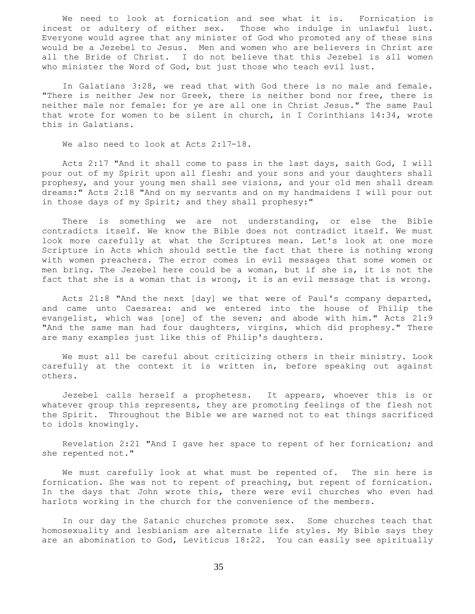We need to look at fornication and see what it is. Fornication is incest or adultery of either sex. Those who indulge in unlawful lust. Everyone would agree that any minister of God who promoted any of these sins would be a Jezebel to Jesus. Men and women who are believers in Christ are all the Bride of Christ. I do not believe that this Jezebel is all women who minister the Word of God, but just those who teach evil lust.

 In Galatians 3:28, we read that with God there is no male and female. "There is neither Jew nor Greek, there is neither bond nor free, there is neither male nor female: for ye are all one in Christ Jesus." The same Paul that wrote for women to be silent in church, in I Corinthians 14:34, wrote this in Galatians.

We also need to look at Acts 2:17-18.

 Acts 2:17 "And it shall come to pass in the last days, saith God, I will pour out of my Spirit upon all flesh: and your sons and your daughters shall prophesy, and your young men shall see visions, and your old men shall dream dreams:" Acts 2:18 "And on my servants and on my handmaidens I will pour out in those days of my Spirit; and they shall prophesy:"

 There is something we are not understanding, or else the Bible contradicts itself. We know the Bible does not contradict itself. We must look more carefully at what the Scriptures mean. Let's look at one more Scripture in Acts which should settle the fact that there is nothing wrong with women preachers. The error comes in evil messages that some women or men bring. The Jezebel here could be a woman, but if she is, it is not the fact that she is a woman that is wrong, it is an evil message that is wrong.

 Acts 21:8 "And the next [day] we that were of Paul's company departed, and came unto Caesarea: and we entered into the house of Philip the evangelist, which was [one] of the seven; and abode with him." Acts 21:9 "And the same man had four daughters, virgins, which did prophesy." There are many examples just like this of Philip's daughters.

 We must all be careful about criticizing others in their ministry. Look carefully at the context it is written in, before speaking out against others.

 Jezebel calls herself a prophetess. It appears, whoever this is or whatever group this represents, they are promoting feelings of the flesh not the Spirit. Throughout the Bible we are warned not to eat things sacrificed to idols knowingly.

 Revelation 2:21 "And I gave her space to repent of her fornication; and she repented not."

 We must carefully look at what must be repented of. The sin here is fornication. She was not to repent of preaching, but repent of fornication. In the days that John wrote this, there were evil churches who even had harlots working in the church for the convenience of the members.

 In our day the Satanic churches promote sex. Some churches teach that homosexuality and lesbianism are alternate life styles. My Bible says they are an abomination to God, Leviticus 18:22. You can easily see spiritually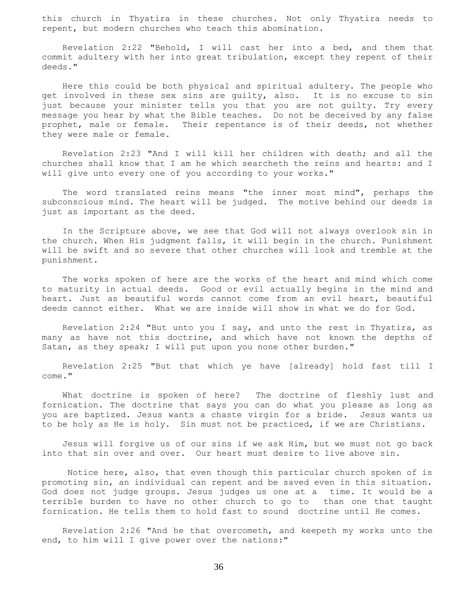this church in Thyatira in these churches. Not only Thyatira needs to repent, but modern churches who teach this abomination.

 Revelation 2:22 "Behold, I will cast her into a bed, and them that commit adultery with her into great tribulation, except they repent of their deeds."

 Here this could be both physical and spiritual adultery. The people who get involved in these sex sins are guilty, also. It is no excuse to sin just because your minister tells you that you are not guilty. Try every message you hear by what the Bible teaches. Do not be deceived by any false prophet, male or female. Their repentance is of their deeds, not whether they were male or female.

 Revelation 2:23 "And I will kill her children with death; and all the churches shall know that I am he which searcheth the reins and hearts: and I will give unto every one of you according to your works."

 The word translated reins means "the inner most mind", perhaps the subconscious mind. The heart will be judged. The motive behind our deeds is just as important as the deed.

 In the Scripture above, we see that God will not always overlook sin in the church. When His judgment falls, it will begin in the church. Punishment will be swift and so severe that other churches will look and tremble at the punishment.

 The works spoken of here are the works of the heart and mind which come to maturity in actual deeds. Good or evil actually begins in the mind and heart. Just as beautiful words cannot come from an evil heart, beautiful deeds cannot either. What we are inside will show in what we do for God.

 Revelation 2:24 "But unto you I say, and unto the rest in Thyatira, as many as have not this doctrine, and which have not known the depths of Satan, as they speak; I will put upon you none other burden."

 Revelation 2:25 "But that which ye have [already] hold fast till I come."

 What doctrine is spoken of here? The doctrine of fleshly lust and fornication. The doctrine that says you can do what you please as long as you are baptized. Jesus wants a chaste virgin for a bride. Jesus wants us to be holy as He is holy. Sin must not be practiced, if we are Christians.

 Jesus will forgive us of our sins if we ask Him, but we must not go back into that sin over and over. Our heart must desire to live above sin.

 Notice here, also, that even though this particular church spoken of is promoting sin, an individual can repent and be saved even in this situation. God does not judge groups. Jesus judges us one at a time. It would be a terrible burden to have no other church to go to than one that taught fornication. He tells them to hold fast to sound doctrine until He comes.

 Revelation 2:26 "And he that overcometh, and keepeth my works unto the end, to him will I give power over the nations:"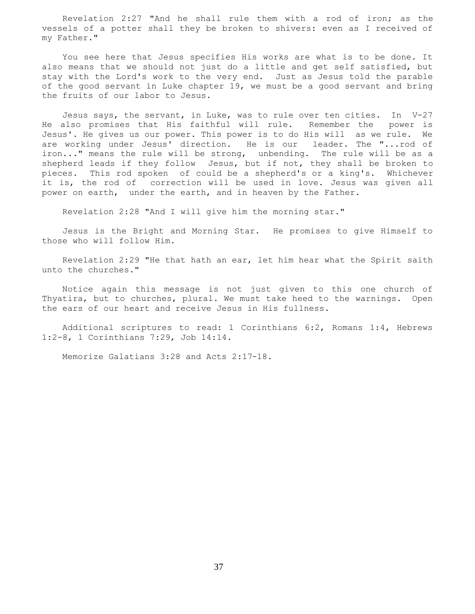Revelation 2:27 "And he shall rule them with a rod of iron; as the vessels of a potter shall they be broken to shivers: even as I received of my Father."

 You see here that Jesus specifies His works are what is to be done. It also means that we should not just do a little and get self satisfied, but stay with the Lord's work to the very end. Just as Jesus told the parable of the good servant in Luke chapter 19, we must be a good servant and bring the fruits of our labor to Jesus.

 Jesus says, the servant, in Luke, was to rule over ten cities. In V-27 He also promises that His faithful will rule. Remember the power is Jesus'. He gives us our power. This power is to do His will as we rule. We are working under Jesus' direction. He is our leader. The "...rod of iron..." means the rule will be strong, unbending. The rule will be as a shepherd leads if they follow Jesus, but if not, they shall be broken to pieces. This rod spoken of could be a shepherd's or a king's. Whichever it is, the rod of correction will be used in love. Jesus was given all power on earth, under the earth, and in heaven by the Father.

Revelation 2:28 "And I will give him the morning star."

 Jesus is the Bright and Morning Star. He promises to give Himself to those who will follow Him.

 Revelation 2:29 "He that hath an ear, let him hear what the Spirit saith unto the churches."

 Notice again this message is not just given to this one church of Thyatira, but to churches, plural. We must take heed to the warnings. Open the ears of our heart and receive Jesus in His fullness.

 Additional scriptures to read: 1 Corinthians 6:2, Romans 1:4, Hebrews 1:2-8, 1 Corinthians 7:29, Job 14:14.

Memorize Galatians 3:28 and Acts 2:17-18.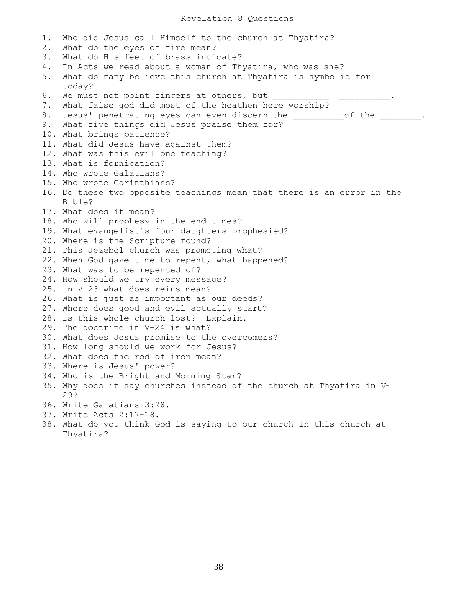Revelation 8 Questions

1. Who did Jesus call Himself to the church at Thyatira? 2. What do the eyes of fire mean? 3. What do His feet of brass indicate? 4. In Acts we read about a woman of Thyatira, who was she? 5. What do many believe this church at Thyatira is symbolic for today? 6. We must not point fingers at others, but 7. What false god did most of the heathen here worship? 8. Jesus' penetrating eyes can even discern the \_\_\_\_\_\_\_\_of the \_\_\_\_\_\_\_. 9. What five things did Jesus praise them for? 10. What brings patience? 11. What did Jesus have against them? 12. What was this evil one teaching? 13. What is fornication? 14. Who wrote Galatians? 15. Who wrote Corinthians? 16. Do these two opposite teachings mean that there is an error in the Bible? 17. What does it mean? 18. Who will prophesy in the end times? 19. What evangelist's four daughters prophesied? 20. Where is the Scripture found? 21. This Jezebel church was promoting what? 22. When God gave time to repent, what happened? 23. What was to be repented of? 24. How should we try every message? 25. In V-23 what does reins mean? 26. What is just as important as our deeds? 27. Where does good and evil actually start? 28. Is this whole church lost? Explain. 29. The doctrine in V-24 is what? 30. What does Jesus promise to the overcomers? 31. How long should we work for Jesus? 32. What does the rod of iron mean? 33. Where is Jesus' power? 34. Who is the Bright and Morning Star? 35. Why does it say churches instead of the church at Thyatira in V- 29? 36. Write Galatians 3:28. 37. Write Acts 2:17-18. 38. What do you think God is saying to our church in this church at Thyatira?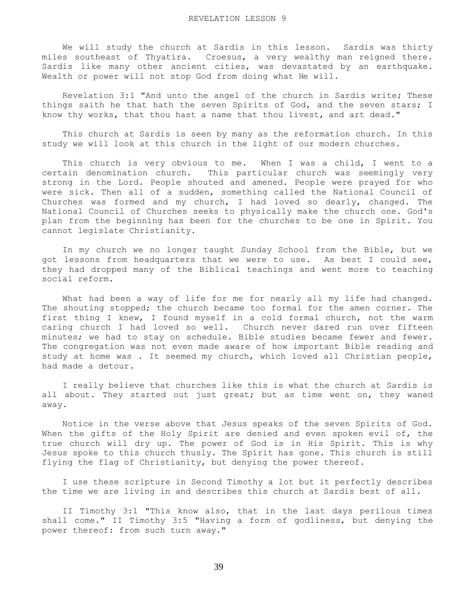We will study the church at Sardis in this lesson. Sardis was thirty miles southeast of Thyatira. Croesus, a very wealthy man reigned there. Sardis like many other ancient cities, was devastated by an earthquake. Wealth or power will not stop God from doing what He will.

 Revelation 3:1 "And unto the angel of the church in Sardis write; These things saith he that hath the seven Spirits of God, and the seven stars; I know thy works, that thou hast a name that thou livest, and art dead."

 This church at Sardis is seen by many as the reformation church. In this study we will look at this church in the light of our modern churches.

This church is very obvious to me. When I was a child, I went to a certain denomination church. This particular church was seemingly very strong in the Lord. People shouted and amened. People were prayed for who were sick. Then all of a sudden, something called the National Council of Churches was formed and my church, I had loved so dearly, changed. The National Council of Churches seeks to physically make the church one. God's plan from the beginning has been for the churches to be one in Spirit. You cannot legislate Christianity.

 In my church we no longer taught Sunday School from the Bible, but we got lessons from headquarters that we were to use. As best I could see, they had dropped many of the Biblical teachings and went more to teaching social reform.

What had been a way of life for me for nearly all my life had changed. The shouting stopped; the church became too formal for the amen corner. The first thing I knew, I found myself in a cold formal church, not the warm caring church I had loved so well. Church never dared run over fifteen minutes; we had to stay on schedule. Bible studies became fewer and fewer. The congregation was not even made aware of how important Bible reading and study at home was . It seemed my church, which loved all Christian people, had made a detour.

 I really believe that churches like this is what the church at Sardis is all about. They started out just great; but as time went on, they waned away.

 Notice in the verse above that Jesus speaks of the seven Spirits of God. When the gifts of the Holy Spirit are denied and even spoken evil of, the true church will dry up. The power of God is in His Spirit. This is why Jesus spoke to this church thusly. The Spirit has gone. This church is still flying the flag of Christianity, but denying the power thereof.

 I use these scripture in Second Timothy a lot but it perfectly describes the time we are living in and describes this church at Sardis best of all.

 II Timothy 3:1 "This know also, that in the last days perilous times shall come." II Timothy 3:5 "Having a form of godliness, but denying the power thereof: from such turn away."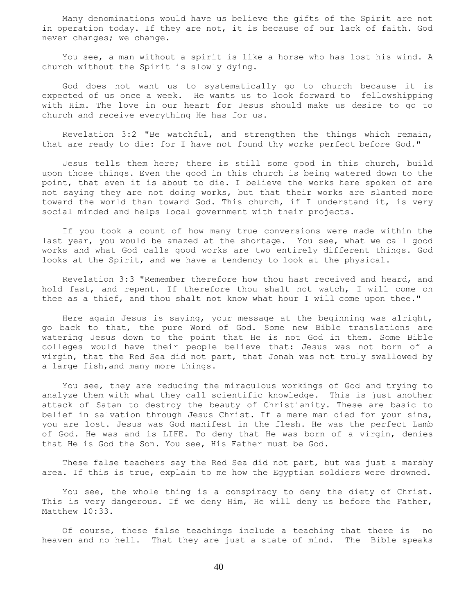Many denominations would have us believe the gifts of the Spirit are not in operation today. If they are not, it is because of our lack of faith. God never changes; we change.

 You see, a man without a spirit is like a horse who has lost his wind. A church without the Spirit is slowly dying.

 God does not want us to systematically go to church because it is expected of us once a week. He wants us to look forward to fellowshipping with Him. The love in our heart for Jesus should make us desire to go to church and receive everything He has for us.

 Revelation 3:2 "Be watchful, and strengthen the things which remain, that are ready to die: for I have not found thy works perfect before God."

 Jesus tells them here; there is still some good in this church, build upon those things. Even the good in this church is being watered down to the point, that even it is about to die. I believe the works here spoken of are not saying they are not doing works, but that their works are slanted more toward the world than toward God. This church, if I understand it, is very social minded and helps local government with their projects.

 If you took a count of how many true conversions were made within the last year, you would be amazed at the shortage. You see, what we call good works and what God calls good works are two entirely different things. God looks at the Spirit, and we have a tendency to look at the physical.

 Revelation 3:3 "Remember therefore how thou hast received and heard, and hold fast, and repent. If therefore thou shalt not watch, I will come on thee as a thief, and thou shalt not know what hour I will come upon thee."

 Here again Jesus is saying, your message at the beginning was alright, go back to that, the pure Word of God. Some new Bible translations are watering Jesus down to the point that He is not God in them. Some Bible colleges would have their people believe that: Jesus was not born of a virgin, that the Red Sea did not part, that Jonah was not truly swallowed by a large fish,and many more things.

 You see, they are reducing the miraculous workings of God and trying to analyze them with what they call scientific knowledge. This is just another attack of Satan to destroy the beauty of Christianity. These are basic to belief in salvation through Jesus Christ. If a mere man died for your sins, you are lost. Jesus was God manifest in the flesh. He was the perfect Lamb of God. He was and is LIFE. To deny that He was born of a virgin, denies that He is God the Son. You see, His Father must be God.

 These false teachers say the Red Sea did not part, but was just a marshy area. If this is true, explain to me how the Egyptian soldiers were drowned.

 You see, the whole thing is a conspiracy to deny the diety of Christ. This is very dangerous. If we deny Him, He will deny us before the Father, Matthew 10:33.

 Of course, these false teachings include a teaching that there is no heaven and no hell. That they are just a state of mind. The Bible speaks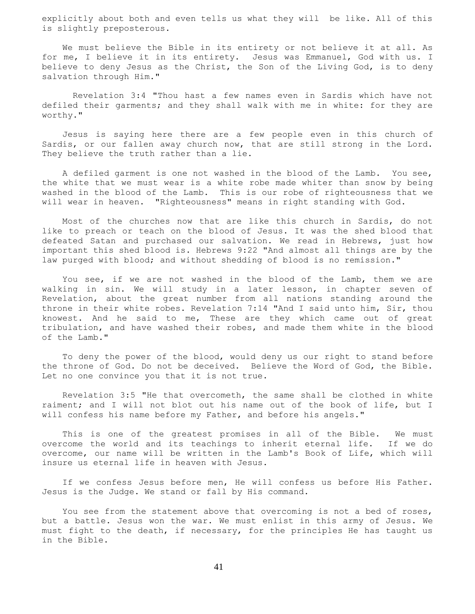explicitly about both and even tells us what they will be like. All of this is slightly preposterous.

 We must believe the Bible in its entirety or not believe it at all. As for me, I believe it in its entirety. Jesus was Emmanuel, God with us. I believe to deny Jesus as the Christ, the Son of the Living God, is to deny salvation through Him."

 Revelation 3:4 "Thou hast a few names even in Sardis which have not defiled their garments; and they shall walk with me in white: for they are worthy."

 Jesus is saying here there are a few people even in this church of Sardis, or our fallen away church now, that are still strong in the Lord. They believe the truth rather than a lie.

 A defiled garment is one not washed in the blood of the Lamb. You see, the white that we must wear is a white robe made whiter than snow by being washed in the blood of the Lamb. This is our robe of righteousness that we will wear in heaven. "Righteousness" means in right standing with God.

 Most of the churches now that are like this church in Sardis, do not like to preach or teach on the blood of Jesus. It was the shed blood that defeated Satan and purchased our salvation. We read in Hebrews, just how important this shed blood is. Hebrews 9:22 "And almost all things are by the law purged with blood; and without shedding of blood is no remission."

 You see, if we are not washed in the blood of the Lamb, them we are walking in sin. We will study in a later lesson, in chapter seven of Revelation, about the great number from all nations standing around the throne in their white robes. Revelation 7:14 "And I said unto him, Sir, thou knowest. And he said to me, These are they which came out of great tribulation, and have washed their robes, and made them white in the blood of the Lamb."

 To deny the power of the blood, would deny us our right to stand before the throne of God. Do not be deceived. Believe the Word of God, the Bible. Let no one convince you that it is not true.

 Revelation 3:5 "He that overcometh, the same shall be clothed in white raiment; and I will not blot out his name out of the book of life, but I will confess his name before my Father, and before his angels."

 This is one of the greatest promises in all of the Bible. We must overcome the world and its teachings to inherit eternal life. If we do overcome, our name will be written in the Lamb's Book of Life, which will insure us eternal life in heaven with Jesus.

If we confess Jesus before men, He will confess us before His Father. Jesus is the Judge. We stand or fall by His command.

You see from the statement above that overcoming is not a bed of roses, but a battle. Jesus won the war. We must enlist in this army of Jesus. We must fight to the death, if necessary, for the principles He has taught us in the Bible.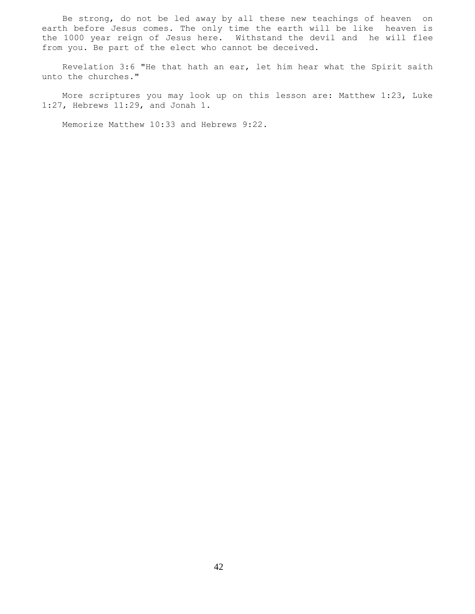Be strong, do not be led away by all these new teachings of heaven on earth before Jesus comes. The only time the earth will be like heaven is the 1000 year reign of Jesus here. Withstand the devil and he will flee from you. Be part of the elect who cannot be deceived.

 Revelation 3:6 "He that hath an ear, let him hear what the Spirit saith unto the churches."

 More scriptures you may look up on this lesson are: Matthew 1:23, Luke 1:27, Hebrews 11:29, and Jonah 1.

Memorize Matthew 10:33 and Hebrews 9:22.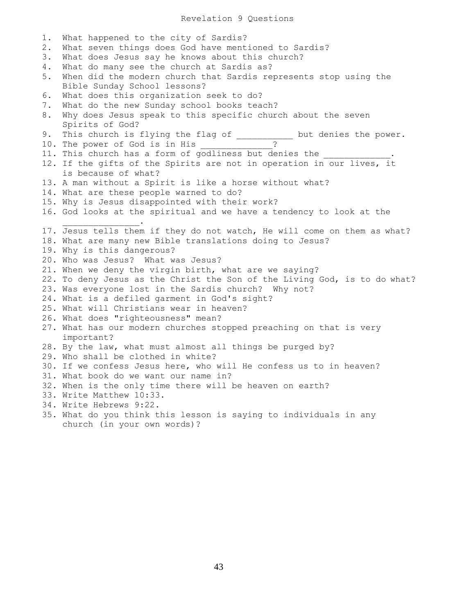Revelation 9 Questions

1. What happened to the city of Sardis? 2. What seven things does God have mentioned to Sardis? 3. What does Jesus say he knows about this church? 4. What do many see the church at Sardis as? 5. When did the modern church that Sardis represents stop using the Bible Sunday School lessons? 6. What does this organization seek to do? 7. What do the new Sunday school books teach? 8. Why does Jesus speak to this specific church about the seven Spirits of God? 9. This church is flying the flag of end once but denies the power. 10. The power of God is in His \_\_\_\_\_\_\_\_\_\_\_\_\_? 11. This church has a form of godliness but denies the 12. If the gifts of the Spirits are not in operation in our lives, it is because of what? 13. A man without a Spirit is like a horse without what? 14. What are these people warned to do? 15. Why is Jesus disappointed with their work? 16. God looks at the spiritual and we have a tendency to look at the  $\mathcal{L}=\mathcal{L}=\mathcal{L}=\mathcal{L}=\mathcal{L}=\mathcal{L}=\mathcal{L}=\mathcal{L}$ 17. Jesus tells them if they do not watch, He will come on them as what? 18. What are many new Bible translations doing to Jesus? 19. Why is this dangerous? 20. Who was Jesus? What was Jesus? 21. When we deny the virgin birth, what are we saying? 22. To deny Jesus as the Christ the Son of the Living God, is to do what? 23. Was everyone lost in the Sardis church? Why not? 24. What is a defiled garment in God's sight? 25. What will Christians wear in heaven? 26. What does "righteousness" mean? 27. What has our modern churches stopped preaching on that is very important? 28. By the law, what must almost all things be purged by? 29. Who shall be clothed in white? 30. If we confess Jesus here, who will He confess us to in heaven? 31. What book do we want our name in? 32. When is the only time there will be heaven on earth? 33. Write Matthew 10:33. 34. Write Hebrews 9:22. 35. What do you think this lesson is saying to individuals in any church (in your own words)?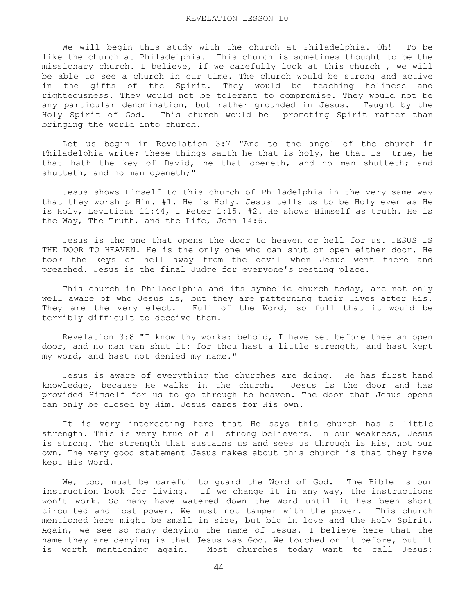We will begin this study with the church at Philadelphia. Oh! To be like the church at Philadelphia. This church is sometimes thought to be the missionary church. I believe, if we carefully look at this church , we will be able to see a church in our time. The church would be strong and active in the gifts of the Spirit. They would be teaching holiness and righteousness. They would not be tolerant to compromise. They would not be any particular denomination, but rather grounded in Jesus. Taught by the Holy Spirit of God. This church would be promoting Spirit rather than bringing the world into church.

 Let us begin in Revelation 3:7 "And to the angel of the church in Philadelphia write; These things saith he that is holy, he that is true, he that hath the key of David, he that openeth, and no man shutteth; and shutteth, and no man openeth;"

 Jesus shows Himself to this church of Philadelphia in the very same way that they worship Him. #1. He is Holy. Jesus tells us to be Holy even as He is Holy, Leviticus 11:44, I Peter 1:15. #2. He shows Himself as truth. He is the Way, The Truth, and the Life, John 14:6.

 Jesus is the one that opens the door to heaven or hell for us. JESUS IS THE DOOR TO HEAVEN. He is the only one who can shut or open either door. He took the keys of hell away from the devil when Jesus went there and preached. Jesus is the final Judge for everyone's resting place.

 This church in Philadelphia and its symbolic church today, are not only well aware of who Jesus is, but they are patterning their lives after His. They are the very elect. Full of the Word, so full that it would be terribly difficult to deceive them.

 Revelation 3:8 "I know thy works: behold, I have set before thee an open door, and no man can shut it: for thou hast a little strength, and hast kept my word, and hast not denied my name."

 Jesus is aware of everything the churches are doing. He has first hand knowledge, because He walks in the church. Jesus is the door and has provided Himself for us to go through to heaven. The door that Jesus opens can only be closed by Him. Jesus cares for His own.

 It is very interesting here that He says this church has a little strength. This is very true of all strong believers. In our weakness, Jesus is strong. The strength that sustains us and sees us through is His, not our own. The very good statement Jesus makes about this church is that they have kept His Word.

 We, too, must be careful to guard the Word of God. The Bible is our instruction book for living. If we change it in any way, the instructions won't work. So many have watered down the Word until it has been short circuited and lost power. We must not tamper with the power. This church mentioned here might be small in size, but big in love and the Holy Spirit. Again, we see so many denying the name of Jesus. I believe here that the name they are denying is that Jesus was God. We touched on it before, but it is worth mentioning again. Most churches today want to call Jesus: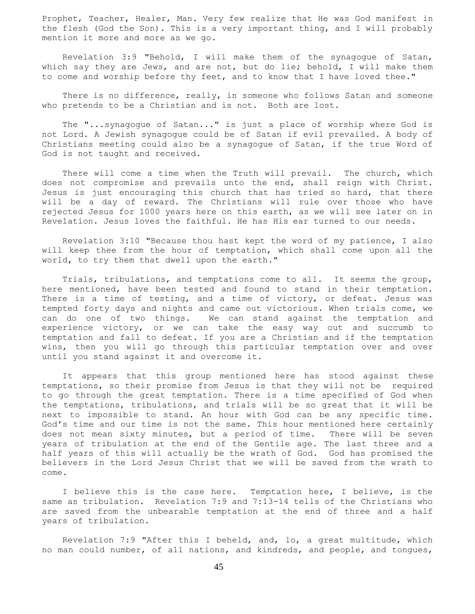Prophet, Teacher, Healer, Man. Very few realize that He was God manifest in the flesh (God the Son). This is a very important thing, and I will probably mention it more and more as we go.

 Revelation 3:9 "Behold, I will make them of the synagogue of Satan, which say they are Jews, and are not, but do lie; behold, I will make them to come and worship before thy feet, and to know that I have loved thee."

 There is no difference, really, in someone who follows Satan and someone who pretends to be a Christian and is not. Both are lost.

 The "...synagogue of Satan..." is just a place of worship where God is not Lord. A Jewish synagogue could be of Satan if evil prevailed. A body of Christians meeting could also be a synagogue of Satan, if the true Word of God is not taught and received.

There will come a time when the Truth will prevail. The church, which does not compromise and prevails unto the end, shall reign with Christ. Jesus is just encouraging this church that has tried so hard, that there will be a day of reward. The Christians will rule over those who have rejected Jesus for 1000 years here on this earth, as we will see later on in Revelation. Jesus loves the faithful. He has His ear turned to our needs.

 Revelation 3:10 "Because thou hast kept the word of my patience, I also will keep thee from the hour of temptation, which shall come upon all the world, to try them that dwell upon the earth."

 Trials, tribulations, and temptations come to all. It seems the group, here mentioned, have been tested and found to stand in their temptation. There is a time of testing, and a time of victory, or defeat. Jesus was tempted forty days and nights and came out victorious. When trials come, we can do one of two things. We can stand against the temptation and experience victory, or we can take the easy way out and succumb to temptation and fall to defeat. If you are a Christian and if the temptation wins, then you will go through this particular temptation over and over until you stand against it and overcome it.

 It appears that this group mentioned here has stood against these temptations, so their promise from Jesus is that they will not be required to go through the great temptation. There is a time specified of God when the temptations, tribulations, and trials will be so great that it will be next to impossible to stand. An hour with God can be any specific time. God's time and our time is not the same. This hour mentioned here certainly does not mean sixty minutes, but a period of time. There will be seven years of tribulation at the end of the Gentile age. The last three and a half years of this will actually be the wrath of God. God has promised the believers in the Lord Jesus Christ that we will be saved from the wrath to come.

 I believe this is the case here. Temptation here, I believe, is the same as tribulation. Revelation 7:9 and 7:13-14 tells of the Christians who are saved from the unbearable temptation at the end of three and a half years of tribulation.

 Revelation 7:9 "After this I beheld, and, lo, a great multitude, which no man could number, of all nations, and kindreds, and people, and tongues,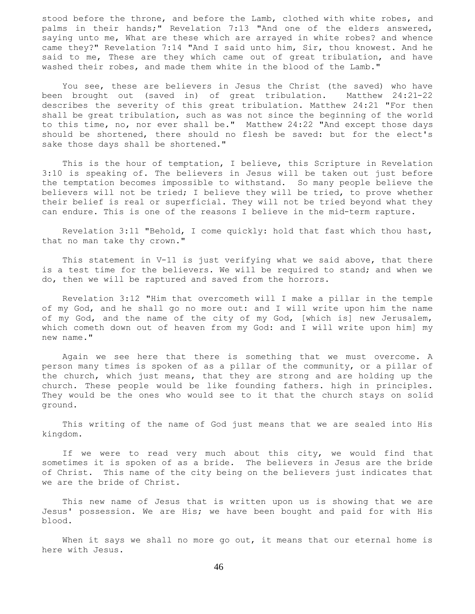stood before the throne, and before the Lamb, clothed with white robes, and palms in their hands;" Revelation 7:13 "And one of the elders answered, saying unto me, What are these which are arrayed in white robes? and whence came they?" Revelation 7:14 "And I said unto him, Sir, thou knowest. And he said to me, These are they which came out of great tribulation, and have washed their robes, and made them white in the blood of the Lamb."

 You see, these are believers in Jesus the Christ (the saved) who have been brought out (saved in) of great tribulation. Matthew 24:21-22 describes the severity of this great tribulation. Matthew 24:21 "For then shall be great tribulation, such as was not since the beginning of the world to this time, no, nor ever shall be." Matthew 24:22 "And except those days should be shortened, there should no flesh be saved: but for the elect's sake those days shall be shortened."

 This is the hour of temptation, I believe, this Scripture in Revelation 3:10 is speaking of. The believers in Jesus will be taken out just before the temptation becomes impossible to withstand. So many people believe the believers will not be tried; I believe they will be tried, to prove whether their belief is real or superficial. They will not be tried beyond what they can endure. This is one of the reasons I believe in the mid-term rapture.

 Revelation 3:11 "Behold, I come quickly: hold that fast which thou hast, that no man take thy crown."

 This statement in V-11 is just verifying what we said above, that there is a test time for the believers. We will be required to stand; and when we do, then we will be raptured and saved from the horrors.

 Revelation 3:12 "Him that overcometh will I make a pillar in the temple of my God, and he shall go no more out: and I will write upon him the name of my God, and the name of the city of my God, [which is] new Jerusalem, which cometh down out of heaven from my God: and I will write upon him] my new name."

 Again we see here that there is something that we must overcome. A person many times is spoken of as a pillar of the community, or a pillar of the church, which just means, that they are strong and are holding up the church. These people would be like founding fathers. high in principles. They would be the ones who would see to it that the church stays on solid ground.

 This writing of the name of God just means that we are sealed into His kingdom.

 If we were to read very much about this city, we would find that sometimes it is spoken of as a bride. The believers in Jesus are the bride of Christ. This name of the city being on the believers just indicates that we are the bride of Christ.

 This new name of Jesus that is written upon us is showing that we are Jesus' possession. We are His; we have been bought and paid for with His blood.

 When it says we shall no more go out, it means that our eternal home is here with Jesus.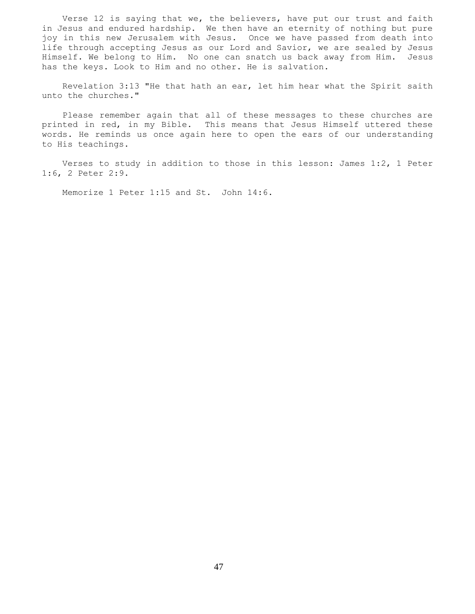Verse 12 is saying that we, the believers, have put our trust and faith in Jesus and endured hardship. We then have an eternity of nothing but pure joy in this new Jerusalem with Jesus. Once we have passed from death into life through accepting Jesus as our Lord and Savior, we are sealed by Jesus Himself. We belong to Him. No one can snatch us back away from Him. Jesus has the keys. Look to Him and no other. He is salvation.

 Revelation 3:13 "He that hath an ear, let him hear what the Spirit saith unto the churches."

 Please remember again that all of these messages to these churches are printed in red, in my Bible. This means that Jesus Himself uttered these words. He reminds us once again here to open the ears of our understanding to His teachings.

 Verses to study in addition to those in this lesson: James 1:2, 1 Peter 1:6, 2 Peter 2:9.

Memorize 1 Peter 1:15 and St. John 14:6.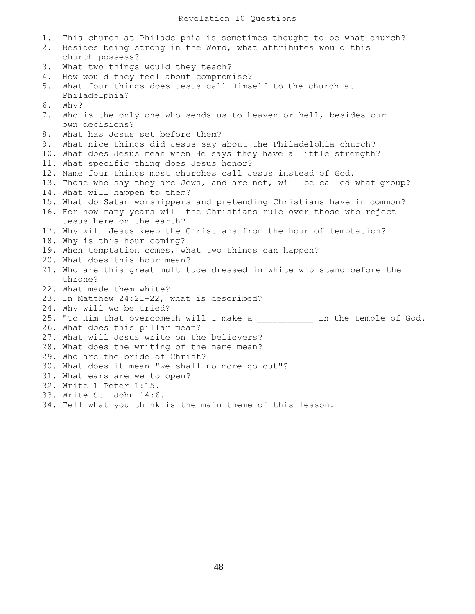1. This church at Philadelphia is sometimes thought to be what church? 2. Besides being strong in the Word, what attributes would this church possess? 3. What two things would they teach? 4. How would they feel about compromise? 5. What four things does Jesus call Himself to the church at Philadelphia? 6. Why? 7. Who is the only one who sends us to heaven or hell, besides our own decisions? 8. What has Jesus set before them? 9. What nice things did Jesus say about the Philadelphia church? 10. What does Jesus mean when He says they have a little strength? 11. What specific thing does Jesus honor? 12. Name four things most churches call Jesus instead of God. 13. Those who say they are Jews, and are not, will be called what group? 14. What will happen to them? 15. What do Satan worshippers and pretending Christians have in common? 16. For how many years will the Christians rule over those who reject Jesus here on the earth? 17. Why will Jesus keep the Christians from the hour of temptation? 18. Why is this hour coming? 19. When temptation comes, what two things can happen? 20. What does this hour mean? 21. Who are this great multitude dressed in white who stand before the throne? 22. What made them white? 23. In Matthew 24:21-22, what is described? 24. Why will we be tried? 25. "To Him that overcometh will I make a \_\_\_\_\_\_\_\_\_\_\_ in the temple of God." 26. What does this pillar mean? 27. What will Jesus write on the believers? 28. What does the writing of the name mean? 29. Who are the bride of Christ? 30. What does it mean "we shall no more go out"? 31. What ears are we to open? 32. Write 1 Peter 1:15. 33. Write St. John 14:6. 34. Tell what you think is the main theme of this lesson.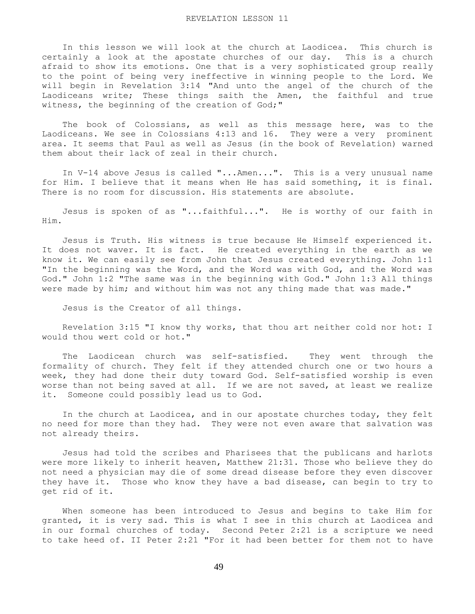In this lesson we will look at the church at Laodicea. This church is certainly a look at the apostate churches of our day. This is a church afraid to show its emotions. One that is a very sophisticated group really to the point of being very ineffective in winning people to the Lord. We will begin in Revelation 3:14 "And unto the angel of the church of the Laodiceans write; These things saith the Amen, the faithful and true witness, the beginning of the creation of God;"

 The book of Colossians, as well as this message here, was to the Laodiceans. We see in Colossians 4:13 and 16. They were a very prominent area. It seems that Paul as well as Jesus (in the book of Revelation) warned them about their lack of zeal in their church.

 In V-14 above Jesus is called "...Amen...". This is a very unusual name for Him. I believe that it means when He has said something, it is final. There is no room for discussion. His statements are absolute.

 Jesus is spoken of as "...faithful...". He is worthy of our faith in Him.

 Jesus is Truth. His witness is true because He Himself experienced it. It does not waver. It is fact. He created everything in the earth as we know it. We can easily see from John that Jesus created everything. John 1:1 "In the beginning was the Word, and the Word was with God, and the Word was God." John 1:2 "The same was in the beginning with God." John 1:3 All things were made by him; and without him was not any thing made that was made."

Jesus is the Creator of all things.

 Revelation 3:15 "I know thy works, that thou art neither cold nor hot: I would thou wert cold or hot."

 The Laodicean church was self-satisfied. They went through the formality of church. They felt if they attended church one or two hours a week, they had done their duty toward God. Self-satisfied worship is even worse than not being saved at all. If we are not saved, at least we realize it. Someone could possibly lead us to God.

 In the church at Laodicea, and in our apostate churches today, they felt no need for more than they had. They were not even aware that salvation was not already theirs.

 Jesus had told the scribes and Pharisees that the publicans and harlots were more likely to inherit heaven, Matthew 21:31. Those who believe they do not need a physician may die of some dread disease before they even discover they have it. Those who know they have a bad disease, can begin to try to get rid of it.

 When someone has been introduced to Jesus and begins to take Him for granted, it is very sad. This is what I see in this church at Laodicea and in our formal churches of today. Second Peter 2:21 is a scripture we need to take heed of. II Peter 2:21 "For it had been better for them not to have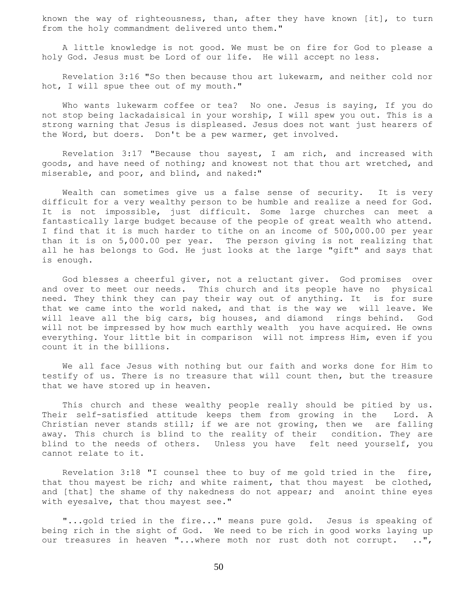known the way of righteousness, than, after they have known [it], to turn from the holy commandment delivered unto them."

 A little knowledge is not good. We must be on fire for God to please a holy God. Jesus must be Lord of our life. He will accept no less.

 Revelation 3:16 "So then because thou art lukewarm, and neither cold nor hot, I will spue thee out of my mouth."

 Who wants lukewarm coffee or tea? No one. Jesus is saying, If you do not stop being lackadaisical in your worship, I will spew you out. This is a strong warning that Jesus is displeased. Jesus does not want just hearers of the Word, but doers. Don't be a pew warmer, get involved.

 Revelation 3:17 "Because thou sayest, I am rich, and increased with goods, and have need of nothing; and knowest not that thou art wretched, and miserable, and poor, and blind, and naked:"

 Wealth can sometimes give us a false sense of security. It is very difficult for a very wealthy person to be humble and realize a need for God. It is not impossible, just difficult. Some large churches can meet a fantastically large budget because of the people of great wealth who attend. I find that it is much harder to tithe on an income of 500,000.00 per year than it is on 5,000.00 per year. The person giving is not realizing that all he has belongs to God. He just looks at the large "gift" and says that is enough.

 God blesses a cheerful giver, not a reluctant giver. God promises over and over to meet our needs. This church and its people have no physical need. They think they can pay their way out of anything. It is for sure that we came into the world naked, and that is the way we will leave. We will leave all the big cars, big houses, and diamond rings behind. God will not be impressed by how much earthly wealth you have acquired. He owns everything. Your little bit in comparison will not impress Him, even if you count it in the billions.

 We all face Jesus with nothing but our faith and works done for Him to testify of us. There is no treasure that will count then, but the treasure that we have stored up in heaven.

This church and these wealthy people really should be pitied by us. Their self-satisfied attitude keeps them from growing in the Lord. A Christian never stands still; if we are not growing, then we are falling away. This church is blind to the reality of their condition. They are blind to the needs of others. Unless you have felt need yourself, you cannot relate to it.

 Revelation 3:18 "I counsel thee to buy of me gold tried in the fire, that thou mayest be rich; and white raiment, that thou mayest be clothed, and [that] the shame of thy nakedness do not appear; and anoint thine eyes with eyesalve, that thou mayest see."

 "...gold tried in the fire..." means pure gold. Jesus is speaking of being rich in the sight of God. We need to be rich in good works laying up our treasures in heaven "...where moth nor rust doth not corrupt. ..",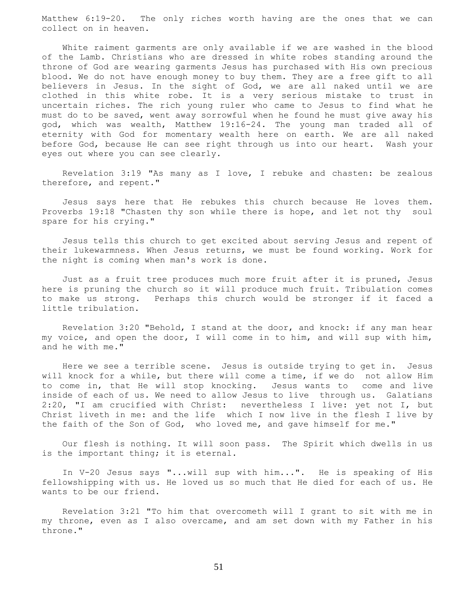Matthew 6:19-20. The only riches worth having are the ones that we can collect on in heaven.

 White raiment garments are only available if we are washed in the blood of the Lamb. Christians who are dressed in white robes standing around the throne of God are wearing garments Jesus has purchased with His own precious blood. We do not have enough money to buy them. They are a free gift to all believers in Jesus. In the sight of God, we are all naked until we are clothed in this white robe. It is a very serious mistake to trust in uncertain riches. The rich young ruler who came to Jesus to find what he must do to be saved, went away sorrowful when he found he must give away his god, which was wealth, Matthew 19:16-24. The young man traded all of eternity with God for momentary wealth here on earth. We are all naked before God, because He can see right through us into our heart. Wash your eyes out where you can see clearly.

 Revelation 3:19 "As many as I love, I rebuke and chasten: be zealous therefore, and repent."

 Jesus says here that He rebukes this church because He loves them. Proverbs 19:18 "Chasten thy son while there is hope, and let not thy soul spare for his crying."

 Jesus tells this church to get excited about serving Jesus and repent of their lukewarmness. When Jesus returns, we must be found working. Work for the night is coming when man's work is done.

 Just as a fruit tree produces much more fruit after it is pruned, Jesus here is pruning the church so it will produce much fruit. Tribulation comes to make us strong. Perhaps this church would be stronger if it faced a little tribulation.

 Revelation 3:20 "Behold, I stand at the door, and knock: if any man hear my voice, and open the door, I will come in to him, and will sup with him, and he with me."

 Here we see a terrible scene. Jesus is outside trying to get in. Jesus will knock for a while, but there will come a time, if we do not allow Him to come in, that He will stop knocking. Jesus wants to come and live inside of each of us. We need to allow Jesus to live through us. Galatians 2:20, "I am crucified with Christ: nevertheless I live: yet not I, but Christ liveth in me: and the life which I now live in the flesh I live by the faith of the Son of God, who loved me, and gave himself for me."

 Our flesh is nothing. It will soon pass. The Spirit which dwells in us is the important thing; it is eternal.

 In V-20 Jesus says "...will sup with him...". He is speaking of His fellowshipping with us. He loved us so much that He died for each of us. He wants to be our friend.

 Revelation 3:21 "To him that overcometh will I grant to sit with me in my throne, even as I also overcame, and am set down with my Father in his throne."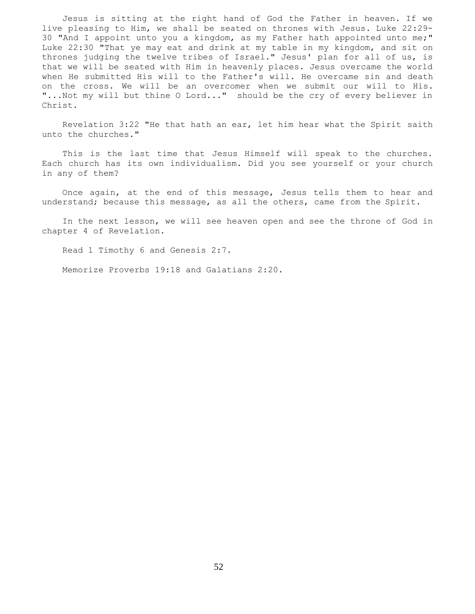Jesus is sitting at the right hand of God the Father in heaven. If we live pleasing to Him, we shall be seated on thrones with Jesus. Luke 22:29- 30 "And I appoint unto you a kingdom, as my Father hath appointed unto me;" Luke 22:30 "That ye may eat and drink at my table in my kingdom, and sit on thrones judging the twelve tribes of Israel." Jesus' plan for all of us, is that we will be seated with Him in heavenly places. Jesus overcame the world when He submitted His will to the Father's will. He overcame sin and death on the cross. We will be an overcomer when we submit our will to His. "...Not my will but thine O Lord..." should be the cry of every believer in Christ.

 Revelation 3:22 "He that hath an ear, let him hear what the Spirit saith unto the churches."

 This is the last time that Jesus Himself will speak to the churches. Each church has its own individualism. Did you see yourself or your church in any of them?

 Once again, at the end of this message, Jesus tells them to hear and understand; because this message, as all the others, came from the Spirit.

 In the next lesson, we will see heaven open and see the throne of God in chapter 4 of Revelation.

Read 1 Timothy 6 and Genesis 2:7.

Memorize Proverbs 19:18 and Galatians 2:20.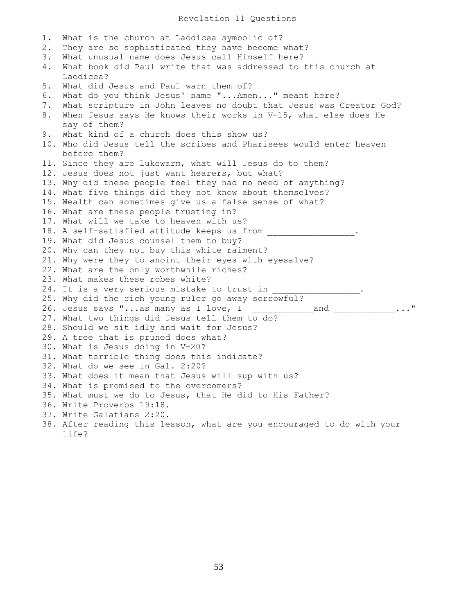1. What is the church at Laodicea symbolic of? 2. They are so sophisticated they have become what? 3. What unusual name does Jesus call Himself here? 4. What book did Paul write that was addressed to this church at Laodicea? 5. What did Jesus and Paul warn them of? 6. What do you think Jesus' name "...Amen..." meant here? 7. What scripture in John leaves no doubt that Jesus was Creator God? 8. When Jesus says He knows their works in V-15, what else does He say of them? 9. What kind of a church does this show us? 10. Who did Jesus tell the scribes and Pharisees would enter heaven before them? 11. Since they are lukewarm, what will Jesus do to them? 12. Jesus does not just want hearers, but what? 13. Why did these people feel they had no need of anything? 14. What five things did they not know about themselves? 15. Wealth can sometimes give us a false sense of what? 16. What are these people trusting in? 17. What will we take to heaven with us? 18. A self-satisfied attitude keeps us from \_\_\_\_\_\_\_\_\_\_\_\_\_\_\_\_\_\_\_. 19. What did Jesus counsel them to buy? 20. Why can they not buy this white raiment? 21. Why were they to anoint their eyes with eyesalve? 22. What are the only worthwhile riches? 23. What makes these robes white? 24. It is a very serious mistake to trust in 25. Why did the rich young ruler go away sorrowful? 26. Jesus says "...as many as I love, I  $\begin{array}{|l|} \text{\normalsize{26.}} & \text{\normalsize{1}} & \text{\normalsize{26.}} & \text{\normalsize{26.}} & \text{\normalsize{26.}} & \text{\normalsize{26.}} & \text{\normalsize{26.}} & \text{\normalsize{26.}} & \text{\normalsize{26.}} & \text{\normalsize{26.}} & \text{\normalsize{26.}} & \text{\normalsize{26.}} & \text{\normalsize{26.}} & \text{\normalsize{26.}} & \text{\normals$ 27. What two things did Jesus tell them to do? 28. Should we sit idly and wait for Jesus? 29. A tree that is pruned does what? 30. What is Jesus doing in V-20? 31. What terrible thing does this indicate? 32. What do we see in Gal. 2:20? 33. What does it mean that Jesus will sup with us? 34. What is promised to the overcomers? 35. What must we do to Jesus, that He did to His Father? 36. Write Proverbs 19:18. 37. Write Galatians 2:20. 38. After reading this lesson, what are you encouraged to do with your life?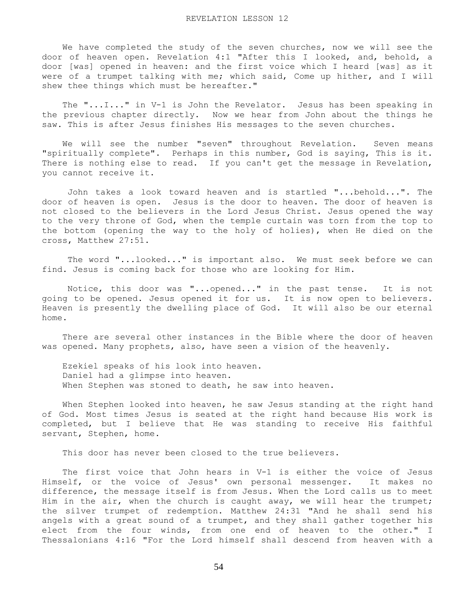We have completed the study of the seven churches, now we will see the door of heaven open. Revelation 4:1 "After this I looked, and, behold, a door [was] opened in heaven: and the first voice which I heard [was] as it were of a trumpet talking with me; which said, Come up hither, and I will shew thee things which must be hereafter."

 The "...I..." in V-1 is John the Revelator. Jesus has been speaking in the previous chapter directly. Now we hear from John about the things he saw. This is after Jesus finishes His messages to the seven churches.

 We will see the number "seven" throughout Revelation. Seven means "spiritually complete". Perhaps in this number, God is saying, This is it. There is nothing else to read. If you can't get the message in Revelation, you cannot receive it.

 John takes a look toward heaven and is startled "...behold...". The door of heaven is open. Jesus is the door to heaven. The door of heaven is not closed to the believers in the Lord Jesus Christ. Jesus opened the way to the very throne of God, when the temple curtain was torn from the top to the bottom (opening the way to the holy of holies), when He died on the cross, Matthew 27:51.

 The word "...looked..." is important also. We must seek before we can find. Jesus is coming back for those who are looking for Him.

 Notice, this door was "...opened..." in the past tense. It is not going to be opened. Jesus opened it for us. It is now open to believers. Heaven is presently the dwelling place of God. It will also be our eternal home.

 There are several other instances in the Bible where the door of heaven was opened. Many prophets, also, have seen a vision of the heavenly.

 Ezekiel speaks of his look into heaven. Daniel had a glimpse into heaven. When Stephen was stoned to death, he saw into heaven.

 When Stephen looked into heaven, he saw Jesus standing at the right hand of God. Most times Jesus is seated at the right hand because His work is completed, but I believe that He was standing to receive His faithful servant, Stephen, home.

This door has never been closed to the true believers.

 The first voice that John hears in V-1 is either the voice of Jesus Himself, or the voice of Jesus' own personal messenger. It makes no difference, the message itself is from Jesus. When the Lord calls us to meet Him in the air, when the church is caught away, we will hear the trumpet; the silver trumpet of redemption. Matthew 24:31 "And he shall send his angels with a great sound of a trumpet, and they shall gather together his elect from the four winds, from one end of heaven to the other." I Thessalonians 4:16 "For the Lord himself shall descend from heaven with a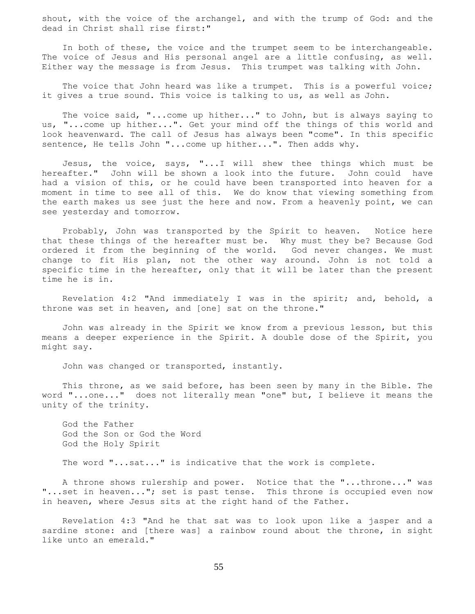shout, with the voice of the archangel, and with the trump of God: and the dead in Christ shall rise first:"

 In both of these, the voice and the trumpet seem to be interchangeable. The voice of Jesus and His personal angel are a little confusing, as well. Either way the message is from Jesus. This trumpet was talking with John.

The voice that John heard was like a trumpet. This is a powerful voice; it gives a true sound. This voice is talking to us, as well as John.

The voice said, "...come up hither..." to John, but is always saying to us, "...come up hither...". Get your mind off the things of this world and look heavenward. The call of Jesus has always been "come". In this specific sentence, He tells John "... come up hither...". Then adds why.

 Jesus, the voice, says, "...I will shew thee things which must be hereafter." John will be shown a look into the future. John could have had a vision of this, or he could have been transported into heaven for a moment in time to see all of this. We do know that viewing something from the earth makes us see just the here and now. From a heavenly point, we can see yesterday and tomorrow.

 Probably, John was transported by the Spirit to heaven. Notice here that these things of the hereafter must be. Why must they be? Because God ordered it from the beginning of the world. God never changes. We must change to fit His plan, not the other way around. John is not told a specific time in the hereafter, only that it will be later than the present time he is in.

 Revelation 4:2 "And immediately I was in the spirit; and, behold, a throne was set in heaven, and [one] sat on the throne."

 John was already in the Spirit we know from a previous lesson, but this means a deeper experience in the Spirit. A double dose of the Spirit, you might say.

John was changed or transported, instantly.

 This throne, as we said before, has been seen by many in the Bible. The word "...one..." does not literally mean "one" but, I believe it means the unity of the trinity.

 God the Father God the Son or God the Word God the Holy Spirit

The word "...sat..." is indicative that the work is complete.

 A throne shows rulership and power. Notice that the "...throne..." was "...set in heaven..."; set is past tense. This throne is occupied even now in heaven, where Jesus sits at the right hand of the Father.

 Revelation 4:3 "And he that sat was to look upon like a jasper and a sardine stone: and [there was] a rainbow round about the throne, in sight like unto an emerald."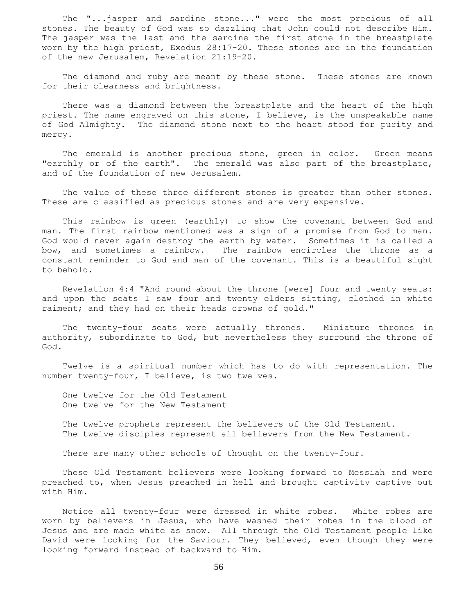The "...jasper and sardine stone..." were the most precious of all stones. The beauty of God was so dazzling that John could not describe Him. The jasper was the last and the sardine the first stone in the breastplate worn by the high priest, Exodus 28:17-20. These stones are in the foundation of the new Jerusalem, Revelation 21:19-20.

 The diamond and ruby are meant by these stone. These stones are known for their clearness and brightness.

 There was a diamond between the breastplate and the heart of the high priest. The name engraved on this stone, I believe, is the unspeakable name of God Almighty. The diamond stone next to the heart stood for purity and mercy.

The emerald is another precious stone, green in color. Green means "earthly or of the earth". The emerald was also part of the breastplate, and of the foundation of new Jerusalem.

 The value of these three different stones is greater than other stones. These are classified as precious stones and are very expensive.

 This rainbow is green (earthly) to show the covenant between God and man. The first rainbow mentioned was a sign of a promise from God to man. God would never again destroy the earth by water. Sometimes it is called a bow, and sometimes a rainbow. The rainbow encircles the throne as a constant reminder to God and man of the covenant. This is a beautiful sight to behold.

 Revelation 4:4 "And round about the throne [were] four and twenty seats: and upon the seats I saw four and twenty elders sitting, clothed in white raiment; and they had on their heads crowns of gold."

 The twenty-four seats were actually thrones. Miniature thrones in authority, subordinate to God, but nevertheless they surround the throne of God.

 Twelve is a spiritual number which has to do with representation. The number twenty-four, I believe, is two twelves.

 One twelve for the Old Testament One twelve for the New Testament

 The twelve prophets represent the believers of the Old Testament. The twelve disciples represent all believers from the New Testament.

There are many other schools of thought on the twenty-four.

 These Old Testament believers were looking forward to Messiah and were preached to, when Jesus preached in hell and brought captivity captive out with Him.

 Notice all twenty-four were dressed in white robes. White robes are worn by believers in Jesus, who have washed their robes in the blood of Jesus and are made white as snow. All through the Old Testament people like David were looking for the Saviour. They believed, even though they were looking forward instead of backward to Him.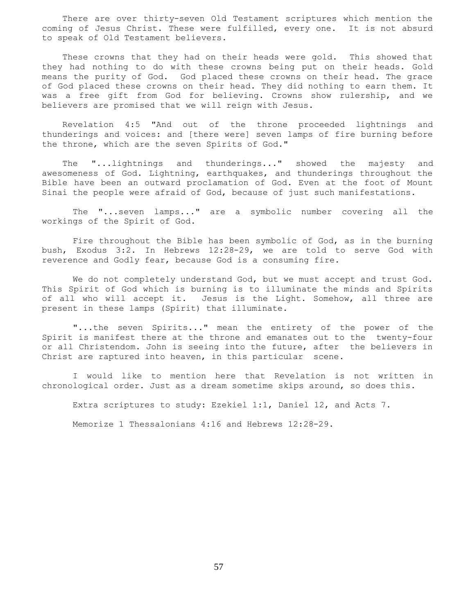There are over thirty-seven Old Testament scriptures which mention the coming of Jesus Christ. These were fulfilled, every one. It is not absurd to speak of Old Testament believers.

 These crowns that they had on their heads were gold. This showed that they had nothing to do with these crowns being put on their heads. Gold means the purity of God. God placed these crowns on their head. The grace of God placed these crowns on their head. They did nothing to earn them. It was a free gift from God for believing. Crowns show rulership, and we believers are promised that we will reign with Jesus.

 Revelation 4:5 "And out of the throne proceeded lightnings and thunderings and voices: and [there were] seven lamps of fire burning before the throne, which are the seven Spirits of God."

 The "...lightnings and thunderings..." showed the majesty and awesomeness of God. Lightning, earthquakes, and thunderings throughout the Bible have been an outward proclamation of God. Even at the foot of Mount Sinai the people were afraid of God, because of just such manifestations.

 The "...seven lamps..." are a symbolic number covering all the workings of the Spirit of God.

 Fire throughout the Bible has been symbolic of God, as in the burning bush, Exodus 3:2. In Hebrews 12:28-29, we are told to serve God with reverence and Godly fear, because God is a consuming fire.

 We do not completely understand God, but we must accept and trust God. This Spirit of God which is burning is to illuminate the minds and Spirits of all who will accept it. Jesus is the Light. Somehow, all three are present in these lamps (Spirit) that illuminate.

 "...the seven Spirits..." mean the entirety of the power of the Spirit is manifest there at the throne and emanates out to the twenty-four or all Christendom. John is seeing into the future, after the believers in Christ are raptured into heaven, in this particular scene.

 I would like to mention here that Revelation is not written in chronological order. Just as a dream sometime skips around, so does this.

Extra scriptures to study: Ezekiel 1:1, Daniel 12, and Acts 7.

Memorize 1 Thessalonians 4:16 and Hebrews 12:28-29.

57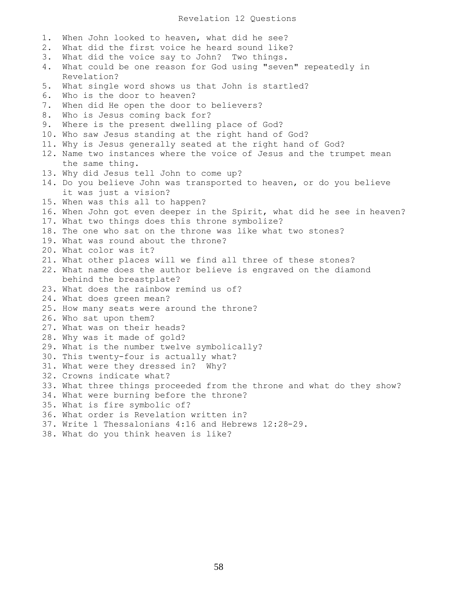## Revelation 12 Questions

1. When John looked to heaven, what did he see? 2. What did the first voice he heard sound like? 3. What did the voice say to John? Two things. 4. What could be one reason for God using "seven" repeatedly in Revelation? 5. What single word shows us that John is startled? 6. Who is the door to heaven? 7. When did He open the door to believers? 8. Who is Jesus coming back for? 9. Where is the present dwelling place of God? 10. Who saw Jesus standing at the right hand of God? 11. Why is Jesus generally seated at the right hand of God? 12. Name two instances where the voice of Jesus and the trumpet mean the same thing. 13. Why did Jesus tell John to come up? 14. Do you believe John was transported to heaven, or do you believe it was just a vision? 15. When was this all to happen? 16. When John got even deeper in the Spirit, what did he see in heaven? 17. What two things does this throne symbolize? 18. The one who sat on the throne was like what two stones? 19. What was round about the throne? 20. What color was it? 21. What other places will we find all three of these stones? 22. What name does the author believe is engraved on the diamond behind the breastplate? 23. What does the rainbow remind us of? 24. What does green mean? 25. How many seats were around the throne? 26. Who sat upon them? 27. What was on their heads? 28. Why was it made of gold? 29. What is the number twelve symbolically? 30. This twenty-four is actually what? 31. What were they dressed in? Why? 32. Crowns indicate what? 33. What three things proceeded from the throne and what do they show? 34. What were burning before the throne? 35. What is fire symbolic of? 36. What order is Revelation written in? 37. Write 1 Thessalonians 4:16 and Hebrews 12:28-29. 38. What do you think heaven is like?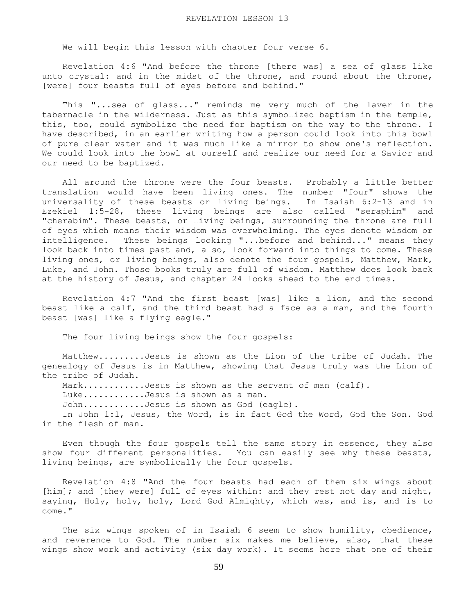We will begin this lesson with chapter four verse 6.

 Revelation 4:6 "And before the throne [there was] a sea of glass like unto crystal: and in the midst of the throne, and round about the throne, [were] four beasts full of eyes before and behind."

 This "...sea of glass..." reminds me very much of the laver in the tabernacle in the wilderness. Just as this symbolized baptism in the temple, this, too, could symbolize the need for baptism on the way to the throne. I have described, in an earlier writing how a person could look into this bowl of pure clear water and it was much like a mirror to show one's reflection. We could look into the bowl at ourself and realize our need for a Savior and our need to be baptized.

 All around the throne were the four beasts. Probably a little better translation would have been living ones. The number "four" shows the universality of these beasts or living beings. In Isaiah 6:2-13 and in Ezekiel 1:5-28, these living beings are also called "seraphim" and "cherabim". These beasts, or living beings, surrounding the throne are full of eyes which means their wisdom was overwhelming. The eyes denote wisdom or intelligence. These beings looking "...before and behind..." means they look back into times past and, also, look forward into things to come. These living ones, or living beings, also denote the four gospels, Matthew, Mark, Luke, and John. Those books truly are full of wisdom. Matthew does look back at the history of Jesus, and chapter 24 looks ahead to the end times.

 Revelation 4:7 "And the first beast [was] like a lion, and the second beast like a calf, and the third beast had a face as a man, and the fourth beast [was] like a flying eagle."

The four living beings show the four gospels:

 Matthew.........Jesus is shown as the Lion of the tribe of Judah. The genealogy of Jesus is in Matthew, showing that Jesus truly was the Lion of the tribe of Judah.

Mark............Jesus is shown as the servant of man (calf).

Luke............Jesus is shown as a man.

John............Jesus is shown as God (eagle).

 In John 1:1, Jesus, the Word, is in fact God the Word, God the Son. God in the flesh of man.

 Even though the four gospels tell the same story in essence, they also show four different personalities. You can easily see why these beasts, living beings, are symbolically the four gospels.

 Revelation 4:8 "And the four beasts had each of them six wings about [him]; and [they were] full of eyes within: and they rest not day and night, saying, Holy, holy, holy, Lord God Almighty, which was, and is, and is to come."

 The six wings spoken of in Isaiah 6 seem to show humility, obedience, and reverence to God. The number six makes me believe, also, that these wings show work and activity (six day work). It seems here that one of their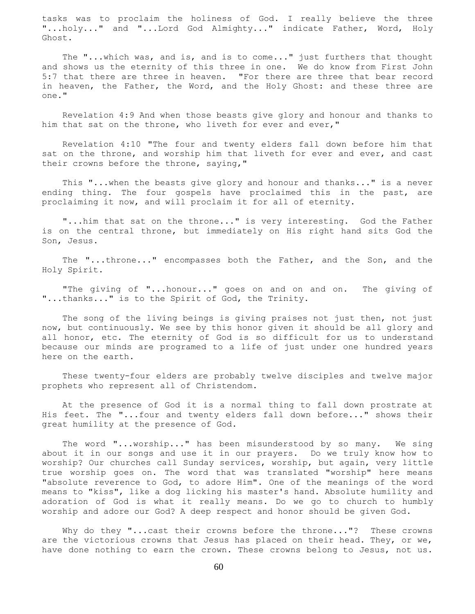tasks was to proclaim the holiness of God. I really believe the three "...holy..." and "...Lord God Almighty..." indicate Father, Word, Holy Ghost.

 The "...which was, and is, and is to come..." just furthers that thought and shows us the eternity of this three in one. We do know from First John 5:7 that there are three in heaven. "For there are three that bear record in heaven, the Father, the Word, and the Holy Ghost: and these three are one."

 Revelation 4:9 And when those beasts give glory and honour and thanks to him that sat on the throne, who liveth for ever and ever,"

 Revelation 4:10 "The four and twenty elders fall down before him that sat on the throne, and worship him that liveth for ever and ever, and cast their crowns before the throne, saying,"

 This "...when the beasts give glory and honour and thanks..." is a never ending thing. The four gospels have proclaimed this in the past, are proclaiming it now, and will proclaim it for all of eternity.

 "...him that sat on the throne..." is very interesting. God the Father is on the central throne, but immediately on His right hand sits God the Son, Jesus.

 The "...throne..." encompasses both the Father, and the Son, and the Holy Spirit.

 "The giving of "...honour..." goes on and on and on. The giving of "...thanks..." is to the Spirit of God, the Trinity.

 The song of the living beings is giving praises not just then, not just now, but continuously. We see by this honor given it should be all glory and all honor, etc. The eternity of God is so difficult for us to understand because our minds are programed to a life of just under one hundred years here on the earth.

 These twenty-four elders are probably twelve disciples and twelve major prophets who represent all of Christendom.

 At the presence of God it is a normal thing to fall down prostrate at His feet. The "...four and twenty elders fall down before..." shows their great humility at the presence of God.

 The word "...worship..." has been misunderstood by so many. We sing about it in our songs and use it in our prayers. Do we truly know how to worship? Our churches call Sunday services, worship, but again, very little true worship goes on. The word that was translated "worship" here means "absolute reverence to God, to adore Him". One of the meanings of the word means to "kiss", like a dog licking his master's hand. Absolute humility and adoration of God is what it really means. Do we go to church to humbly worship and adore our God? A deep respect and honor should be given God.

Why do they "...cast their crowns before the throne..."? These crowns are the victorious crowns that Jesus has placed on their head. They, or we, have done nothing to earn the crown. These crowns belong to Jesus, not us.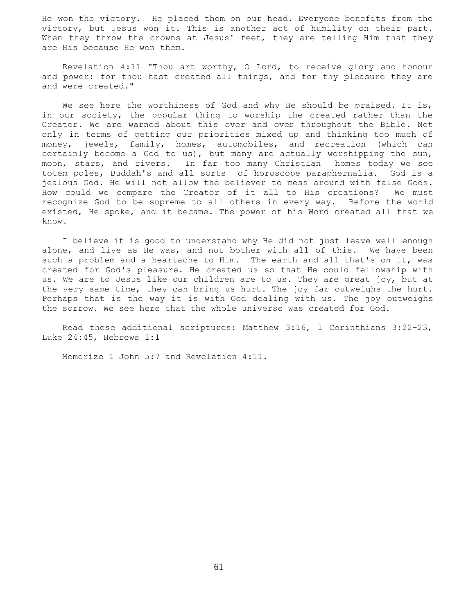He won the victory. He placed them on our head. Everyone benefits from the victory, but Jesus won it. This is another act of humility on their part. When they throw the crowns at Jesus' feet, they are telling Him that they are His because He won them.

 Revelation 4:11 "Thou art worthy, O Lord, to receive glory and honour and power: for thou hast created all things, and for thy pleasure they are and were created."

We see here the worthiness of God and why He should be praised. It is, in our society, the popular thing to worship the created rather than the Creator. We are warned about this over and over throughout the Bible. Not only in terms of getting our priorities mixed up and thinking too much of money, jewels, family, homes, automobiles, and recreation (which can certainly become a God to us), but many are actually worshipping the sun, moon, stars, and rivers. In far too many Christian homes today we see totem poles, Buddah's and all sorts of horoscope paraphernalia. God is a jealous God. He will not allow the believer to mess around with false Gods. How could we compare the Creator of it all to His creations? We must recognize God to be supreme to all others in every way. Before the world existed, He spoke, and it became. The power of his Word created all that we know.

 I believe it is good to understand why He did not just leave well enough alone, and live as He was, and not bother with all of this. We have been such a problem and a heartache to Him. The earth and all that's on it, was created for God's pleasure. He created us so that He could fellowship with us. We are to Jesus like our children are to us. They are great joy, but at the very same time, they can bring us hurt. The joy far outweighs the hurt. Perhaps that is the way it is with God dealing with us. The joy outweighs the sorrow. We see here that the whole universe was created for God.

 Read these additional scriptures: Matthew 3:16, l Corinthians 3:22-23, Luke 24:45, Hebrews 1:1

Memorize 1 John 5:7 and Revelation 4:11.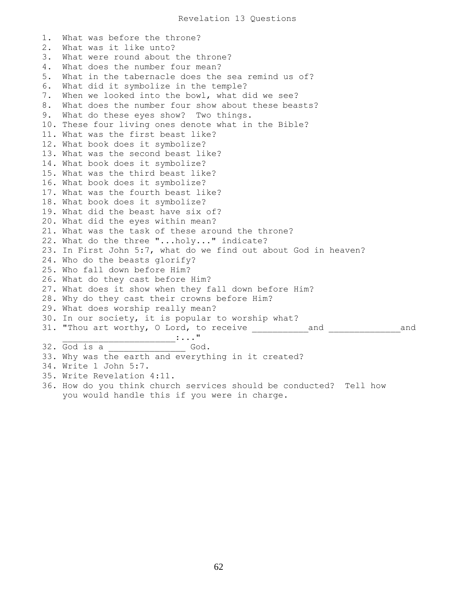1. What was before the throne? 2. What was it like unto? 3. What were round about the throne? 4. What does the number four mean? 5. What in the tabernacle does the sea remind us of? 6. What did it symbolize in the temple? 7. When we looked into the bowl, what did we see? 8. What does the number four show about these beasts? 9. What do these eyes show? Two things. 10. These four living ones denote what in the Bible? 11. What was the first beast like? 12. What book does it symbolize? 13. What was the second beast like? 14. What book does it symbolize? 15. What was the third beast like? 16. What book does it symbolize? 17. What was the fourth beast like? 18. What book does it symbolize? 19. What did the beast have six of? 20. What did the eyes within mean? 21. What was the task of these around the throne? 22. What do the three "...holy..." indicate? 23. In First John 5:7, what do we find out about God in heaven? 24. Who do the beasts glorify? 25. Who fall down before Him? 26. What do they cast before Him? 27. What does it show when they fall down before Him? 28. Why do they cast their crowns before Him? 29. What does worship really mean? 30. In our society, it is popular to worship what? 31. "Thou art worthy, O Lord, to receive \_\_\_\_\_\_\_\_\_\_\_and \_\_\_\_\_\_\_\_\_\_\_\_\_\_and  $\mathbf{I} \cdot \mathbf{I} \cdot \mathbf{I} \cdot \mathbf{I} \cdot \mathbf{I} \cdot \mathbf{I} \cdot \mathbf{I} \cdot \mathbf{I} \cdot \mathbf{I} \cdot \mathbf{I} \cdot \mathbf{I} \cdot \mathbf{I} \cdot \mathbf{I} \cdot \mathbf{I} \cdot \mathbf{I} \cdot \mathbf{I} \cdot \mathbf{I} \cdot \mathbf{I} \cdot \mathbf{I} \cdot \mathbf{I} \cdot \mathbf{I} \cdot \mathbf{I} \cdot \mathbf{I} \cdot \mathbf{I} \cdot \mathbf{I} \cdot \mathbf{I} \cdot \mathbf{I} \cdot \mathbf{$ 32. God is a \_\_\_\_\_\_\_\_\_\_\_\_\_\_\_ God. 33. Why was the earth and everything in it created? 34. Write 1 John 5:7. 35. Write Revelation 4:11. 36. How do you think church services should be conducted? Tell how you would handle this if you were in charge.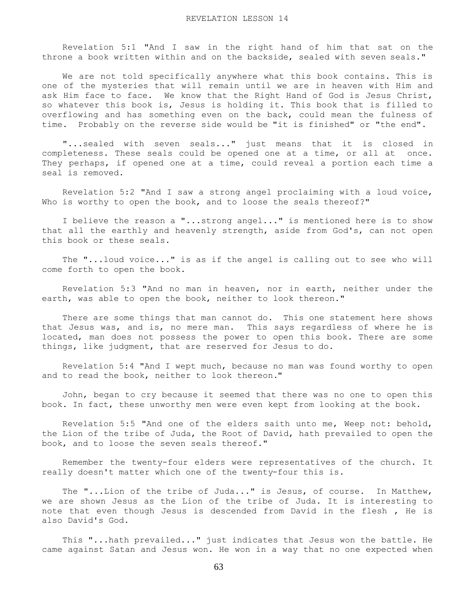Revelation 5:1 "And I saw in the right hand of him that sat on the throne a book written within and on the backside, sealed with seven seals."

 We are not told specifically anywhere what this book contains. This is one of the mysteries that will remain until we are in heaven with Him and ask Him face to face. We know that the Right Hand of God is Jesus Christ, so whatever this book is, Jesus is holding it. This book that is filled to overflowing and has something even on the back, could mean the fulness of time. Probably on the reverse side would be "it is finished" or "the end".

 "...sealed with seven seals..." just means that it is closed in completeness. These seals could be opened one at a time, or all at once. They perhaps, if opened one at a time, could reveal a portion each time a seal is removed.

 Revelation 5:2 "And I saw a strong angel proclaiming with a loud voice, Who is worthy to open the book, and to loose the seals thereof?"

 I believe the reason a "...strong angel..." is mentioned here is to show that all the earthly and heavenly strength, aside from God's, can not open this book or these seals.

 The "...loud voice..." is as if the angel is calling out to see who will come forth to open the book.

 Revelation 5:3 "And no man in heaven, nor in earth, neither under the earth, was able to open the book, neither to look thereon."

 There are some things that man cannot do. This one statement here shows that Jesus was, and is, no mere man. This says regardless of where he is located, man does not possess the power to open this book. There are some things, like judgment, that are reserved for Jesus to do.

 Revelation 5:4 "And I wept much, because no man was found worthy to open and to read the book, neither to look thereon."

 John, began to cry because it seemed that there was no one to open this book. In fact, these unworthy men were even kept from looking at the book.

 Revelation 5:5 "And one of the elders saith unto me, Weep not: behold, the Lion of the tribe of Juda, the Root of David, hath prevailed to open the book, and to loose the seven seals thereof."

 Remember the twenty-four elders were representatives of the church. It really doesn't matter which one of the twenty-four this is.

 The "...Lion of the tribe of Juda..." is Jesus, of course. In Matthew, we are shown Jesus as the Lion of the tribe of Juda. It is interesting to note that even though Jesus is descended from David in the flesh , He is also David's God.

 This "...hath prevailed..." just indicates that Jesus won the battle. He came against Satan and Jesus won. He won in a way that no one expected when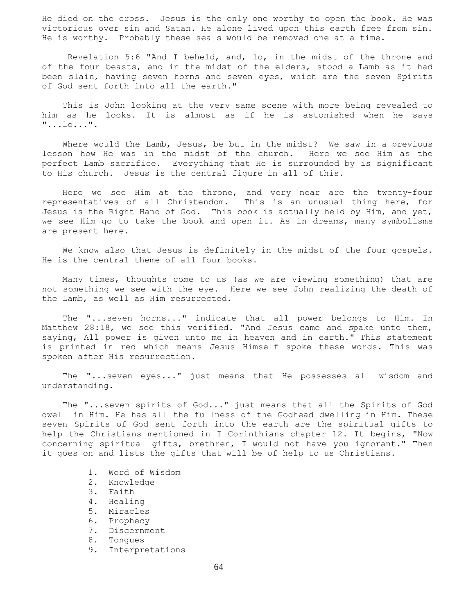He died on the cross. Jesus is the only one worthy to open the book. He was victorious over sin and Satan. He alone lived upon this earth free from sin. He is worthy. Probably these seals would be removed one at a time.

 Revelation 5:6 "And I beheld, and, lo, in the midst of the throne and of the four beasts, and in the midst of the elders, stood a Lamb as it had been slain, having seven horns and seven eyes, which are the seven Spirits of God sent forth into all the earth."

 This is John looking at the very same scene with more being revealed to him as he looks. It is almost as if he is astonished when he says "...lo...".

Where would the Lamb, Jesus, be but in the midst? We saw in a previous lesson how He was in the midst of the church. Here we see Him as the perfect Lamb sacrifice. Everything that He is surrounded by is significant to His church. Jesus is the central figure in all of this.

 Here we see Him at the throne, and very near are the twenty-four representatives of all Christendom. This is an unusual thing here, for Jesus is the Right Hand of God. This book is actually held by Him, and yet, we see Him go to take the book and open it. As in dreams, many symbolisms are present here.

 We know also that Jesus is definitely in the midst of the four gospels. He is the central theme of all four books.

 Many times, thoughts come to us (as we are viewing something) that are not something we see with the eye. Here we see John realizing the death of the Lamb, as well as Him resurrected.

 The "...seven horns..." indicate that all power belongs to Him. In Matthew 28:18, we see this verified. "And Jesus came and spake unto them, saying, All power is given unto me in heaven and in earth." This statement is printed in red which means Jesus Himself spoke these words. This was spoken after His resurrection.

 The "...seven eyes..." just means that He possesses all wisdom and understanding.

 The "...seven spirits of God..." just means that all the Spirits of God dwell in Him. He has all the fullness of the Godhead dwelling in Him. These seven Spirits of God sent forth into the earth are the spiritual gifts to help the Christians mentioned in I Corinthians chapter 12. It begins, "Now concerning spiritual gifts, brethren, I would not have you ignorant." Then it goes on and lists the gifts that will be of help to us Christians.

- 1. Word of Wisdom
- 2. Knowledge
- 3. Faith
- 4. Healing
- 5. Miracles
- 6. Prophecy
- 7. Discernment
- 8. Tongues
- 9. Interpretations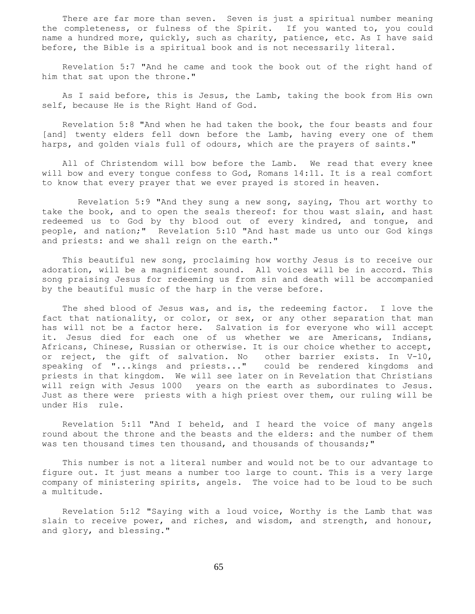There are far more than seven. Seven is just a spiritual number meaning the completeness, or fulness of the Spirit. If you wanted to, you could name a hundred more, quickly, such as charity, patience, etc. As I have said before, the Bible is a spiritual book and is not necessarily literal.

 Revelation 5:7 "And he came and took the book out of the right hand of him that sat upon the throne."

 As I said before, this is Jesus, the Lamb, taking the book from His own self, because He is the Right Hand of God.

 Revelation 5:8 "And when he had taken the book, the four beasts and four [and] twenty elders fell down before the Lamb, having every one of them harps, and golden vials full of odours, which are the prayers of saints."

 All of Christendom will bow before the Lamb. We read that every knee will bow and every tongue confess to God, Romans 14:11. It is a real comfort to know that every prayer that we ever prayed is stored in heaven.

 Revelation 5:9 "And they sung a new song, saying, Thou art worthy to take the book, and to open the seals thereof: for thou wast slain, and hast redeemed us to God by thy blood out of every kindred, and tongue, and people, and nation;" Revelation 5:10 "And hast made us unto our God kings and priests: and we shall reign on the earth."

 This beautiful new song, proclaiming how worthy Jesus is to receive our adoration, will be a magnificent sound. All voices will be in accord. This song praising Jesus for redeeming us from sin and death will be accompanied by the beautiful music of the harp in the verse before.

 The shed blood of Jesus was, and is, the redeeming factor. I love the fact that nationality, or color, or sex, or any other separation that man has will not be a factor here. Salvation is for everyone who will accept it. Jesus died for each one of us whether we are Americans, Indians, Africans, Chinese, Russian or otherwise. It is our choice whether to accept, or reject, the gift of salvation. No other barrier exists. In V-10, speaking of "...kings and priests..." could be rendered kingdoms and priests in that kingdom. We will see later on in Revelation that Christians will reign with Jesus 1000 years on the earth as subordinates to Jesus. Just as there were priests with a high priest over them, our ruling will be under His rule.

 Revelation 5:11 "And I beheld, and I heard the voice of many angels round about the throne and the beasts and the elders: and the number of them was ten thousand times ten thousand, and thousands of thousands;"

 This number is not a literal number and would not be to our advantage to figure out. It just means a number too large to count. This is a very large company of ministering spirits, angels. The voice had to be loud to be such a multitude.

 Revelation 5:12 "Saying with a loud voice, Worthy is the Lamb that was slain to receive power, and riches, and wisdom, and strength, and honour, and glory, and blessing."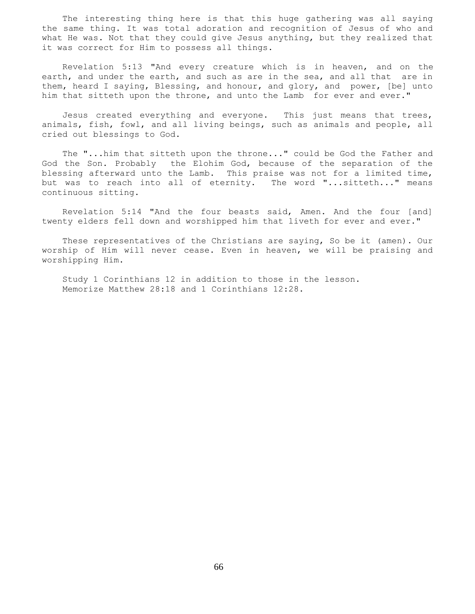The interesting thing here is that this huge gathering was all saying the same thing. It was total adoration and recognition of Jesus of who and what He was. Not that they could give Jesus anything, but they realized that it was correct for Him to possess all things.

 Revelation 5:13 "And every creature which is in heaven, and on the earth, and under the earth, and such as are in the sea, and all that are in them, heard I saying, Blessing, and honour, and glory, and power, [be] unto him that sitteth upon the throne, and unto the Lamb for ever and ever."

Jesus created everything and everyone. This just means that trees, animals, fish, fowl, and all living beings, such as animals and people, all cried out blessings to God.

 The "...him that sitteth upon the throne..." could be God the Father and God the Son. Probably the Elohim God, because of the separation of the blessing afterward unto the Lamb. This praise was not for a limited time, but was to reach into all of eternity. The word "...sitteth..." means continuous sitting.

 Revelation 5:14 "And the four beasts said, Amen. And the four [and] twenty elders fell down and worshipped him that liveth for ever and ever."

 These representatives of the Christians are saying, So be it (amen). Our worship of Him will never cease. Even in heaven, we will be praising and worshipping Him.

 Study 1 Corinthians 12 in addition to those in the lesson. Memorize Matthew 28:18 and 1 Corinthians 12:28.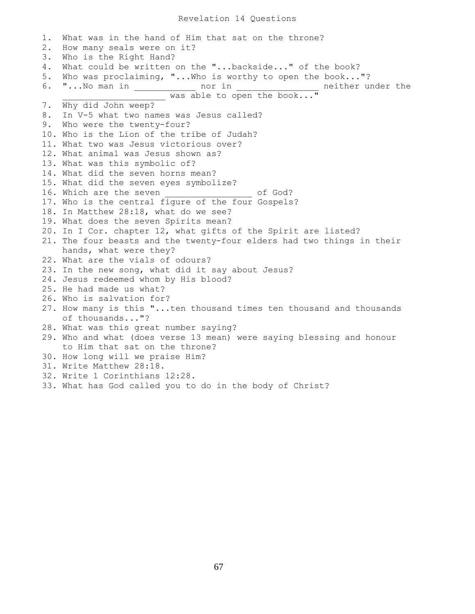## Revelation 14 Questions

1. What was in the hand of Him that sat on the throne? 2. How many seals were on it? 3. Who is the Right Hand? 4. What could be written on the "...backside..." of the book? 5. Who was proclaiming, "...Who is worthy to open the book..."? 6. "...No man in \_\_\_\_\_\_\_\_\_\_\_\_ nor in \_\_\_\_\_\_\_\_\_\_\_\_\_\_\_\_ neither under the was able to open the book..." 7. Why did John weep? 8. In V-5 what two names was Jesus called? 9. Who were the twenty-four? 10. Who is the Lion of the tribe of Judah? 11. What two was Jesus victorious over? 12. What animal was Jesus shown as? 13. What was this symbolic of? 14. What did the seven horns mean? 15. What did the seven eyes symbolize? 16. Which are the seven **the seven** of God? 17. Who is the central figure of the four Gospels? 18. In Matthew 28:18, what do we see? 19. What does the seven Spirits mean? 20. In I Cor. chapter 12, what gifts of the Spirit are listed? 21. The four beasts and the twenty-four elders had two things in their hands, what were they? 22. What are the vials of odours? 23. In the new song, what did it say about Jesus? 24. Jesus redeemed whom by His blood? 25. He had made us what? 26. Who is salvation for? 27. How many is this "...ten thousand times ten thousand and thousands of thousands..."? 28. What was this great number saying? 29. Who and what (does verse 13 mean) were saying blessing and honour to Him that sat on the throne? 30. How long will we praise Him? 31. Write Matthew 28:18. 32. Write 1 Corinthians 12:28. 33. What has God called you to do in the body of Christ?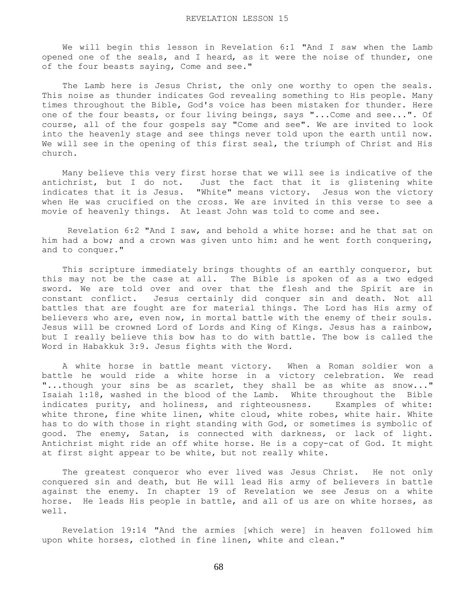We will begin this lesson in Revelation 6:1 "And I saw when the Lamb opened one of the seals, and I heard, as it were the noise of thunder, one of the four beasts saying, Come and see."

The Lamb here is Jesus Christ, the only one worthy to open the seals. This noise as thunder indicates God revealing something to His people. Many times throughout the Bible, God's voice has been mistaken for thunder. Here one of the four beasts, or four living beings, says "...Come and see...". Of course, all of the four gospels say "Come and see". We are invited to look into the heavenly stage and see things never told upon the earth until now. We will see in the opening of this first seal, the triumph of Christ and His church.

 Many believe this very first horse that we will see is indicative of the antichrist, but I do not. Just the fact that it is glistening white indicates that it is Jesus. "White" means victory. Jesus won the victory when He was crucified on the cross. We are invited in this verse to see a movie of heavenly things. At least John was told to come and see.

 Revelation 6:2 "And I saw, and behold a white horse: and he that sat on him had a bow; and a crown was given unto him: and he went forth conquering, and to conquer."

 This scripture immediately brings thoughts of an earthly conqueror, but this may not be the case at all. The Bible is spoken of as a two edged sword. We are told over and over that the flesh and the Spirit are in constant conflict. Jesus certainly did conquer sin and death. Not all battles that are fought are for material things. The Lord has His army of believers who are, even now, in mortal battle with the enemy of their souls. Jesus will be crowned Lord of Lords and King of Kings. Jesus has a rainbow, but I really believe this bow has to do with battle. The bow is called the Word in Habakkuk 3:9. Jesus fights with the Word.

 A white horse in battle meant victory. When a Roman soldier won a battle he would ride a white horse in a victory celebration. We read "...though your sins be as scarlet, they shall be as white as snow..." Isaiah 1:18, washed in the blood of the Lamb. White throughout the Bible indicates purity, and holiness, and righteousness. Examples of white: white throne, fine white linen, white cloud, white robes, white hair. White has to do with those in right standing with God, or sometimes is symbolic of good. The enemy, Satan, is connected with darkness, or lack of light. Antichrist might ride an off white horse. He is a copy-cat of God. It might at first sight appear to be white, but not really white.

 The greatest conqueror who ever lived was Jesus Christ. He not only conquered sin and death, but He will lead His army of believers in battle against the enemy. In chapter 19 of Revelation we see Jesus on a white horse. He leads His people in battle, and all of us are on white horses, as well.

 Revelation 19:14 "And the armies [which were] in heaven followed him upon white horses, clothed in fine linen, white and clean."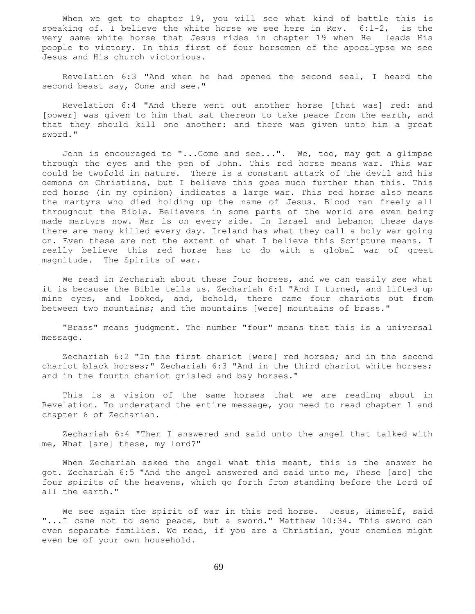When we get to chapter 19, you will see what kind of battle this is speaking of. I believe the white horse we see here in Rev. 6:1-2, is the very same white horse that Jesus rides in chapter 19 when He leads His people to victory. In this first of four horsemen of the apocalypse we see Jesus and His church victorious.

 Revelation 6:3 "And when he had opened the second seal, I heard the second beast say, Come and see."

 Revelation 6:4 "And there went out another horse [that was] red: and [power] was given to him that sat thereon to take peace from the earth, and that they should kill one another: and there was given unto him a great sword."

 John is encouraged to "...Come and see...". We, too, may get a glimpse through the eyes and the pen of John. This red horse means war. This war could be twofold in nature. There is a constant attack of the devil and his demons on Christians, but I believe this goes much further than this. This red horse (in my opinion) indicates a large war. This red horse also means the martyrs who died holding up the name of Jesus. Blood ran freely all throughout the Bible. Believers in some parts of the world are even being made martyrs now. War is on every side. In Israel and Lebanon these days there are many killed every day. Ireland has what they call a holy war going on. Even these are not the extent of what I believe this Scripture means. I really believe this red horse has to do with a global war of great magnitude. The Spirits of war.

We read in Zechariah about these four horses, and we can easily see what it is because the Bible tells us. Zechariah 6:1 "And I turned, and lifted up mine eyes, and looked, and, behold, there came four chariots out from between two mountains; and the mountains [were] mountains of brass."

 "Brass" means judgment. The number "four" means that this is a universal message.

 Zechariah 6:2 "In the first chariot [were] red horses; and in the second chariot black horses;" Zechariah 6:3 "And in the third chariot white horses; and in the fourth chariot grisled and bay horses."

 This is a vision of the same horses that we are reading about in Revelation. To understand the entire message, you need to read chapter 1 and chapter 6 of Zechariah.

 Zechariah 6:4 "Then I answered and said unto the angel that talked with me, What [are] these, my lord?"

 When Zechariah asked the angel what this meant, this is the answer he got. Zechariah 6:5 "And the angel answered and said unto me, These [are] the four spirits of the heavens, which go forth from standing before the Lord of all the earth."

We see again the spirit of war in this red horse. Jesus, Himself, said "...I came not to send peace, but a sword." Matthew 10:34. This sword can even separate families. We read, if you are a Christian, your enemies might even be of your own household.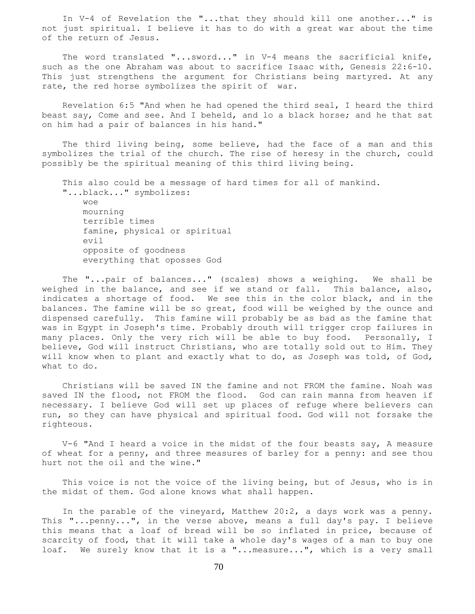In V-4 of Revelation the "...that they should kill one another..." is not just spiritual. I believe it has to do with a great war about the time of the return of Jesus.

The word translated "...sword..." in V-4 means the sacrificial knife, such as the one Abraham was about to sacrifice Isaac with, Genesis 22:6-10. This just strengthens the argument for Christians being martyred. At any rate, the red horse symbolizes the spirit of war.

 Revelation 6:5 "And when he had opened the third seal, I heard the third beast say, Come and see. And I beheld, and lo a black horse; and he that sat on him had a pair of balances in his hand."

 The third living being, some believe, had the face of a man and this symbolizes the trial of the church. The rise of heresy in the church, could possibly be the spiritual meaning of this third living being.

 This also could be a message of hard times for all of mankind. "...black..." symbolizes: woe mourning terrible times famine, physical or spiritual evil opposite of goodness everything that oposses God

 The "...pair of balances..." (scales) shows a weighing. We shall be weighed in the balance, and see if we stand or fall. This balance, also, indicates a shortage of food. We see this in the color black, and in the balances. The famine will be so great, food will be weighed by the ounce and dispensed carefully. This famine will probably be as bad as the famine that was in Egypt in Joseph's time. Probably drouth will trigger crop failures in many places. Only the very rich will be able to buy food. Personally, I believe, God will instruct Christians, who are totally sold out to Him. They will know when to plant and exactly what to do, as Joseph was told, of God, what to do.

 Christians will be saved IN the famine and not FROM the famine. Noah was saved IN the flood, not FROM the flood. God can rain manna from heaven if necessary. I believe God will set up places of refuge where believers can run, so they can have physical and spiritual food. God will not forsake the righteous.

 V-6 "And I heard a voice in the midst of the four beasts say, A measure of wheat for a penny, and three measures of barley for a penny: and see thou hurt not the oil and the wine."

 This voice is not the voice of the living being, but of Jesus, who is in the midst of them. God alone knows what shall happen.

 In the parable of the vineyard, Matthew 20:2, a days work was a penny. This "...penny...", in the verse above, means a full day's pay. I believe this means that a loaf of bread will be so inflated in price, because of scarcity of food, that it will take a whole day's wages of a man to buy one loaf. We surely know that it is a "...measure...", which is a very small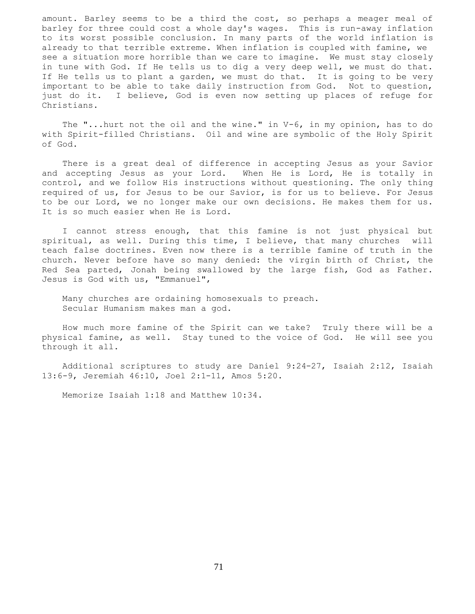amount. Barley seems to be a third the cost, so perhaps a meager meal of barley for three could cost a whole day's wages. This is run-away inflation to its worst possible conclusion. In many parts of the world inflation is already to that terrible extreme. When inflation is coupled with famine, we see a situation more horrible than we care to imagine. We must stay closely in tune with God. If He tells us to dig a very deep well, we must do that. If He tells us to plant a garden, we must do that. It is going to be very important to be able to take daily instruction from God. Not to question, just do it. I believe, God is even now setting up places of refuge for Christians.

 The "...hurt not the oil and the wine." in V-6, in my opinion, has to do with Spirit-filled Christians. Oil and wine are symbolic of the Holy Spirit of God.

 There is a great deal of difference in accepting Jesus as your Savior and accepting Jesus as your Lord. When He is Lord, He is totally in control, and we follow His instructions without questioning. The only thing required of us, for Jesus to be our Savior, is for us to believe. For Jesus to be our Lord, we no longer make our own decisions. He makes them for us. It is so much easier when He is Lord.

 I cannot stress enough, that this famine is not just physical but spiritual, as well. During this time, I believe, that many churches will teach false doctrines. Even now there is a terrible famine of truth in the church. Never before have so many denied: the virgin birth of Christ, the Red Sea parted, Jonah being swallowed by the large fish, God as Father. Jesus is God with us, "Emmanuel",

 Many churches are ordaining homosexuals to preach. Secular Humanism makes man a god.

 How much more famine of the Spirit can we take? Truly there will be a physical famine, as well. Stay tuned to the voice of God. He will see you through it all.

 Additional scriptures to study are Daniel 9:24-27, Isaiah 2:12, Isaiah 13:6-9, Jeremiah 46:10, Joel 2:1-11, Amos 5:20.

Memorize Isaiah 1:18 and Matthew 10:34.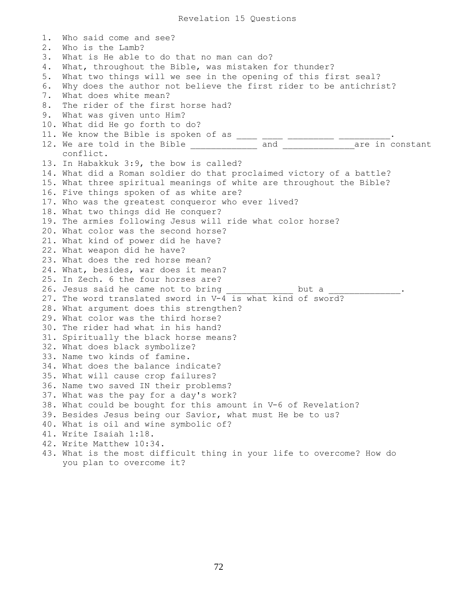1. Who said come and see? 2. Who is the Lamb? 3. What is He able to do that no man can do? 4. What, throughout the Bible, was mistaken for thunder? 5. What two things will we see in the opening of this first seal? 6. Why does the author not believe the first rider to be antichrist? 7. What does white mean? 8. The rider of the first horse had? 9. What was given unto Him? 10. What did He go forth to do? 11. We know the Bible is spoken of as \_\_\_\_\_\_\_\_\_\_\_\_\_\_\_\_\_\_\_\_\_\_\_\_\_\_. 12. We are told in the Bible \_\_\_\_\_\_\_\_\_\_\_\_\_\_ and \_\_\_\_\_\_\_\_\_\_\_\_\_\_\_\_\_are in constant conflict. 13. In Habakkuk 3:9, the bow is called? 14. What did a Roman soldier do that proclaimed victory of a battle? 15. What three spiritual meanings of white are throughout the Bible? 16. Five things spoken of as white are? 17. Who was the greatest conqueror who ever lived? 18. What two things did He conquer? 19. The armies following Jesus will ride what color horse? 20. What color was the second horse? 21. What kind of power did he have? 22. What weapon did he have? 23. What does the red horse mean? 24. What, besides, war does it mean? 25. In Zech. 6 the four horses are? 26. Jesus said he came not to bring \_\_\_\_\_\_\_\_\_\_\_\_\_\_ but a \_\_\_\_\_\_\_\_\_\_ 27. The word translated sword in V-4 is what kind of sword? 28. What argument does this strengthen? 29. What color was the third horse? 30. The rider had what in his hand? 31. Spiritually the black horse means? 32. What does black symbolize? 33. Name two kinds of famine. 34. What does the balance indicate? 35. What will cause crop failures? 36. Name two saved IN their problems? 37. What was the pay for a day's work? 38. What could be bought for this amount in V-6 of Revelation? 39. Besides Jesus being our Savior, what must He be to us? 40. What is oil and wine symbolic of? 41. Write Isaiah 1:18. 42. Write Matthew 10:34. 43. What is the most difficult thing in your life to overcome? How do you plan to overcome it?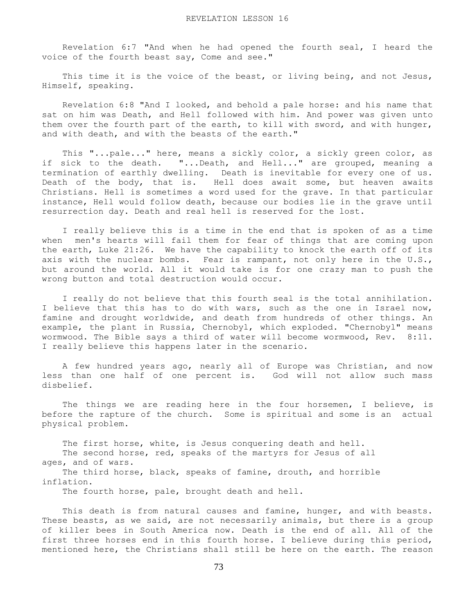Revelation 6:7 "And when he had opened the fourth seal, I heard the voice of the fourth beast say, Come and see."

 This time it is the voice of the beast, or living being, and not Jesus, Himself, speaking.

 Revelation 6:8 "And I looked, and behold a pale horse: and his name that sat on him was Death, and Hell followed with him. And power was given unto them over the fourth part of the earth, to kill with sword, and with hunger, and with death, and with the beasts of the earth."

 This "...pale..." here, means a sickly color, a sickly green color, as if sick to the death. "...Death, and Hell..." are grouped, meaning a termination of earthly dwelling. Death is inevitable for every one of us. Death of the body, that is. Hell does await some, but heaven awaits Christians. Hell is sometimes a word used for the grave. In that particular instance, Hell would follow death, because our bodies lie in the grave until resurrection day. Death and real hell is reserved for the lost.

 I really believe this is a time in the end that is spoken of as a time when men's hearts will fail them for fear of things that are coming upon the earth, Luke 21:26. We have the capability to knock the earth off of its axis with the nuclear bombs. Fear is rampant, not only here in the U.S., but around the world. All it would take is for one crazy man to push the wrong button and total destruction would occur.

 I really do not believe that this fourth seal is the total annihilation. I believe that this has to do with wars, such as the one in Israel now, famine and drought worldwide, and death from hundreds of other things. An example, the plant in Russia, Chernobyl, which exploded. "Chernobyl" means wormwood. The Bible says a third of water will become wormwood, Rev. 8:11. I really believe this happens later in the scenario.

 A few hundred years ago, nearly all of Europe was Christian, and now less than one half of one percent is. God will not allow such mass disbelief.

 The things we are reading here in the four horsemen, I believe, is before the rapture of the church. Some is spiritual and some is an actual physical problem.

 The first horse, white, is Jesus conquering death and hell. The second horse, red, speaks of the martyrs for Jesus of all ages, and of wars. The third horse, black, speaks of famine, drouth, and horrible

inflation.

The fourth horse, pale, brought death and hell.

 This death is from natural causes and famine, hunger, and with beasts. These beasts, as we said, are not necessarily animals, but there is a group of killer bees in South America now. Death is the end of all. All of the first three horses end in this fourth horse. I believe during this period, mentioned here, the Christians shall still be here on the earth. The reason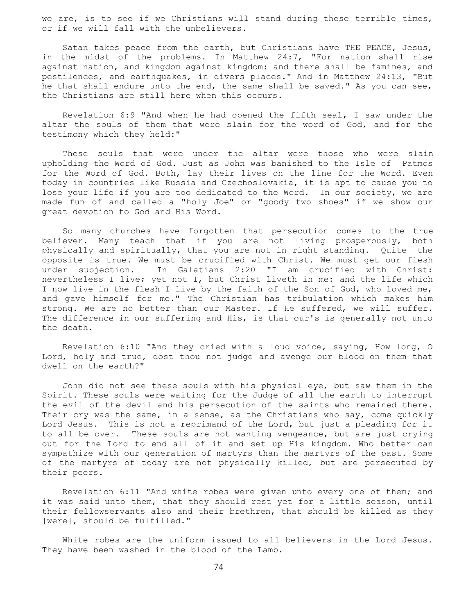we are, is to see if we Christians will stand during these terrible times, or if we will fall with the unbelievers.

 Satan takes peace from the earth, but Christians have THE PEACE, Jesus, in the midst of the problems. In Matthew 24:7, "For nation shall rise against nation, and kingdom against kingdom: and there shall be famines, and pestilences, and earthquakes, in divers places." And in Matthew 24:13, "But he that shall endure unto the end, the same shall be saved." As you can see, the Christians are still here when this occurs.

 Revelation 6:9 "And when he had opened the fifth seal, I saw under the altar the souls of them that were slain for the word of God, and for the testimony which they held:"

 These souls that were under the altar were those who were slain upholding the Word of God. Just as John was banished to the Isle of Patmos for the Word of God. Both, lay their lives on the line for the Word. Even today in countries like Russia and Czechoslovakia, it is apt to cause you to lose your life if you are too dedicated to the Word. In our society, we are made fun of and called a "holy Joe" or "goody two shoes" if we show our great devotion to God and His Word.

 So many churches have forgotten that persecution comes to the true believer. Many teach that if you are not living prosperously, both physically and spiritually, that you are not in right standing. Quite the opposite is true. We must be crucified with Christ. We must get our flesh under subjection. In Galatians 2:20 "I am crucified with Christ: nevertheless I live; yet not I, but Christ liveth in me: and the life which I now live in the flesh I live by the faith of the Son of God, who loved me, and gave himself for me." The Christian has tribulation which makes him strong. We are no better than our Master. If He suffered, we will suffer. The difference in our suffering and His, is that our's is generally not unto the death.

 Revelation 6:10 "And they cried with a loud voice, saying, How long, O Lord, holy and true, dost thou not judge and avenge our blood on them that dwell on the earth?"

 John did not see these souls with his physical eye, but saw them in the Spirit. These souls were waiting for the Judge of all the earth to interrupt the evil of the devil and his persecution of the saints who remained there. Their cry was the same, in a sense, as the Christians who say, come quickly Lord Jesus. This is not a reprimand of the Lord, but just a pleading for it to all be over. These souls are not wanting vengeance, but are just crying out for the Lord to end all of it and set up His kingdom. Who better can sympathize with our generation of martyrs than the martyrs of the past. Some of the martyrs of today are not physically killed, but are persecuted by their peers.

 Revelation 6:11 "And white robes were given unto every one of them; and it was said unto them, that they should rest yet for a little season, until their fellowservants also and their brethren, that should be killed as they [were], should be fulfilled."

 White robes are the uniform issued to all believers in the Lord Jesus. They have been washed in the blood of the Lamb.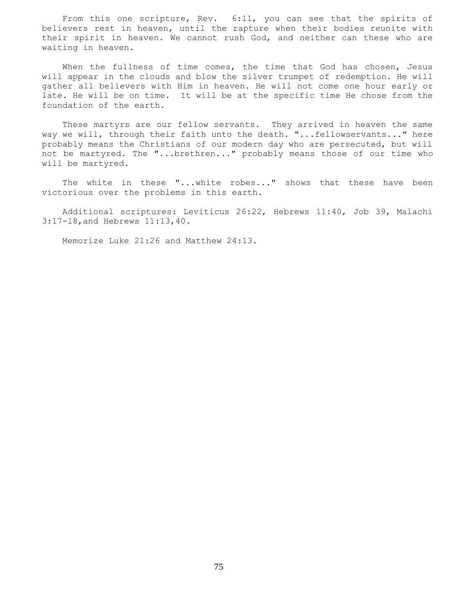From this one scripture, Rev. 6:11, you can see that the spirits of believers rest in heaven, until the rapture when their bodies reunite with their spirit in heaven. We cannot rush God, and neither can these who are waiting in heaven.

 When the fullness of time comes, the time that God has chosen, Jesus will appear in the clouds and blow the silver trumpet of redemption. He will gather all believers with Him in heaven. He will not come one hour early or late. He will be on time. It will be at the specific time He chose from the foundation of the earth.

 These martyrs are our fellow servants. They arrived in heaven the same way we will, through their faith unto the death. "...fellowservants..." here probably means the Christians of our modern day who are persecuted, but will not be martyred. The "...brethren..." probably means those of our time who will be martyred.

 The white in these "...white robes..." shows that these have been victorious over the problems in this earth.

 Additional scriptures: Leviticus 26:22, Hebrews 11:40, Job 39, Malachi 3:17-18,and Hebrews 11:13,40.

Memorize Luke 21:26 and Matthew 24:13.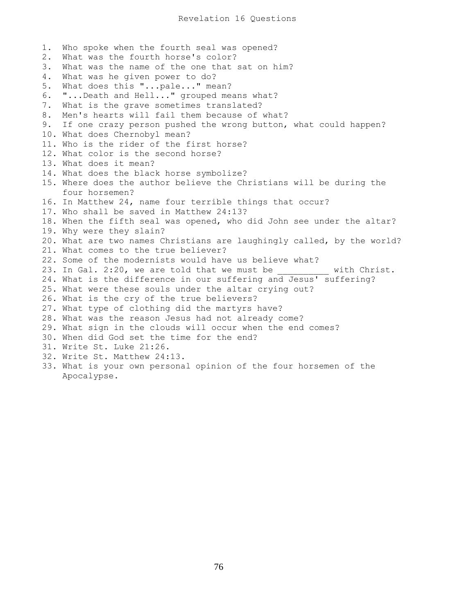1. Who spoke when the fourth seal was opened? 2. What was the fourth horse's color? 3. What was the name of the one that sat on him? 4. What was he given power to do? 5. What does this "...pale..." mean? 6. "...Death and Hell..." grouped means what? 7. What is the grave sometimes translated? 8. Men's hearts will fail them because of what? 9. If one crazy person pushed the wrong button, what could happen? 10. What does Chernobyl mean? 11. Who is the rider of the first horse? 12. What color is the second horse? 13. What does it mean? 14. What does the black horse symbolize? 15. Where does the author believe the Christians will be during the four horsemen? 16. In Matthew 24, name four terrible things that occur? 17. Who shall be saved in Matthew 24:13? 18. When the fifth seal was opened, who did John see under the altar? 19. Why were they slain? 20. What are two names Christians are laughingly called, by the world? 21. What comes to the true believer? 22. Some of the modernists would have us believe what? 23. In Gal. 2:20, we are told that we must be \_\_\_\_\_\_\_\_\_\_ with Christ. 24. What is the difference in our suffering and Jesus' suffering? 25. What were these souls under the altar crying out? 26. What is the cry of the true believers? 27. What type of clothing did the martyrs have? 28. What was the reason Jesus had not already come? 29. What sign in the clouds will occur when the end comes? 30. When did God set the time for the end? 31. Write St. Luke 21:26. 32. Write St. Matthew 24:13. 33. What is your own personal opinion of the four horsemen of the Apocalypse.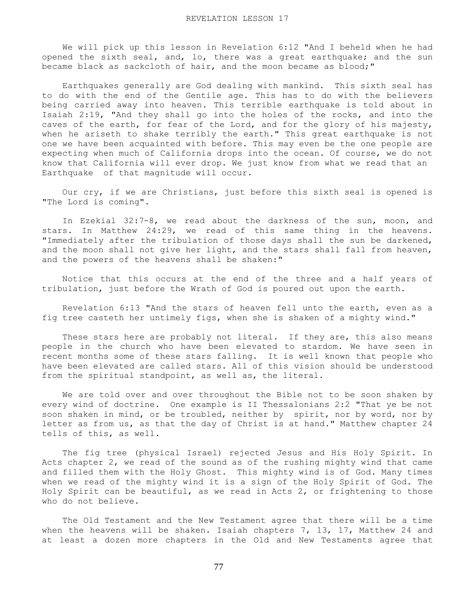We will pick up this lesson in Revelation 6:12 "And I beheld when he had opened the sixth seal, and, lo, there was a great earthquake; and the sun became black as sackcloth of hair, and the moon became as blood;"

 Earthquakes generally are God dealing with mankind. This sixth seal has to do with the end of the Gentile age. This has to do with the believers being carried away into heaven. This terrible earthquake is told about in Isaiah 2:19, "And they shall go into the holes of the rocks, and into the caves of the earth, for fear of the Lord, and for the glory of his majesty, when he ariseth to shake terribly the earth." This great earthquake is not one we have been acquainted with before. This may even be the one people are expecting when much of California drops into the ocean. Of course, we do not know that California will ever drop. We just know from what we read that an Earthquake of that magnitude will occur.

 Our cry, if we are Christians, just before this sixth seal is opened is "The Lord is coming".

 In Ezekial 32:7-8, we read about the darkness of the sun, moon, and stars. In Matthew 24:29, we read of this same thing in the heavens. "Immediately after the tribulation of those days shall the sun be darkened, and the moon shall not give her light, and the stars shall fall from heaven, and the powers of the heavens shall be shaken:"

 Notice that this occurs at the end of the three and a half years of tribulation, just before the Wrath of God is poured out upon the earth.

 Revelation 6:13 "And the stars of heaven fell unto the earth, even as a fig tree casteth her untimely figs, when she is shaken of a mighty wind."

These stars here are probably not literal. If they are, this also means people in the church who have been elevated to stardom. We have seen in recent months some of these stars falling. It is well known that people who have been elevated are called stars. All of this vision should be understood from the spiritual standpoint, as well as, the literal.

 We are told over and over throughout the Bible not to be soon shaken by every wind of doctrine. One example is II Thessalonians 2:2 "That ye be not soon shaken in mind, or be troubled, neither by spirit, nor by word, nor by letter as from us, as that the day of Christ is at hand." Matthew chapter 24 tells of this, as well.

 The fig tree (physical Israel) rejected Jesus and His Holy Spirit. In Acts chapter 2, we read of the sound as of the rushing mighty wind that came and filled them with the Holy Ghost. This mighty wind is of God. Many times when we read of the mighty wind it is a sign of the Holy Spirit of God. The Holy Spirit can be beautiful, as we read in Acts 2, or frightening to those who do not believe.

 The Old Testament and the New Testament agree that there will be a time when the heavens will be shaken. Isaiah chapters 7, 13, 17, Matthew 24 and at least a dozen more chapters in the Old and New Testaments agree that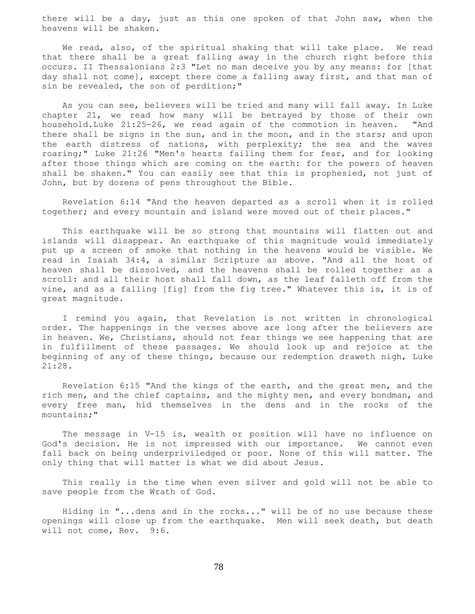there will be a day, just as this one spoken of that John saw, when the heavens will be shaken.

 We read, also, of the spiritual shaking that will take place. We read that there shall be a great falling away in the church right before this occurs. II Thessalonians 2:3 "Let no man deceive you by any means: for [that day shall not come], except there come a falling away first, and that man of sin be revealed, the son of perdition;"

 As you can see, believers will be tried and many will fall away. In Luke chapter 21, we read how many will be betrayed by those of their own household.Luke 21:25-26, we read again of the commotion in heaven. "And there shall be signs in the sun, and in the moon, and in the stars; and upon the earth distress of nations, with perplexity; the sea and the waves roaring;" Luke 21:26 "Men's hearts failing them for fear, and for looking after those things which are coming on the earth: for the powers of heaven shall be shaken." You can easily see that this is prophesied, not just of John, but by dozens of pens throughout the Bible.

 Revelation 6:14 "And the heaven departed as a scroll when it is rolled together; and every mountain and island were moved out of their places."

 This earthquake will be so strong that mountains will flatten out and islands will disappear. An earthquake of this magnitude would immediately put up a screen of smoke that nothing in the heavens would be visible. We read in Isaiah 34:4, a similar Scripture as above. "And all the host of heaven shall be dissolved, and the heavens shall be rolled together as a scroll: and all their host shall fall down, as the leaf falleth off from the vine, and as a falling [fig] from the fig tree." Whatever this is, it is of great magnitude.

 I remind you again, that Revelation is not written in chronological order. The happenings in the verses above are long after the believers are in heaven. We, Christians, should not fear things we see happening that are in fulfillment of these passages. We should look up and rejoice at the beginning of any of these things, because our redemption draweth nigh, Luke 21:28.

 Revelation 6:15 "And the kings of the earth, and the great men, and the rich men, and the chief captains, and the mighty men, and every bondman, and every free man, hid themselves in the dens and in the rocks of the mountains;"

 The message in V-15 is, wealth or position will have no influence on God's decision. He is not impressed with our importance. We cannot even fall back on being underpriviledged or poor. None of this will matter. The only thing that will matter is what we did about Jesus.

 This really is the time when even silver and gold will not be able to save people from the Wrath of God.

 Hiding in "...dens and in the rocks..." will be of no use because these openings will close up from the earthquake. Men will seek death, but death will not come, Rev. 9:6.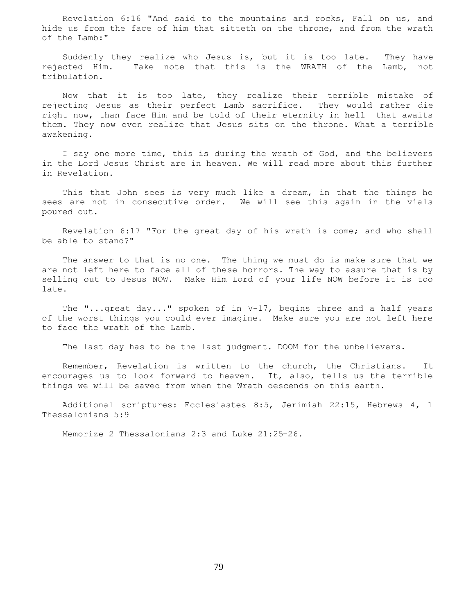Revelation 6:16 "And said to the mountains and rocks, Fall on us, and hide us from the face of him that sitteth on the throne, and from the wrath of the Lamb:"

 Suddenly they realize who Jesus is, but it is too late. They have rejected Him. Take note that this is the WRATH of the Lamb, not tribulation.

 Now that it is too late, they realize their terrible mistake of rejecting Jesus as their perfect Lamb sacrifice. They would rather die right now, than face Him and be told of their eternity in hell that awaits them. They now even realize that Jesus sits on the throne. What a terrible awakening.

 I say one more time, this is during the wrath of God, and the believers in the Lord Jesus Christ are in heaven. We will read more about this further in Revelation.

 This that John sees is very much like a dream, in that the things he sees are not in consecutive order. We will see this again in the vials poured out.

 Revelation 6:17 "For the great day of his wrath is come; and who shall be able to stand?"

 The answer to that is no one. The thing we must do is make sure that we are not left here to face all of these horrors. The way to assure that is by selling out to Jesus NOW. Make Him Lord of your life NOW before it is too late.

 The "...great day..." spoken of in V-17, begins three and a half years of the worst things you could ever imagine. Make sure you are not left here to face the wrath of the Lamb.

The last day has to be the last judgment. DOOM for the unbelievers.

 Remember, Revelation is written to the church, the Christians. It encourages us to look forward to heaven. It, also, tells us the terrible things we will be saved from when the Wrath descends on this earth.

 Additional scriptures: Ecclesiastes 8:5, Jerimiah 22:15, Hebrews 4, 1 Thessalonians 5:9

Memorize 2 Thessalonians 2:3 and Luke 21:25-26.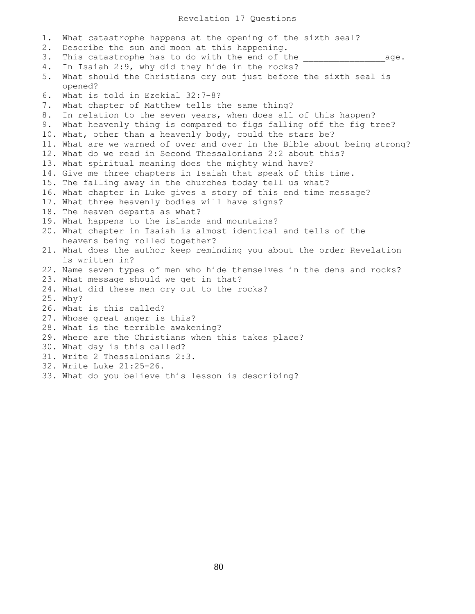1. What catastrophe happens at the opening of the sixth seal? 2. Describe the sun and moon at this happening. 3. This catastrophe has to do with the end of the  $\qquad \qquad \qquad \text{age.}$ 4. In Isaiah 2:9, why did they hide in the rocks? 5. What should the Christians cry out just before the sixth seal is opened? 6. What is told in Ezekial 32:7-8? 7. What chapter of Matthew tells the same thing? 8. In relation to the seven years, when does all of this happen? 9. What heavenly thing is compared to figs falling off the fig tree? 10. What, other than a heavenly body, could the stars be? 11. What are we warned of over and over in the Bible about being strong? 12. What do we read in Second Thessalonians 2:2 about this? 13. What spiritual meaning does the mighty wind have? 14. Give me three chapters in Isaiah that speak of this time. 15. The falling away in the churches today tell us what? 16. What chapter in Luke gives a story of this end time message? 17. What three heavenly bodies will have signs? 18. The heaven departs as what? 19. What happens to the islands and mountains? 20. What chapter in Isaiah is almost identical and tells of the heavens being rolled together? 21. What does the author keep reminding you about the order Revelation is written in? 22. Name seven types of men who hide themselves in the dens and rocks? 23. What message should we get in that? 24. What did these men cry out to the rocks? 25. Why? 26. What is this called? 27. Whose great anger is this? 28. What is the terrible awakening? 29. Where are the Christians when this takes place? 30. What day is this called? 31. Write 2 Thessalonians 2:3. 32. Write Luke 21:25-26. 33. What do you believe this lesson is describing?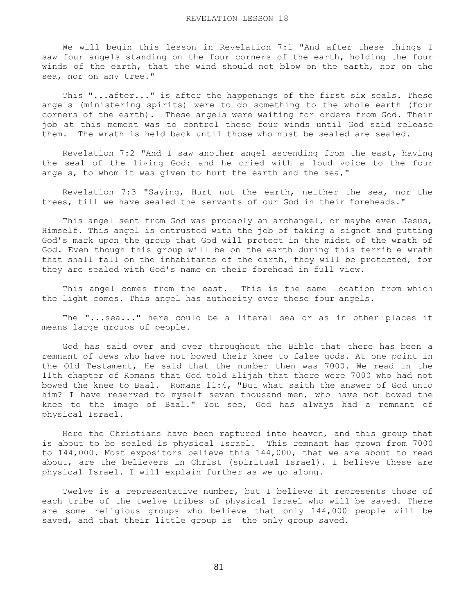We will begin this lesson in Revelation 7:1 "And after these things I saw four angels standing on the four corners of the earth, holding the four winds of the earth, that the wind should not blow on the earth, nor on the sea, nor on any tree."

 This "...after..." is after the happenings of the first six seals. These angels (ministering spirits) were to do something to the whole earth (four corners of the earth). These angels were waiting for orders from God. Their job at this moment was to control these four winds until God said release them. The wrath is held back until those who must be sealed are sealed.

 Revelation 7:2 "And I saw another angel ascending from the east, having the seal of the living God: and he cried with a loud voice to the four angels, to whom it was given to hurt the earth and the sea,"

 Revelation 7:3 "Saying, Hurt not the earth, neither the sea, nor the trees, till we have sealed the servants of our God in their foreheads."

This angel sent from God was probably an archangel, or maybe even Jesus, Himself. This angel is entrusted with the job of taking a signet and putting God's mark upon the group that God will protect in the midst of the wrath of God. Even though this group will be on the earth during this terrible wrath that shall fall on the inhabitants of the earth, they will be protected, for they are sealed with God's name on their forehead in full view.

 This angel comes from the east. This is the same location from which the light comes. This angel has authority over these four angels.

 The "...sea..." here could be a literal sea or as in other places it means large groups of people.

 God has said over and over throughout the Bible that there has been a remnant of Jews who have not bowed their knee to false gods. At one point in the Old Testament, He said that the number then was 7000. We read in the 11th chapter of Romans that God told Elijah that there were 7000 who had not bowed the knee to Baal. Romans 11:4, "But what saith the answer of God unto him? I have reserved to myself seven thousand men, who have not bowed the knee to the image of Baal." You see, God has always had a remnant of physical Israel.

 Here the Christians have been raptured into heaven, and this group that is about to be sealed is physical Israel. This remnant has grown from 7000 to 144,000. Most expositors believe this 144,000, that we are about to read about, are the believers in Christ (spiritual Israel). I believe these are physical Israel. I will explain further as we go along.

 Twelve is a representative number, but I believe it represents those of each tribe of the twelve tribes of physical Israel who will be saved. There are some religious groups who believe that only 144,000 people will be saved, and that their little group is the only group saved.

81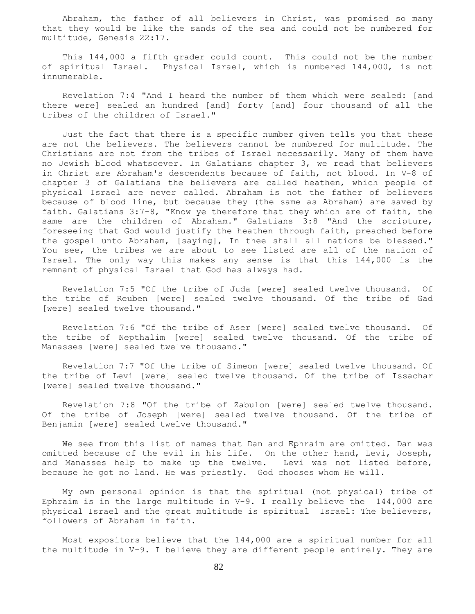Abraham, the father of all believers in Christ, was promised so many that they would be like the sands of the sea and could not be numbered for multitude, Genesis 22:17.

 This 144,000 a fifth grader could count. This could not be the number of spiritual Israel. Physical Israel, which is numbered 144,000, is not innumerable.

 Revelation 7:4 "And I heard the number of them which were sealed: [and there were] sealed an hundred [and] forty [and] four thousand of all the tribes of the children of Israel."

 Just the fact that there is a specific number given tells you that these are not the believers. The believers cannot be numbered for multitude. The Christians are not from the tribes of Israel necessarily. Many of them have no Jewish blood whatsoever. In Galatians chapter 3, we read that believers in Christ are Abraham's descendents because of faith, not blood. In V-8 of chapter 3 of Galatians the believers are called heathen, which people of physical Israel are never called. Abraham is not the father of believers because of blood line, but because they (the same as Abraham) are saved by faith. Galatians 3:7-8, "Know ye therefore that they which are of faith, the same are the children of Abraham." Galatians 3:8 "And the scripture, foreseeing that God would justify the heathen through faith, preached before the gospel unto Abraham, [saying], In thee shall all nations be blessed." You see, the tribes we are about to see listed are all of the nation of Israel. The only way this makes any sense is that this 144,000 is the remnant of physical Israel that God has always had.

 Revelation 7:5 "Of the tribe of Juda [were] sealed twelve thousand. Of the tribe of Reuben [were] sealed twelve thousand. Of the tribe of Gad [were] sealed twelve thousand."

 Revelation 7:6 "Of the tribe of Aser [were] sealed twelve thousand. Of the tribe of Nepthalim [were] sealed twelve thousand. Of the tribe of Manasses [were] sealed twelve thousand."

 Revelation 7:7 "Of the tribe of Simeon [were] sealed twelve thousand. Of the tribe of Levi [were] sealed twelve thousand. Of the tribe of Issachar [were] sealed twelve thousand."

 Revelation 7:8 "Of the tribe of Zabulon [were] sealed twelve thousand. Of the tribe of Joseph [were] sealed twelve thousand. Of the tribe of Benjamin [were] sealed twelve thousand."

 We see from this list of names that Dan and Ephraim are omitted. Dan was omitted because of the evil in his life. On the other hand, Levi, Joseph, and Manasses help to make up the twelve. Levi was not listed before, because he got no land. He was priestly. God chooses whom He will.

 My own personal opinion is that the spiritual (not physical) tribe of Ephraim is in the large multitude in V-9. I really believe the 144,000 are physical Israel and the great multitude is spiritual Israel: The believers, followers of Abraham in faith.

 Most expositors believe that the 144,000 are a spiritual number for all the multitude in V-9. I believe they are different people entirely. They are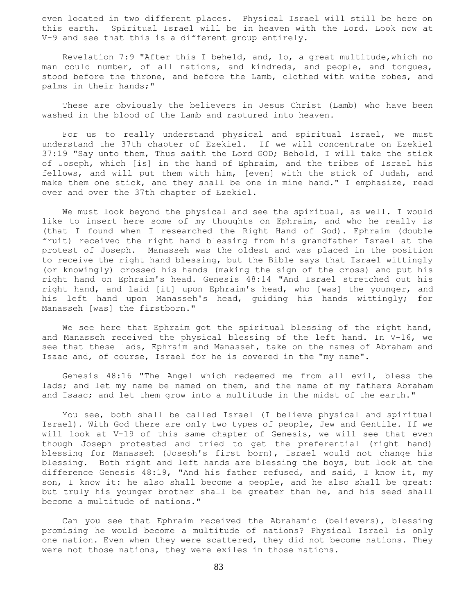even located in two different places. Physical Israel will still be here on this earth. Spiritual Israel will be in heaven with the Lord. Look now at V-9 and see that this is a different group entirely.

 Revelation 7:9 "After this I beheld, and, lo, a great multitude,which no man could number, of all nations, and kindreds, and people, and tongues, stood before the throne, and before the Lamb, clothed with white robes, and palms in their hands;"

 These are obviously the believers in Jesus Christ (Lamb) who have been washed in the blood of the Lamb and raptured into heaven.

 For us to really understand physical and spiritual Israel, we must understand the 37th chapter of Ezekiel. If we will concentrate on Ezekiel 37:19 "Say unto them, Thus saith the Lord GOD; Behold, I will take the stick of Joseph, which [is] in the hand of Ephraim, and the tribes of Israel his fellows, and will put them with him, [even] with the stick of Judah, and make them one stick, and they shall be one in mine hand." I emphasize, read over and over the 37th chapter of Ezekiel.

 We must look beyond the physical and see the spiritual, as well. I would like to insert here some of my thoughts on Ephraim, and who he really is (that I found when I researched the Right Hand of God). Ephraim (double fruit) received the right hand blessing from his grandfather Israel at the protest of Joseph. Manasseh was the oldest and was placed in the position to receive the right hand blessing, but the Bible says that Israel wittingly (or knowingly) crossed his hands (making the sign of the cross) and put his right hand on Ephraim's head. Genesis 48:14 "And Israel stretched out his right hand, and laid [it] upon Ephraim's head, who [was] the younger, and his left hand upon Manasseh's head, guiding his hands wittingly; for Manasseh [was] the firstborn."

We see here that Ephraim got the spiritual blessing of the right hand, and Manasseh received the physical blessing of the left hand. In V-16, we see that these lads, Ephraim and Manasseh, take on the names of Abraham and Isaac and, of course, Israel for he is covered in the "my name".

 Genesis 48:16 "The Angel which redeemed me from all evil, bless the lads; and let my name be named on them, and the name of my fathers Abraham and Isaac; and let them grow into a multitude in the midst of the earth."

 You see, both shall be called Israel (I believe physical and spiritual Israel). With God there are only two types of people, Jew and Gentile. If we will look at V-19 of this same chapter of Genesis, we will see that even though Joseph protested and tried to get the preferential (right hand) blessing for Manasseh (Joseph's first born), Israel would not change his blessing. Both right and left hands are blessing the boys, but look at the difference Genesis 48:19, "And his father refused, and said, I know it, my son, I know it: he also shall become a people, and he also shall be great: but truly his younger brother shall be greater than he, and his seed shall become a multitude of nations."

 Can you see that Ephraim received the Abrahamic (believers), blessing promising he would become a multitude of nations? Physical Israel is only one nation. Even when they were scattered, they did not become nations. They were not those nations, they were exiles in those nations.

83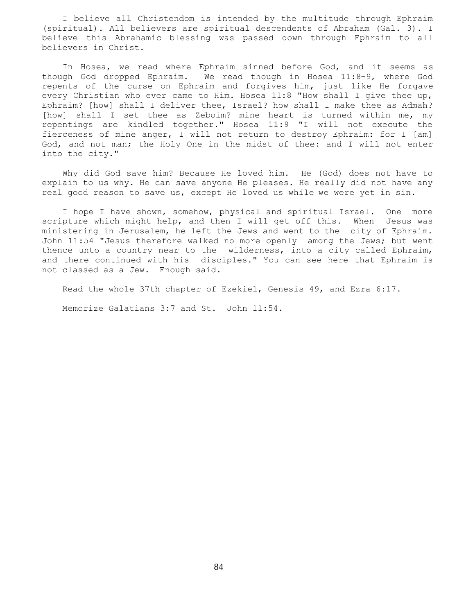I believe all Christendom is intended by the multitude through Ephraim (spiritual). All believers are spiritual descendents of Abraham (Gal. 3). I believe this Abrahamic blessing was passed down through Ephraim to all believers in Christ.

 In Hosea, we read where Ephraim sinned before God, and it seems as though God dropped Ephraim. We read though in Hosea 11:8-9, where God repents of the curse on Ephraim and forgives him, just like He forgave every Christian who ever came to Him. Hosea 11:8 "How shall I give thee up, Ephraim? [how] shall I deliver thee, Israel? how shall I make thee as Admah? [how] shall I set thee as Zeboim? mine heart is turned within me, my repentings are kindled together." Hosea 11:9 "I will not execute the fierceness of mine anger, I will not return to destroy Ephraim: for I [am] God, and not man; the Holy One in the midst of thee: and I will not enter into the city."

 Why did God save him? Because He loved him. He (God) does not have to explain to us why. He can save anyone He pleases. He really did not have any real good reason to save us, except He loved us while we were yet in sin.

 I hope I have shown, somehow, physical and spiritual Israel. One more scripture which might help, and then I will get off this. When Jesus was ministering in Jerusalem, he left the Jews and went to the city of Ephraim. John 11:54 "Jesus therefore walked no more openly among the Jews; but went thence unto a country near to the wilderness, into a city called Ephraim, and there continued with his disciples." You can see here that Ephraim is not classed as a Jew. Enough said.

Read the whole 37th chapter of Ezekiel, Genesis 49, and Ezra 6:17.

Memorize Galatians 3:7 and St. John 11:54.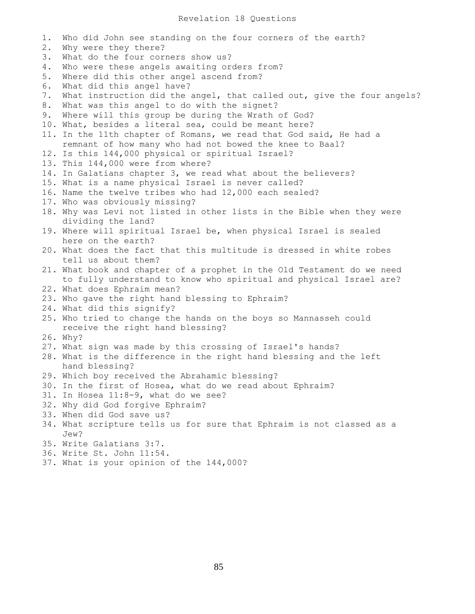1. Who did John see standing on the four corners of the earth? 2. Why were they there? 3. What do the four corners show us? 4. Who were these angels awaiting orders from? 5. Where did this other angel ascend from? 6. What did this angel have? 7. What instruction did the angel, that called out, give the four angels? 8. What was this angel to do with the signet? 9. Where will this group be during the Wrath of God? 10. What, besides a literal sea, could be meant here? 11. In the 11th chapter of Romans, we read that God said, He had a remnant of how many who had not bowed the knee to Baal? 12. Is this 144,000 physical or spiritual Israel? 13. This 144,000 were from where? 14. In Galatians chapter 3, we read what about the believers? 15. What is a name physical Israel is never called? 16. Name the twelve tribes who had 12,000 each sealed? 17. Who was obviously missing? 18. Why was Levi not listed in other lists in the Bible when they were dividing the land? 19. Where will spiritual Israel be, when physical Israel is sealed here on the earth? 20. What does the fact that this multitude is dressed in white robes tell us about them? 21. What book and chapter of a prophet in the Old Testament do we need to fully understand to know who spiritual and physical Israel are? 22. What does Ephraim mean? 23. Who gave the right hand blessing to Ephraim? 24. What did this signify? 25. Who tried to change the hands on the boys so Mannasseh could receive the right hand blessing? 26. Why? 27. What sign was made by this crossing of Israel's hands? 28. What is the difference in the right hand blessing and the left hand blessing? 29. Which boy received the Abrahamic blessing? 30. In the first of Hosea, what do we read about Ephraim? 31. In Hosea 11:8-9, what do we see? 32. Why did God forgive Ephraim? 33. When did God save us? 34. What scripture tells us for sure that Ephraim is not classed as a Jew? 35. Write Galatians 3:7. 36. Write St. John 11:54.

37. What is your opinion of the 144,000?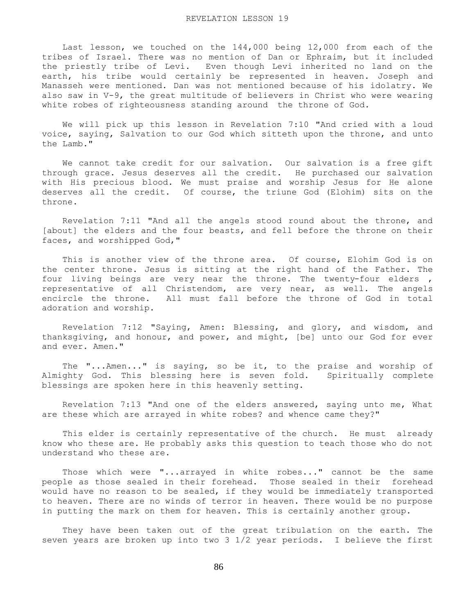Last lesson, we touched on the 144,000 being 12,000 from each of the tribes of Israel. There was no mention of Dan or Ephraim, but it included the priestly tribe of Levi. Even though Levi inherited no land on the earth, his tribe would certainly be represented in heaven. Joseph and Manasseh were mentioned. Dan was not mentioned because of his idolatry. We also saw in V-9, the great multitude of believers in Christ who were wearing white robes of righteousness standing around the throne of God.

 We will pick up this lesson in Revelation 7:10 "And cried with a loud voice, saying, Salvation to our God which sitteth upon the throne, and unto the Lamb."

 We cannot take credit for our salvation. Our salvation is a free gift through grace. Jesus deserves all the credit. He purchased our salvation with His precious blood. We must praise and worship Jesus for He alone deserves all the credit. Of course, the triune God (Elohim) sits on the throne.

 Revelation 7:11 "And all the angels stood round about the throne, and [about] the elders and the four beasts, and fell before the throne on their faces, and worshipped God,"

 This is another view of the throne area. Of course, Elohim God is on the center throne. Jesus is sitting at the right hand of the Father. The four living beings are very near the throne. The twenty-four elders , representative of all Christendom, are very near, as well. The angels encircle the throne. All must fall before the throne of God in total adoration and worship.

 Revelation 7:12 "Saying, Amen: Blessing, and glory, and wisdom, and thanksgiving, and honour, and power, and might, [be] unto our God for ever and ever. Amen."

 The "...Amen..." is saying, so be it, to the praise and worship of Almighty God. This blessing here is seven fold. Spiritually complete blessings are spoken here in this heavenly setting.

 Revelation 7:13 "And one of the elders answered, saying unto me, What are these which are arrayed in white robes? and whence came they?"

 This elder is certainly representative of the church. He must already know who these are. He probably asks this question to teach those who do not understand who these are.

 Those which were "...arrayed in white robes..." cannot be the same people as those sealed in their forehead. Those sealed in their forehead would have no reason to be sealed, if they would be immediately transported to heaven. There are no winds of terror in heaven. There would be no purpose in putting the mark on them for heaven. This is certainly another group.

 They have been taken out of the great tribulation on the earth. The seven years are broken up into two 3 1/2 year periods. I believe the first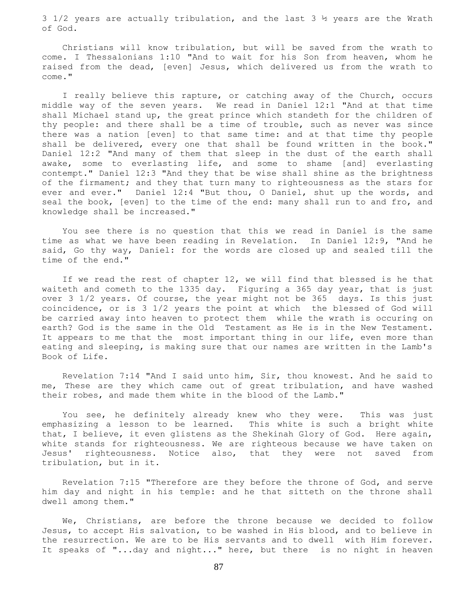3 1/2 years are actually tribulation, and the last  $3 \frac{1}{2}$  years are the Wrath of God.

 Christians will know tribulation, but will be saved from the wrath to come. I Thessalonians 1:10 "And to wait for his Son from heaven, whom he raised from the dead, [even] Jesus, which delivered us from the wrath to come."

 I really believe this rapture, or catching away of the Church, occurs middle way of the seven years. We read in Daniel 12:1 "And at that time shall Michael stand up, the great prince which standeth for the children of thy people: and there shall be a time of trouble, such as never was since there was a nation [even] to that same time: and at that time thy people shall be delivered, every one that shall be found written in the book." Daniel 12:2 "And many of them that sleep in the dust of the earth shall awake, some to everlasting life, and some to shame [and] everlasting contempt." Daniel 12:3 "And they that be wise shall shine as the brightness of the firmament; and they that turn many to righteousness as the stars for ever and ever." Daniel 12:4 "But thou, O Daniel, shut up the words, and seal the book, [even] to the time of the end: many shall run to and fro, and knowledge shall be increased."

 You see there is no question that this we read in Daniel is the same time as what we have been reading in Revelation. In Daniel 12:9, "And he said, Go thy way, Daniel: for the words are closed up and sealed till the time of the end."

 If we read the rest of chapter 12, we will find that blessed is he that waiteth and cometh to the 1335 day. Figuring a 365 day year, that is just over 3 1/2 years. Of course, the year might not be 365 days. Is this just coincidence, or is 3 1/2 years the point at which the blessed of God will be carried away into heaven to protect them while the wrath is occuring on earth? God is the same in the Old Testament as He is in the New Testament. It appears to me that the most important thing in our life, even more than eating and sleeping, is making sure that our names are written in the Lamb's Book of Life.

 Revelation 7:14 "And I said unto him, Sir, thou knowest. And he said to me, These are they which came out of great tribulation, and have washed their robes, and made them white in the blood of the Lamb."

 You see, he definitely already knew who they were. This was just emphasizing a lesson to be learned. This white is such a bright white that, I believe, it even glistens as the Shekinah Glory of God. Here again, white stands for righteousness. We are righteous because we have taken on Jesus' righteousness. Notice also, that they were not saved from tribulation, but in it.

 Revelation 7:15 "Therefore are they before the throne of God, and serve him day and night in his temple: and he that sitteth on the throne shall dwell among them."

 We, Christians, are before the throne because we decided to follow Jesus, to accept His salvation, to be washed in His blood, and to believe in the resurrection. We are to be His servants and to dwell with Him forever. It speaks of "...day and night..." here, but there is no night in heaven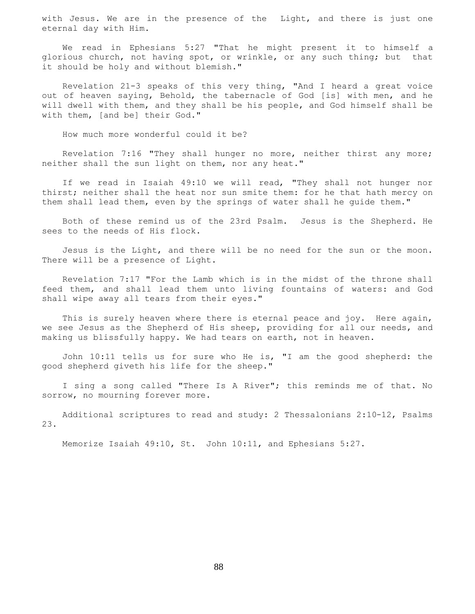with Jesus. We are in the presence of the Light, and there is just one eternal day with Him.

 We read in Ephesians 5:27 "That he might present it to himself a glorious church, not having spot, or wrinkle, or any such thing; but that it should be holy and without blemish."

 Revelation 21-3 speaks of this very thing, "And I heard a great voice out of heaven saying, Behold, the tabernacle of God [is] with men, and he will dwell with them, and they shall be his people, and God himself shall be with them, [and be] their God."

How much more wonderful could it be?

 Revelation 7:16 "They shall hunger no more, neither thirst any more; neither shall the sun light on them, nor any heat."

 If we read in Isaiah 49:10 we will read, "They shall not hunger nor thirst; neither shall the heat nor sun smite them: for he that hath mercy on them shall lead them, even by the springs of water shall he guide them."

 Both of these remind us of the 23rd Psalm. Jesus is the Shepherd. He sees to the needs of His flock.

 Jesus is the Light, and there will be no need for the sun or the moon. There will be a presence of Light.

 Revelation 7:17 "For the Lamb which is in the midst of the throne shall feed them, and shall lead them unto living fountains of waters: and God shall wipe away all tears from their eyes."

This is surely heaven where there is eternal peace and joy. Here again, we see Jesus as the Shepherd of His sheep, providing for all our needs, and making us blissfully happy. We had tears on earth, not in heaven.

 John 10:11 tells us for sure who He is, "I am the good shepherd: the good shepherd giveth his life for the sheep."

 I sing a song called "There Is A River"; this reminds me of that. No sorrow, no mourning forever more.

 Additional scriptures to read and study: 2 Thessalonians 2:10-12, Psalms 23.

Memorize Isaiah 49:10, St. John 10:11, and Ephesians 5:27.

88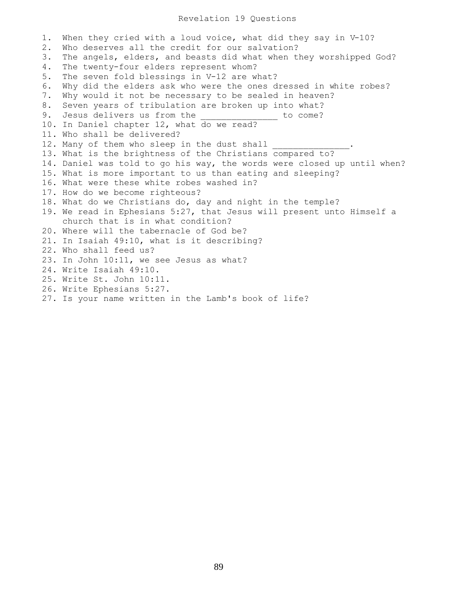## Revelation 19 Questions

1. When they cried with a loud voice, what did they say in V-10? 2. Who deserves all the credit for our salvation? 3. The angels, elders, and beasts did what when they worshipped God? 4. The twenty-four elders represent whom? 5. The seven fold blessings in V-12 are what? 6. Why did the elders ask who were the ones dressed in white robes? 7. Why would it not be necessary to be sealed in heaven? 8. Seven years of tribulation are broken up into what? 9. Jesus delivers us from the to come? 10. In Daniel chapter 12, what do we read? 11. Who shall be delivered? 12. Many of them who sleep in the dust shall 13. What is the brightness of the Christians compared to? 14. Daniel was told to go his way, the words were closed up until when? 15. What is more important to us than eating and sleeping? 16. What were these white robes washed in? 17. How do we become righteous? 18. What do we Christians do, day and night in the temple? 19. We read in Ephesians 5:27, that Jesus will present unto Himself a church that is in what condition? 20. Where will the tabernacle of God be? 21. In Isaiah 49:10, what is it describing? 22. Who shall feed us? 23. In John 10:11, we see Jesus as what? 24. Write Isaiah 49:10. 25. Write St. John 10:11. 26. Write Ephesians 5:27. 27. Is your name written in the Lamb's book of life?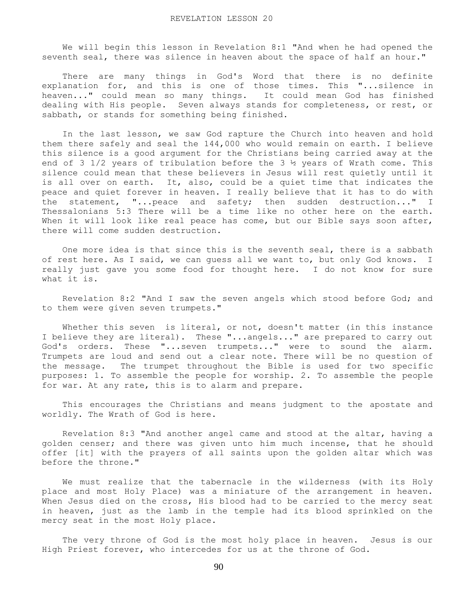We will begin this lesson in Revelation 8:1 "And when he had opened the seventh seal, there was silence in heaven about the space of half an hour."

 There are many things in God's Word that there is no definite explanation for, and this is one of those times. This "...silence in heaven..." could mean so many things. It could mean God has finished dealing with His people. Seven always stands for completeness, or rest, or sabbath, or stands for something being finished.

 In the last lesson, we saw God rapture the Church into heaven and hold them there safely and seal the 144,000 who would remain on earth. I believe this silence is a good argument for the Christians being carried away at the end of 3 1/2 years of tribulation before the 3  $\frac{1}{2}$  years of Wrath come. This silence could mean that these believers in Jesus will rest quietly until it is all over on earth. It, also, could be a quiet time that indicates the peace and quiet forever in heaven. I really believe that it has to do with the statement, "...peace and safety; then sudden destruction..." I Thessalonians 5:3 There will be a time like no other here on the earth. When it will look like real peace has come, but our Bible says soon after, there will come sudden destruction.

 One more idea is that since this is the seventh seal, there is a sabbath of rest here. As I said, we can guess all we want to, but only God knows. I really just gave you some food for thought here. I do not know for sure what it is.

 Revelation 8:2 "And I saw the seven angels which stood before God; and to them were given seven trumpets."

 Whether this seven is literal, or not, doesn't matter (in this instance I believe they are literal). These "...angels..." are prepared to carry out God's orders. These "...seven trumpets..." were to sound the alarm. Trumpets are loud and send out a clear note. There will be no question of the message. The trumpet throughout the Bible is used for two specific purposes: 1. To assemble the people for worship. 2. To assemble the people for war. At any rate, this is to alarm and prepare.

 This encourages the Christians and means judgment to the apostate and worldly. The Wrath of God is here.

 Revelation 8:3 "And another angel came and stood at the altar, having a golden censer; and there was given unto him much incense, that he should offer [it] with the prayers of all saints upon the golden altar which was before the throne."

 We must realize that the tabernacle in the wilderness (with its Holy place and most Holy Place) was a miniature of the arrangement in heaven. When Jesus died on the cross, His blood had to be carried to the mercy seat in heaven, just as the lamb in the temple had its blood sprinkled on the mercy seat in the most Holy place.

 The very throne of God is the most holy place in heaven. Jesus is our High Priest forever, who intercedes for us at the throne of God.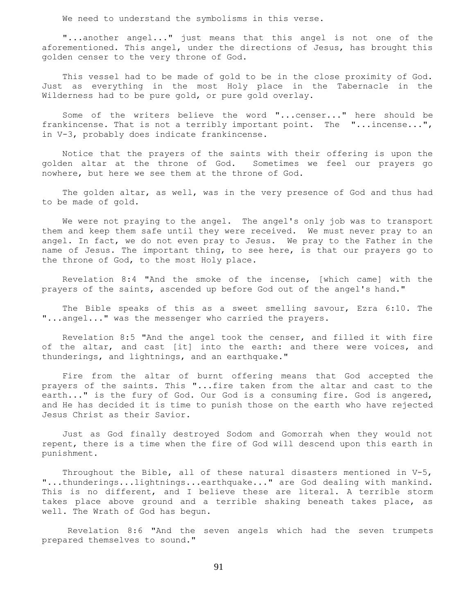We need to understand the symbolisms in this verse.

 "...another angel..." just means that this angel is not one of the aforementioned. This angel, under the directions of Jesus, has brought this golden censer to the very throne of God.

 This vessel had to be made of gold to be in the close proximity of God. Just as everything in the most Holy place in the Tabernacle in the Wilderness had to be pure gold, or pure gold overlay.

 Some of the writers believe the word "...censer..." here should be frankincense. That is not a terribly important point. The "...incense...", in V-3, probably does indicate frankincense.

 Notice that the prayers of the saints with their offering is upon the golden altar at the throne of God. Sometimes we feel our prayers go nowhere, but here we see them at the throne of God.

 The golden altar, as well, was in the very presence of God and thus had to be made of gold.

 We were not praying to the angel. The angel's only job was to transport them and keep them safe until they were received. We must never pray to an angel. In fact, we do not even pray to Jesus. We pray to the Father in the name of Jesus. The important thing, to see here, is that our prayers go to the throne of God, to the most Holy place.

 Revelation 8:4 "And the smoke of the incense, [which came] with the prayers of the saints, ascended up before God out of the angel's hand."

 The Bible speaks of this as a sweet smelling savour, Ezra 6:10. The "...angel..." was the messenger who carried the prayers.

 Revelation 8:5 "And the angel took the censer, and filled it with fire of the altar, and cast [it] into the earth: and there were voices, and thunderings, and lightnings, and an earthquake."

 Fire from the altar of burnt offering means that God accepted the prayers of the saints. This "...fire taken from the altar and cast to the earth..." is the fury of God. Our God is a consuming fire. God is angered, and He has decided it is time to punish those on the earth who have rejected Jesus Christ as their Savior.

 Just as God finally destroyed Sodom and Gomorrah when they would not repent, there is a time when the fire of God will descend upon this earth in punishment.

 Throughout the Bible, all of these natural disasters mentioned in V-5, "...thunderings...lightnings...earthquake..." are God dealing with mankind. This is no different, and I believe these are literal. A terrible storm takes place above ground and a terrible shaking beneath takes place, as well. The Wrath of God has begun.

 Revelation 8:6 "And the seven angels which had the seven trumpets prepared themselves to sound."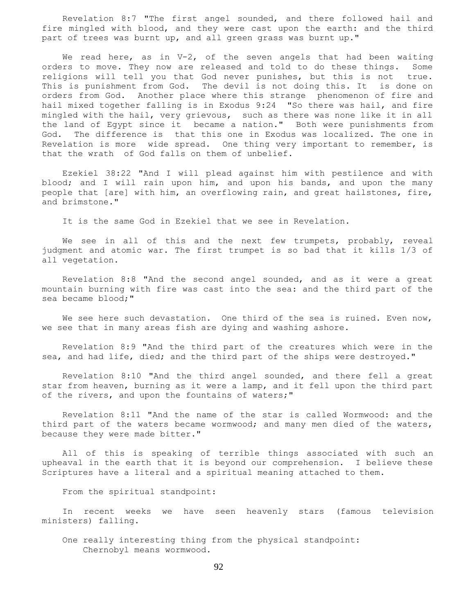Revelation 8:7 "The first angel sounded, and there followed hail and fire mingled with blood, and they were cast upon the earth: and the third part of trees was burnt up, and all green grass was burnt up."

We read here, as in V-2, of the seven angels that had been waiting orders to move. They now are released and told to do these things. Some religions will tell you that God never punishes, but this is not true. This is punishment from God. The devil is not doing this. It is done on orders from God. Another place where this strange phenomenon of fire and hail mixed together falling is in Exodus 9:24 "So there was hail, and fire mingled with the hail, very grievous, such as there was none like it in all the land of Egypt since it became a nation." Both were punishments from God. The difference is that this one in Exodus was localized. The one in Revelation is more wide spread. One thing very important to remember, is that the wrath of God falls on them of unbelief.

 Ezekiel 38:22 "And I will plead against him with pestilence and with blood; and I will rain upon him, and upon his bands, and upon the many people that [are] with him, an overflowing rain, and great hailstones, fire, and brimstone."

It is the same God in Ezekiel that we see in Revelation.

 We see in all of this and the next few trumpets, probably, reveal judgment and atomic war. The first trumpet is so bad that it kills 1/3 of all vegetation.

 Revelation 8:8 "And the second angel sounded, and as it were a great mountain burning with fire was cast into the sea: and the third part of the sea became blood;"

We see here such devastation. One third of the sea is ruined. Even now, we see that in many areas fish are dying and washing ashore.

 Revelation 8:9 "And the third part of the creatures which were in the sea, and had life, died; and the third part of the ships were destroyed."

 Revelation 8:10 "And the third angel sounded, and there fell a great star from heaven, burning as it were a lamp, and it fell upon the third part of the rivers, and upon the fountains of waters;"

 Revelation 8:11 "And the name of the star is called Wormwood: and the third part of the waters became wormwood; and many men died of the waters, because they were made bitter."

 All of this is speaking of terrible things associated with such an upheaval in the earth that it is beyond our comprehension. I believe these Scriptures have a literal and a spiritual meaning attached to them.

From the spiritual standpoint:

 In recent weeks we have seen heavenly stars (famous television ministers) falling.

 One really interesting thing from the physical standpoint: Chernobyl means wormwood.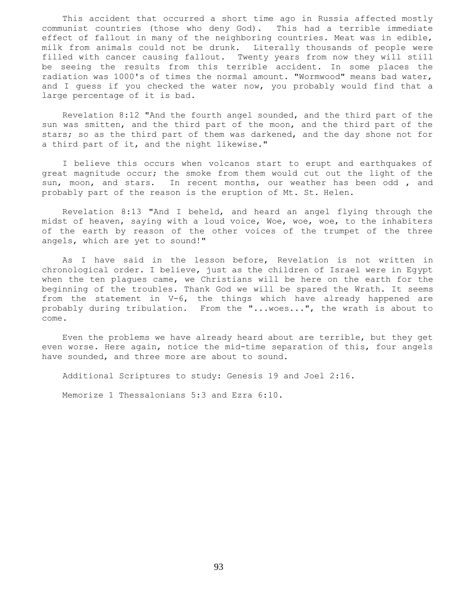This accident that occurred a short time ago in Russia affected mostly communist countries (those who deny God). This had a terrible immediate effect of fallout in many of the neighboring countries. Meat was in edible, milk from animals could not be drunk. Literally thousands of people were filled with cancer causing fallout. Twenty years from now they will still be seeing the results from this terrible accident. In some places the radiation was 1000's of times the normal amount. "Wormwood" means bad water, and I guess if you checked the water now, you probably would find that a large percentage of it is bad.

 Revelation 8:12 "And the fourth angel sounded, and the third part of the sun was smitten, and the third part of the moon, and the third part of the stars; so as the third part of them was darkened, and the day shone not for a third part of it, and the night likewise."

 I believe this occurs when volcanos start to erupt and earthquakes of great magnitude occur; the smoke from them would cut out the light of the sun, moon, and stars. In recent months, our weather has been odd , and probably part of the reason is the eruption of Mt. St. Helen.

 Revelation 8:13 "And I beheld, and heard an angel flying through the midst of heaven, saying with a loud voice, Woe, woe, woe, to the inhabiters of the earth by reason of the other voices of the trumpet of the three angels, which are yet to sound!"

 As I have said in the lesson before, Revelation is not written in chronological order. I believe, just as the children of Israel were in Egypt when the ten plagues came, we Christians will be here on the earth for the beginning of the troubles. Thank God we will be spared the Wrath. It seems from the statement in V-6, the things which have already happened are probably during tribulation. From the "...woes...", the wrath is about to come.

 Even the problems we have already heard about are terrible, but they get even worse. Here again, notice the mid-time separation of this, four angels have sounded, and three more are about to sound.

Additional Scriptures to study: Genesis 19 and Joel 2:16.

Memorize 1 Thessalonians 5:3 and Ezra 6:10.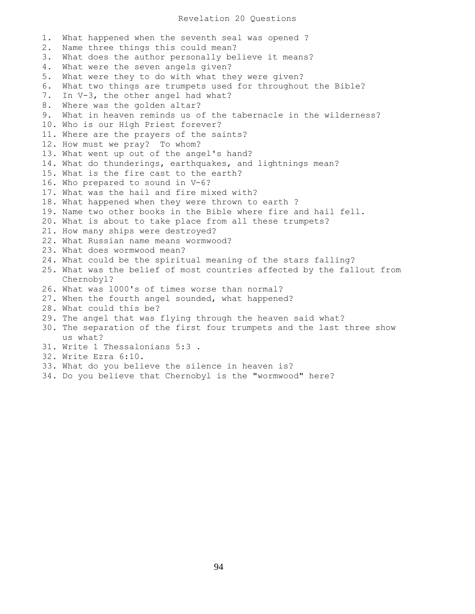## Revelation 20 Questions

1. What happened when the seventh seal was opened ? 2. Name three things this could mean? 3. What does the author personally believe it means? 4. What were the seven angels given? 5. What were they to do with what they were given? 6. What two things are trumpets used for throughout the Bible? 7. In V-3, the other angel had what? 8. Where was the golden altar? 9. What in heaven reminds us of the tabernacle in the wilderness? 10. Who is our High Priest forever? 11. Where are the prayers of the saints? 12. How must we pray? To whom? 13. What went up out of the angel's hand? 14. What do thunderings, earthquakes, and lightnings mean? 15. What is the fire cast to the earth? 16. Who prepared to sound in V-6? 17. What was the hail and fire mixed with? 18. What happened when they were thrown to earth ? 19. Name two other books in the Bible where fire and hail fell. 20. What is about to take place from all these trumpets? 21. How many ships were destroyed? 22. What Russian name means wormwood? 23. What does wormwood mean? 24. What could be the spiritual meaning of the stars falling? 25. What was the belief of most countries affected by the fallout from Chernobyl? 26. What was 1000's of times worse than normal? 27. When the fourth angel sounded, what happened? 28. What could this be? 29. The angel that was flying through the heaven said what? 30. The separation of the first four trumpets and the last three show us what? 31. Write 1 Thessalonians 5:3 . 32. Write Ezra 6:10. 33. What do you believe the silence in heaven is?

34. Do you believe that Chernobyl is the "wormwood" here?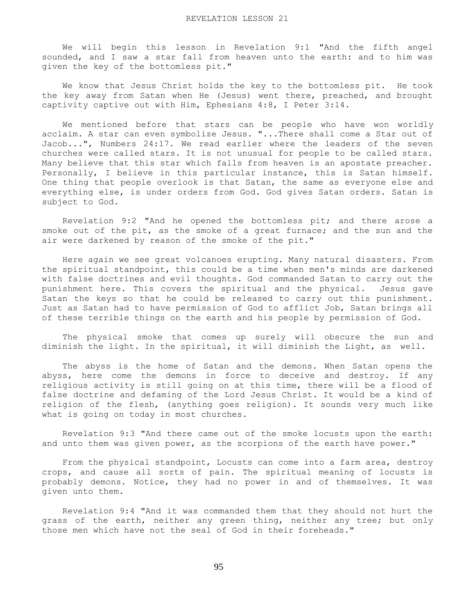We will begin this lesson in Revelation 9:1 "And the fifth angel sounded, and I saw a star fall from heaven unto the earth: and to him was given the key of the bottomless pit."

 We know that Jesus Christ holds the key to the bottomless pit. He took the key away from Satan when He (Jesus) went there, preached, and brought captivity captive out with Him, Ephesians 4:8, I Peter 3:14.

 We mentioned before that stars can be people who have won worldly acclaim. A star can even symbolize Jesus. "...There shall come a Star out of Jacob...", Numbers 24:17. We read earlier where the leaders of the seven churches were called stars. It is not unusual for people to be called stars. Many believe that this star which falls from heaven is an apostate preacher. Personally, I believe in this particular instance, this is Satan himself. One thing that people overlook is that Satan, the same as everyone else and everything else, is under orders from God. God gives Satan orders. Satan is subject to God.

 Revelation 9:2 "And he opened the bottomless pit; and there arose a smoke out of the pit, as the smoke of a great furnace; and the sun and the air were darkened by reason of the smoke of the pit."

 Here again we see great volcanoes erupting. Many natural disasters. From the spiritual standpoint, this could be a time when men's minds are darkened with false doctrines and evil thoughts. God commanded Satan to carry out the punishment here. This covers the spiritual and the physical. Jesus gave Satan the keys so that he could be released to carry out this punishment. Just as Satan had to have permission of God to afflict Job, Satan brings all of these terrible things on the earth and his people by permission of God.

 The physical smoke that comes up surely will obscure the sun and diminish the light. In the spiritual, it will diminish the Light, as well.

 The abyss is the home of Satan and the demons. When Satan opens the abyss, here come the demons in force to deceive and destroy. If any religious activity is still going on at this time, there will be a flood of false doctrine and defaming of the Lord Jesus Christ. It would be a kind of religion of the flesh, (anything goes religion). It sounds very much like what is going on today in most churches.

 Revelation 9:3 "And there came out of the smoke locusts upon the earth: and unto them was given power, as the scorpions of the earth have power."

 From the physical standpoint, Locusts can come into a farm area, destroy crops, and cause all sorts of pain. The spiritual meaning of locusts is probably demons. Notice, they had no power in and of themselves. It was given unto them.

 Revelation 9:4 "And it was commanded them that they should not hurt the grass of the earth, neither any green thing, neither any tree; but only those men which have not the seal of God in their foreheads."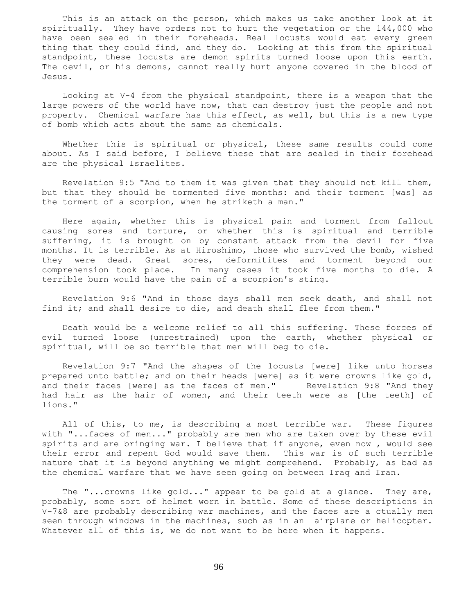This is an attack on the person, which makes us take another look at it spiritually. They have orders not to hurt the vegetation or the 144,000 who have been sealed in their foreheads. Real locusts would eat every green thing that they could find, and they do. Looking at this from the spiritual standpoint, these locusts are demon spirits turned loose upon this earth. The devil, or his demons, cannot really hurt anyone covered in the blood of Jesus.

 Looking at V-4 from the physical standpoint, there is a weapon that the large powers of the world have now, that can destroy just the people and not property. Chemical warfare has this effect, as well, but this is a new type of bomb which acts about the same as chemicals.

 Whether this is spiritual or physical, these same results could come about. As I said before, I believe these that are sealed in their forehead are the physical Israelites.

 Revelation 9:5 "And to them it was given that they should not kill them, but that they should be tormented five months: and their torment [was] as the torment of a scorpion, when he striketh a man."

 Here again, whether this is physical pain and torment from fallout causing sores and torture, or whether this is spiritual and terrible suffering, it is brought on by constant attack from the devil for five months. It is terrible. As at Hiroshimo, those who survived the bomb, wished they were dead. Great sores, deformitites and torment beyond our comprehension took place. In many cases it took five months to die. A terrible burn would have the pain of a scorpion's sting.

 Revelation 9:6 "And in those days shall men seek death, and shall not find it; and shall desire to die, and death shall flee from them."

 Death would be a welcome relief to all this suffering. These forces of evil turned loose (unrestrained) upon the earth, whether physical or spiritual, will be so terrible that men will beg to die.

 Revelation 9:7 "And the shapes of the locusts [were] like unto horses prepared unto battle; and on their heads [were] as it were crowns like gold, and their faces [were] as the faces of men." Revelation 9:8 "And they had hair as the hair of women, and their teeth were as [the teeth] of lions."

 All of this, to me, is describing a most terrible war. These figures with "...faces of men..." probably are men who are taken over by these evil spirits and are bringing war. I believe that if anyone, even now, would see their error and repent God would save them. This war is of such terrible nature that it is beyond anything we might comprehend. Probably, as bad as the chemical warfare that we have seen going on between Iraq and Iran.

 The "...crowns like gold..." appear to be gold at a glance. They are, probably, some sort of helmet worn in battle. Some of these descriptions in V-7&8 are probably describing war machines, and the faces are a ctually men seen through windows in the machines, such as in an airplane or helicopter. Whatever all of this is, we do not want to be here when it happens.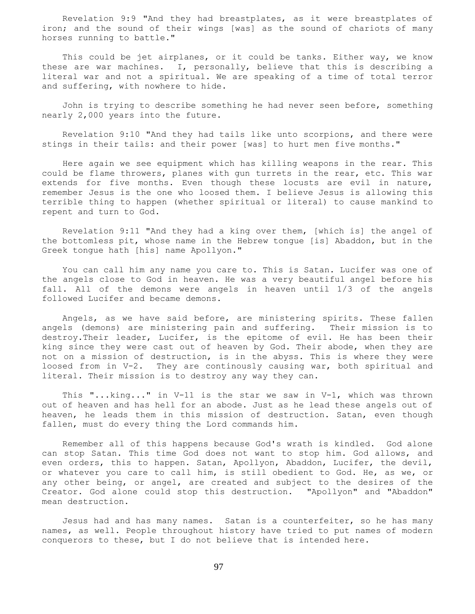Revelation 9:9 "And they had breastplates, as it were breastplates of iron; and the sound of their wings [was] as the sound of chariots of many horses running to battle."

This could be jet airplanes, or it could be tanks. Either way, we know these are war machines. I, personally, believe that this is describing a literal war and not a spiritual. We are speaking of a time of total terror and suffering, with nowhere to hide.

 John is trying to describe something he had never seen before, something nearly 2,000 years into the future.

 Revelation 9:10 "And they had tails like unto scorpions, and there were stings in their tails: and their power [was] to hurt men five months."

 Here again we see equipment which has killing weapons in the rear. This could be flame throwers, planes with gun turrets in the rear, etc. This war extends for five months. Even though these locusts are evil in nature, remember Jesus is the one who loosed them. I believe Jesus is allowing this terrible thing to happen (whether spiritual or literal) to cause mankind to repent and turn to God.

 Revelation 9:11 "And they had a king over them, [which is] the angel of the bottomless pit, whose name in the Hebrew tongue [is] Abaddon, but in the Greek tongue hath [his] name Apollyon."

 You can call him any name you care to. This is Satan. Lucifer was one of the angels close to God in heaven. He was a very beautiful angel before his fall. All of the demons were angels in heaven until 1/3 of the angels followed Lucifer and became demons.

 Angels, as we have said before, are ministering spirits. These fallen angels (demons) are ministering pain and suffering. Their mission is to destroy.Their leader, Lucifer, is the epitome of evil. He has been their king since they were cast out of heaven by God. Their abode, when they are not on a mission of destruction, is in the abyss. This is where they were loosed from in V-2. They are continously causing war, both spiritual and literal. Their mission is to destroy any way they can.

This "...king..." in V-11 is the star we saw in V-1, which was thrown out of heaven and has hell for an abode. Just as he lead these angels out of heaven, he leads them in this mission of destruction. Satan, even though fallen, must do every thing the Lord commands him.

 Remember all of this happens because God's wrath is kindled. God alone can stop Satan. This time God does not want to stop him. God allows, and even orders, this to happen. Satan, Apollyon, Abaddon, Lucifer, the devil, or whatever you care to call him, is still obedient to God. He, as we, or any other being, or angel, are created and subject to the desires of the Creator. God alone could stop this destruction. "Apollyon" and "Abaddon" mean destruction.

 Jesus had and has many names. Satan is a counterfeiter, so he has many names, as well. People throughout history have tried to put names of modern conquerors to these, but I do not believe that is intended here.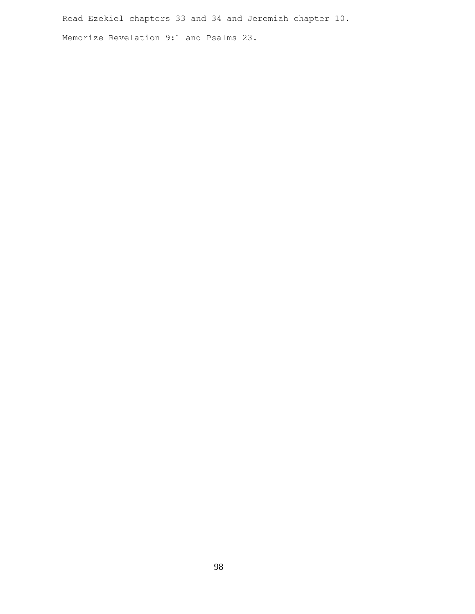Read Ezekiel chapters 33 and 34 and Jeremiah chapter 10. Memorize Revelation 9:1 and Psalms 23.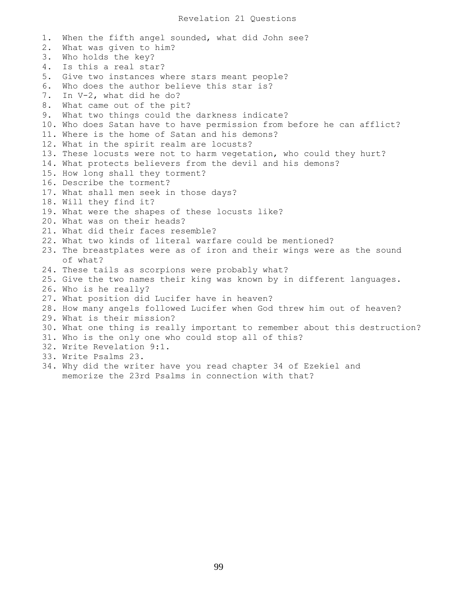1. When the fifth angel sounded, what did John see? 2. What was given to him? 3. Who holds the key? 4. Is this a real star? 5. Give two instances where stars meant people? 6. Who does the author believe this star is? 7. In V-2, what did he do? 8. What came out of the pit? 9. What two things could the darkness indicate? 10. Who does Satan have to have permission from before he can afflict? 11. Where is the home of Satan and his demons? 12. What in the spirit realm are locusts? 13. These locusts were not to harm vegetation, who could they hurt? 14. What protects believers from the devil and his demons? 15. How long shall they torment? 16. Describe the torment? 17. What shall men seek in those days? 18. Will they find it? 19. What were the shapes of these locusts like? 20. What was on their heads? 21. What did their faces resemble? 22. What two kinds of literal warfare could be mentioned? 23. The breastplates were as of iron and their wings were as the sound of what? 24. These tails as scorpions were probably what? 25. Give the two names their king was known by in different languages. 26. Who is he really? 27. What position did Lucifer have in heaven? 28. How many angels followed Lucifer when God threw him out of heaven? 29. What is their mission? 30. What one thing is really important to remember about this destruction? 31. Who is the only one who could stop all of this? 32. Write Revelation 9:1. 33. Write Psalms 23. 34. Why did the writer have you read chapter 34 of Ezekiel and memorize the 23rd Psalms in connection with that?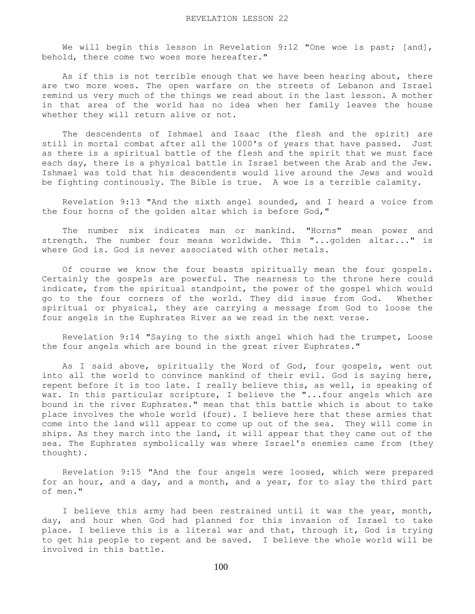We will begin this lesson in Revelation 9:12 "One woe is past; [and], behold, there come two woes more hereafter."

As if this is not terrible enough that we have been hearing about, there are two more woes. The open warfare on the streets of Lebanon and Israel remind us very much of the things we read about in the last lesson. A mother in that area of the world has no idea when her family leaves the house whether they will return alive or not.

 The descendents of Ishmael and Isaac (the flesh and the spirit) are still in mortal combat after all the 1000's of years that have passed. Just as there is a spiritual battle of the flesh and the spirit that we must face each day, there is a physical battle in Israel between the Arab and the Jew. Ishmael was told that his descendents would live around the Jews and would be fighting continously. The Bible is true. A woe is a terrible calamity.

 Revelation 9:13 "And the sixth angel sounded, and I heard a voice from the four horns of the golden altar which is before God,"

 The number six indicates man or mankind. "Horns" mean power and strength. The number four means worldwide. This "...golden altar..." is where God is. God is never associated with other metals.

 Of course we know the four beasts spiritually mean the four gospels. Certainly the gospels are powerful. The nearness to the throne here could indicate, from the spiritual standpoint, the power of the gospel which would go to the four corners of the world. They did issue from God. Whether spiritual or physical, they are carrying a message from God to loose the four angels in the Euphrates River as we read in the next verse.

 Revelation 9:14 "Saying to the sixth angel which had the trumpet, Loose the four angels which are bound in the great river Euphrates."

 As I said above, spiritually the Word of God, four gospels, went out into all the world to convince mankind of their evil. God is saying here, repent before it is too late. I really believe this, as well, is speaking of war. In this particular scripture, I believe the "...four angels which are bound in the river Euphrates." mean that this battle which is about to take place involves the whole world (four). I believe here that these armies that come into the land will appear to come up out of the sea. They will come in ships. As they march into the land, it will appear that they came out of the sea. The Euphrates symbolically was where Israel's enemies came from (they thought).

 Revelation 9:15 "And the four angels were loosed, which were prepared for an hour, and a day, and a month, and a year, for to slay the third part of men."

 I believe this army had been restrained until it was the year, month, day, and hour when God had planned for this invasion of Israel to take place. I believe this is a literal war and that, through it, God is trying to get his people to repent and be saved. I believe the whole world will be involved in this battle.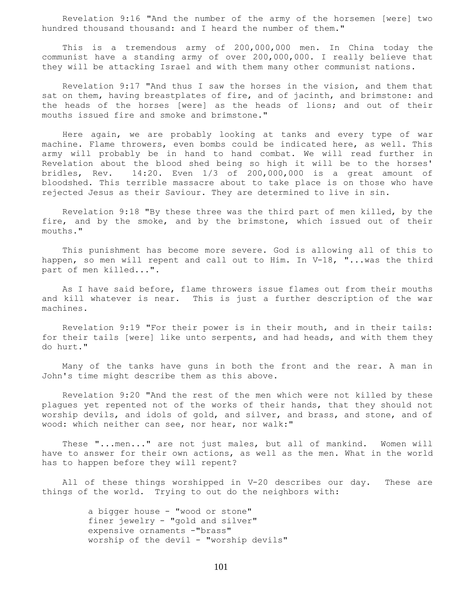Revelation 9:16 "And the number of the army of the horsemen [were] two hundred thousand thousand: and I heard the number of them."

 This is a tremendous army of 200,000,000 men. In China today the communist have a standing army of over 200,000,000. I really believe that they will be attacking Israel and with them many other communist nations.

 Revelation 9:17 "And thus I saw the horses in the vision, and them that sat on them, having breastplates of fire, and of jacinth, and brimstone: and the heads of the horses [were] as the heads of lions; and out of their mouths issued fire and smoke and brimstone."

 Here again, we are probably looking at tanks and every type of war machine. Flame throwers, even bombs could be indicated here, as well. This army will probably be in hand to hand combat. We will read further in Revelation about the blood shed being so high it will be to the horses' bridles, Rev. 14:20. Even 1/3 of 200,000,000 is a great amount of bloodshed. This terrible massacre about to take place is on those who have rejected Jesus as their Saviour. They are determined to live in sin.

 Revelation 9:18 "By these three was the third part of men killed, by the fire, and by the smoke, and by the brimstone, which issued out of their mouths."

 This punishment has become more severe. God is allowing all of this to happen, so men will repent and call out to Him. In V-18, "...was the third part of men killed...".

 As I have said before, flame throwers issue flames out from their mouths and kill whatever is near. This is just a further description of the war machines.

 Revelation 9:19 "For their power is in their mouth, and in their tails: for their tails [were] like unto serpents, and had heads, and with them they do hurt."

 Many of the tanks have guns in both the front and the rear. A man in John's time might describe them as this above.

 Revelation 9:20 "And the rest of the men which were not killed by these plagues yet repented not of the works of their hands, that they should not worship devils, and idols of gold, and silver, and brass, and stone, and of wood: which neither can see, nor hear, nor walk:"

 These "...men..." are not just males, but all of mankind. Women will have to answer for their own actions, as well as the men. What in the world has to happen before they will repent?

 All of these things worshipped in V-20 describes our day. These are things of the world. Trying to out do the neighbors with:

> a bigger house - "wood or stone" finer jewelry - "gold and silver" expensive ornaments -"brass" worship of the devil - "worship devils"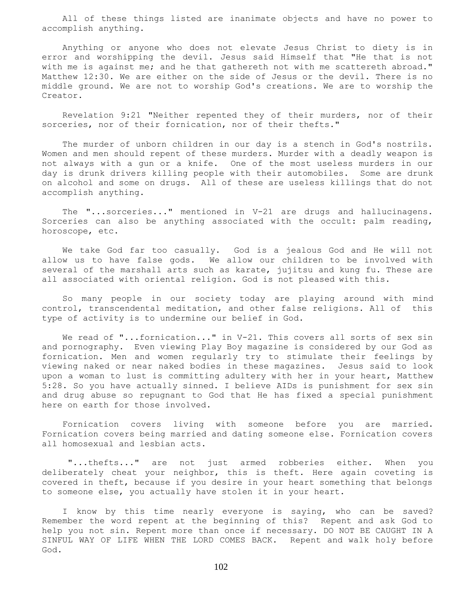All of these things listed are inanimate objects and have no power to accomplish anything.

 Anything or anyone who does not elevate Jesus Christ to diety is in error and worshipping the devil. Jesus said Himself that "He that is not with me is against me; and he that gathereth not with me scattereth abroad." Matthew 12:30. We are either on the side of Jesus or the devil. There is no middle ground. We are not to worship God's creations. We are to worship the Creator.

 Revelation 9:21 "Neither repented they of their murders, nor of their sorceries, nor of their fornication, nor of their thefts."

 The murder of unborn children in our day is a stench in God's nostrils. Women and men should repent of these murders. Murder with a deadly weapon is not always with a gun or a knife. One of the most useless murders in our day is drunk drivers killing people with their automobiles. Some are drunk on alcohol and some on drugs. All of these are useless killings that do not accomplish anything.

 The "...sorceries..." mentioned in V-21 are drugs and hallucinagens. Sorceries can also be anything associated with the occult: palm reading, horoscope, etc.

 We take God far too casually. God is a jealous God and He will not allow us to have false gods. We allow our children to be involved with several of the marshall arts such as karate, jujitsu and kung fu. These are all associated with oriental religion. God is not pleased with this.

 So many people in our society today are playing around with mind control, transcendental meditation, and other false religions. All of this type of activity is to undermine our belief in God.

We read of "...fornication..." in V-21. This covers all sorts of sex sin and pornography. Even viewing Play Boy magazine is considered by our God as fornication. Men and women regularly try to stimulate their feelings by viewing naked or near naked bodies in these magazines. Jesus said to look upon a woman to lust is committing adultery with her in your heart, Matthew 5:28. So you have actually sinned. I believe AIDs is punishment for sex sin and drug abuse so repugnant to God that He has fixed a special punishment here on earth for those involved.

 Fornication covers living with someone before you are married. Fornication covers being married and dating someone else. Fornication covers all homosexual and lesbian acts.

 "...thefts..." are not just armed robberies either. When you deliberately cheat your neighbor, this is theft. Here again coveting is covered in theft, because if you desire in your heart something that belongs to someone else, you actually have stolen it in your heart.

 I know by this time nearly everyone is saying, who can be saved? Remember the word repent at the beginning of this? Repent and ask God to help you not sin. Repent more than once if necessary. DO NOT BE CAUGHT IN A SINFUL WAY OF LIFE WHEN THE LORD COMES BACK. Repent and walk holy before God.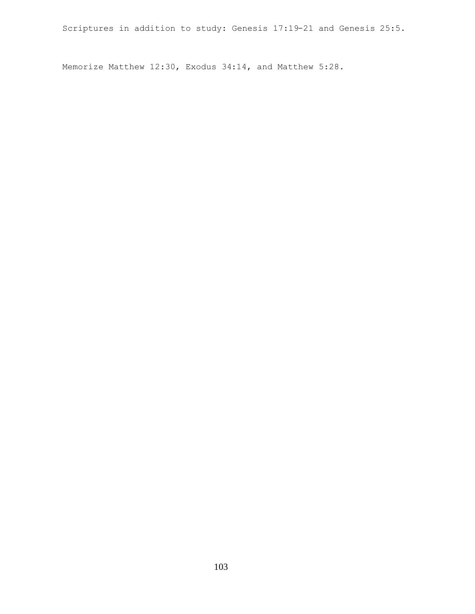Scriptures in addition to study: Genesis 17:19-21 and Genesis 25:5.

Memorize Matthew 12:30, Exodus 34:14, and Matthew 5:28.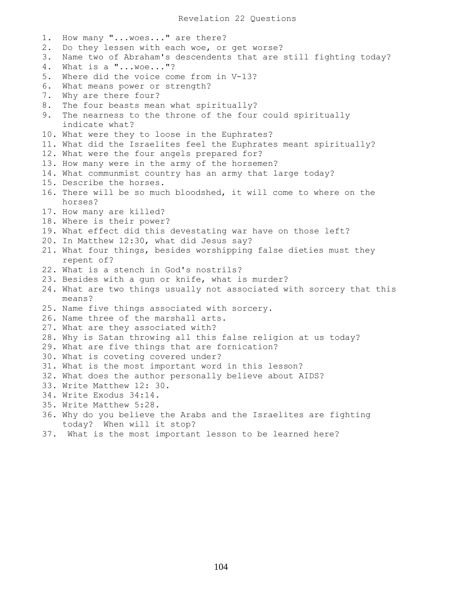1. How many "...woes..." are there? 2. Do they lessen with each woe, or get worse? 3. Name two of Abraham's descendents that are still fighting today? 4. What is a "...woe..."? 5. Where did the voice come from in V-13? 6. What means power or strength? 7. Why are there four? 8. The four beasts mean what spiritually? 9. The nearness to the throne of the four could spiritually indicate what? 10. What were they to loose in the Euphrates? 11. What did the Israelites feel the Euphrates meant spiritually? 12. What were the four angels prepared for? 13. How many were in the army of the horsemen? 14. What communmist country has an army that large today? 15. Describe the horses. 16. There will be so much bloodshed, it will come to where on the horses? 17. How many are killed? 18. Where is their power? 19. What effect did this devestating war have on those left? 20. In Matthew 12:30, what did Jesus say? 21. What four things, besides worshipping false dieties must they repent of? 22. What is a stench in God's nostrils? 23. Besides with a gun or knife, what is murder? 24. What are two things usually not associated with sorcery that this means? 25. Name five things associated with sorcery. 26. Name three of the marshall arts. 27. What are they associated with? 28. Why is Satan throwing all this false religion at us today? 29. What are five things that are fornication? 30. What is coveting covered under? 31. What is the most important word in this lesson? 32. What does the author personally believe about AIDS? 33. Write Matthew 12: 30. 34. Write Exodus 34:14. 35. Write Matthew 5:28. 36. Why do you believe the Arabs and the Israelites are fighting today? When will it stop? 37. What is the most important lesson to be learned here?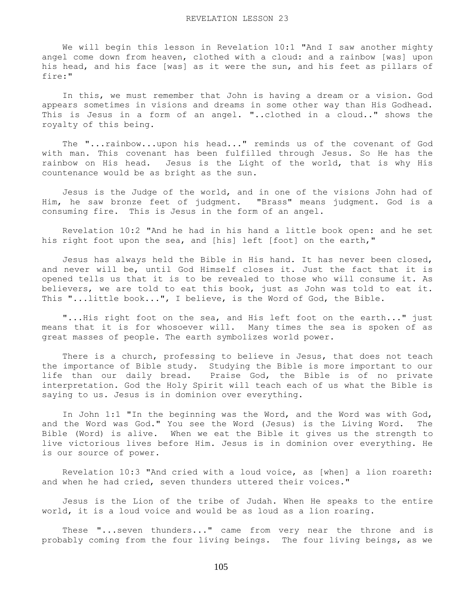We will begin this lesson in Revelation 10:1 "And I saw another mighty angel come down from heaven, clothed with a cloud: and a rainbow [was] upon his head, and his face [was] as it were the sun, and his feet as pillars of fire:"

 In this, we must remember that John is having a dream or a vision. God appears sometimes in visions and dreams in some other way than His Godhead. This is Jesus in a form of an angel. "..clothed in a cloud.." shows the royalty of this being.

 The "...rainbow...upon his head..." reminds us of the covenant of God with man. This covenant has been fulfilled through Jesus. So He has the rainbow on His head. Jesus is the Light of the world, that is why His countenance would be as bright as the sun.

 Jesus is the Judge of the world, and in one of the visions John had of Him, he saw bronze feet of judgment. "Brass" means judgment. God is a consuming fire. This is Jesus in the form of an angel.

 Revelation 10:2 "And he had in his hand a little book open: and he set his right foot upon the sea, and [his] left [foot] on the earth,"

 Jesus has always held the Bible in His hand. It has never been closed, and never will be, until God Himself closes it. Just the fact that it is opened tells us that it is to be revealed to those who will consume it. As believers, we are told to eat this book, just as John was told to eat it. This "...little book...", I believe, is the Word of God, the Bible.

 "...His right foot on the sea, and His left foot on the earth..." just means that it is for whosoever will. Many times the sea is spoken of as great masses of people. The earth symbolizes world power.

There is a church, professing to believe in Jesus, that does not teach the importance of Bible study. Studying the Bible is more important to our life than our daily bread. Praise God, the Bible is of no private interpretation. God the Holy Spirit will teach each of us what the Bible is saying to us. Jesus is in dominion over everything.

 In John 1:1 "In the beginning was the Word, and the Word was with God, and the Word was God." You see the Word (Jesus) is the Living Word. The Bible (Word) is alive. When we eat the Bible it gives us the strength to live victorious lives before Him. Jesus is in dominion over everything. He is our source of power.

 Revelation 10:3 "And cried with a loud voice, as [when] a lion roareth: and when he had cried, seven thunders uttered their voices."

 Jesus is the Lion of the tribe of Judah. When He speaks to the entire world, it is a loud voice and would be as loud as a lion roaring.

 These "...seven thunders..." came from very near the throne and is probably coming from the four living beings. The four living beings, as we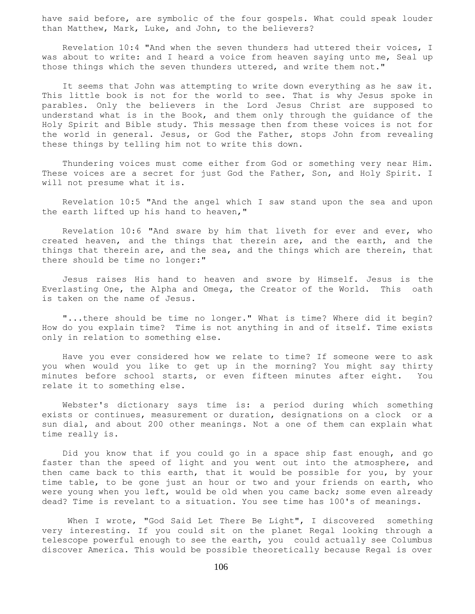have said before, are symbolic of the four gospels. What could speak louder than Matthew, Mark, Luke, and John, to the believers?

 Revelation 10:4 "And when the seven thunders had uttered their voices, I was about to write: and I heard a voice from heaven saying unto me, Seal up those things which the seven thunders uttered, and write them not."

 It seems that John was attempting to write down everything as he saw it. This little book is not for the world to see. That is why Jesus spoke in parables. Only the believers in the Lord Jesus Christ are supposed to understand what is in the Book, and them only through the guidance of the Holy Spirit and Bible study. This message then from these voices is not for the world in general. Jesus, or God the Father, stops John from revealing these things by telling him not to write this down.

 Thundering voices must come either from God or something very near Him. These voices are a secret for just God the Father, Son, and Holy Spirit. I will not presume what it is.

 Revelation 10:5 "And the angel which I saw stand upon the sea and upon the earth lifted up his hand to heaven,"

 Revelation 10:6 "And sware by him that liveth for ever and ever, who created heaven, and the things that therein are, and the earth, and the things that therein are, and the sea, and the things which are therein, that there should be time no longer:"

 Jesus raises His hand to heaven and swore by Himself. Jesus is the Everlasting One, the Alpha and Omega, the Creator of the World. This oath is taken on the name of Jesus.

 "...there should be time no longer." What is time? Where did it begin? How do you explain time? Time is not anything in and of itself. Time exists only in relation to something else.

 Have you ever considered how we relate to time? If someone were to ask you when would you like to get up in the morning? You might say thirty minutes before school starts, or even fifteen minutes after eight. You relate it to something else.

 Webster's dictionary says time is: a period during which something exists or continues, measurement or duration, designations on a clock or a sun dial, and about 200 other meanings. Not a one of them can explain what time really is.

 Did you know that if you could go in a space ship fast enough, and go faster than the speed of light and you went out into the atmosphere, and then came back to this earth, that it would be possible for you, by your time table, to be gone just an hour or two and your friends on earth, who were young when you left, would be old when you came back; some even already dead? Time is revelant to a situation. You see time has 100's of meanings.

When I wrote, "God Said Let There Be Light", I discovered something very interesting. If you could sit on the planet Regal looking through a telescope powerful enough to see the earth, you could actually see Columbus discover America. This would be possible theoretically because Regal is over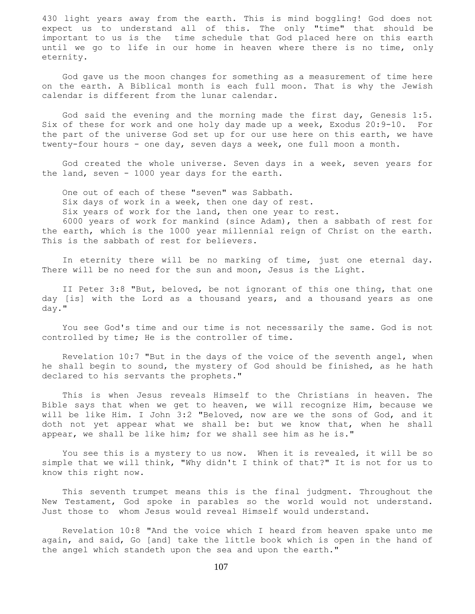430 light years away from the earth. This is mind boggling! God does not expect us to understand all of this. The only "time" that should be important to us is the time schedule that God placed here on this earth until we go to life in our home in heaven where there is no time, only eternity.

 God gave us the moon changes for something as a measurement of time here on the earth. A Biblical month is each full moon. That is why the Jewish calendar is different from the lunar calendar.

 God said the evening and the morning made the first day, Genesis 1:5. Six of these for work and one holy day made up a week, Exodus 20:9-10. For the part of the universe God set up for our use here on this earth, we have twenty-four hours - one day, seven days a week, one full moon a month.

 God created the whole universe. Seven days in a week, seven years for the land, seven - 1000 year days for the earth.

 One out of each of these "seven" was Sabbath. Six days of work in a week, then one day of rest. Six years of work for the land, then one year to rest.

 6000 years of work for mankind (since Adam), then a sabbath of rest for the earth, which is the 1000 year millennial reign of Christ on the earth. This is the sabbath of rest for believers.

 In eternity there will be no marking of time, just one eternal day. There will be no need for the sun and moon, Jesus is the Light.

 II Peter 3:8 "But, beloved, be not ignorant of this one thing, that one day [is] with the Lord as a thousand years, and a thousand years as one day."

 You see God's time and our time is not necessarily the same. God is not controlled by time; He is the controller of time.

 Revelation 10:7 "But in the days of the voice of the seventh angel, when he shall begin to sound, the mystery of God should be finished, as he hath declared to his servants the prophets."

 This is when Jesus reveals Himself to the Christians in heaven. The Bible says that when we get to heaven, we will recognize Him, because we will be like Him. I John 3:2 "Beloved, now are we the sons of God, and it doth not yet appear what we shall be: but we know that, when he shall appear, we shall be like him; for we shall see him as he is."

 You see this is a mystery to us now. When it is revealed, it will be so simple that we will think, "Why didn't I think of that?" It is not for us to know this right now.

 This seventh trumpet means this is the final judgment. Throughout the New Testament, God spoke in parables so the world would not understand. Just those to whom Jesus would reveal Himself would understand.

 Revelation 10:8 "And the voice which I heard from heaven spake unto me again, and said, Go [and] take the little book which is open in the hand of the angel which standeth upon the sea and upon the earth."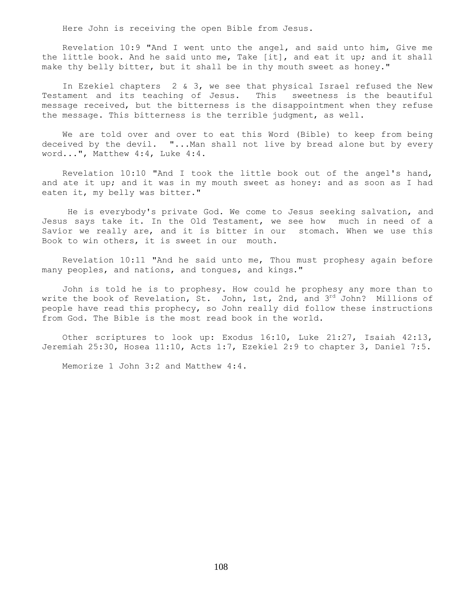Here John is receiving the open Bible from Jesus.

 Revelation 10:9 "And I went unto the angel, and said unto him, Give me the little book. And he said unto me, Take [it], and eat it up; and it shall make thy belly bitter, but it shall be in thy mouth sweet as honey."

 In Ezekiel chapters 2 & 3, we see that physical Israel refused the New Testament and its teaching of Jesus. This sweetness is the beautiful message received, but the bitterness is the disappointment when they refuse the message. This bitterness is the terrible judgment, as well.

 We are told over and over to eat this Word (Bible) to keep from being deceived by the devil. "...Man shall not live by bread alone but by every word...", Matthew 4:4, Luke 4:4.

 Revelation 10:10 "And I took the little book out of the angel's hand, and ate it up; and it was in my mouth sweet as honey: and as soon as I had eaten it, my belly was bitter."

 He is everybody's private God. We come to Jesus seeking salvation, and Jesus says take it. In the Old Testament, we see how much in need of a Savior we really are, and it is bitter in our stomach. When we use this Book to win others, it is sweet in our mouth.

 Revelation 10:11 "And he said unto me, Thou must prophesy again before many peoples, and nations, and tongues, and kings."

 John is told he is to prophesy. How could he prophesy any more than to write the book of Revelation, St. John, 1st, 2nd, and 3rd John? Millions of people have read this prophecy, so John really did follow these instructions from God. The Bible is the most read book in the world.

 Other scriptures to look up: Exodus 16:10, Luke 21:27, Isaiah 42:13, Jeremiah 25:30, Hosea 11:10, Acts 1:7, Ezekiel 2:9 to chapter 3, Daniel 7:5.

Memorize 1 John 3:2 and Matthew 4:4.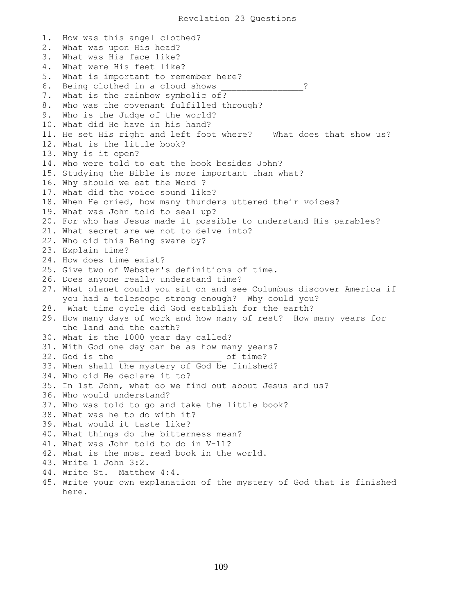1. How was this angel clothed? 2. What was upon His head? 3. What was His face like? 4. What were His feet like? 5. What is important to remember here? 6. Being clothed in a cloud shows ? 7. What is the rainbow symbolic of? 8. Who was the covenant fulfilled through? 9. Who is the Judge of the world? 10. What did He have in his hand? 11. He set His right and left foot where? What does that show us? 12. What is the little book? 13. Why is it open? 14. Who were told to eat the book besides John? 15. Studying the Bible is more important than what? 16. Why should we eat the Word ? 17. What did the voice sound like? 18. When He cried, how many thunders uttered their voices? 19. What was John told to seal up? 20. For who has Jesus made it possible to understand His parables? 21. What secret are we not to delve into? 22. Who did this Being sware by? 23. Explain time? 24. How does time exist? 25. Give two of Webster's definitions of time. 26. Does anyone really understand time? 27. What planet could you sit on and see Columbus discover America if you had a telescope strong enough? Why could you? 28. What time cycle did God establish for the earth? 29. How many days of work and how many of rest? How many years for the land and the earth? 30. What is the 1000 year day called? 31. With God one day can be as how many years? 32. God is the  $\qquad \qquad$  of time? 33. When shall the mystery of God be finished? 34. Who did He declare it to? 35. In 1st John, what do we find out about Jesus and us? 36. Who would understand? 37. Who was told to go and take the little book? 38. What was he to do with it? 39. What would it taste like? 40. What things do the bitterness mean? 41. What was John told to do in V-11? 42. What is the most read book in the world. 43. Write 1 John 3:2. 44. Write St. Matthew 4:4. 45. Write your own explanation of the mystery of God that is finished here.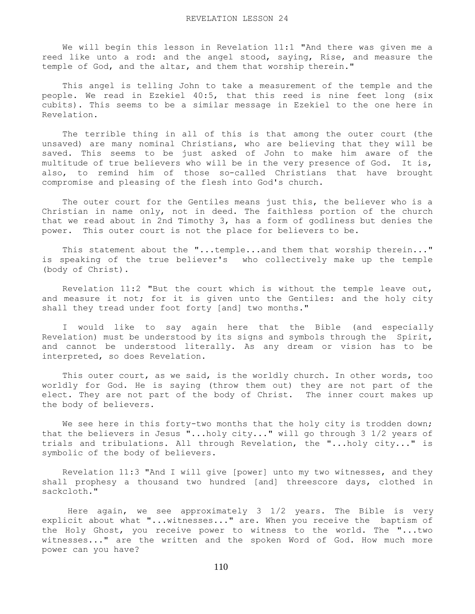We will begin this lesson in Revelation 11:1 "And there was given me a reed like unto a rod: and the angel stood, saying, Rise, and measure the temple of God, and the altar, and them that worship therein."

 This angel is telling John to take a measurement of the temple and the people. We read in Ezekiel 40:5, that this reed is nine feet long (six cubits). This seems to be a similar message in Ezekiel to the one here in Revelation.

 The terrible thing in all of this is that among the outer court (the unsaved) are many nominal Christians, who are believing that they will be saved. This seems to be just asked of John to make him aware of the multitude of true believers who will be in the very presence of God. It is, also, to remind him of those so-called Christians that have brought compromise and pleasing of the flesh into God's church.

 The outer court for the Gentiles means just this, the believer who is a Christian in name only, not in deed. The faithless portion of the church that we read about in 2nd Timothy 3, has a form of godliness but denies the power. This outer court is not the place for believers to be.

 This statement about the "...temple...and them that worship therein..." is speaking of the true believer's who collectively make up the temple (body of Christ).

 Revelation 11:2 "But the court which is without the temple leave out, and measure it not; for it is given unto the Gentiles: and the holy city shall they tread under foot forty [and] two months."

 I would like to say again here that the Bible (and especially Revelation) must be understood by its signs and symbols through the Spirit, and cannot be understood literally. As any dream or vision has to be interpreted, so does Revelation.

 This outer court, as we said, is the worldly church. In other words, too worldly for God. He is saying (throw them out) they are not part of the elect. They are not part of the body of Christ. The inner court makes up the body of believers.

We see here in this forty-two months that the holy city is trodden down; that the believers in Jesus "...holy city..." will go through 3 1/2 years of trials and tribulations. All through Revelation, the "...holy city..." is symbolic of the body of believers.

 Revelation 11:3 "And I will give [power] unto my two witnesses, and they shall prophesy a thousand two hundred [and] threescore days, clothed in sackcloth."

 Here again, we see approximately 3 1/2 years. The Bible is very explicit about what "...witnesses..." are. When you receive the baptism of the Holy Ghost, you receive power to witness to the world. The "...two witnesses..." are the written and the spoken Word of God. How much more power can you have?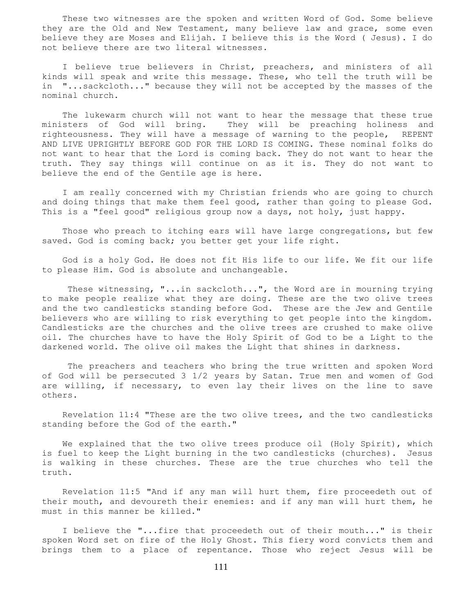These two witnesses are the spoken and written Word of God. Some believe they are the Old and New Testament, many believe law and grace, some even believe they are Moses and Elijah. I believe this is the Word ( Jesus). I do not believe there are two literal witnesses.

 I believe true believers in Christ, preachers, and ministers of all kinds will speak and write this message. These, who tell the truth will be in "...sackcloth..." because they will not be accepted by the masses of the nominal church.

 The lukewarm church will not want to hear the message that these true ministers of God will bring. They will be preaching holiness and righteousness. They will have a message of warning to the people, REPENT AND LIVE UPRIGHTLY BEFORE GOD FOR THE LORD IS COMING. These nominal folks do not want to hear that the Lord is coming back. They do not want to hear the truth. They say things will continue on as it is. They do not want to believe the end of the Gentile age is here.

 I am really concerned with my Christian friends who are going to church and doing things that make them feel good, rather than going to please God. This is a "feel good" religious group now a days, not holy, just happy.

 Those who preach to itching ears will have large congregations, but few saved. God is coming back; you better get your life right.

 God is a holy God. He does not fit His life to our life. We fit our life to please Him. God is absolute and unchangeable.

 These witnessing, "...in sackcloth...", the Word are in mourning trying to make people realize what they are doing. These are the two olive trees and the two candlesticks standing before God. These are the Jew and Gentile believers who are willing to risk everything to get people into the kingdom. Candlesticks are the churches and the olive trees are crushed to make olive oil. The churches have to have the Holy Spirit of God to be a Light to the darkened world. The olive oil makes the Light that shines in darkness.

 The preachers and teachers who bring the true written and spoken Word of God will be persecuted 3 1/2 years by Satan. True men and women of God are willing, if necessary, to even lay their lives on the line to save others.

 Revelation 11:4 "These are the two olive trees, and the two candlesticks standing before the God of the earth."

We explained that the two olive trees produce oil (Holy Spirit), which is fuel to keep the Light burning in the two candlesticks (churches). Jesus is walking in these churches. These are the true churches who tell the truth.

 Revelation 11:5 "And if any man will hurt them, fire proceedeth out of their mouth, and devoureth their enemies: and if any man will hurt them, he must in this manner be killed."

 I believe the "...fire that proceedeth out of their mouth..." is their spoken Word set on fire of the Holy Ghost. This fiery word convicts them and brings them to a place of repentance. Those who reject Jesus will be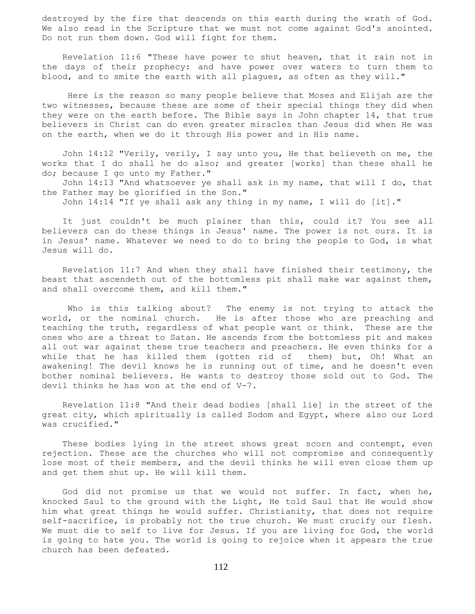destroyed by the fire that descends on this earth during the wrath of God. We also read in the Scripture that we must not come against God's anointed. Do not run them down. God will fight for them.

 Revelation 11:6 "These have power to shut heaven, that it rain not in the days of their prophecy: and have power over waters to turn them to blood, and to smite the earth with all plagues, as often as they will."

 Here is the reason so many people believe that Moses and Elijah are the two witnesses, because these are some of their special things they did when they were on the earth before. The Bible says in John chapter 14, that true believers in Christ can do even greater miracles than Jesus did when He was on the earth, when we do it through His power and in His name.

 John 14:12 "Verily, verily, I say unto you, He that believeth on me, the works that I do shall he do also; and greater [works] than these shall he do; because I go unto my Father."

 John 14:13 "And whatsoever ye shall ask in my name, that will I do, that the Father may be glorified in the Son."

John 14:14 "If ye shall ask any thing in my name, I will do [it]."

 It just couldn't be much plainer than this, could it? You see all believers can do these things in Jesus' name. The power is not ours. It is in Jesus' name. Whatever we need to do to bring the people to God, is what Jesus will do.

 Revelation 11:7 And when they shall have finished their testimony, the beast that ascendeth out of the bottomless pit shall make war against them, and shall overcome them, and kill them."

 Who is this talking about? The enemy is not trying to attack the world, or the nominal church. He is after those who are preaching and teaching the truth, regardless of what people want or think. These are the ones who are a threat to Satan. He ascends from the bottomless pit and makes all out war against these true teachers and preachers. He even thinks for a while that he has killed them (gotten rid of them) but, Oh! What an awakening! The devil knows he is running out of time, and he doesn't even bother nominal believers. He wants to destroy those sold out to God. The devil thinks he has won at the end of V-7.

 Revelation 11:8 "And their dead bodies [shall lie] in the street of the great city, which spiritually is called Sodom and Egypt, where also our Lord was crucified."

 These bodies lying in the street shows great scorn and contempt, even rejection. These are the churches who will not compromise and consequently lose most of their members, and the devil thinks he will even close them up and get them shut up. He will kill them.

 God did not promise us that we would not suffer. In fact, when he, knocked Saul to the ground with the Light, He told Saul that He would show him what great things he would suffer. Christianity, that does not require self-sacrifice, is probably not the true church. We must crucify our flesh. We must die to self to live for Jesus. If you are living for God, the world is going to hate you. The world is going to rejoice when it appears the true church has been defeated.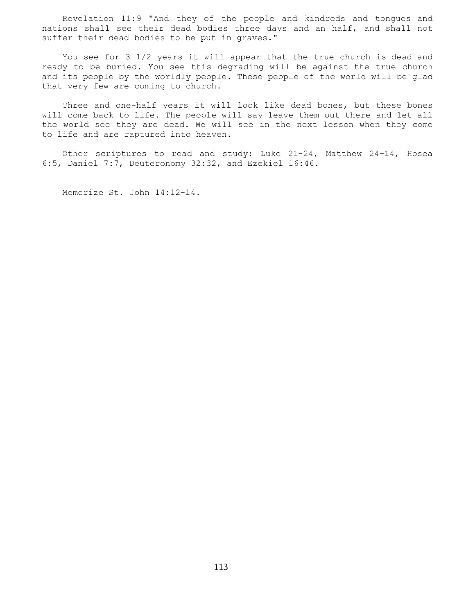Revelation 11:9 "And they of the people and kindreds and tongues and nations shall see their dead bodies three days and an half, and shall not suffer their dead bodies to be put in graves."

 You see for 3 1/2 years it will appear that the true church is dead and ready to be buried. You see this degrading will be against the true church and its people by the worldly people. These people of the world will be glad that very few are coming to church.

 Three and one-half years it will look like dead bones, but these bones will come back to life. The people will say leave them out there and let all the world see they are dead. We will see in the next lesson when they come to life and are raptured into heaven.

 Other scriptures to read and study: Luke 21-24, Matthew 24-14, Hosea 6:5, Daniel 7:7, Deuteronomy 32:32, and Ezekiel 16:46.

Memorize St. John 14:12-14.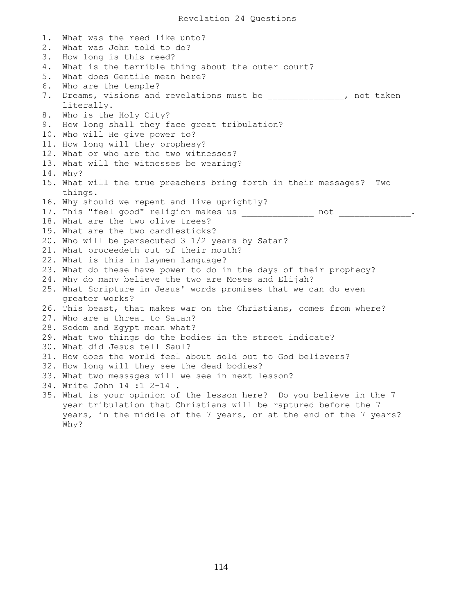1. What was the reed like unto? 2. What was John told to do? 3. How long is this reed? 4. What is the terrible thing about the outer court? 5. What does Gentile mean here? 6. Who are the temple? 7. Dreams, visions and revelations must be  $\qquad \qquad$ , not taken literally. 8. Who is the Holy City? 9. How long shall they face great tribulation? 10. Who will He give power to? 11. How long will they prophesy? 12. What or who are the two witnesses? 13. What will the witnesses be wearing? 14. Why? 15. What will the true preachers bring forth in their messages? Two things. 16. Why should we repent and live uprightly? 17. This "feel good" religion makes us \_\_\_\_\_\_\_\_\_\_\_\_\_\_ not \_\_\_\_\_\_\_\_\_\_\_\_\_\_. 18. What are the two olive trees? 19. What are the two candlesticks? 20. Who will be persecuted 3 1/2 years by Satan? 21. What proceedeth out of their mouth? 22. What is this in laymen language? 23. What do these have power to do in the days of their prophecy? 24. Why do many believe the two are Moses and Elijah? 25. What Scripture in Jesus' words promises that we can do even greater works? 26. This beast, that makes war on the Christians, comes from where? 27. Who are a threat to Satan? 28. Sodom and Egypt mean what? 29. What two things do the bodies in the street indicate? 30. What did Jesus tell Saul? 31. How does the world feel about sold out to God believers? 32. How long will they see the dead bodies? 33. What two messages will we see in next lesson? 34. Write John 14 :1 2-14 . 35. What is your opinion of the lesson here? Do you believe in the 7 year tribulation that Christians will be raptured before the 7 years, in the middle of the 7 years, or at the end of the 7 years? Why?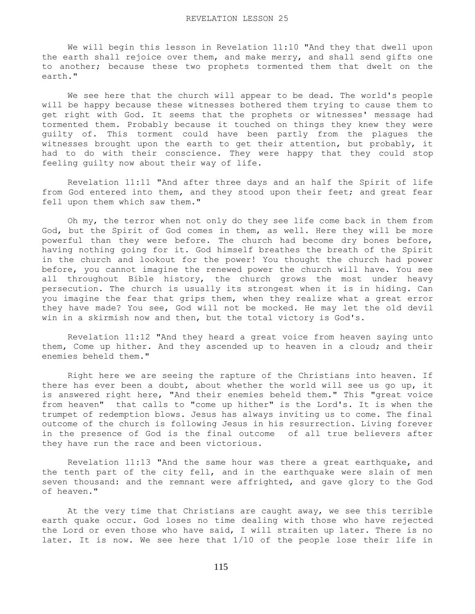We will begin this lesson in Revelation 11:10 "And they that dwell upon the earth shall rejoice over them, and make merry, and shall send gifts one to another; because these two prophets tormented them that dwelt on the earth."

 We see here that the church will appear to be dead. The world's people will be happy because these witnesses bothered them trying to cause them to get right with God. It seems that the prophets or witnesses' message had tormented them. Probably because it touched on things they knew they were guilty of. This torment could have been partly from the plagues the witnesses brought upon the earth to get their attention, but probably, it had to do with their conscience. They were happy that they could stop feeling guilty now about their way of life.

 Revelation 11:11 "And after three days and an half the Spirit of life from God entered into them, and they stood upon their feet; and great fear fell upon them which saw them."

 Oh my, the terror when not only do they see life come back in them from God, but the Spirit of God comes in them, as well. Here they will be more powerful than they were before. The church had become dry bones before, having nothing going for it. God himself breathes the breath of the Spirit in the church and lookout for the power! You thought the church had power before, you cannot imagine the renewed power the church will have. You see all throughout Bible history, the church grows the most under heavy persecution. The church is usually its strongest when it is in hiding. Can you imagine the fear that grips them, when they realize what a great error they have made? You see, God will not be mocked. He may let the old devil win in a skirmish now and then, but the total victory is God's.

 Revelation 11:12 "And they heard a great voice from heaven saying unto them, Come up hither. And they ascended up to heaven in a cloud; and their enemies beheld them."

 Right here we are seeing the rapture of the Christians into heaven. If there has ever been a doubt, about whether the world will see us go up, it is answered right here, "And their enemies beheld them." This "great voice from heaven" that calls to "come up hither" is the Lord's. It is when the trumpet of redemption blows. Jesus has always inviting us to come. The final outcome of the church is following Jesus in his resurrection. Living forever in the presence of God is the final outcome of all true believers after they have run the race and been victorious.

 Revelation 11:13 "And the same hour was there a great earthquake, and the tenth part of the city fell, and in the earthquake were slain of men seven thousand: and the remnant were affrighted, and gave glory to the God of heaven."

 At the very time that Christians are caught away, we see this terrible earth quake occur. God loses no time dealing with those who have rejected the Lord or even those who have said, I will straiten up later. There is no later. It is now. We see here that 1/10 of the people lose their life in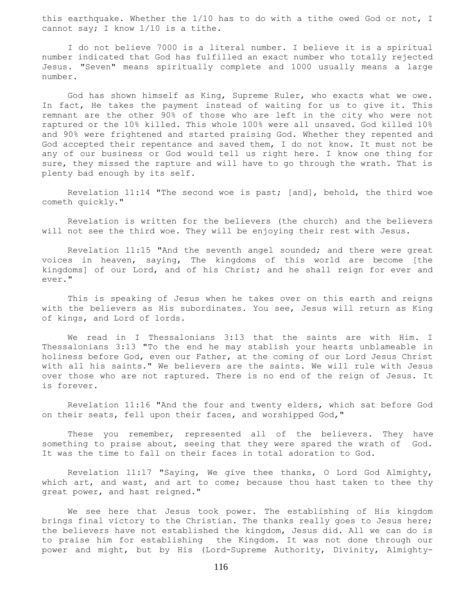this earthquake. Whether the 1/10 has to do with a tithe owed God or not, I cannot say; I know 1/10 is a tithe.

 I do not believe 7000 is a literal number. I believe it is a spiritual number indicated that God has fulfilled an exact number who totally rejected Jesus. "Seven" means spiritually complete and 1000 usually means a large number.

 God has shown himself as King, Supreme Ruler, who exacts what we owe. In fact, He takes the payment instead of waiting for us to give it. This remnant are the other 90% of those who are left in the city who were not raptured or the 10% killed. This whole 100% were all unsaved. God killed 10% and 90% were frightened and started praising God. Whether they repented and God accepted their repentance and saved them, I do not know. It must not be any of our business or God would tell us right here. I know one thing for sure, they missed the rapture and will have to go through the wrath. That is plenty bad enough by its self.

 Revelation 11:14 "The second woe is past; [and], behold, the third woe cometh quickly."

 Revelation is written for the believers (the church) and the believers will not see the third woe. They will be enjoying their rest with Jesus.

 Revelation 11:15 "And the seventh angel sounded; and there were great voices in heaven, saying, The kingdoms of this world are become [the kingdoms] of our Lord, and of his Christ; and he shall reign for ever and ever."

 This is speaking of Jesus when he takes over on this earth and reigns with the believers as His subordinates. You see, Jesus will return as King of kings, and Lord of lords.

 We read in I Thessalonians 3:13 that the saints are with Him. I Thessalonians 3:13 "To the end he may stablish your hearts unblameable in holiness before God, even our Father, at the coming of our Lord Jesus Christ with all his saints." We believers are the saints. We will rule with Jesus over those who are not raptured. There is no end of the reign of Jesus. It is forever.

 Revelation 11:16 "And the four and twenty elders, which sat before God on their seats, fell upon their faces, and worshipped God,"

These you remember, represented all of the believers. They have something to praise about, seeing that they were spared the wrath of God. It was the time to fall on their faces in total adoration to God.

 Revelation 11:17 "Saying, We give thee thanks, O Lord God Almighty, which art, and wast, and art to come; because thou hast taken to thee thy great power, and hast reigned."

 We see here that Jesus took power. The establishing of His kingdom brings final victory to the Christian. The thanks really goes to Jesus here; the believers have not established the kingdom, Jesus did. All we can do is to praise him for establishing the Kingdom. It was not done through our power and might, but by His (Lord-Supreme Authority, Divinity, Almighty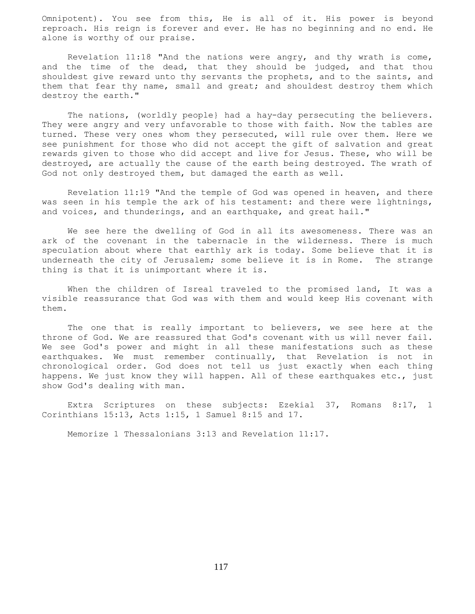Omnipotent). You see from this, He is all of it. His power is beyond reproach. His reign is forever and ever. He has no beginning and no end. He alone is worthy of our praise.

 Revelation 11:18 "And the nations were angry, and thy wrath is come, and the time of the dead, that they should be judged, and that thou shouldest give reward unto thy servants the prophets, and to the saints, and them that fear thy name, small and great; and shouldest destroy them which destroy the earth."

 The nations, (worldly people} had a hay-day persecuting the believers. They were angry and very unfavorable to those with faith. Now the tables are turned. These very ones whom they persecuted, will rule over them. Here we see punishment for those who did not accept the gift of salvation and great rewards given to those who did accept and live for Jesus. These, who will be destroyed, are actually the cause of the earth being destroyed. The wrath of God not only destroyed them, but damaged the earth as well.

 Revelation 11:19 "And the temple of God was opened in heaven, and there was seen in his temple the ark of his testament: and there were lightnings, and voices, and thunderings, and an earthquake, and great hail."

 We see here the dwelling of God in all its awesomeness. There was an ark of the covenant in the tabernacle in the wilderness. There is much speculation about where that earthly ark is today. Some believe that it is underneath the city of Jerusalem; some believe it is in Rome. The strange thing is that it is unimportant where it is.

When the children of Isreal traveled to the promised land, It was a visible reassurance that God was with them and would keep His covenant with them.

The one that is really important to believers, we see here at the throne of God. We are reassured that God's covenant with us will never fail. We see God's power and might in all these manifestations such as these earthquakes. We must remember continually, that Revelation is not in chronological order. God does not tell us just exactly when each thing happens. We just know they will happen. All of these earthquakes etc., just show God's dealing with man.

 Extra Scriptures on these subjects: Ezekial 37, Romans 8:17, 1 Corinthians 15:13, Acts 1:15, 1 Samuel 8:15 and 17.

Memorize 1 Thessalonians 3:13 and Revelation 11:17.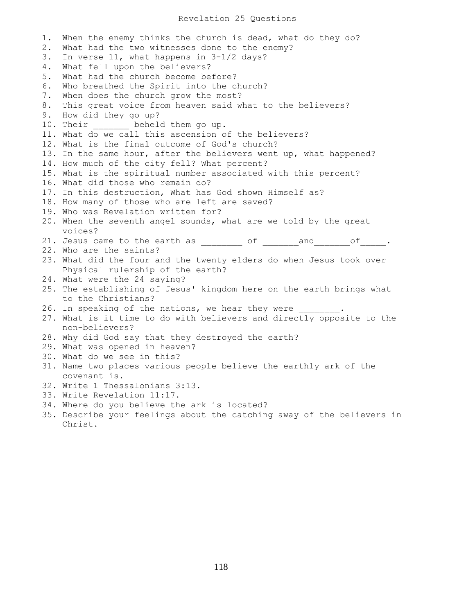## Revelation 25 Questions

1. When the enemy thinks the church is dead, what do they do? 2. What had the two witnesses done to the enemy? 3. In verse 11, what happens in 3-1/2 days? 4. What fell upon the believers? 5. What had the church become before? 6. Who breathed the Spirit into the church? 7. When does the church grow the most? 8. This great voice from heaven said what to the believers? 9. How did they go up? 10. Their beheld them go up. 11. What do we call this ascension of the believers? 12. What is the final outcome of God's church? 13. In the same hour, after the believers went up, what happened? 14. How much of the city fell? What percent? 15. What is the spiritual number associated with this percent? 16. What did those who remain do? 17. In this destruction, What has God shown Himself as? 18. How many of those who are left are saved? 19. Who was Revelation written for? 20. When the seventh angel sounds, what are we told by the great voices? 21. Jesus came to the earth as \_\_\_\_\_\_\_\_\_ of \_\_\_\_\_\_\_and \_\_\_\_\_\_of \_\_\_\_\_. 22. Who are the saints? 23. What did the four and the twenty elders do when Jesus took over Physical rulership of the earth? 24. What were the 24 saying? 25. The establishing of Jesus' kingdom here on the earth brings what to the Christians? 26. In speaking of the nations, we hear they were 27. What is it time to do with believers and directly opposite to the non-believers? 28. Why did God say that they destroyed the earth? 29. What was opened in heaven? 30. What do we see in this? 31. Name two places various people believe the earthly ark of the covenant is. 32. Write 1 Thessalonians 3:13. 33. Write Revelation 11:17. 34. Where do you believe the ark is located?

35. Describe your feelings about the catching away of the believers in Christ.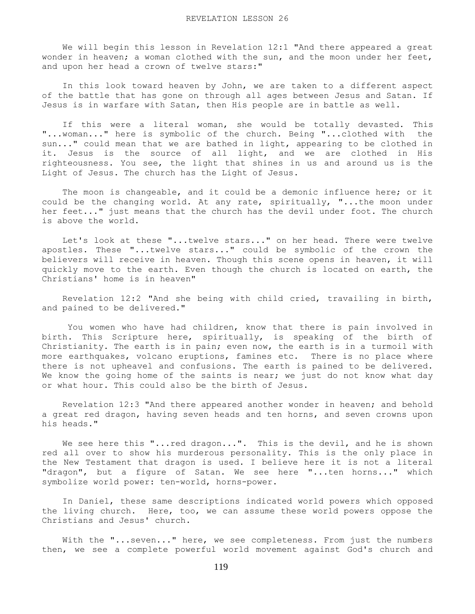We will begin this lesson in Revelation 12:1 "And there appeared a great wonder in heaven; a woman clothed with the sun, and the moon under her feet, and upon her head a crown of twelve stars:"

 In this look toward heaven by John, we are taken to a different aspect of the battle that has gone on through all ages between Jesus and Satan. If Jesus is in warfare with Satan, then His people are in battle as well.

 If this were a literal woman, she would be totally devasted. This "...woman..." here is symbolic of the church. Being "...clothed with the sun..." could mean that we are bathed in light, appearing to be clothed in it. Jesus is the source of all light, and we are clothed in His righteousness. You see, the light that shines in us and around us is the Light of Jesus. The church has the Light of Jesus.

 The moon is changeable, and it could be a demonic influence here; or it could be the changing world. At any rate, spiritually, "...the moon under her feet..." just means that the church has the devil under foot. The church is above the world.

 Let's look at these "...twelve stars..." on her head. There were twelve apostles. These "...twelve stars..." could be symbolic of the crown the believers will receive in heaven. Though this scene opens in heaven, it will quickly move to the earth. Even though the church is located on earth, the Christians' home is in heaven"

 Revelation 12:2 "And she being with child cried, travailing in birth, and pained to be delivered."

 You women who have had children, know that there is pain involved in birth. This Scripture here, spiritually, is speaking of the birth of Christianity. The earth is in pain; even now, the earth is in a turmoil with more earthquakes, volcano eruptions, famines etc. There is no place where there is not upheavel and confusions. The earth is pained to be delivered. We know the going home of the saints is near; we just do not know what day or what hour. This could also be the birth of Jesus.

 Revelation 12:3 "And there appeared another wonder in heaven; and behold a great red dragon, having seven heads and ten horns, and seven crowns upon his heads."

We see here this "...red dragon...". This is the devil, and he is shown red all over to show his murderous personality. This is the only place in the New Testament that dragon is used. I believe here it is not a literal "dragon", but a figure of Satan. We see here "...ten horns..." which symbolize world power: ten-world, horns-power.

 In Daniel, these same descriptions indicated world powers which opposed the living church. Here, too, we can assume these world powers oppose the Christians and Jesus' church.

With the "... seven..." here, we see completeness. From just the numbers then, we see a complete powerful world movement against God's church and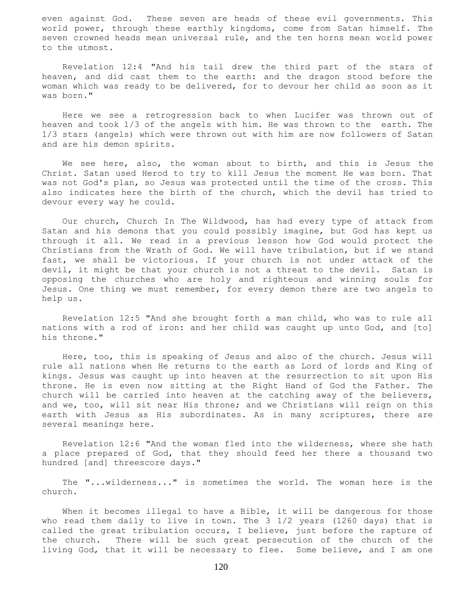even against God. These seven are heads of these evil governments. This world power, through these earthly kingdoms, come from Satan himself. The seven crowned heads mean universal rule, and the ten horns mean world power to the utmost.

 Revelation 12:4 "And his tail drew the third part of the stars of heaven, and did cast them to the earth: and the dragon stood before the woman which was ready to be delivered, for to devour her child as soon as it was born."

 Here we see a retrogression back to when Lucifer was thrown out of heaven and took 1/3 of the angels with him. He was thrown to the earth. The 1/3 stars (angels) which were thrown out with him are now followers of Satan and are his demon spirits.

 We see here, also, the woman about to birth, and this is Jesus the Christ. Satan used Herod to try to kill Jesus the moment He was born. That was not God's plan, so Jesus was protected until the time of the cross. This also indicates here the birth of the church, which the devil has tried to devour every way he could.

 Our church, Church In The Wildwood, has had every type of attack from Satan and his demons that you could possibly imagine, but God has kept us through it all. We read in a previous lesson how God would protect the Christians from the Wrath of God. We will have tribulation, but if we stand fast, we shall be victorious. If your church is not under attack of the devil, it might be that your church is not a threat to the devil. Satan is opposing the churches who are holy and righteous and winning souls for Jesus. One thing we must remember, for every demon there are two angels to help us.

 Revelation 12:5 "And she brought forth a man child, who was to rule all nations with a rod of iron: and her child was caught up unto God, and [to] his throne."

 Here, too, this is speaking of Jesus and also of the church. Jesus will rule all nations when He returns to the earth as Lord of lords and King of kings. Jesus was caught up into heaven at the resurrection to sit upon His throne. He is even now sitting at the Right Hand of God the Father. The church will be carried into heaven at the catching away of the believers, and we, too, will sit near His throne; and we Christians will reign on this earth with Jesus as His subordinates. As in many scriptures, there are several meanings here.

 Revelation 12:6 "And the woman fled into the wilderness, where she hath a place prepared of God, that they should feed her there a thousand two hundred [and] threescore days."

 The "...wilderness..." is sometimes the world. The woman here is the church.

 When it becomes illegal to have a Bible, it will be dangerous for those who read them daily to live in town. The 3 1/2 years (1260 days) that is called the great tribulation occurs, I believe, just before the rapture of the church. There will be such great persecution of the church of the living God, that it will be necessary to flee. Some believe, and I am one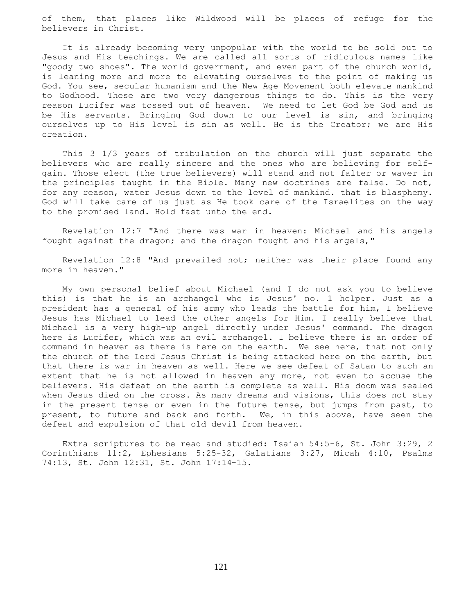of them, that places like Wildwood will be places of refuge for the believers in Christ.

 It is already becoming very unpopular with the world to be sold out to Jesus and His teachings. We are called all sorts of ridiculous names like "goody two shoes". The world government, and even part of the church world, is leaning more and more to elevating ourselves to the point of making us God. You see, secular humanism and the New Age Movement both elevate mankind to Godhood. These are two very dangerous things to do. This is the very reason Lucifer was tossed out of heaven. We need to let God be God and us be His servants. Bringing God down to our level is sin, and bringing ourselves up to His level is sin as well. He is the Creator; we are His creation.

 This 3 1/3 years of tribulation on the church will just separate the believers who are really sincere and the ones who are believing for selfgain. Those elect (the true believers) will stand and not falter or waver in the principles taught in the Bible. Many new doctrines are false. Do not, for any reason, water Jesus down to the level of mankind. that is blasphemy. God will take care of us just as He took care of the Israelites on the way to the promised land. Hold fast unto the end.

 Revelation 12:7 "And there was war in heaven: Michael and his angels fought against the dragon; and the dragon fought and his angels,"

 Revelation 12:8 "And prevailed not; neither was their place found any more in heaven."

 My own personal belief about Michael (and I do not ask you to believe this) is that he is an archangel who is Jesus' no. 1 helper. Just as a president has a general of his army who leads the battle for him, I believe Jesus has Michael to lead the other angels for Him. I really believe that Michael is a very high-up angel directly under Jesus' command. The dragon here is Lucifer, which was an evil archangel. I believe there is an order of command in heaven as there is here on the earth. We see here, that not only the church of the Lord Jesus Christ is being attacked here on the earth, but that there is war in heaven as well. Here we see defeat of Satan to such an extent that he is not allowed in heaven any more, not even to accuse the believers. His defeat on the earth is complete as well. His doom was sealed when Jesus died on the cross. As many dreams and visions, this does not stay in the present tense or even in the future tense, but jumps from past, to present, to future and back and forth. We, in this above, have seen the defeat and expulsion of that old devil from heaven.

 Extra scriptures to be read and studied: Isaiah 54:5-6, St. John 3:29, 2 Corinthians 11:2, Ephesians 5:25-32, Galatians 3:27, Micah 4:10, Psalms 74:13, St. John 12:31, St. John 17:14-15.

121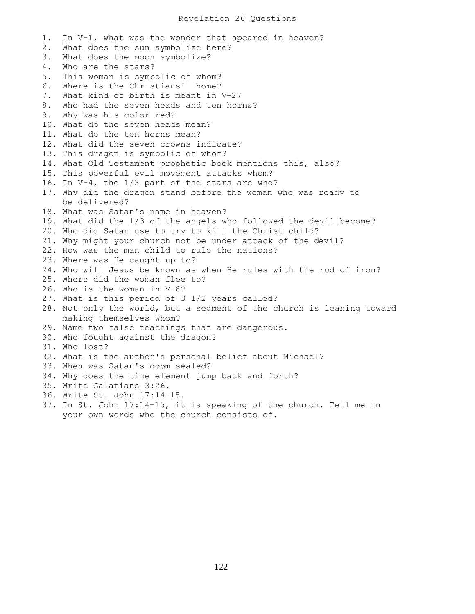1. In V-1, what was the wonder that apeared in heaven? 2. What does the sun symbolize here? 3. What does the moon symbolize? 4. Who are the stars? 5. This woman is symbolic of whom? 6. Where is the Christians' home? 7. What kind of birth is meant in V-27 8. Who had the seven heads and ten horns? 9. Why was his color red? 10. What do the seven heads mean? 11. What do the ten horns mean? 12. What did the seven crowns indicate? 13. This dragon is symbolic of whom? 14. What Old Testament prophetic book mentions this, also? 15. This powerful evil movement attacks whom? 16. In V-4, the 1/3 part of the stars are who? 17. Why did the dragon stand before the woman who was ready to be delivered? 18. What was Satan's name in heaven? 19. What did the 1/3 of the angels who followed the devil become? 20. Who did Satan use to try to kill the Christ child? 21. Why might your church not be under attack of the devil? 22. How was the man child to rule the nations? 23. Where was He caught up to? 24. Who will Jesus be known as when He rules with the rod of iron? 25. Where did the woman flee to? 26. Who is the woman in V-6? 27. What is this period of 3 1/2 years called? 28. Not only the world, but a segment of the church is leaning toward making themselves whom? 29. Name two false teachings that are dangerous. 30. Who fought against the dragon? 31. Who lost? 32. What is the author's personal belief about Michael? 33. When was Satan's doom sealed? 34. Why does the time element jump back and forth? 35. Write Galatians 3:26. 36. Write St. John 17:14-15. 37. In St. John 17:14-15, it is speaking of the church. Tell me in your own words who the church consists of.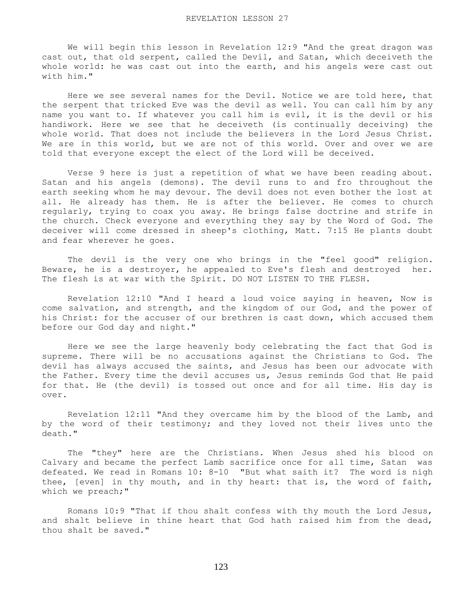We will begin this lesson in Revelation 12:9 "And the great dragon was cast out, that old serpent, called the Devil, and Satan, which deceiveth the whole world: he was cast out into the earth, and his angels were cast out with him."

 Here we see several names for the Devil. Notice we are told here, that the serpent that tricked Eve was the devil as well. You can call him by any name you want to. If whatever you call him is evil, it is the devil or his handiwork. Here we see that he deceiveth (is continually deceiving) the whole world. That does not include the believers in the Lord Jesus Christ. We are in this world, but we are not of this world. Over and over we are told that everyone except the elect of the Lord will be deceived.

 Verse 9 here is just a repetition of what we have been reading about. Satan and his angels (demons). The devil runs to and fro throughout the earth seeking whom he may devour. The devil does not even bother the lost at all. He already has them. He is after the believer. He comes to church regularly, trying to coax you away. He brings false doctrine and strife in the church. Check everyone and everything they say by the Word of God. The deceiver will come dressed in sheep's clothing, Matt. 7:15 He plants doubt and fear wherever he goes.

 The devil is the very one who brings in the "feel good" religion. Beware, he is a destroyer, he appealed to Eve's flesh and destroyed her. The flesh is at war with the Spirit. DO NOT LISTEN TO THE FLESH.

 Revelation 12:10 "And I heard a loud voice saying in heaven, Now is come salvation, and strength, and the kingdom of our God, and the power of his Christ: for the accuser of our brethren is cast down, which accused them before our God day and night."

 Here we see the large heavenly body celebrating the fact that God is supreme. There will be no accusations against the Christians to God. The devil has always accused the saints, and Jesus has been our advocate with the Father. Every time the devil accuses us, Jesus reminds God that He paid for that. He (the devil) is tossed out once and for all time. His day is over.

 Revelation 12:11 "And they overcame him by the blood of the Lamb, and by the word of their testimony; and they loved not their lives unto the death."

 The "they" here are the Christians. When Jesus shed his blood on Calvary and became the perfect Lamb sacrifice once for all time, Satan was defeated. We read in Romans 10: 8-10 "But what saith it? The word is nigh thee, [even] in thy mouth, and in thy heart: that is, the word of faith, which we preach;"

 Romans 10:9 "That if thou shalt confess with thy mouth the Lord Jesus, and shalt believe in thine heart that God hath raised him from the dead, thou shalt be saved."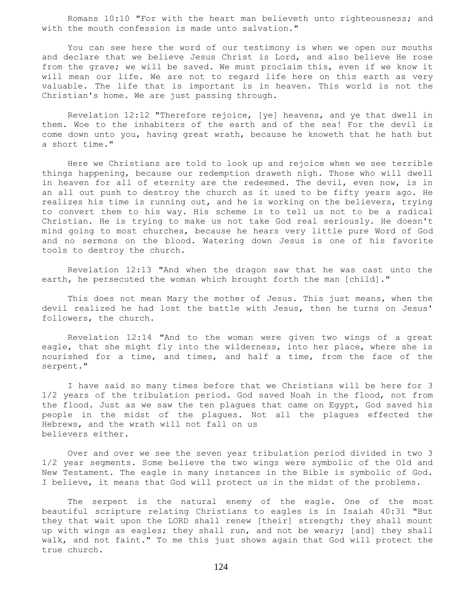Romans 10:10 "For with the heart man believeth unto righteousness; and with the mouth confession is made unto salvation."

 You can see here the word of our testimony is when we open our mouths and declare that we believe Jesus Christ is Lord, and also believe He rose from the grave; we will be saved. We must proclaim this, even if we know it will mean our life. We are not to regard life here on this earth as very valuable. The life that is important is in heaven. This world is not the Christian's home. We are just passing through.

 Revelation 12:12 "Therefore rejoice, [ye] heavens, and ye that dwell in them. Woe to the inhabiters of the earth and of the sea! For the devil is come down unto you, having great wrath, because he knoweth that he hath but a short time."

 Here we Christians are told to look up and rejoice when we see terrible things happening, because our redemption draweth nigh. Those who will dwell in heaven for all of eternity are the redeemed. The devil, even now, is in an all out push to destroy the church as it used to be fifty years ago. He realizes his time is running out, and he is working on the believers, trying to convert them to his way. His scheme is to tell us not to be a radical Christian. He is trying to make us not take God real seriously. He doesn't mind going to most churches, because he hears very little pure Word of God and no sermons on the blood. Watering down Jesus is one of his favorite tools to destroy the church.

 Revelation 12:13 "And when the dragon saw that he was cast unto the earth, he persecuted the woman which brought forth the man [child]."

 This does not mean Mary the mother of Jesus. This just means, when the devil realized he had lost the battle with Jesus, then he turns on Jesus' followers, the church.

 Revelation 12:14 "And to the woman were given two wings of a great eagle, that she might fly into the wilderness, into her place, where she is nourished for a time, and times, and half a time, from the face of the serpent."

 I have said so many times before that we Christians will be here for 3 1/2 years of the tribulation period. God saved Noah in the flood, not from the flood. Just as we saw the ten plagues that came on Egypt, God saved his people in the midst of the plagues. Not all the plagues effected the Hebrews, and the wrath will not fall on us believers either.

 Over and over we see the seven year tribulation period divided in two 3 1/2 year segments. Some believe the two wings were symbolic of the Old and New Testament. The eagle in many instances in the Bible is symbolic of God. I believe, it means that God will protect us in the midst of the problems.

 The serpent is the natural enemy of the eagle. One of the most beautiful scripture relating Christians to eagles is in Isaiah 40:31 "But they that wait upon the LORD shall renew [their] strength; they shall mount up with wings as eagles; they shall run, and not be weary; [and] they shall walk, and not faint." To me this just shows again that God will protect the true church.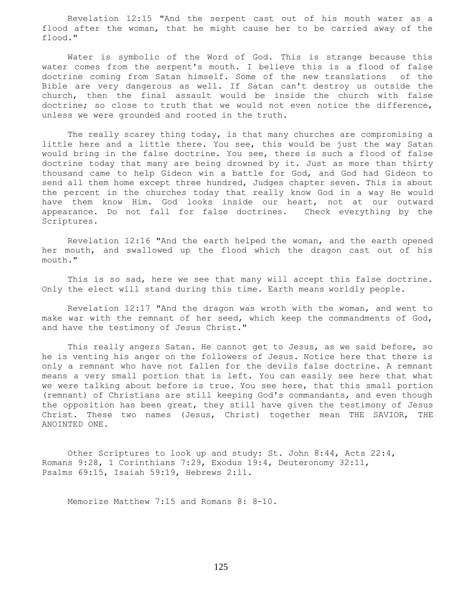Revelation 12:15 "And the serpent cast out of his mouth water as a flood after the woman, that he might cause her to be carried away of the flood."

 Water is symbolic of the Word of God. This is strange because this water comes from the serpent's mouth. I believe this is a flood of false doctrine coming from Satan himself. Some of the new translations of the Bible are very dangerous as well. If Satan can't destroy us outside the church, then the final assault would be inside the church with false doctrine; so close to truth that we would not even notice the difference, unless we were grounded and rooted in the truth.

The really scarey thing today, is that many churches are compromising a little here and a little there. You see, this would be just the way Satan would bring in the false doctrine. You see, there is such a flood of false doctrine today that many are being drowned by it. Just as more than thirty thousand came to help Gideon win a battle for God, and God had Gideon to send all them home except three hundred, Judges chapter seven. This is about the percent in the churches today that really know God in a way He would have them know Him. God looks inside our heart, not at our outward appearance. Do not fall for false doctrines. Check everything by the Scriptures.

 Revelation 12:16 "And the earth helped the woman, and the earth opened her mouth, and swallowed up the flood which the dragon cast out of his mouth."

 This is so sad, here we see that many will accept this false doctrine. Only the elect will stand during this time. Earth means worldly people.

 Revelation 12:17 "And the dragon was wroth with the woman, and went to make war with the remnant of her seed, which keep the commandments of God, and have the testimony of Jesus Christ."

 This really angers Satan. He cannot get to Jesus, as we said before, so he is venting his anger on the followers of Jesus. Notice here that there is only a remnant who have not fallen for the devils false doctrine. A remnant means a very small portion that is left. You can easily see here that what we were talking about before is true. You see here, that this small portion (remnant) of Christians are still keeping God's commandants, and even though the opposition has been great, they still have given the testimony of Jesus Christ. These two names (Jesus, Christ) together mean THE SAVIOR, THE ANOINTED ONE.

 Other Scriptures to look up and study: St. John 8:44, Acts 22:4, Romans 9:28, 1 Corinthians 7:29, Exodus 19:4, Deuteronomy 32:11, Psalms 69:15, Isaiah 59:19, Hebrews 2:11.

Memorize Matthew 7:15 and Romans 8: 8-10.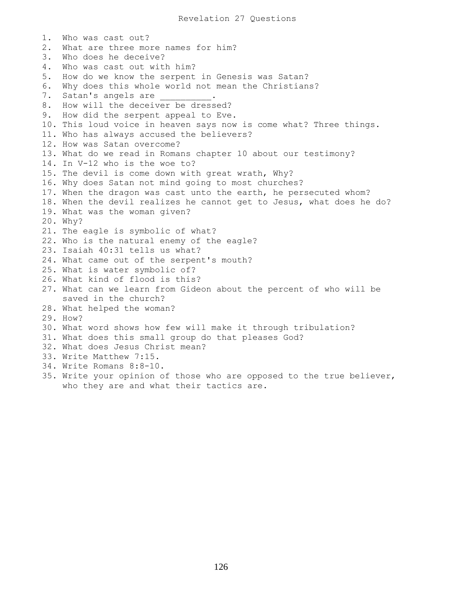1. Who was cast out? 2. What are three more names for him? 3. Who does he deceive? 4. Who was cast out with him? 5. How do we know the serpent in Genesis was Satan? 6. Why does this whole world not mean the Christians? 7. Satan's angels are  $\qquad \qquad$ 8. How will the deceiver be dressed? 9. How did the serpent appeal to Eve. 10. This loud voice in heaven says now is come what? Three things. 11. Who has always accused the believers? 12. How was Satan overcome? 13. What do we read in Romans chapter 10 about our testimony? 14. In V-12 who is the woe to? 15. The devil is come down with great wrath, Why? 16. Why does Satan not mind going to most churches? 17. When the dragon was cast unto the earth, he persecuted whom? 18. When the devil realizes he cannot get to Jesus, what does he do? 19. What was the woman given? 20. Why? 21. The eagle is symbolic of what? 22. Who is the natural enemy of the eagle? 23. Isaiah 40:31 tells us what? 24. What came out of the serpent's mouth? 25. What is water symbolic of? 26. What kind of flood is this? 27. What can we learn from Gideon about the percent of who will be saved in the church? 28. What helped the woman? 29. How? 30. What word shows how few will make it through tribulation? 31. What does this small group do that pleases God? 32. What does Jesus Christ mean? 33. Write Matthew 7:15. 34. Write Romans 8:8-10. 35. Write your opinion of those who are opposed to the true believer, who they are and what their tactics are.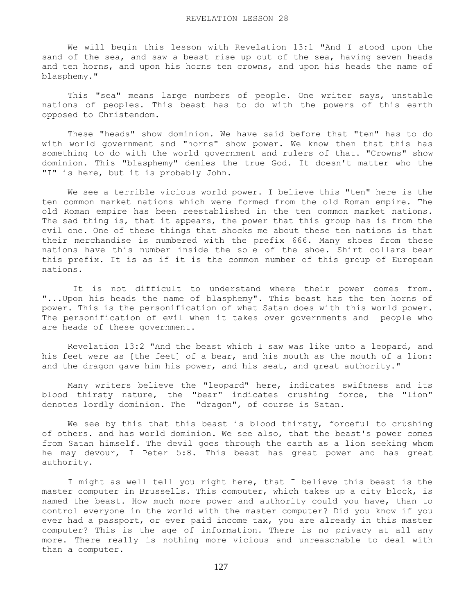We will begin this lesson with Revelation 13:1 "And I stood upon the sand of the sea, and saw a beast rise up out of the sea, having seven heads and ten horns, and upon his horns ten crowns, and upon his heads the name of blasphemy."

 This "sea" means large numbers of people. One writer says, unstable nations of peoples. This beast has to do with the powers of this earth opposed to Christendom.

 These "heads" show dominion. We have said before that "ten" has to do with world government and "horns" show power. We know then that this has something to do with the world government and rulers of that. "Crowns" show dominion. This "blasphemy" denies the true God. It doesn't matter who the "I" is here, but it is probably John.

 We see a terrible vicious world power. I believe this "ten" here is the ten common market nations which were formed from the old Roman empire. The old Roman empire has been reestablished in the ten common market nations. The sad thing is, that it appears, the power that this group has is from the evil one. One of these things that shocks me about these ten nations is that their merchandise is numbered with the prefix 666. Many shoes from these nations have this number inside the sole of the shoe. Shirt collars bear this prefix. It is as if it is the common number of this group of European nations.

 It is not difficult to understand where their power comes from. "...Upon his heads the name of blasphemy". This beast has the ten horns of power. This is the personification of what Satan does with this world power. The personification of evil when it takes over governments and people who are heads of these government.

 Revelation 13:2 "And the beast which I saw was like unto a leopard, and his feet were as [the feet] of a bear, and his mouth as the mouth of a lion: and the dragon gave him his power, and his seat, and great authority."

 Many writers believe the "leopard" here, indicates swiftness and its blood thirsty nature, the "bear" indicates crushing force, the "lion" denotes lordly dominion. The "dragon", of course is Satan.

We see by this that this beast is blood thirsty, forceful to crushing of others. and has world dominion. We see also, that the beast's power comes from Satan himself. The devil goes through the earth as a lion seeking whom he may devour, I Peter 5:8. This beast has great power and has great authority.

 I might as well tell you right here, that I believe this beast is the master computer in Brussells. This computer, which takes up a city block, is named the beast. How much more power and authority could you have, than to control everyone in the world with the master computer? Did you know if you ever had a passport, or ever paid income tax, you are already in this master computer? This is the age of information. There is no privacy at all any more. There really is nothing more vicious and unreasonable to deal with than a computer.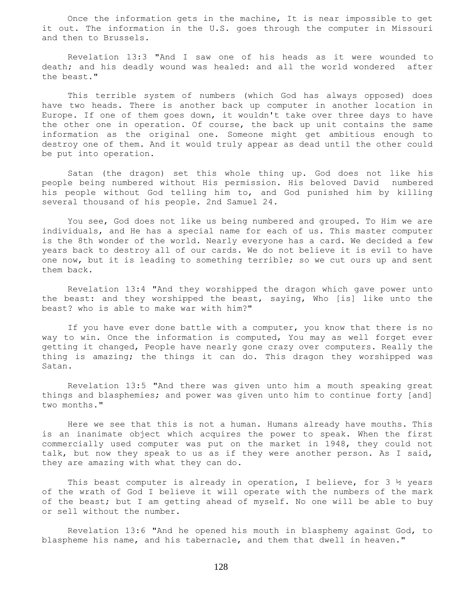Once the information gets in the machine, It is near impossible to get it out. The information in the U.S. goes through the computer in Missouri and then to Brussels.

 Revelation 13:3 "And I saw one of his heads as it were wounded to death; and his deadly wound was healed: and all the world wondered after the beast."

 This terrible system of numbers (which God has always opposed) does have two heads. There is another back up computer in another location in Europe. If one of them goes down, it wouldn't take over three days to have the other one in operation. Of course, the back up unit contains the same information as the original one. Someone might get ambitious enough to destroy one of them. And it would truly appear as dead until the other could be put into operation.

 Satan (the dragon) set this whole thing up. God does not like his people being numbered without His permission. His beloved David numbered his people without God telling him to, and God punished him by killing several thousand of his people. 2nd Samuel 24.

 You see, God does not like us being numbered and grouped. To Him we are individuals, and He has a special name for each of us. This master computer is the 8th wonder of the world. Nearly everyone has a card. We decided a few years back to destroy all of our cards. We do not believe it is evil to have one now, but it is leading to something terrible; so we cut ours up and sent them back.

 Revelation 13:4 "And they worshipped the dragon which gave power unto the beast: and they worshipped the beast, saying, Who [is] like unto the beast? who is able to make war with him?"

 If you have ever done battle with a computer, you know that there is no way to win. Once the information is computed, You may as well forget ever getting it changed, People have nearly gone crazy over computers. Really the thing is amazing; the things it can do. This dragon they worshipped was Satan.

 Revelation 13:5 "And there was given unto him a mouth speaking great things and blasphemies; and power was given unto him to continue forty [and] two months."

 Here we see that this is not a human. Humans already have mouths. This is an inanimate object which acquires the power to speak. When the first commercially used computer was put on the market in 1948, they could not talk, but now they speak to us as if they were another person. As I said, they are amazing with what they can do.

This beast computer is already in operation, I believe, for  $3 \frac{1}{2}$  years of the wrath of God I believe it will operate with the numbers of the mark of the beast; but I am getting ahead of myself. No one will be able to buy or sell without the number.

 Revelation 13:6 "And he opened his mouth in blasphemy against God, to blaspheme his name, and his tabernacle, and them that dwell in heaven."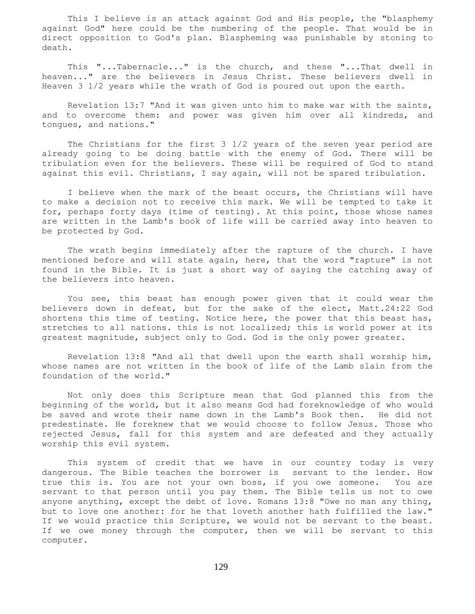This I believe is an attack against God and His people, the "blasphemy against God" here could be the numbering of the people. That would be in direct opposition to God's plan. Blaspheming was punishable by stoning to death.

 This "...Tabernacle..." is the church, and these "...That dwell in heaven..." are the believers in Jesus Christ. These believers dwell in Heaven 3 1/2 years while the wrath of God is poured out upon the earth.

 Revelation 13:7 "And it was given unto him to make war with the saints, and to overcome them: and power was given him over all kindreds, and tongues, and nations."

 The Christians for the first 3 1/2 years of the seven year period are already going to be doing battle with the enemy of God. There will be tribulation even for the believers. These will be required of God to stand against this evil. Christians, I say again, will not be spared tribulation.

 I believe when the mark of the beast occurs, the Christians will have to make a decision not to receive this mark. We will be tempted to take it for, perhaps forty days (time of testing). At this point, those whose names are written in the Lamb's book of life will be carried away into heaven to be protected by God.

 The wrath begins immediately after the rapture of the church. I have mentioned before and will state again, here, that the word "rapture" is not found in the Bible. It is just a short way of saying the catching away of the believers into heaven.

 You see, this beast has enough power given that it could wear the believers down in defeat, but for the sake of the elect, Matt.24:22 God shortens this time of testing. Notice here, the power that this beast has, stretches to all nations. this is not localized; this is world power at its greatest magnitude, subject only to God. God is the only power greater.

 Revelation 13:8 "And all that dwell upon the earth shall worship him, whose names are not written in the book of life of the Lamb slain from the foundation of the world."

 Not only does this Scripture mean that God planned this from the beginning of the world, but it also means God had foreknowledge of who would be saved and wrote their name down in the Lamb's Book then. He did not predestinate. He foreknew that we would choose to follow Jesus. Those who rejected Jesus, fall for this system and are defeated and they actually worship this evil system.

 This system of credit that we have in our country today is very dangerous. The Bible teaches the borrower is servant to the lender. How true this is. You are not your own boss, if you owe someone. You are servant to that person until you pay them. The Bible tells us not to owe anyone anything, except the debt of love. Romans 13:8 "Owe no man any thing, but to love one another: for he that loveth another hath fulfilled the law." If we would practice this Scripture, we would not be servant to the beast. If we owe money through the computer, then we will be servant to this computer.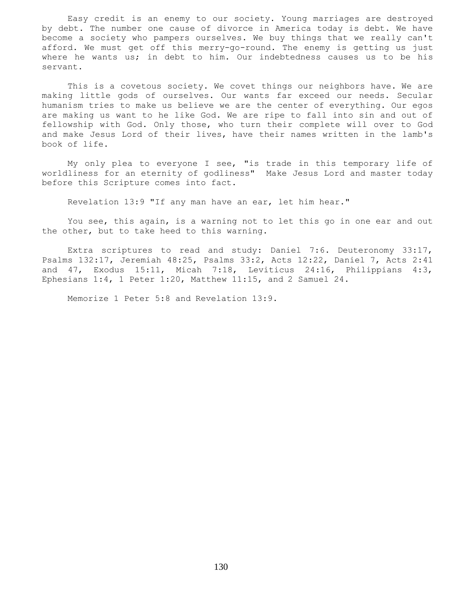Easy credit is an enemy to our society. Young marriages are destroyed by debt. The number one cause of divorce in America today is debt. We have become a society who pampers ourselves. We buy things that we really can't afford. We must get off this merry-go-round. The enemy is getting us just where he wants us; in debt to him. Our indebtedness causes us to be his servant.

 This is a covetous society. We covet things our neighbors have. We are making little gods of ourselves. Our wants far exceed our needs. Secular humanism tries to make us believe we are the center of everything. Our egos are making us want to he like God. We are ripe to fall into sin and out of fellowship with God. Only those, who turn their complete will over to God and make Jesus Lord of their lives, have their names written in the lamb's book of life.

 My only plea to everyone I see, "is trade in this temporary life of worldliness for an eternity of godliness" Make Jesus Lord and master today before this Scripture comes into fact.

Revelation 13:9 "If any man have an ear, let him hear."

 You see, this again, is a warning not to let this go in one ear and out the other, but to take heed to this warning.

 Extra scriptures to read and study: Daniel 7:6. Deuteronomy 33:17, Psalms 132:17, Jeremiah 48:25, Psalms 33:2, Acts 12:22, Daniel 7, Acts 2:41 and 47, Exodus 15:11, Micah 7:18, Leviticus 24:16, Philippians 4:3, Ephesians 1:4, 1 Peter 1:20, Matthew 11:15, and 2 Samuel 24.

Memorize 1 Peter 5:8 and Revelation 13:9.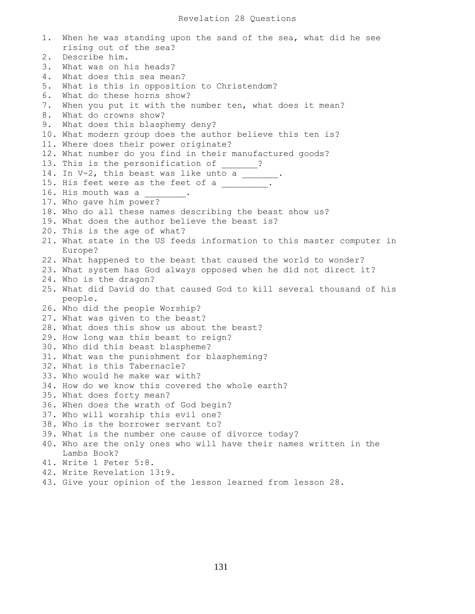1. When he was standing upon the sand of the sea, what did he see rising out of the sea? 2. Describe him. 3. What was on his heads? 4. What does this sea mean? 5. What is this in opposition to Christendom? 6. What do these horns show? 7. When you put it with the number ten, what does it mean? 8. What do crowns show? 9. What does this blasphemy deny? 10. What modern group does the author believe this ten is? 11. Where does their power originate? 12. What number do you find in their manufactured goods? 13. This is the personification of 2. 14. In  $V-2$ , this beast was like unto a  $\frac{1}{2}$ . 15. His feet were as the feet of a \_\_\_\_\_\_\_. 16. His mouth was a 17. Who gave him power? 18. Who do all these names describing the beast show us? 19. What does the author believe the beast is? 20. This is the age of what? 21. What state in the US feeds information to this master computer in Europe? 22. What happened to the beast that caused the world to wonder? 23. What system has God always opposed when he did not direct it? 24. Who is the dragon? 25. What did David do that caused God to kill several thousand of his people. 26. Who did the people Worship? 27. What was given to the beast? 28. What does this show us about the beast? 29. How long was this beast to reign? 30. Who did this beast blaspheme? 31. What was the punishment for blaspheming? 32. What is this Tabernacle? 33. Who would he make war with? 34. How do we know this covered the whole earth? 35. What does forty mean? 36. When does the wrath of God begin? 37. Who will worship this evil one? 38. Who is the borrower servant to? 39. What is the number one cause of divorce today? 40. Who are the only ones who will have their names written in the Lambs Book? 41. Write 1 Peter 5:8. 42. Write Revelation 13:9. 43. Give your opinion of the lesson learned from lesson 28.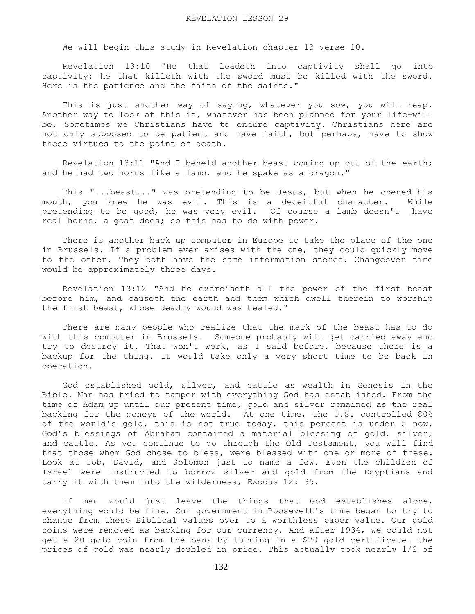We will begin this study in Revelation chapter 13 verse 10.

 Revelation 13:10 "He that leadeth into captivity shall go into captivity: he that killeth with the sword must be killed with the sword. Here is the patience and the faith of the saints."

This is just another way of saying, whatever you sow, you will reap. Another way to look at this is, whatever has been planned for your life-will be. Sometimes we Christians have to endure captivity. Christians here are not only supposed to be patient and have faith, but perhaps, have to show these virtues to the point of death.

 Revelation 13:11 "And I beheld another beast coming up out of the earth; and he had two horns like a lamb, and he spake as a dragon."

 This "...beast..." was pretending to be Jesus, but when he opened his mouth, you knew he was evil. This is a deceitful character. While pretending to be good, he was very evil. Of course a lamb doesn't have real horns, a goat does; so this has to do with power.

 There is another back up computer in Europe to take the place of the one in Brussels. If a problem ever arises with the one, they could quickly move to the other. They both have the same information stored. Changeover time would be approximately three days.

 Revelation 13:12 "And he exerciseth all the power of the first beast before him, and causeth the earth and them which dwell therein to worship the first beast, whose deadly wound was healed."

 There are many people who realize that the mark of the beast has to do with this computer in Brussels. Someone probably will get carried away and try to destroy it. That won't work, as I said before, because there is a backup for the thing. It would take only a very short time to be back in operation.

 God established gold, silver, and cattle as wealth in Genesis in the Bible. Man has tried to tamper with everything God has established. From the time of Adam up until our present time, gold and silver remained as the real backing for the moneys of the world. At one time, the U.S. controlled 80% of the world's gold. this is not true today. this percent is under 5 now. God's blessings of Abraham contained a material blessing of gold, silver, and cattle. As you continue to go through the Old Testament, you will find that those whom God chose to bless, were blessed with one or more of these. Look at Job, David, and Solomon just to name a few. Even the children of Israel were instructed to borrow silver and gold from the Egyptians and carry it with them into the wilderness, Exodus 12: 35.

 If man would just leave the things that God establishes alone, everything would be fine. Our government in Roosevelt's time began to try to change from these Biblical values over to a worthless paper value. Our gold coins were removed as backing for our currency. And after 1934, we could not get a 20 gold coin from the bank by turning in a \$20 gold certificate. the prices of gold was nearly doubled in price. This actually took nearly 1/2 of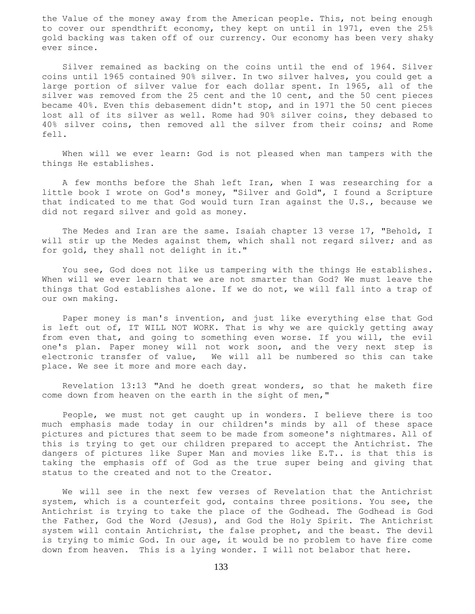the Value of the money away from the American people. This, not being enough to cover our spendthrift economy, they kept on until in 1971, even the 25% gold backing was taken off of our currency. Our economy has been very shaky ever since.

 Silver remained as backing on the coins until the end of 1964. Silver coins until 1965 contained 90% silver. In two silver halves, you could get a large portion of silver value for each dollar spent. In 1965, all of the silver was removed from the 25 cent and the 10 cent, and the 50 cent pieces became 40%. Even this debasement didn't stop, and in 1971 the 50 cent pieces lost all of its silver as well. Rome had 90% silver coins, they debased to 40% silver coins, then removed all the silver from their coins; and Rome fell.

 When will we ever learn: God is not pleased when man tampers with the things He establishes.

 A few months before the Shah left Iran, when I was researching for a little book I wrote on God's money, "Silver and Gold", I found a Scripture that indicated to me that God would turn Iran against the U.S., because we did not regard silver and gold as money.

 The Medes and Iran are the same. Isaiah chapter 13 verse 17, "Behold, I will stir up the Medes against them, which shall not regard silver; and as for gold, they shall not delight in it."

 You see, God does not like us tampering with the things He establishes. When will we ever learn that we are not smarter than God? We must leave the things that God establishes alone. If we do not, we will fall into a trap of our own making.

 Paper money is man's invention, and just like everything else that God is left out of, IT WILL NOT WORK. That is why we are quickly getting away from even that, and going to something even worse. If you will, the evil one's plan. Paper money will not work soon, and the very next step is electronic transfer of value, We will all be numbered so this can take place. We see it more and more each day.

 Revelation 13:13 "And he doeth great wonders, so that he maketh fire come down from heaven on the earth in the sight of men,"

 People, we must not get caught up in wonders. I believe there is too much emphasis made today in our children's minds by all of these space pictures and pictures that seem to be made from someone's nightmares. All of this is trying to get our children prepared to accept the Antichrist. The dangers of pictures like Super Man and movies like E.T.. is that this is taking the emphasis off of God as the true super being and giving that status to the created and not to the Creator.

 We will see in the next few verses of Revelation that the Antichrist system, which is a counterfeit god, contains three positions. You see, the Antichrist is trying to take the place of the Godhead. The Godhead is God the Father, God the Word (Jesus), and God the Holy Spirit. The Antichrist system will contain Antichrist, the false prophet, and the beast. The devil is trying to mimic God. In our age, it would be no problem to have fire come down from heaven. This is a lying wonder. I will not belabor that here.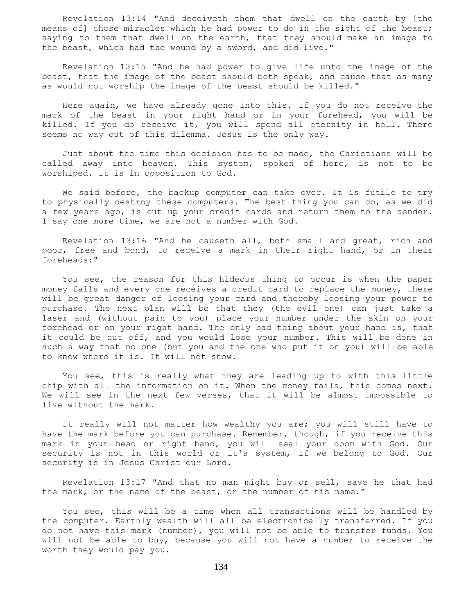Revelation 13:14 "And deceiveth them that dwell on the earth by [the means of] those miracles which he had power to do in the sight of the beast; saying to them that dwell on the earth, that they should make an image to the beast, which had the wound by a sword, and did live."

 Revelation 13:15 "And he had power to give life unto the image of the beast, that the image of the beast should both speak, and cause that as many as would not worship the image of the beast should be killed."

 Here again, we have already gone into this. If you do not receive the mark of the beast in your right hand or in your forehead, you will be killed. If you do receive it, you will spend all eternity in hell. There seems no way out of this dilemma. Jesus is the only way.

 Just about the time this decision has to be made, the Christians will be called away into heaven. This system, spoken of here, is not to be worshiped. It is in opposition to God.

 We said before, the backup computer can take over. It is futile to try to physically destroy these computers. The best thing you can do, as we did a few years ago, is cut up your credit cards and return them to the sender. I say one more time, we are not a number with God.

 Revelation 13:16 "And he causeth all, both small and great, rich and poor, free and bond, to receive a mark in their right hand, or in their foreheads:"

 You see, the reason for this hideous thing to occur is when the paper money fails and every one receives a credit card to replace the money, there will be great danger of loosing your card and thereby loosing your power to purchase. The next plan will be that they (the evil one) can just take a laser and (without pain to you) place your number under the skin on your forehead or on your right hand. The only bad thing about your hand is, that it could be cut off, and you would lose your number. This will be done in such a way that no one (but you and the one who put it on you) will be able to know where it is. It will not show.

 You see, this is really what they are leading up to with this little chip with all the information on it. When the money fails, this comes next. We will see in the next few verses, that it will be almost impossible to live without the mark.

It really will not matter how wealthy you are; you will still have to have the mark before you can purchase. Remember, though, if you receive this mark in your head or right hand, you will seal your doom with God. Our security is not in this world or it's system, if we belong to God. Our security is in Jesus Christ our Lord.

 Revelation 13:17 "And that no man might buy or sell, save he that had the mark, or the name of the beast, or the number of his name."

 You see, this will be a time when all transactions will be handled by the computer. Earthly wealth will all be electronically transferred. If you do not have this mark (number), you will not be able to transfer funds. You will not be able to buy, because you will not have a number to receive the worth they would pay you.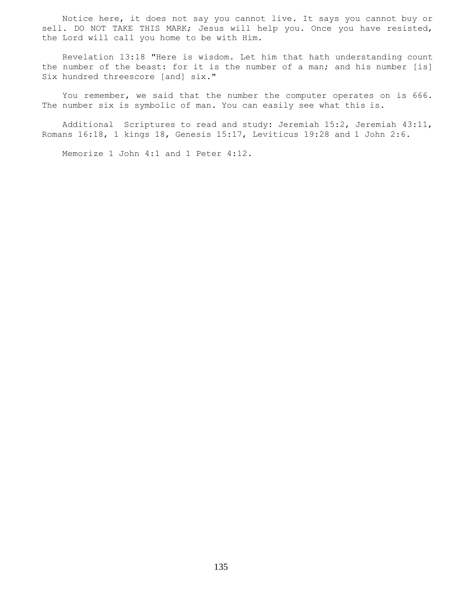Notice here, it does not say you cannot live. It says you cannot buy or sell. DO NOT TAKE THIS MARK; Jesus will help you. Once you have resisted, the Lord will call you home to be with Him.

 Revelation 13:18 "Here is wisdom. Let him that hath understanding count the number of the beast: for it is the number of a man; and his number [is] Six hundred threescore [and] six."

 You remember, we said that the number the computer operates on is 666. The number six is symbolic of man. You can easily see what this is.

 Additional Scriptures to read and study: Jeremiah 15:2, Jeremiah 43:11, Romans 16:18, 1 kings 18, Genesis 15:17, Leviticus 19:28 and 1 John 2:6.

Memorize 1 John 4:1 and 1 Peter 4:12.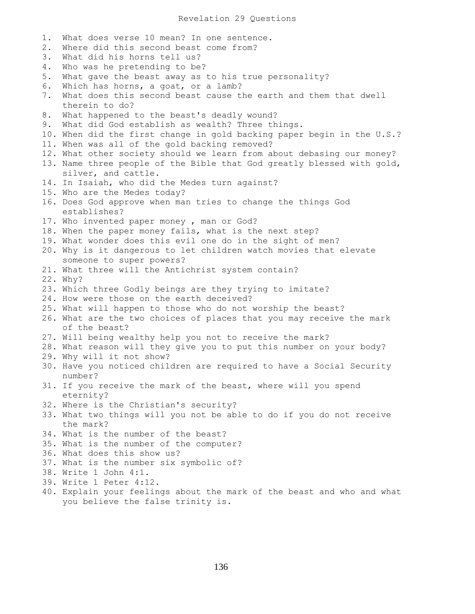1. What does verse 10 mean? In one sentence. 2. Where did this second beast come from? 3. What did his horns tell us? 4. Who was he pretending to be? 5. What gave the beast away as to his true personality? 6. Which has horns, a goat, or a lamb? 7. What does this second beast cause the earth and them that dwell therein to do? 8. What happened to the beast's deadly wound? 9. What did God establish as wealth? Three things. 10. When did the first change in gold backing paper begin in the U.S.? 11. When was all of the gold backing removed? 12. What other society should we learn from about debasing our money? 13. Name three people of the Bible that God greatly blessed with gold, silver, and cattle. 14. In Isaiah, who did the Medes turn against? 15. Who are the Medes today? 16. Does God approve when man tries to change the things God establishes? 17. Who invented paper money , man or God? 18. When the paper money fails, what is the next step? 19. What wonder does this evil one do in the sight of men? 20. Why is it dangerous to let children watch movies that elevate someone to super powers? 21. What three will the Antichrist system contain? 22. Why? 23. Which three Godly beings are they trying to imitate? 24. How were those on the earth deceived? 25. What will happen to those who do not worship the beast? 26. What are the two choices of places that you may receive the mark of the beast? 27. Will being wealthy help you not to receive the mark? 28. What reason will they give you to put this number on your body? 29. Why will it not show? 30. Have you noticed children are required to have a Social Security number? 31. If you receive the mark of the beast, where will you spend eternity? 32. Where is the Christian's security? 33. What two things will you not be able to do if you do not receive the mark? 34. What is the number of the beast? 35. What is the number of the computer? 36. What does this show us? 37. What is the number six symbolic of? 38. Write 1 John 4:1. 39. Write 1 Peter 4:12. 40. Explain your feelings about the mark of the beast and who and what you believe the false trinity is.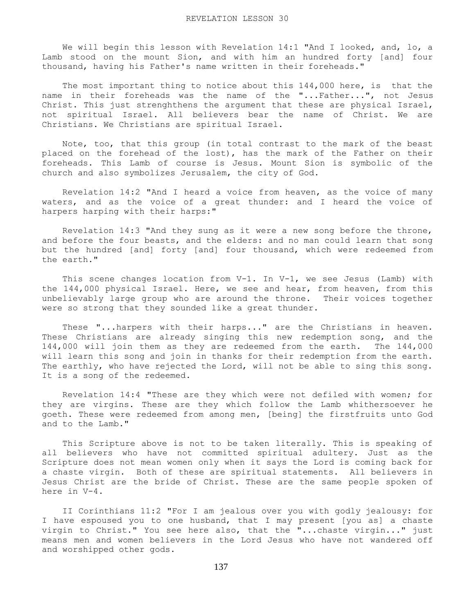We will begin this lesson with Revelation 14:1 "And I looked, and, lo, a Lamb stood on the mount Sion, and with him an hundred forty [and] four thousand, having his Father's name written in their foreheads."

The most important thing to notice about this 144,000 here, is that the name in their foreheads was the name of the "...Father...", not Jesus Christ. This just strenghthens the argument that these are physical Israel, not spiritual Israel. All believers bear the name of Christ. We are Christians. We Christians are spiritual Israel.

 Note, too, that this group (in total contrast to the mark of the beast placed on the forehead of the lost), has the mark of the Father on their foreheads. This Lamb of course is Jesus. Mount Sion is symbolic of the church and also symbolizes Jerusalem, the city of God.

 Revelation 14:2 "And I heard a voice from heaven, as the voice of many waters, and as the voice of a great thunder: and I heard the voice of harpers harping with their harps:"

 Revelation 14:3 "And they sung as it were a new song before the throne, and before the four beasts, and the elders: and no man could learn that song but the hundred [and] forty [and] four thousand, which were redeemed from the earth."

This scene changes location from  $V-1$ . In  $V-1$ , we see Jesus (Lamb) with the 144,000 physical Israel. Here, we see and hear, from heaven, from this unbelievably large group who are around the throne. Their voices together were so strong that they sounded like a great thunder.

 These "...harpers with their harps..." are the Christians in heaven. These Christians are already singing this new redemption song, and the 144,000 will join them as they are redeemed from the earth. The 144,000 will learn this song and join in thanks for their redemption from the earth. The earthly, who have rejected the Lord, will not be able to sing this song. It is a song of the redeemed.

 Revelation 14:4 "These are they which were not defiled with women; for they are virgins. These are they which follow the Lamb whithersoever he goeth. These were redeemed from among men, [being] the firstfruits unto God and to the Lamb."

 This Scripture above is not to be taken literally. This is speaking of all believers who have not committed spiritual adultery. Just as the Scripture does not mean women only when it says the Lord is coming back for a chaste virgin. Both of these are spiritual statements. All believers in Jesus Christ are the bride of Christ. These are the same people spoken of here in V-4.

 II Corinthians 11:2 "For I am jealous over you with godly jealousy: for I have espoused you to one husband, that I may present [you as] a chaste virgin to Christ." You see here also, that the "...chaste virgin..." just means men and women believers in the Lord Jesus who have not wandered off and worshipped other gods.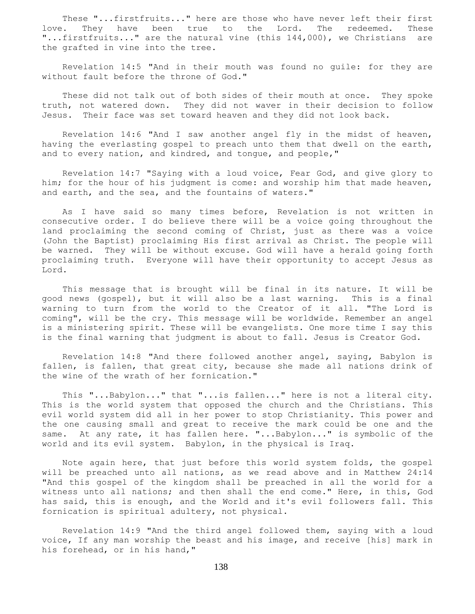These "...firstfruits..." here are those who have never left their first love. They have been true to the Lord. The redeemed. These "...firstfruits..." are the natural vine (this 144,000), we Christians are the grafted in vine into the tree.

 Revelation 14:5 "And in their mouth was found no guile: for they are without fault before the throne of God."

 These did not talk out of both sides of their mouth at once. They spoke truth, not watered down. They did not waver in their decision to follow Jesus. Their face was set toward heaven and they did not look back.

 Revelation 14:6 "And I saw another angel fly in the midst of heaven, having the everlasting gospel to preach unto them that dwell on the earth, and to every nation, and kindred, and tongue, and people,"

 Revelation 14:7 "Saying with a loud voice, Fear God, and give glory to him; for the hour of his judgment is come: and worship him that made heaven, and earth, and the sea, and the fountains of waters."

 As I have said so many times before, Revelation is not written in consecutive order. I do believe there will be a voice going throughout the land proclaiming the second coming of Christ, just as there was a voice (John the Baptist) proclaiming His first arrival as Christ. The people will be warned. They will be without excuse. God will have a herald going forth proclaiming truth. Everyone will have their opportunity to accept Jesus as Lord.

 This message that is brought will be final in its nature. It will be good news (gospel), but it will also be a last warning. This is a final warning to turn from the world to the Creator of it all. "The Lord is coming", will be the cry. This message will be worldwide. Remember an angel is a ministering spirit. These will be evangelists. One more time I say this is the final warning that judgment is about to fall. Jesus is Creator God.

 Revelation 14:8 "And there followed another angel, saying, Babylon is fallen, is fallen, that great city, because she made all nations drink of the wine of the wrath of her fornication."

 This "...Babylon..." that "...is fallen..." here is not a literal city. This is the world system that opposed the church and the Christians. This evil world system did all in her power to stop Christianity. This power and the one causing small and great to receive the mark could be one and the same. At any rate, it has fallen here. "...Babylon..." is symbolic of the world and its evil system. Babylon, in the physical is Iraq.

 Note again here, that just before this world system folds, the gospel will be preached unto all nations, as we read above and in Matthew 24:14 "And this gospel of the kingdom shall be preached in all the world for a witness unto all nations; and then shall the end come." Here, in this, God has said, this is enough, and the World and it's evil followers fall. This fornication is spiritual adultery, not physical.

 Revelation 14:9 "And the third angel followed them, saying with a loud voice, If any man worship the beast and his image, and receive [his] mark in his forehead, or in his hand,"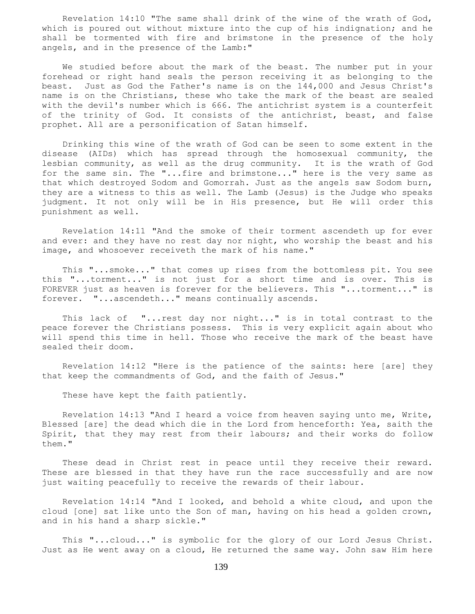Revelation 14:10 "The same shall drink of the wine of the wrath of God, which is poured out without mixture into the cup of his indignation; and he shall be tormented with fire and brimstone in the presence of the holy angels, and in the presence of the Lamb:"

 We studied before about the mark of the beast. The number put in your forehead or right hand seals the person receiving it as belonging to the beast. Just as God the Father's name is on the 144,000 and Jesus Christ's name is on the Christians, these who take the mark of the beast are sealed with the devil's number which is 666. The antichrist system is a counterfeit of the trinity of God. It consists of the antichrist, beast, and false prophet. All are a personification of Satan himself.

 Drinking this wine of the wrath of God can be seen to some extent in the disease (AIDs) which has spread through the homosexual community, the lesbian community, as well as the drug community. It is the wrath of God for the same sin. The "...fire and brimstone..." here is the very same as that which destroyed Sodom and Gomorrah. Just as the angels saw Sodom burn, they are a witness to this as well. The Lamb (Jesus) is the Judge who speaks judgment. It not only will be in His presence, but He will order this punishment as well.

 Revelation 14:11 "And the smoke of their torment ascendeth up for ever and ever: and they have no rest day nor night, who worship the beast and his image, and whosoever receiveth the mark of his name."

 This "...smoke..." that comes up rises from the bottomless pit. You see this "...torment..." is not just for a short time and is over. This is FOREVER just as heaven is forever for the believers. This "...torment..." is forever. "...ascendeth..." means continually ascends.

This lack of "...rest day nor night..." is in total contrast to the peace forever the Christians possess. This is very explicit again about who will spend this time in hell. Those who receive the mark of the beast have sealed their doom.

 Revelation 14:12 "Here is the patience of the saints: here [are] they that keep the commandments of God, and the faith of Jesus."

These have kept the faith patiently.

 Revelation 14:13 "And I heard a voice from heaven saying unto me, Write, Blessed [are] the dead which die in the Lord from henceforth: Yea, saith the Spirit, that they may rest from their labours; and their works do follow them."

 These dead in Christ rest in peace until they receive their reward. These are blessed in that they have run the race successfully and are now just waiting peacefully to receive the rewards of their labour.

 Revelation 14:14 "And I looked, and behold a white cloud, and upon the cloud [one] sat like unto the Son of man, having on his head a golden crown, and in his hand a sharp sickle."

 This "...cloud..." is symbolic for the glory of our Lord Jesus Christ. Just as He went away on a cloud, He returned the same way. John saw Him here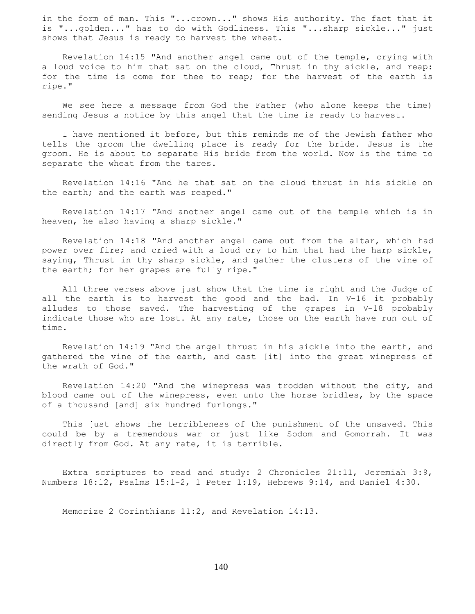in the form of man. This "...crown..." shows His authority. The fact that it is "...golden..." has to do with Godliness. This "...sharp sickle..." just shows that Jesus is ready to harvest the wheat.

 Revelation 14:15 "And another angel came out of the temple, crying with a loud voice to him that sat on the cloud, Thrust in thy sickle, and reap: for the time is come for thee to reap; for the harvest of the earth is ripe."

 We see here a message from God the Father (who alone keeps the time) sending Jesus a notice by this angel that the time is ready to harvest.

 I have mentioned it before, but this reminds me of the Jewish father who tells the groom the dwelling place is ready for the bride. Jesus is the groom. He is about to separate His bride from the world. Now is the time to separate the wheat from the tares.

 Revelation 14:16 "And he that sat on the cloud thrust in his sickle on the earth; and the earth was reaped."

 Revelation 14:17 "And another angel came out of the temple which is in heaven, he also having a sharp sickle."

 Revelation 14:18 "And another angel came out from the altar, which had power over fire; and cried with a loud cry to him that had the harp sickle, saying, Thrust in thy sharp sickle, and gather the clusters of the vine of the earth; for her grapes are fully ripe."

 All three verses above just show that the time is right and the Judge of all the earth is to harvest the good and the bad. In V-16 it probably alludes to those saved. The harvesting of the grapes in V-18 probably indicate those who are lost. At any rate, those on the earth have run out of time.

 Revelation 14:19 "And the angel thrust in his sickle into the earth, and gathered the vine of the earth, and cast [it] into the great winepress of the wrath of God."

 Revelation 14:20 "And the winepress was trodden without the city, and blood came out of the winepress, even unto the horse bridles, by the space of a thousand [and] six hundred furlongs."

 This just shows the terribleness of the punishment of the unsaved. This could be by a tremendous war or just like Sodom and Gomorrah. It was directly from God. At any rate, it is terrible.

 Extra scriptures to read and study: 2 Chronicles 21:11, Jeremiah 3:9, Numbers 18:12, Psalms 15:1-2, 1 Peter 1:19, Hebrews 9:14, and Daniel 4:30.

Memorize 2 Corinthians 11:2, and Revelation 14:13.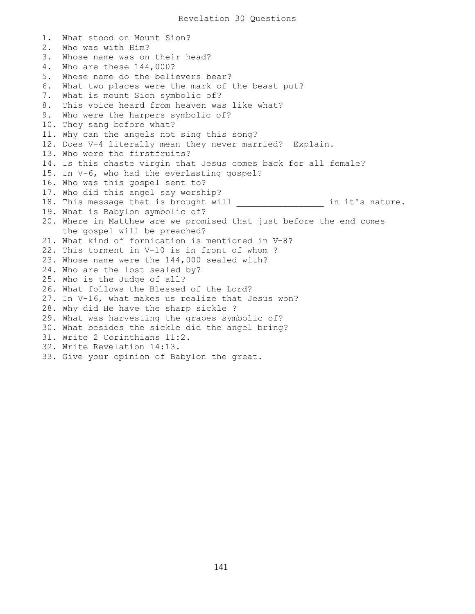```
1. What stood on Mount Sion?
2. Who was with Him?
3. Whose name was on their head?
4. Who are these 144,000?
5. Whose name do the believers bear?
6. What two places were the mark of the beast put?
7. What is mount Sion symbolic of?
8. This voice heard from heaven was like what?
9. Who were the harpers symbolic of?
10. They sang before what?
11. Why can the angels not sing this song?
12. Does V-4 literally mean they never married? Explain.
13. Who were the firstfruits?
14. Is this chaste virgin that Jesus comes back for all female?
15. In V-6, who had the everlasting gospel?
16. Who was this gospel sent to?
17. Who did this angel say worship?
18. This message that is brought will ___________________ in it's nature.
19. What is Babylon symbolic of?
20. Where in Matthew are we promised that just before the end comes
    the gospel will be preached?
21. What kind of fornication is mentioned in V-8?
22. This torment in V-10 is in front of whom ?
23. Whose name were the 144,000 sealed with?
24. Who are the lost sealed by?
25. Who is the Judge of all?
26. What follows the Blessed of the Lord?
27. In V-16, what makes us realize that Jesus won?
28. Why did He have the sharp sickle ?
29. What was harvesting the grapes symbolic of?
30. What besides the sickle did the angel bring?
31. Write 2 Corinthians 11:2.
32. Write Revelation 14:13.
33. Give your opinion of Babylon the great.
```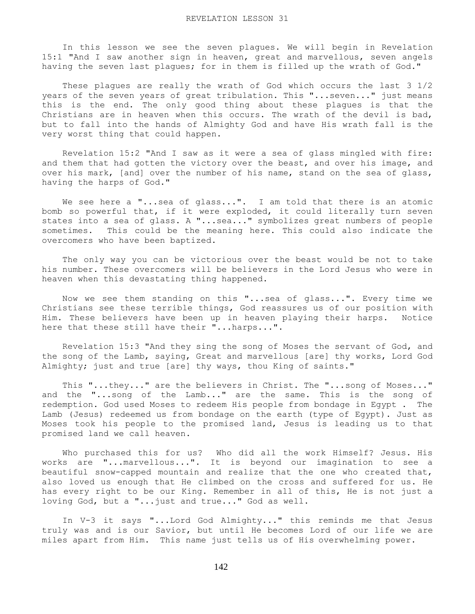In this lesson we see the seven plagues. We will begin in Revelation 15:1 "And I saw another sign in heaven, great and marvellous, seven angels having the seven last plagues; for in them is filled up the wrath of God."

 These plagues are really the wrath of God which occurs the last 3 1/2 years of the seven years of great tribulation. This "...seven..." just means this is the end. The only good thing about these plagues is that the Christians are in heaven when this occurs. The wrath of the devil is bad, but to fall into the hands of Almighty God and have His wrath fall is the very worst thing that could happen.

 Revelation 15:2 "And I saw as it were a sea of glass mingled with fire: and them that had gotten the victory over the beast, and over his image, and over his mark, [and] over the number of his name, stand on the sea of glass, having the harps of God."

We see here a "...sea of glass...". I am told that there is an atomic bomb so powerful that, if it were exploded, it could literally turn seven states into a sea of glass. A "...sea..." symbolizes great numbers of people sometimes. This could be the meaning here. This could also indicate the overcomers who have been baptized.

 The only way you can be victorious over the beast would be not to take his number. These overcomers will be believers in the Lord Jesus who were in heaven when this devastating thing happened.

 Now we see them standing on this "...sea of glass...". Every time we Christians see these terrible things, God reassures us of our position with Him. These believers have been up in heaven playing their harps. Notice here that these still have their "...harps...".

 Revelation 15:3 "And they sing the song of Moses the servant of God, and the song of the Lamb, saying, Great and marvellous [are] thy works, Lord God Almighty; just and true [are] thy ways, thou King of saints."

 This "...they..." are the believers in Christ. The "...song of Moses..." and the "...song of the Lamb..." are the same. This is the song of redemption. God used Moses to redeem His people from bondage in Egypt . The Lamb (Jesus) redeemed us from bondage on the earth (type of Egypt). Just as Moses took his people to the promised land, Jesus is leading us to that promised land we call heaven.

 Who purchased this for us? Who did all the work Himself? Jesus. His works are "...marvellous...". It is beyond our imagination to see a beautiful snow-capped mountain and realize that the one who created that, also loved us enough that He climbed on the cross and suffered for us. He has every right to be our King. Remember in all of this, He is not just a loving God, but a "...just and true..." God as well.

 In V-3 it says "...Lord God Almighty..." this reminds me that Jesus truly was and is our Savior, but until He becomes Lord of our life we are miles apart from Him. This name just tells us of His overwhelming power.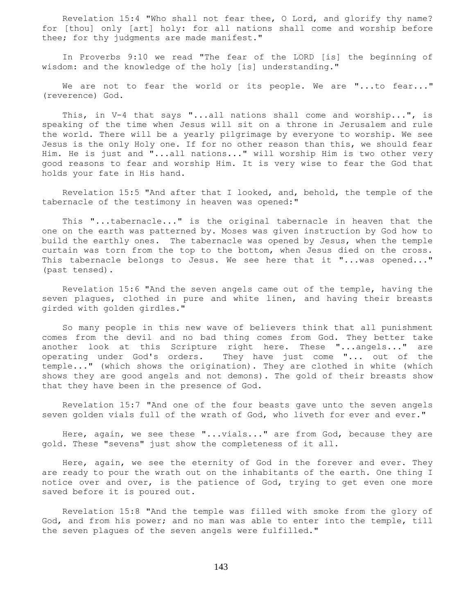Revelation 15:4 "Who shall not fear thee, O Lord, and glorify thy name? for [thou] only [art] holy: for all nations shall come and worship before thee; for thy judgments are made manifest."

 In Proverbs 9:10 we read "The fear of the LORD [is] the beginning of wisdom: and the knowledge of the holy [is] understanding."

We are not to fear the world or its people. We are "...to fear..." (reverence) God.

 This, in V-4 that says "...all nations shall come and worship...", is speaking of the time when Jesus will sit on a throne in Jerusalem and rule the world. There will be a yearly pilgrimage by everyone to worship. We see Jesus is the only Holy one. If for no other reason than this, we should fear Him. He is just and "...all nations..." will worship Him is two other very good reasons to fear and worship Him. It is very wise to fear the God that holds your fate in His hand.

 Revelation 15:5 "And after that I looked, and, behold, the temple of the tabernacle of the testimony in heaven was opened:"

 This "...tabernacle..." is the original tabernacle in heaven that the one on the earth was patterned by. Moses was given instruction by God how to build the earthly ones. The tabernacle was opened by Jesus, when the temple curtain was torn from the top to the bottom, when Jesus died on the cross. This tabernacle belongs to Jesus. We see here that it "...was opened..." (past tensed).

 Revelation 15:6 "And the seven angels came out of the temple, having the seven plagues, clothed in pure and white linen, and having their breasts girded with golden girdles."

 So many people in this new wave of believers think that all punishment comes from the devil and no bad thing comes from God. They better take another look at this Scripture right here. These "...angels..." are operating under God's orders. They have just come "... out of the temple..." (which shows the origination). They are clothed in white (which shows they are good angels and not demons). The gold of their breasts show that they have been in the presence of God.

 Revelation 15:7 "And one of the four beasts gave unto the seven angels seven golden vials full of the wrath of God, who liveth for ever and ever."

 Here, again, we see these "...vials..." are from God, because they are gold. These "sevens" just show the completeness of it all.

 Here, again, we see the eternity of God in the forever and ever. They are ready to pour the wrath out on the inhabitants of the earth. One thing I notice over and over, is the patience of God, trying to get even one more saved before it is poured out.

 Revelation 15:8 "And the temple was filled with smoke from the glory of God, and from his power; and no man was able to enter into the temple, till the seven plagues of the seven angels were fulfilled."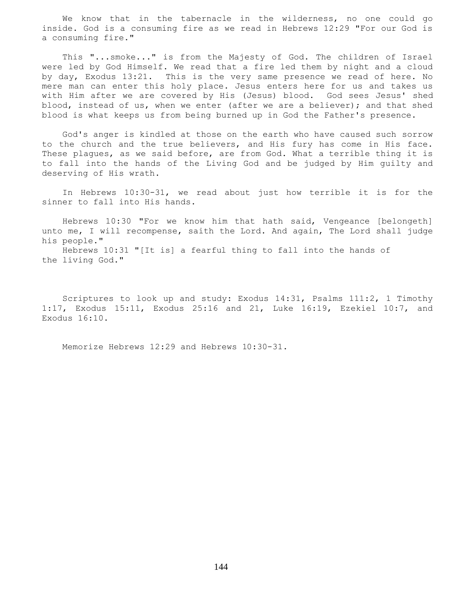We know that in the tabernacle in the wilderness, no one could go inside. God is a consuming fire as we read in Hebrews 12:29 "For our God is a consuming fire."

 This "...smoke..." is from the Majesty of God. The children of Israel were led by God Himself. We read that a fire led them by night and a cloud by day, Exodus 13:21. This is the very same presence we read of here. No mere man can enter this holy place. Jesus enters here for us and takes us with Him after we are covered by His (Jesus) blood. God sees Jesus' shed blood, instead of us, when we enter (after we are a believer); and that shed blood is what keeps us from being burned up in God the Father's presence.

 God's anger is kindled at those on the earth who have caused such sorrow to the church and the true believers, and His fury has come in His face. These plagues, as we said before, are from God. What a terrible thing it is to fall into the hands of the Living God and be judged by Him guilty and deserving of His wrath.

 In Hebrews 10:30-31, we read about just how terrible it is for the sinner to fall into His hands.

 Hebrews 10:30 "For we know him that hath said, Vengeance [belongeth] unto me, I will recompense, saith the Lord. And again, The Lord shall judge his people."

 Hebrews 10:31 "[It is] a fearful thing to fall into the hands of the living God."

 Scriptures to look up and study: Exodus 14:31, Psalms 111:2, 1 Timothy 1:17, Exodus 15:11, Exodus 25:16 and 21, Luke 16:19, Ezekiel 10:7, and Exodus 16:10.

Memorize Hebrews 12:29 and Hebrews 10:30-31.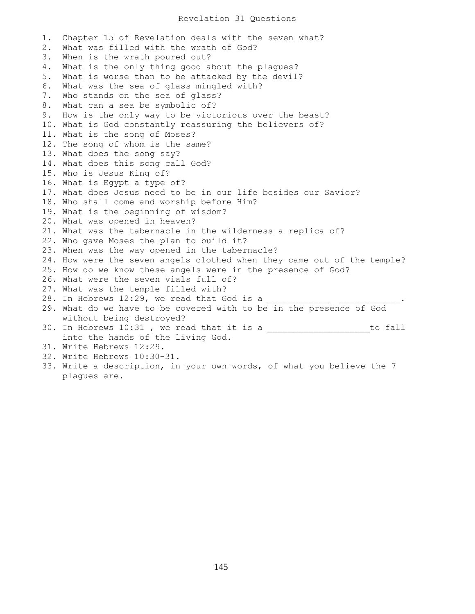### Revelation 31 Questions

1. Chapter 15 of Revelation deals with the seven what? 2. What was filled with the wrath of God? 3. When is the wrath poured out? 4. What is the only thing good about the plagues? 5. What is worse than to be attacked by the devil? 6. What was the sea of glass mingled with? 7. Who stands on the sea of glass? 8. What can a sea be symbolic of? 9. How is the only way to be victorious over the beast? 10. What is God constantly reassuring the believers of? 11. What is the song of Moses? 12. The song of whom is the same? 13. What does the song say? 14. What does this song call God? 15. Who is Jesus King of? 16. What is Egypt a type of? 17. What does Jesus need to be in our life besides our Savior? 18. Who shall come and worship before Him? 19. What is the beginning of wisdom? 20. What was opened in heaven? 21. What was the tabernacle in the wilderness a replica of? 22. Who gave Moses the plan to build it? 23. When was the way opened in the tabernacle? 24. How were the seven angels clothed when they came out of the temple? 25. How do we know these angels were in the presence of God? 26. What were the seven vials full of? 27. What was the temple filled with? 28. In Hebrews 12:29, we read that God is a 29. What do we have to be covered with to be in the presence of God without being destroyed? 30. In Hebrews 10:31, we read that it is a \_\_\_\_\_\_\_\_\_\_\_\_\_\_\_\_\_\_\_\_\_\_\_to fall into the hands of the living God. 31. Write Hebrews 12:29. 32. Write Hebrews 10:30-31. 33. Write a description, in your own words, of what you believe the 7 plagues are.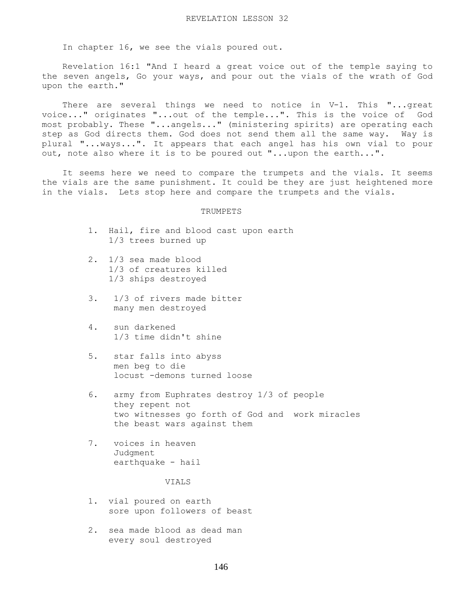In chapter 16, we see the vials poured out.

 Revelation 16:1 "And I heard a great voice out of the temple saying to the seven angels, Go your ways, and pour out the vials of the wrath of God upon the earth."

There are several things we need to notice in V-1. This "...great voice..." originates "...out of the temple...". This is the voice of God most probably. These "...angels..." (ministering spirits) are operating each step as God directs them. God does not send them all the same way. Way is plural "...ways...". It appears that each angel has his own vial to pour out, note also where it is to be poured out "...upon the earth...".

 It seems here we need to compare the trumpets and the vials. It seems the vials are the same punishment. It could be they are just heightened more in the vials. Lets stop here and compare the trumpets and the vials.

# TRUMPETS

- 1. Hail, fire and blood cast upon earth 1/3 trees burned up
- 2. 1/3 sea made blood 1/3 of creatures killed 1/3 ships destroyed
- 3. 1/3 of rivers made bitter many men destroyed
- 4. sun darkened 1/3 time didn't shine
- 5. star falls into abyss men beg to die locust -demons turned loose
- 6. army from Euphrates destroy 1/3 of people they repent not two witnesses go forth of God and work miracles the beast wars against them
- 7. voices in heaven Judgment earthquake - hail

VIALS

- 1. vial poured on earth sore upon followers of beast
- 2. sea made blood as dead man every soul destroyed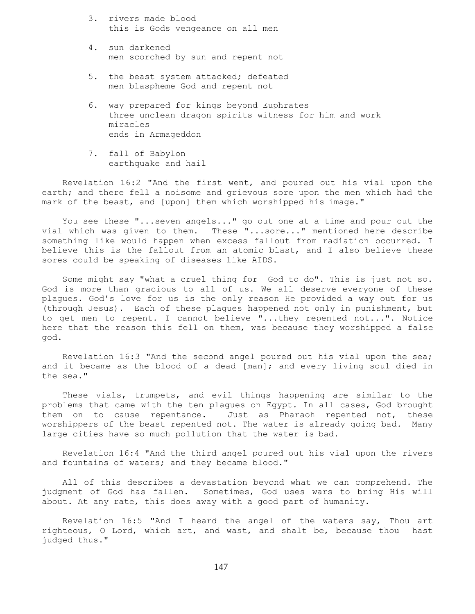- 3. rivers made blood this is Gods vengeance on all men
- 4. sun darkened men scorched by sun and repent not
- 5. the beast system attacked; defeated men blaspheme God and repent not
- 6. way prepared for kings beyond Euphrates three unclean dragon spirits witness for him and work miracles ends in Armageddon
- 7. fall of Babylon earthquake and hail

 Revelation 16:2 "And the first went, and poured out his vial upon the earth; and there fell a noisome and grievous sore upon the men which had the mark of the beast, and [upon] them which worshipped his image."

 You see these "...seven angels..." go out one at a time and pour out the vial which was given to them. These "...sore..." mentioned here describe something like would happen when excess fallout from radiation occurred. I believe this is the fallout from an atomic blast, and I also believe these sores could be speaking of diseases like AIDS.

 Some might say "what a cruel thing for God to do". This is just not so. God is more than gracious to all of us. We all deserve everyone of these plagues. God's love for us is the only reason He provided a way out for us (through Jesus). Each of these plagues happened not only in punishment, but to get men to repent. I cannot believe "...they repented not...". Notice here that the reason this fell on them, was because they worshipped a false god.

 Revelation 16:3 "And the second angel poured out his vial upon the sea; and it became as the blood of a dead [man]; and every living soul died in the sea."

 These vials, trumpets, and evil things happening are similar to the problems that came with the ten plagues on Egypt. In all cases, God brought them on to cause repentance. Just as Pharaoh repented not, these worshippers of the beast repented not. The water is already going bad. Many large cities have so much pollution that the water is bad.

 Revelation 16:4 "And the third angel poured out his vial upon the rivers and fountains of waters; and they became blood."

 All of this describes a devastation beyond what we can comprehend. The judgment of God has fallen. Sometimes, God uses wars to bring His will about. At any rate, this does away with a good part of humanity.

 Revelation 16:5 "And I heard the angel of the waters say, Thou art righteous, O Lord, which art, and wast, and shalt be, because thou hast judged thus."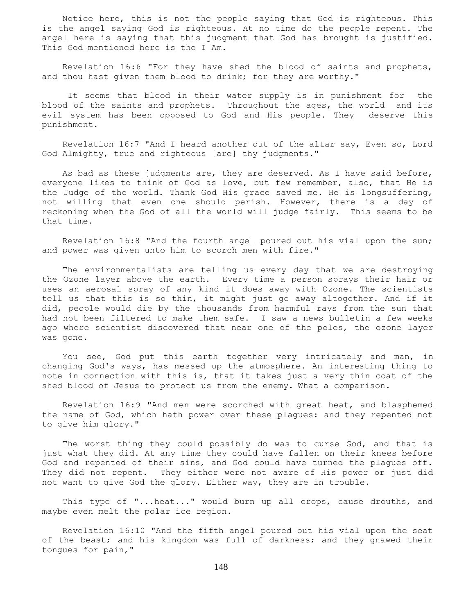Notice here, this is not the people saying that God is righteous. This is the angel saying God is righteous. At no time do the people repent. The angel here is saying that this judgment that God has brought is justified. This God mentioned here is the I Am.

 Revelation 16:6 "For they have shed the blood of saints and prophets, and thou hast given them blood to drink; for they are worthy."

 It seems that blood in their water supply is in punishment for the blood of the saints and prophets. Throughout the ages, the world and its evil system has been opposed to God and His people. They deserve this punishment.

 Revelation 16:7 "And I heard another out of the altar say, Even so, Lord God Almighty, true and righteous [are] thy judgments."

 As bad as these judgments are, they are deserved. As I have said before, everyone likes to think of God as love, but few remember, also, that He is the Judge of the world. Thank God His grace saved me. He is longsuffering, not willing that even one should perish. However, there is a day of reckoning when the God of all the world will judge fairly. This seems to be that time.

 Revelation 16:8 "And the fourth angel poured out his vial upon the sun; and power was given unto him to scorch men with fire."

 The environmentalists are telling us every day that we are destroying the Ozone layer above the earth. Every time a person sprays their hair or uses an aerosal spray of any kind it does away with Ozone. The scientists tell us that this is so thin, it might just go away altogether. And if it did, people would die by the thousands from harmful rays from the sun that had not been filtered to make them safe. I saw a news bulletin a few weeks ago where scientist discovered that near one of the poles, the ozone layer was gone.

 You see, God put this earth together very intricately and man, in changing God's ways, has messed up the atmosphere. An interesting thing to note in connection with this is, that it takes just a very thin coat of the shed blood of Jesus to protect us from the enemy. What a comparison.

 Revelation 16:9 "And men were scorched with great heat, and blasphemed the name of God, which hath power over these plagues: and they repented not to give him glory."

The worst thing they could possibly do was to curse God, and that is just what they did. At any time they could have fallen on their knees before God and repented of their sins, and God could have turned the plagues off. They did not repent. They either were not aware of His power or just did not want to give God the glory. Either way, they are in trouble.

 This type of "...heat..." would burn up all crops, cause drouths, and maybe even melt the polar ice region.

 Revelation 16:10 "And the fifth angel poured out his vial upon the seat of the beast; and his kingdom was full of darkness; and they gnawed their tongues for pain,"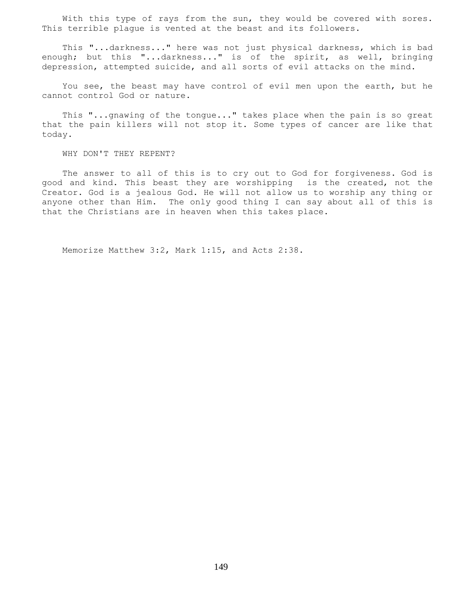With this type of rays from the sun, they would be covered with sores. This terrible plague is vented at the beast and its followers.

 This "...darkness..." here was not just physical darkness, which is bad enough; but this "...darkness..." is of the spirit, as well, bringing depression, attempted suicide, and all sorts of evil attacks on the mind.

 You see, the beast may have control of evil men upon the earth, but he cannot control God or nature.

 This "...gnawing of the tongue..." takes place when the pain is so great that the pain killers will not stop it. Some types of cancer are like that today.

WHY DON'T THEY REPENT?

 The answer to all of this is to cry out to God for forgiveness. God is good and kind. This beast they are worshipping is the created, not the Creator. God is a jealous God. He will not allow us to worship any thing or anyone other than Him. The only good thing I can say about all of this is that the Christians are in heaven when this takes place.

Memorize Matthew 3:2, Mark 1:15, and Acts 2:38.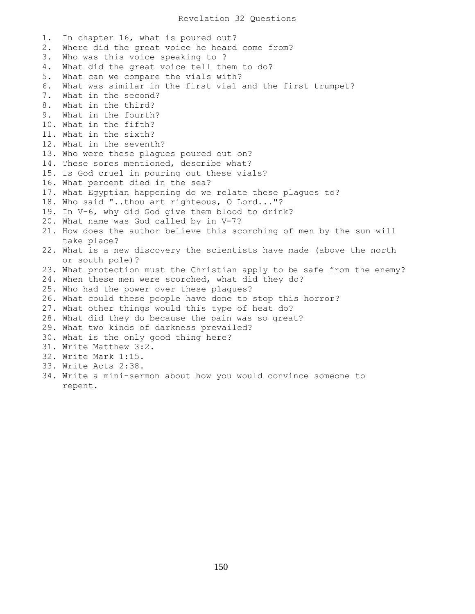## Revelation 32 Questions

1. In chapter 16, what is poured out? 2. Where did the great voice he heard come from? 3. Who was this voice speaking to ? 4. What did the great voice tell them to do? 5. What can we compare the vials with? 6. What was similar in the first vial and the first trumpet? 7. What in the second? 8. What in the third? 9. What in the fourth? 10. What in the fifth? 11. What in the sixth? 12. What in the seventh? 13. Who were these plagues poured out on? 14. These sores mentioned, describe what? 15. Is God cruel in pouring out these vials? 16. What percent died in the sea? 17. What Egyptian happening do we relate these plagues to? 18. Who said "..thou art righteous, O Lord..."? 19. In V-6, why did God give them blood to drink? 20. What name was God called by in V-7? 21. How does the author believe this scorching of men by the sun will take place? 22. What is a new discovery the scientists have made (above the north or south pole)? 23. What protection must the Christian apply to be safe from the enemy? 24. When these men were scorched, what did they do? 25. Who had the power over these plagues? 26. What could these people have done to stop this horror? 27. What other things would this type of heat do? 28. What did they do because the pain was so great? 29. What two kinds of darkness prevailed? 30. What is the only good thing here? 31. Write Matthew 3:2. 32. Write Mark 1:15. 33. Write Acts 2:38.

34. Write a mini-sermon about how you would convince someone to repent.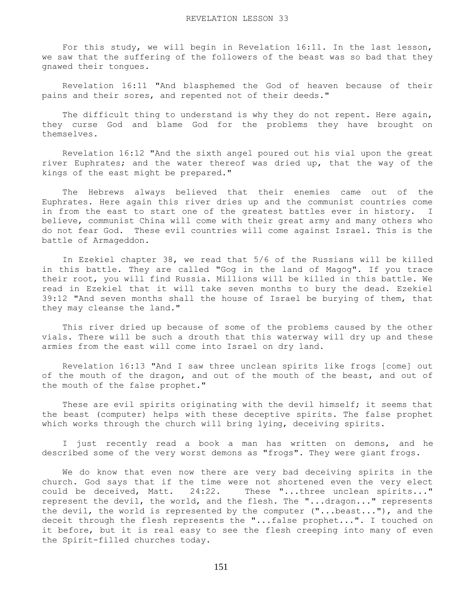For this study, we will begin in Revelation 16:11. In the last lesson, we saw that the suffering of the followers of the beast was so bad that they gnawed their tongues.

 Revelation 16:11 "And blasphemed the God of heaven because of their pains and their sores, and repented not of their deeds."

The difficult thing to understand is why they do not repent. Here again, they curse God and blame God for the problems they have brought on themselves.

 Revelation 16:12 "And the sixth angel poured out his vial upon the great river Euphrates; and the water thereof was dried up, that the way of the kings of the east might be prepared."

 The Hebrews always believed that their enemies came out of the Euphrates. Here again this river dries up and the communist countries come in from the east to start one of the greatest battles ever in history. I believe, communist China will come with their great army and many others who do not fear God. These evil countries will come against Israel. This is the battle of Armageddon.

 In Ezekiel chapter 38, we read that 5/6 of the Russians will be killed in this battle. They are called "Gog in the land of Magog". If you trace their root, you will find Russia. Millions will be killed in this battle. We read in Ezekiel that it will take seven months to bury the dead. Ezekiel 39:12 "And seven months shall the house of Israel be burying of them, that they may cleanse the land."

 This river dried up because of some of the problems caused by the other vials. There will be such a drouth that this waterway will dry up and these armies from the east will come into Israel on dry land.

 Revelation 16:13 "And I saw three unclean spirits like frogs [come] out of the mouth of the dragon, and out of the mouth of the beast, and out of the mouth of the false prophet."

These are evil spirits originating with the devil himself; it seems that the beast (computer) helps with these deceptive spirits. The false prophet which works through the church will bring lying, deceiving spirits.

 I just recently read a book a man has written on demons, and he described some of the very worst demons as "frogs". They were giant frogs.

 We do know that even now there are very bad deceiving spirits in the church. God says that if the time were not shortened even the very elect could be deceived, Matt. 24:22. These "...three unclean spirits..." represent the devil, the world, and the flesh. The "...dragon..." represents the devil, the world is represented by the computer ("...beast..."), and the deceit through the flesh represents the "...false prophet...". I touched on it before, but it is real easy to see the flesh creeping into many of even the Spirit-filled churches today.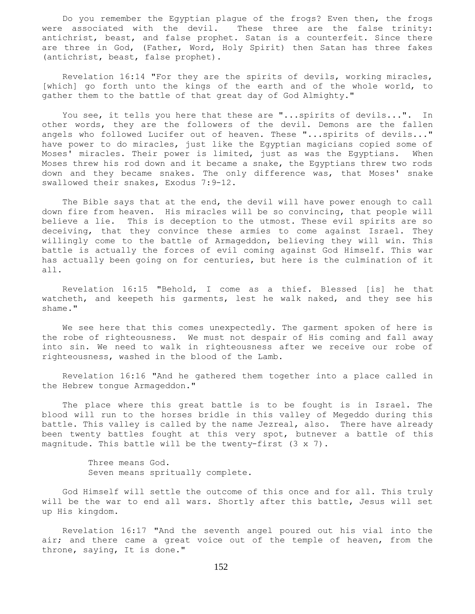Do you remember the Egyptian plague of the frogs? Even then, the frogs were associated with the devil. These three are the false trinity: antichrist, beast, and false prophet. Satan is a counterfeit. Since there are three in God, (Father, Word, Holy Spirit) then Satan has three fakes (antichrist, beast, false prophet).

 Revelation 16:14 "For they are the spirits of devils, working miracles, [which] go forth unto the kings of the earth and of the whole world, to gather them to the battle of that great day of God Almighty."

You see, it tells you here that these are "... spirits of devils...". In other words, they are the followers of the devil. Demons are the fallen angels who followed Lucifer out of heaven. These "...spirits of devils..." have power to do miracles, just like the Egyptian magicians copied some of Moses' miracles. Their power is limited, just as was the Egyptians. When Moses threw his rod down and it became a snake, the Egyptians threw two rods down and they became snakes. The only difference was, that Moses' snake swallowed their snakes, Exodus 7:9-12.

 The Bible says that at the end, the devil will have power enough to call down fire from heaven. His miracles will be so convincing, that people will believe a lie. This is deception to the utmost. These evil spirits are so deceiving, that they convince these armies to come against Israel. They willingly come to the battle of Armageddon, believing they will win. This battle is actually the forces of evil coming against God Himself. This war has actually been going on for centuries, but here is the culmination of it all.

 Revelation 16:15 "Behold, I come as a thief. Blessed [is] he that watcheth, and keepeth his garments, lest he walk naked, and they see his shame."

 We see here that this comes unexpectedly. The garment spoken of here is the robe of righteousness. We must not despair of His coming and fall away into sin. We need to walk in righteousness after we receive our robe of righteousness, washed in the blood of the Lamb.

 Revelation 16:16 "And he gathered them together into a place called in the Hebrew tongue Armageddon."

 The place where this great battle is to be fought is in Israel. The blood will run to the horses bridle in this valley of Megeddo during this battle. This valley is called by the name Jezreal, also. There have already been twenty battles fought at this very spot, butnever a battle of this magnitude. This battle will be the twenty-first  $(3 \times 7)$ .

> Three means God. Seven means spritually complete.

 God Himself will settle the outcome of this once and for all. This truly will be the war to end all wars. Shortly after this battle, Jesus will set up His kingdom.

 Revelation 16:17 "And the seventh angel poured out his vial into the air; and there came a great voice out of the temple of heaven, from the throne, saying, It is done."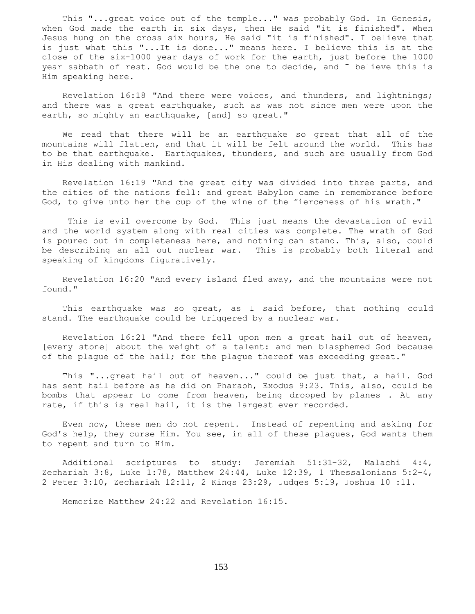This "...great voice out of the temple..." was probably God. In Genesis, when God made the earth in six days, then He said "it is finished". When Jesus hung on the cross six hours, He said "it is finished". I believe that is just what this "...It is done..." means here. I believe this is at the close of the six-1000 year days of work for the earth, just before the 1000 year sabbath of rest. God would be the one to decide, and I believe this is Him speaking here.

 Revelation 16:18 "And there were voices, and thunders, and lightnings; and there was a great earthquake, such as was not since men were upon the earth, so mighty an earthquake, [and] so great."

 We read that there will be an earthquake so great that all of the mountains will flatten, and that it will be felt around the world. This has to be that earthquake. Earthquakes, thunders, and such are usually from God in His dealing with mankind.

 Revelation 16:19 "And the great city was divided into three parts, and the cities of the nations fell: and great Babylon came in remembrance before God, to give unto her the cup of the wine of the fierceness of his wrath."

 This is evil overcome by God. This just means the devastation of evil and the world system along with real cities was complete. The wrath of God is poured out in completeness here, and nothing can stand. This, also, could be describing an all out nuclear war. This is probably both literal and speaking of kingdoms figuratively.

 Revelation 16:20 "And every island fled away, and the mountains were not found."

 This earthquake was so great, as I said before, that nothing could stand. The earthquake could be triggered by a nuclear war.

 Revelation 16:21 "And there fell upon men a great hail out of heaven, [every stone] about the weight of a talent: and men blasphemed God because of the plague of the hail; for the plague thereof was exceeding great."

 This "...great hail out of heaven..." could be just that, a hail. God has sent hail before as he did on Pharaoh, Exodus 9:23. This, also, could be bombs that appear to come from heaven, being dropped by planes . At any rate, if this is real hail, it is the largest ever recorded.

 Even now, these men do not repent. Instead of repenting and asking for God's help, they curse Him. You see, in all of these plagues, God wants them to repent and turn to Him.

 Additional scriptures to study: Jeremiah 51:31-32, Malachi 4:4, Zechariah 3:8, Luke 1:78, Matthew 24:44, Luke 12:39, 1 Thessalonians  $5:2-4$ , 2 Peter 3:10, Zechariah 12:11, 2 Kings 23:29, Judges 5:19, Joshua 10 :11.

Memorize Matthew 24:22 and Revelation 16:15.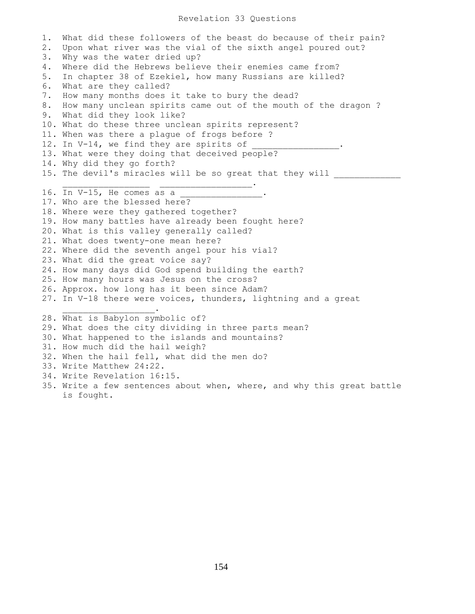### Revelation 33 Questions

1. What did these followers of the beast do because of their pain? 2. Upon what river was the vial of the sixth angel poured out? 3. Why was the water dried up? 4. Where did the Hebrews believe their enemies came from? 5. In chapter 38 of Ezekiel, how many Russians are killed? 6. What are they called? 7. How many months does it take to bury the dead? 8. How many unclean spirits came out of the mouth of the dragon ? 9. What did they look like? 10. What do these three unclean spirits represent? 11. When was there a plague of frogs before ? 12. In V-14, we find they are spirits of 13. What were they doing that deceived people? 14. Why did they go forth? 15. The devil's miracles will be so great that they will  $\overline{\phantom{a}}$  ,  $\overline{\phantom{a}}$  ,  $\overline{\phantom{a}}$  ,  $\overline{\phantom{a}}$  ,  $\overline{\phantom{a}}$  ,  $\overline{\phantom{a}}$  ,  $\overline{\phantom{a}}$  ,  $\overline{\phantom{a}}$  ,  $\overline{\phantom{a}}$  ,  $\overline{\phantom{a}}$  ,  $\overline{\phantom{a}}$  ,  $\overline{\phantom{a}}$  ,  $\overline{\phantom{a}}$  ,  $\overline{\phantom{a}}$  ,  $\overline{\phantom{a}}$  ,  $\overline{\phantom{a}}$ 16. In V-15, He comes as a \_\_\_\_\_\_\_\_\_\_\_\_\_. 17. Who are the blessed here? 18. Where were they gathered together? 19. How many battles have already been fought here? 20. What is this valley generally called? 21. What does twenty-one mean here? 22. Where did the seventh angel pour his vial? 23. What did the great voice say? 24. How many days did God spend building the earth? 25. How many hours was Jesus on the cross? 26. Approx. how long has it been since Adam? 27. In V-18 there were voices, thunders, lightning and a great  $\overline{\phantom{a}}$  ,  $\overline{\phantom{a}}$  ,  $\overline{\phantom{a}}$  ,  $\overline{\phantom{a}}$  ,  $\overline{\phantom{a}}$  ,  $\overline{\phantom{a}}$  ,  $\overline{\phantom{a}}$  ,  $\overline{\phantom{a}}$  ,  $\overline{\phantom{a}}$  ,  $\overline{\phantom{a}}$  ,  $\overline{\phantom{a}}$  ,  $\overline{\phantom{a}}$  ,  $\overline{\phantom{a}}$  ,  $\overline{\phantom{a}}$  ,  $\overline{\phantom{a}}$  ,  $\overline{\phantom{a}}$ 28. What is Babylon symbolic of? 29. What does the city dividing in three parts mean? 30. What happened to the islands and mountains? 31. How much did the hail weigh? 32. When the hail fell, what did the men do? 33. Write Matthew 24:22. 34. Write Revelation 16:15. 35. Write a few sentences about when, where, and why this great battle is fought.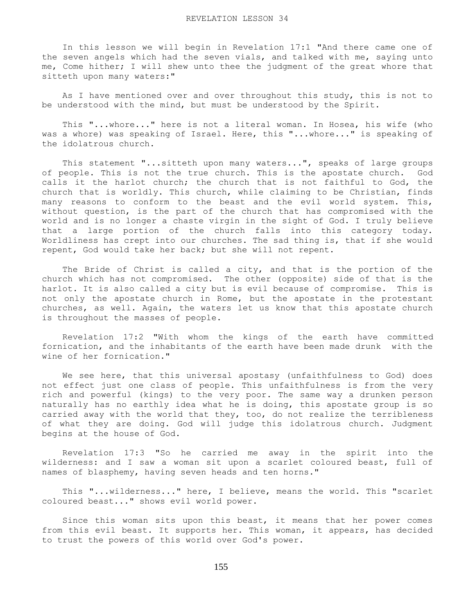In this lesson we will begin in Revelation 17:1 "And there came one of the seven angels which had the seven vials, and talked with me, saying unto me, Come hither; I will shew unto thee the judgment of the great whore that sitteth upon many waters:"

 As I have mentioned over and over throughout this study, this is not to be understood with the mind, but must be understood by the Spirit.

 This "...whore..." here is not a literal woman. In Hosea, his wife (who was a whore) was speaking of Israel. Here, this "...whore..." is speaking of the idolatrous church.

 This statement "...sitteth upon many waters...", speaks of large groups of people. This is not the true church. This is the apostate church. God calls it the harlot church; the church that is not faithful to God, the church that is worldly. This church, while claiming to be Christian, finds many reasons to conform to the beast and the evil world system. This, without question, is the part of the church that has compromised with the world and is no longer a chaste virgin in the sight of God. I truly believe that a large portion of the church falls into this category today. Worldliness has crept into our churches. The sad thing is, that if she would repent, God would take her back; but she will not repent.

The Bride of Christ is called a city, and that is the portion of the church which has not compromised. The other (opposite) side of that is the harlot. It is also called a city but is evil because of compromise. This is not only the apostate church in Rome, but the apostate in the protestant churches, as well. Again, the waters let us know that this apostate church is throughout the masses of people.

 Revelation 17:2 "With whom the kings of the earth have committed fornication, and the inhabitants of the earth have been made drunk with the wine of her fornication."

 We see here, that this universal apostasy (unfaithfulness to God) does not effect just one class of people. This unfaithfulness is from the very rich and powerful (kings) to the very poor. The same way a drunken person naturally has no earthly idea what he is doing, this apostate group is so carried away with the world that they, too, do not realize the terribleness of what they are doing. God will judge this idolatrous church. Judgment begins at the house of God.

 Revelation 17:3 "So he carried me away in the spirit into the wilderness: and I saw a woman sit upon a scarlet coloured beast, full of names of blasphemy, having seven heads and ten horns."

 This "...wilderness..." here, I believe, means the world. This "scarlet coloured beast..." shows evil world power.

 Since this woman sits upon this beast, it means that her power comes from this evil beast. It supports her. This woman, it appears, has decided to trust the powers of this world over God's power.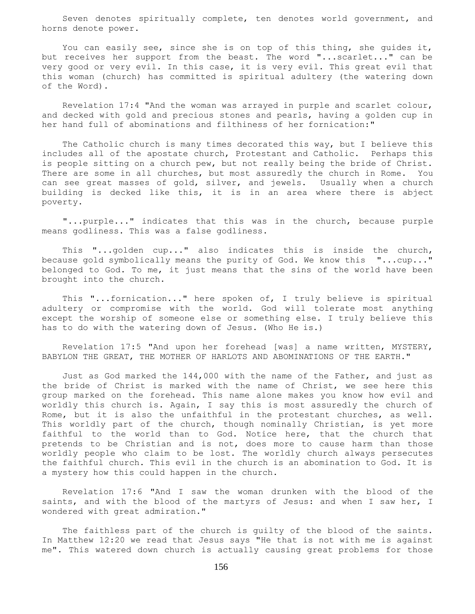Seven denotes spiritually complete, ten denotes world government, and horns denote power.

You can easily see, since she is on top of this thing, she quides it, but receives her support from the beast. The word "...scarlet..." can be very good or very evil. In this case, it is very evil. This great evil that this woman (church) has committed is spiritual adultery (the watering down of the Word).

 Revelation 17:4 "And the woman was arrayed in purple and scarlet colour, and decked with gold and precious stones and pearls, having a golden cup in her hand full of abominations and filthiness of her fornication:"

 The Catholic church is many times decorated this way, but I believe this includes all of the apostate church, Protestant and Catholic. Perhaps this is people sitting on a church pew, but not really being the bride of Christ. There are some in all churches, but most assuredly the church in Rome. You can see great masses of gold, silver, and jewels. Usually when a church building is decked like this, it is in an area where there is abject poverty.

 "...purple..." indicates that this was in the church, because purple means godliness. This was a false godliness.

 This "...golden cup..." also indicates this is inside the church, because gold symbolically means the purity of God. We know this "...cup..." belonged to God. To me, it just means that the sins of the world have been brought into the church.

 This "...fornication..." here spoken of, I truly believe is spiritual adultery or compromise with the world. God will tolerate most anything except the worship of someone else or something else. I truly believe this has to do with the watering down of Jesus. (Who He is.)

 Revelation 17:5 "And upon her forehead [was] a name written, MYSTERY, BABYLON THE GREAT, THE MOTHER OF HARLOTS AND ABOMINATIONS OF THE EARTH."

 Just as God marked the 144,000 with the name of the Father, and just as the bride of Christ is marked with the name of Christ, we see here this group marked on the forehead. This name alone makes you know how evil and worldly this church is. Again, I say this is most assuredly the church of Rome, but it is also the unfaithful in the protestant churches, as well. This worldly part of the church, though nominally Christian, is yet more faithful to the world than to God. Notice here, that the church that pretends to be Christian and is not, does more to cause harm than those worldly people who claim to be lost. The worldly church always persecutes the faithful church. This evil in the church is an abomination to God. It is a mystery how this could happen in the church.

 Revelation 17:6 "And I saw the woman drunken with the blood of the saints, and with the blood of the martyrs of Jesus: and when I saw her, I wondered with great admiration."

 The faithless part of the church is guilty of the blood of the saints. In Matthew 12:20 we read that Jesus says "He that is not with me is against me". This watered down church is actually causing great problems for those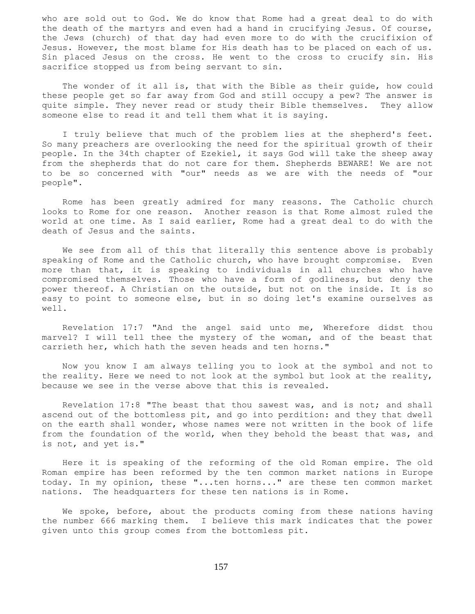who are sold out to God. We do know that Rome had a great deal to do with the death of the martyrs and even had a hand in crucifying Jesus. Of course, the Jews (church) of that day had even more to do with the crucifixion of Jesus. However, the most blame for His death has to be placed on each of us. Sin placed Jesus on the cross. He went to the cross to crucify sin. His sacrifice stopped us from being servant to sin.

 The wonder of it all is, that with the Bible as their guide, how could these people get so far away from God and still occupy a pew? The answer is quite simple. They never read or study their Bible themselves. They allow someone else to read it and tell them what it is saying.

 I truly believe that much of the problem lies at the shepherd's feet. So many preachers are overlooking the need for the spiritual growth of their people. In the 34th chapter of Ezekiel, it says God will take the sheep away from the shepherds that do not care for them. Shepherds BEWARE! We are not to be so concerned with "our" needs as we are with the needs of "our people".

 Rome has been greatly admired for many reasons. The Catholic church looks to Rome for one reason. Another reason is that Rome almost ruled the world at one time. As I said earlier, Rome had a great deal to do with the death of Jesus and the saints.

We see from all of this that literally this sentence above is probably speaking of Rome and the Catholic church, who have brought compromise. Even more than that, it is speaking to individuals in all churches who have compromised themselves. Those who have a form of godliness, but deny the power thereof. A Christian on the outside, but not on the inside. It is so easy to point to someone else, but in so doing let's examine ourselves as well.

 Revelation 17:7 "And the angel said unto me, Wherefore didst thou marvel? I will tell thee the mystery of the woman, and of the beast that carrieth her, which hath the seven heads and ten horns."

 Now you know I am always telling you to look at the symbol and not to the reality. Here we need to not look at the symbol but look at the reality, because we see in the verse above that this is revealed.

 Revelation 17:8 "The beast that thou sawest was, and is not; and shall ascend out of the bottomless pit, and go into perdition: and they that dwell on the earth shall wonder, whose names were not written in the book of life from the foundation of the world, when they behold the beast that was, and is not, and yet is."

 Here it is speaking of the reforming of the old Roman empire. The old Roman empire has been reformed by the ten common market nations in Europe today. In my opinion, these "...ten horns..." are these ten common market nations. The headquarters for these ten nations is in Rome.

We spoke, before, about the products coming from these nations having the number 666 marking them. I believe this mark indicates that the power given unto this group comes from the bottomless pit.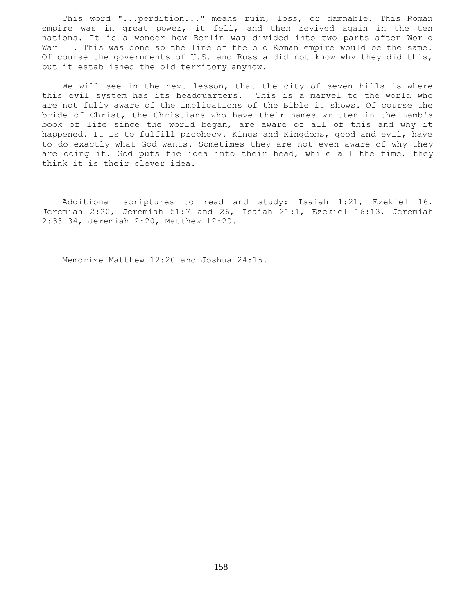This word "...perdition..." means ruin, loss, or damnable. This Roman empire was in great power, it fell, and then revived again in the ten nations. It is a wonder how Berlin was divided into two parts after World War II. This was done so the line of the old Roman empire would be the same. Of course the governments of U.S. and Russia did not know why they did this, but it established the old territory anyhow.

We will see in the next lesson, that the city of seven hills is where this evil system has its headquarters. This is a marvel to the world who are not fully aware of the implications of the Bible it shows. Of course the bride of Christ, the Christians who have their names written in the Lamb's book of life since the world began, are aware of all of this and why it happened. It is to fulfill prophecy. Kings and Kingdoms, good and evil, have to do exactly what God wants. Sometimes they are not even aware of why they are doing it. God puts the idea into their head, while all the time, they think it is their clever idea.

 Additional scriptures to read and study: Isaiah 1:21, Ezekiel 16, Jeremiah 2:20, Jeremiah 51:7 and 26, Isaiah 21:1, Ezekiel 16:13, Jeremiah 2:33-34, Jeremiah 2:20, Matthew 12:20.

Memorize Matthew 12:20 and Joshua 24:15.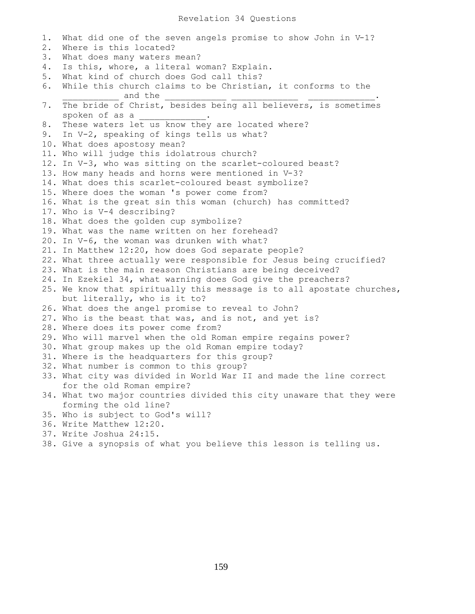### Revelation 34 Questions

1. What did one of the seven angels promise to show John in V-1? 2. Where is this located? 3. What does many waters mean? 4. Is this, whore, a literal woman? Explain. 5. What kind of church does God call this? 6. While this church claims to be Christian, it conforms to the \_\_\_\_\_\_\_\_\_\_\_ and the \_\_\_\_\_\_\_\_\_\_\_\_ \_\_\_\_\_\_\_\_\_\_\_\_\_ \_\_\_\_\_\_\_\_\_\_\_\_\_. 7. The bride of Christ, besides being all believers, is sometimes spoken of as a \_\_\_\_\_\_\_\_\_\_\_\_\_. 8. These waters let us know they are located where? 9. In V-2, speaking of kings tells us what? 10. What does apostosy mean? 11. Who will judge this idolatrous church? 12. In V-3, who was sitting on the scarlet-coloured beast? 13. How many heads and horns were mentioned in V-3? 14. What does this scarlet-coloured beast symbolize? 15. Where does the woman 's power come from? 16. What is the great sin this woman (church) has committed? 17. Who is V-4 describing? 18. What does the golden cup symbolize? 19. What was the name written on her forehead? 20. In V-6, the woman was drunken with what? 21. In Matthew 12:20, how does God separate people? 22. What three actually were responsible for Jesus being crucified? 23. What is the main reason Christians are being deceived? 24. In Ezekiel 34, what warning does God give the preachers? 25. We know that spiritually this message is to all apostate churches, but literally, who is it to? 26. What does the angel promise to reveal to John? 27. Who is the beast that was, and is not, and yet is? 28. Where does its power come from? 29. Who will marvel when the old Roman empire regains power? 30. What group makes up the old Roman empire today? 31. Where is the headquarters for this group? 32. What number is common to this group? 33. What city was divided in World War II and made the line correct for the old Roman empire? 34. What two major countries divided this city unaware that they were forming the old line? 35. Who is subject to God's will? 36. Write Matthew 12:20. 37. Write Joshua 24:15.

38. Give a synopsis of what you believe this lesson is telling us.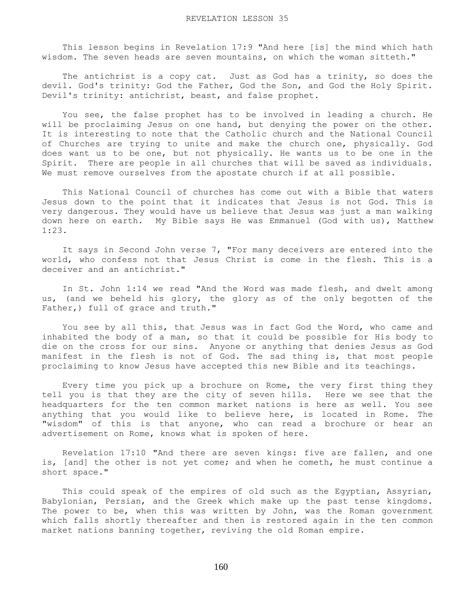This lesson begins in Revelation 17:9 "And here [is] the mind which hath wisdom. The seven heads are seven mountains, on which the woman sitteth."

The antichrist is a copy cat. Just as God has a trinity, so does the devil. God's trinity: God the Father, God the Son, and God the Holy Spirit. Devil's trinity: antichrist, beast, and false prophet.

 You see, the false prophet has to be involved in leading a church. He will be proclaiming Jesus on one hand, but denying the power on the other. It is interesting to note that the Catholic church and the National Council of Churches are trying to unite and make the church one, physically. God does want us to be one, but not physically. He wants us to be one in the Spirit. There are people in all churches that will be saved as individuals. We must remove ourselves from the apostate church if at all possible.

 This National Council of churches has come out with a Bible that waters Jesus down to the point that it indicates that Jesus is not God. This is very dangerous. They would have us believe that Jesus was just a man walking down here on earth. My Bible says He was Emmanuel (God with us), Matthew 1:23.

 It says in Second John verse 7, "For many deceivers are entered into the world, who confess not that Jesus Christ is come in the flesh. This is a deceiver and an antichrist."

 In St. John 1:14 we read "And the Word was made flesh, and dwelt among us, (and we beheld his glory, the glory as of the only begotten of the Father,) full of grace and truth."

 You see by all this, that Jesus was in fact God the Word, who came and inhabited the body of a man, so that it could be possible for His body to die on the cross for our sins. Anyone or anything that denies Jesus as God manifest in the flesh is not of God. The sad thing is, that most people proclaiming to know Jesus have accepted this new Bible and its teachings.

 Every time you pick up a brochure on Rome, the very first thing they tell you is that they are the city of seven hills. Here we see that the headquarters for the ten common market nations is here as well. You see anything that you would like to believe here, is located in Rome. The "wisdom" of this is that anyone, who can read a brochure or hear an advertisement on Rome, knows what is spoken of here.

 Revelation 17:10 "And there are seven kings: five are fallen, and one is, [and] the other is not yet come; and when he cometh, he must continue a short space."

 This could speak of the empires of old such as the Egyptian, Assyrian, Babylonian, Persian, and the Greek which make up the past tense kingdoms. The power to be, when this was written by John, was the Roman government which falls shortly thereafter and then is restored again in the ten common market nations banning together, reviving the old Roman empire.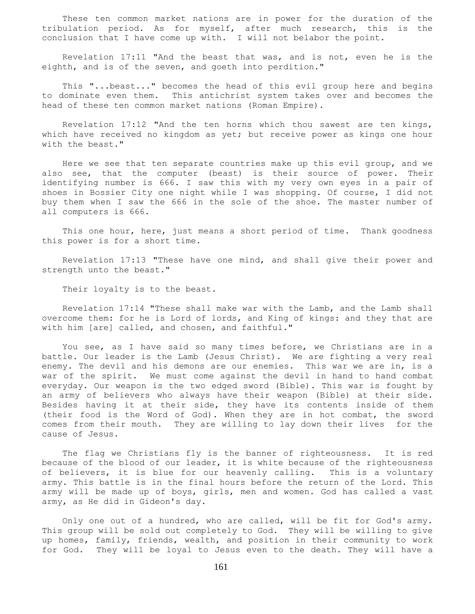These ten common market nations are in power for the duration of the tribulation period. As for myself, after much research, this is the conclusion that I have come up with. I will not belabor the point.

 Revelation 17:11 "And the beast that was, and is not, even he is the eighth, and is of the seven, and goeth into perdition."

 This "...beast..." becomes the head of this evil group here and begins to dominate even them. This antichrist system takes over and becomes the head of these ten common market nations (Roman Empire).

 Revelation 17:12 "And the ten horns which thou sawest are ten kings, which have received no kingdom as yet; but receive power as kings one hour with the beast."

 Here we see that ten separate countries make up this evil group, and we also see, that the computer (beast) is their source of power. Their identifying number is 666. I saw this with my very own eyes in a pair of shoes in Bossier City one night while I was shopping. Of course, I did not buy them when I saw the 666 in the sole of the shoe. The master number of all computers is 666.

This one hour, here, just means a short period of time. Thank goodness this power is for a short time.

 Revelation 17:13 "These have one mind, and shall give their power and strength unto the beast."

Their loyalty is to the beast.

 Revelation 17:14 "These shall make war with the Lamb, and the Lamb shall overcome them: for he is Lord of lords, and King of kings: and they that are with him [are] called, and chosen, and faithful."

You see, as I have said so many times before, we Christians are in a battle. Our leader is the Lamb (Jesus Christ). We are fighting a very real enemy. The devil and his demons are our enemies. This war we are in, is a war of the spirit. We must come against the devil in hand to hand combat everyday. Our weapon is the two edged sword (Bible). This war is fought by an army of believers who always have their weapon (Bible) at their side. Besides having it at their side, they have its contents inside of them (their food is the Word of God). When they are in hot combat, the sword comes from their mouth. They are willing to lay down their lives for the cause of Jesus.

 The flag we Christians fly is the banner of righteousness. It is red because of the blood of our leader, it is white because of the righteousness of believers, it is blue for our heavenly calling. This is a voluntary army. This battle is in the final hours before the return of the Lord. This army will be made up of boys, girls, men and women. God has called a vast army, as He did in Gideon's day.

 Only one out of a hundred, who are called, will be fit for God's army. This group will be sold out completely to God. They will be willing to give up homes, family, friends, wealth, and position in their community to work for God. They will be loyal to Jesus even to the death. They will have a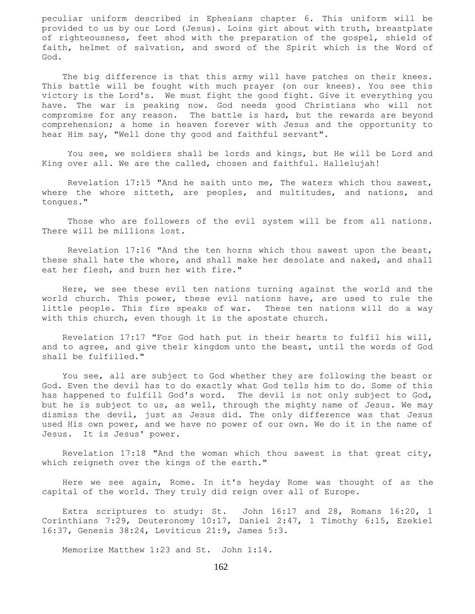peculiar uniform described in Ephesians chapter 6. This uniform will be provided to us by our Lord (Jesus). Loins girt about with truth, breastplate of righteousness, feet shod with the preparation of the gospel, shield of faith, helmet of salvation, and sword of the Spirit which is the Word of God.

The big difference is that this army will have patches on their knees. This battle will be fought with much prayer (on our knees). You see this victory is the Lord's. We must fight the good fight. Give it everything you have. The war is peaking now. God needs good Christians who will not compromise for any reason. The battle is hard, but the rewards are beyond comprehension; a home in heaven forever with Jesus and the opportunity to hear Him say, "Well done thy good and faithful servant".

 You see, we soldiers shall be lords and kings, but He will be Lord and King over all. We are the called, chosen and faithful. Hallelujah!

 Revelation 17:15 "And he saith unto me, The waters which thou sawest, where the whore sitteth, are peoples, and multitudes, and nations, and tongues."

Those who are followers of the evil system will be from all nations. There will be millions lost.

 Revelation 17:16 "And the ten horns which thou sawest upon the beast, these shall hate the whore, and shall make her desolate and naked, and shall eat her flesh, and burn her with fire."

 Here, we see these evil ten nations turning against the world and the world church. This power, these evil nations have, are used to rule the little people. This fire speaks of war. These ten nations will do a way with this church, even though it is the apostate church.

 Revelation 17:17 "For God hath put in their hearts to fulfil his will, and to agree, and give their kingdom unto the beast, until the words of God shall be fulfilled."

 You see, all are subject to God whether they are following the beast or God. Even the devil has to do exactly what God tells him to do. Some of this has happened to fulfill God's word. The devil is not only subject to God, but he is subject to us, as well, through the mighty name of Jesus. We may dismiss the devil, just as Jesus did. The only difference was that Jesus used His own power, and we have no power of our own. We do it in the name of Jesus. It is Jesus' power.

 Revelation 17:18 "And the woman which thou sawest is that great city, which reigneth over the kings of the earth."

 Here we see again, Rome. In it's heyday Rome was thought of as the capital of the world. They truly did reign over all of Europe.

 Extra scriptures to study: St. John 16:l7 and 28, Romans 16:20, 1 Corinthians 7:29, Deuteronomy 10:17, Daniel 2:47, 1 Timothy 6:15, Ezekiel 16:37, Genesis 38:24, Leviticus 21:9, James 5:3.

Memorize Matthew 1:23 and St. John 1:14.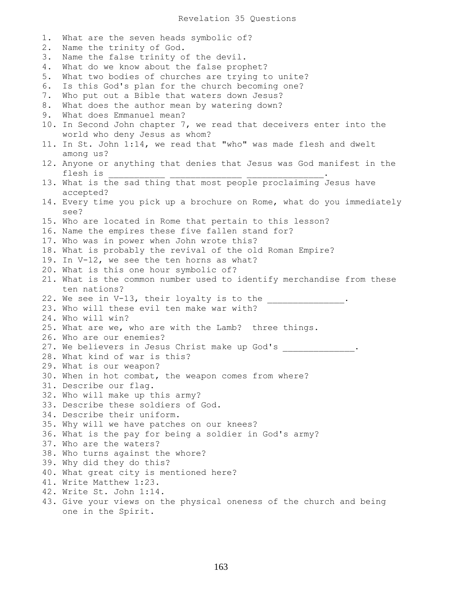1. What are the seven heads symbolic of? 2. Name the trinity of God. 3. Name the false trinity of the devil. 4. What do we know about the false prophet? 5. What two bodies of churches are trying to unite? 6. Is this God's plan for the church becoming one? 7. Who put out a Bible that waters down Jesus? 8. What does the author mean by watering down? 9. What does Emmanuel mean? 10. In Second John chapter 7, we read that deceivers enter into the world who deny Jesus as whom? 11. In St. John 1:14, we read that "who" was made flesh and dwelt among us? 12. Anyone or anything that denies that Jesus was God manifest in the flesh is 13. What is the sad thing that most people proclaiming Jesus have accepted? 14. Every time you pick up a brochure on Rome, what do you immediately see? 15. Who are located in Rome that pertain to this lesson? 16. Name the empires these five fallen stand for? 17. Who was in power when John wrote this? 18. What is probably the revival of the old Roman Empire? 19. In V-12, we see the ten horns as what? 20. What is this one hour symbolic of? 21. What is the common number used to identify merchandise from these ten nations? 22. We see in V-13, their loyalty is to the \_\_\_\_\_\_\_\_\_\_\_\_\_\_. 23. Who will these evil ten make war with? 24. Who will win? 25. What are we, who are with the Lamb? three things. 26. Who are our enemies? 27. We believers in Jesus Christ make up God's . 28. What kind of war is this? 29. What is our weapon? 30. When in hot combat, the weapon comes from where? 31. Describe our flag. 32. Who will make up this army? 33. Describe these soldiers of God. 34. Describe their uniform. 35. Why will we have patches on our knees? 36. What is the pay for being a soldier in God's army? 37. Who are the waters? 38. Who turns against the whore? 39. Why did they do this? 40. What great city is mentioned here? 41. Write Matthew 1:23. 42. Write St. John 1:14. 43. Give your views on the physical oneness of the church and being one in the Spirit.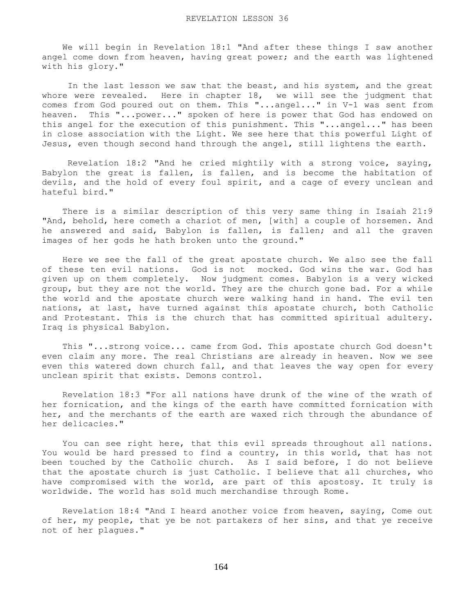We will begin in Revelation 18:1 "And after these things I saw another angel come down from heaven, having great power; and the earth was lightened with his glory."

 In the last lesson we saw that the beast, and his system, and the great whore were revealed. Here in chapter 18, we will see the judgment that comes from God poured out on them. This "...angel..." in V-1 was sent from heaven. This "...power..." spoken of here is power that God has endowed on this angel for the execution of this punishment. This "...angel..." has been in close association with the Light. We see here that this powerful Light of Jesus, even though second hand through the angel, still lightens the earth.

 Revelation 18:2 "And he cried mightily with a strong voice, saying, Babylon the great is fallen, is fallen, and is become the habitation of devils, and the hold of every foul spirit, and a cage of every unclean and hateful bird."

 There is a similar description of this very same thing in Isaiah 21:9 "And, behold, here cometh a chariot of men, [with] a couple of horsemen. And he answered and said, Babylon is fallen, is fallen; and all the graven images of her gods he hath broken unto the ground."

 Here we see the fall of the great apostate church. We also see the fall of these ten evil nations. God is not mocked. God wins the war. God has given up on them completely. Now judgment comes. Babylon is a very wicked group, but they are not the world. They are the church gone bad. For a while the world and the apostate church were walking hand in hand. The evil ten nations, at last, have turned against this apostate church, both Catholic and Protestant. This is the church that has committed spiritual adultery. Iraq is physical Babylon.

 This "...strong voice... came from God. This apostate church God doesn't even claim any more. The real Christians are already in heaven. Now we see even this watered down church fall, and that leaves the way open for every unclean spirit that exists. Demons control.

 Revelation 18:3 "For all nations have drunk of the wine of the wrath of her fornication, and the kings of the earth have committed fornication with her, and the merchants of the earth are waxed rich through the abundance of her delicacies."

 You can see right here, that this evil spreads throughout all nations. You would be hard pressed to find a country, in this world, that has not been touched by the Catholic church. As I said before, I do not believe that the apostate church is just Catholic. I believe that all churches, who have compromised with the world, are part of this apostosy. It truly is worldwide. The world has sold much merchandise through Rome.

 Revelation 18:4 "And I heard another voice from heaven, saying, Come out of her, my people, that ye be not partakers of her sins, and that ye receive not of her plagues."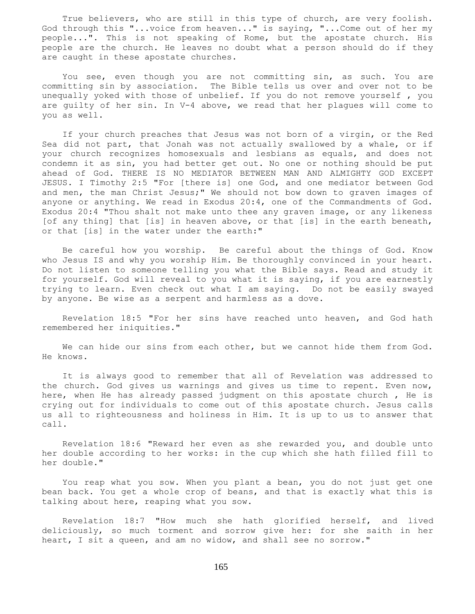True believers, who are still in this type of church, are very foolish. God through this "...voice from heaven..." is saying, "...Come out of her my people...". This is not speaking of Rome, but the apostate church. His people are the church. He leaves no doubt what a person should do if they are caught in these apostate churches.

 You see, even though you are not committing sin, as such. You are committing sin by association. The Bible tells us over and over not to be unequally yoked with those of unbelief. If you do not remove yourself , you are guilty of her sin. In V-4 above, we read that her plagues will come to you as well.

 If your church preaches that Jesus was not born of a virgin, or the Red Sea did not part, that Jonah was not actually swallowed by a whale, or if your church recognizes homosexuals and lesbians as equals, and does not condemn it as sin, you had better get out. No one or nothing should be put ahead of God. THERE IS NO MEDIATOR BETWEEN MAN AND ALMIGHTY GOD EXCEPT JESUS. I Timothy 2:5 "For [there is] one God, and one mediator between God and men, the man Christ Jesus;" We should not bow down to graven images of anyone or anything. We read in Exodus 20:4, one of the Commandments of God. Exodus 20:4 "Thou shalt not make unto thee any graven image, or any likeness [of any thing] that [is] in heaven above, or that [is] in the earth beneath, or that [is] in the water under the earth:"

 Be careful how you worship. Be careful about the things of God. Know who Jesus IS and why you worship Him. Be thoroughly convinced in your heart. Do not listen to someone telling you what the Bible says. Read and study it for yourself. God will reveal to you what it is saying, if you are earnestly trying to learn. Even check out what I am saying. Do not be easily swayed by anyone. Be wise as a serpent and harmless as a dove.

 Revelation 18:5 "For her sins have reached unto heaven, and God hath remembered her iniquities."

 We can hide our sins from each other, but we cannot hide them from God. He knows.

 It is always good to remember that all of Revelation was addressed to the church. God gives us warnings and gives us time to repent. Even now, here, when He has already passed judgment on this apostate church , He is crying out for individuals to come out of this apostate church. Jesus calls us all to righteousness and holiness in Him. It is up to us to answer that call.

 Revelation 18:6 "Reward her even as she rewarded you, and double unto her double according to her works: in the cup which she hath filled fill to her double."

 You reap what you sow. When you plant a bean, you do not just get one bean back. You get a whole crop of beans, and that is exactly what this is talking about here, reaping what you sow.

 Revelation 18:7 "How much she hath glorified herself, and lived deliciously, so much torment and sorrow give her: for she saith in her heart, I sit a queen, and am no widow, and shall see no sorrow."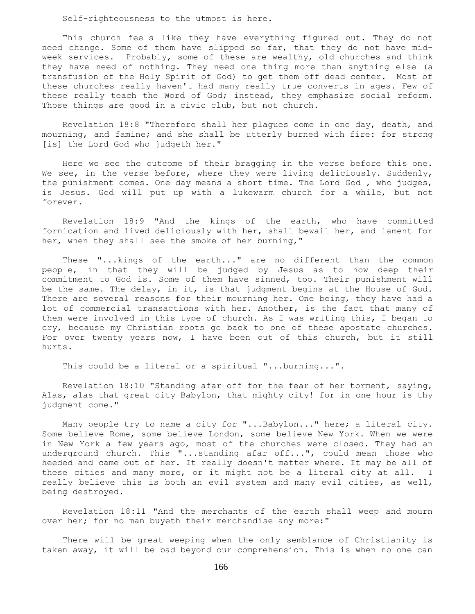Self-righteousness to the utmost is here.

 This church feels like they have everything figured out. They do not need change. Some of them have slipped so far, that they do not have midweek services. Probably, some of these are wealthy, old churches and think they have need of nothing. They need one thing more than anything else (a transfusion of the Holy Spirit of God) to get them off dead center. Most of these churches really haven't had many really true converts in ages. Few of these really teach the Word of God; instead, they emphasize social reform. Those things are good in a civic club, but not church.

 Revelation 18:8 "Therefore shall her plagues come in one day, death, and mourning, and famine; and she shall be utterly burned with fire: for strong [is] the Lord God who judgeth her."

 Here we see the outcome of their bragging in the verse before this one. We see, in the verse before, where they were living deliciously. Suddenly, the punishment comes. One day means a short time. The Lord God , who judges, is Jesus. God will put up with a lukewarm church for a while, but not forever.

 Revelation 18:9 "And the kings of the earth, who have committed fornication and lived deliciously with her, shall bewail her, and lament for her, when they shall see the smoke of her burning,"

 These "...kings of the earth..." are no different than the common people, in that they will be judged by Jesus as to how deep their commitment to God is. Some of them have sinned, too. Their punishment will be the same. The delay, in it, is that judgment begins at the House of God. There are several reasons for their mourning her. One being, they have had a lot of commercial transactions with her. Another, is the fact that many of them were involved in this type of church. As I was writing this, I began to cry, because my Christian roots go back to one of these apostate churches. For over twenty years now, I have been out of this church, but it still hurts.

This could be a literal or a spiritual "...burning...".

 Revelation 18:10 "Standing afar off for the fear of her torment, saying, Alas, alas that great city Babylon, that mighty city! for in one hour is thy judgment come."

 Many people try to name a city for "...Babylon..." here; a literal city. Some believe Rome, some believe London, some believe New York. When we were in New York a few years ago, most of the churches were closed. They had an underground church. This "...standing afar off...", could mean those who heeded and came out of her. It really doesn't matter where. It may be all of these cities and many more, or it might not be a literal city at all. I really believe this is both an evil system and many evil cities, as well, being destroyed.

 Revelation 18:11 "And the merchants of the earth shall weep and mourn over her; for no man buyeth their merchandise any more:"

 There will be great weeping when the only semblance of Christianity is taken away, it will be bad beyond our comprehension. This is when no one can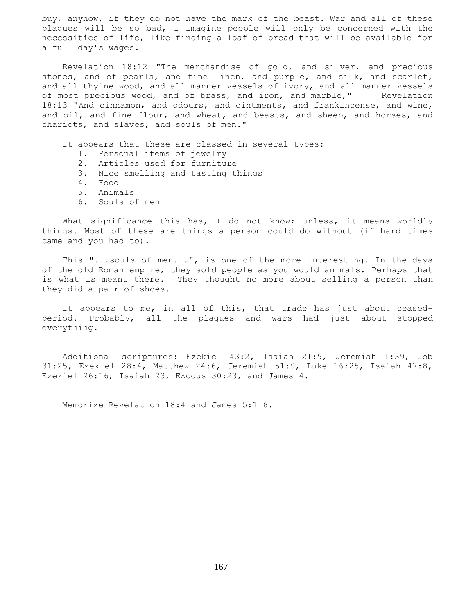buy, anyhow, if they do not have the mark of the beast. War and all of these plagues will be so bad, I imagine people will only be concerned with the necessities of life, like finding a loaf of bread that will be available for a full day's wages.

 Revelation 18:12 "The merchandise of gold, and silver, and precious stones, and of pearls, and fine linen, and purple, and silk, and scarlet, and all thyine wood, and all manner vessels of ivory, and all manner vessels of most precious wood, and of brass, and iron, and marble," Revelation 18:13 "And cinnamon, and odours, and ointments, and frankincense, and wine, and oil, and fine flour, and wheat, and beasts, and sheep, and horses, and chariots, and slaves, and souls of men."

It appears that these are classed in several types:

- 1. Personal items of jewelry
- 2. Articles used for furniture
- 3. Nice smelling and tasting things
- 4. Food
- 5. Animals
- 6. Souls of men

What significance this has, I do not know; unless, it means worldly things. Most of these are things a person could do without (if hard times came and you had to).

 This "...souls of men...", is one of the more interesting. In the days of the old Roman empire, they sold people as you would animals. Perhaps that is what is meant there. They thought no more about selling a person than they did a pair of shoes.

 It appears to me, in all of this, that trade has just about ceasedperiod. Probably, all the plagues and wars had just about stopped everything.

 Additional scriptures: Ezekiel 43:2, Isaiah 21:9, Jeremiah 1:39, Job 31:25, Ezekiel 28:4, Matthew 24:6, Jeremiah 51:9, Luke 16:25, Isaiah 47:8, Ezekiel 26:16, Isaiah 23, Exodus 30:23, and James 4.

Memorize Revelation 18:4 and James 5:1 6.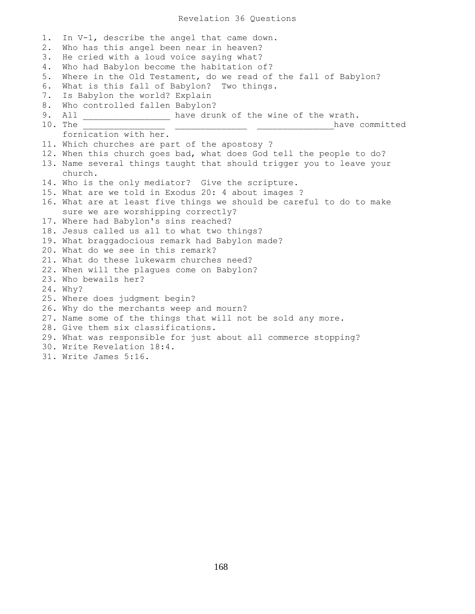1. In V-1, describe the angel that came down. 2. Who has this angel been near in heaven? 3. He cried with a loud voice saying what? 4. Who had Babylon become the habitation of? 5. Where in the Old Testament, do we read of the fall of Babylon? 6. What is this fall of Babylon? Two things. 7. Is Babylon the world? Explain 8. Who controlled fallen Babylon? 9. All \_\_\_\_\_\_\_\_\_\_\_\_\_\_\_\_\_ have drunk of the wine of the wrath. 10. The \_\_\_\_\_\_\_\_\_\_\_\_\_\_\_\_ \_\_\_\_\_\_\_\_\_\_\_\_\_\_ \_\_\_\_\_\_\_\_\_\_\_\_\_\_\_have committed fornication with her. 11. Which churches are part of the apostosy ? 12. When this church goes bad, what does God tell the people to do? 13. Name several things taught that should trigger you to leave your church. 14. Who is the only mediator? Give the scripture. 15. What are we told in Exodus 20: 4 about images ? 16. What are at least five things we should be careful to do to make sure we are worshipping correctly? 17. Where had Babylon's sins reached? 18. Jesus called us all to what two things? 19. What braggadocious remark had Babylon made? 20. What do we see in this remark? 21. What do these lukewarm churches need? 22. When will the plagues come on Babylon? 23. Who bewails her? 24. Why? 25. Where does judgment begin? 26. Why do the merchants weep and mourn? 27. Name some of the things that will not be sold any more. 28. Give them six classifications. 29. What was responsible for just about all commerce stopping? 30. Write Revelation 18:4. 31. Write James 5:16.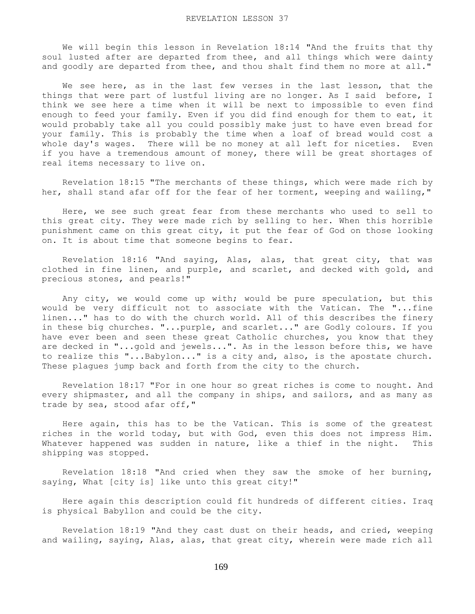We will begin this lesson in Revelation 18:14 "And the fruits that thy soul lusted after are departed from thee, and all things which were dainty and goodly are departed from thee, and thou shalt find them no more at all."

We see here, as in the last few verses in the last lesson, that the things that were part of lustful living are no longer. As I said before, I think we see here a time when it will be next to impossible to even find enough to feed your family. Even if you did find enough for them to eat, it would probably take all you could possibly make just to have even bread for your family. This is probably the time when a loaf of bread would cost a whole day's wages. There will be no money at all left for niceties. Even if you have a tremendous amount of money, there will be great shortages of real items necessary to live on.

 Revelation 18:15 "The merchants of these things, which were made rich by her, shall stand afar off for the fear of her torment, weeping and wailing,"

 Here, we see such great fear from these merchants who used to sell to this great city. They were made rich by selling to her. When this horrible punishment came on this great city, it put the fear of God on those looking on. It is about time that someone begins to fear.

 Revelation 18:16 "And saying, Alas, alas, that great city, that was clothed in fine linen, and purple, and scarlet, and decked with gold, and precious stones, and pearls!"

Any city, we would come up with; would be pure speculation, but this would be very difficult not to associate with the Vatican. The "...fine linen..." has to do with the church world. All of this describes the finery in these big churches. "...purple, and scarlet..." are Godly colours. If you have ever been and seen these great Catholic churches, you know that they are decked in "...qold and jewels...". As in the lesson before this, we have to realize this "...Babylon..." is a city and, also, is the apostate church. These plagues jump back and forth from the city to the church.

 Revelation 18:17 "For in one hour so great riches is come to nought. And every shipmaster, and all the company in ships, and sailors, and as many as trade by sea, stood afar off,"

 Here again, this has to be the Vatican. This is some of the greatest riches in the world today, but with God, even this does not impress Him. Whatever happened was sudden in nature, like a thief in the night. This shipping was stopped.

 Revelation 18:18 "And cried when they saw the smoke of her burning, saying, What [city is] like unto this great city!"

 Here again this description could fit hundreds of different cities. Iraq is physical Babyllon and could be the city.

 Revelation 18:19 "And they cast dust on their heads, and cried, weeping and wailing, saying, Alas, alas, that great city, wherein were made rich all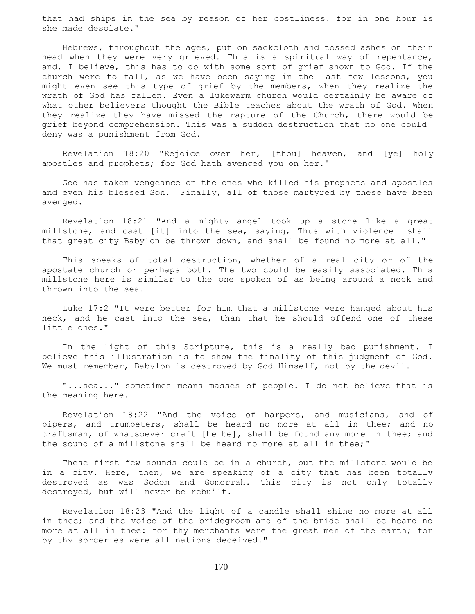that had ships in the sea by reason of her costliness! for in one hour is she made desolate."

 Hebrews, throughout the ages, put on sackcloth and tossed ashes on their head when they were very grieved. This is a spiritual way of repentance, and, I believe, this has to do with some sort of grief shown to God. If the church were to fall, as we have been saying in the last few lessons, you might even see this type of grief by the members, when they realize the wrath of God has fallen. Even a lukewarm church would certainly be aware of what other believers thought the Bible teaches about the wrath of God. When they realize they have missed the rapture of the Church, there would be grief beyond comprehension. This was a sudden destruction that no one could deny was a punishment from God.

 Revelation 18:20 "Rejoice over her, [thou] heaven, and [ye] holy apostles and prophets; for God hath avenged you on her."

 God has taken vengeance on the ones who killed his prophets and apostles and even his blessed Son. Finally, all of those martyred by these have been avenged.

 Revelation 18:21 "And a mighty angel took up a stone like a great millstone, and cast [it] into the sea, saying, Thus with violence shall that great city Babylon be thrown down, and shall be found no more at all."

 This speaks of total destruction, whether of a real city or of the apostate church or perhaps both. The two could be easily associated. This millstone here is similar to the one spoken of as being around a neck and thrown into the sea.

 Luke 17:2 "It were better for him that a millstone were hanged about his neck, and he cast into the sea, than that he should offend one of these little ones."

 In the light of this Scripture, this is a really bad punishment. I believe this illustration is to show the finality of this judgment of God. We must remember, Babylon is destroyed by God Himself, not by the devil.

 "...sea..." sometimes means masses of people. I do not believe that is the meaning here.

 Revelation 18:22 "And the voice of harpers, and musicians, and of pipers, and trumpeters, shall be heard no more at all in thee; and no craftsman, of whatsoever craft [he be], shall be found any more in thee; and the sound of a millstone shall be heard no more at all in thee;"

 These first few sounds could be in a church, but the millstone would be in a city. Here, then, we are speaking of a city that has been totally destroyed as was Sodom and Gomorrah. This city is not only totally destroyed, but will never be rebuilt.

 Revelation 18:23 "And the light of a candle shall shine no more at all in thee; and the voice of the bridegroom and of the bride shall be heard no more at all in thee: for thy merchants were the great men of the earth; for by thy sorceries were all nations deceived."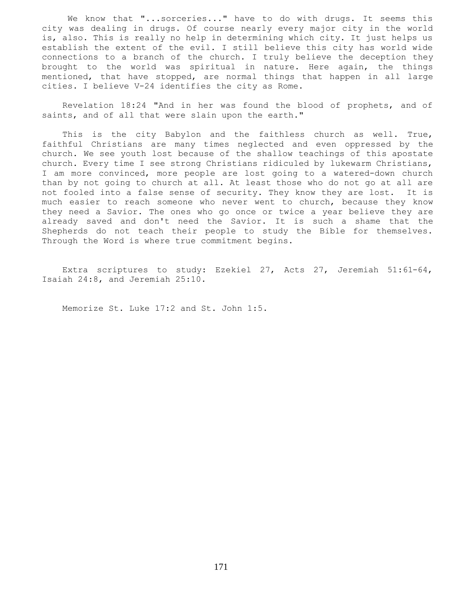We know that "...sorceries..." have to do with drugs. It seems this city was dealing in drugs. Of course nearly every major city in the world is, also. This is really no help in determining which city. It just helps us establish the extent of the evil. I still believe this city has world wide connections to a branch of the church. I truly believe the deception they brought to the world was spiritual in nature. Here again, the things mentioned, that have stopped, are normal things that happen in all large cities. I believe V-24 identifies the city as Rome.

 Revelation 18:24 "And in her was found the blood of prophets, and of saints, and of all that were slain upon the earth."

 This is the city Babylon and the faithless church as well. True, faithful Christians are many times neglected and even oppressed by the church. We see youth lost because of the shallow teachings of this apostate church. Every time I see strong Christians ridiculed by lukewarm Christians, I am more convinced, more people are lost going to a watered-down church than by not going to church at all. At least those who do not go at all are not fooled into a false sense of security. They know they are lost. It is much easier to reach someone who never went to church, because they know they need a Savior. The ones who go once or twice a year believe they are already saved and don't need the Savior. It is such a shame that the Shepherds do not teach their people to study the Bible for themselves. Through the Word is where true commitment begins.

 Extra scriptures to study: Ezekiel 27, Acts 27, Jeremiah 51:61-64, Isaiah 24:8, and Jeremiah 25:10.

Memorize St. Luke 17:2 and St. John 1:5.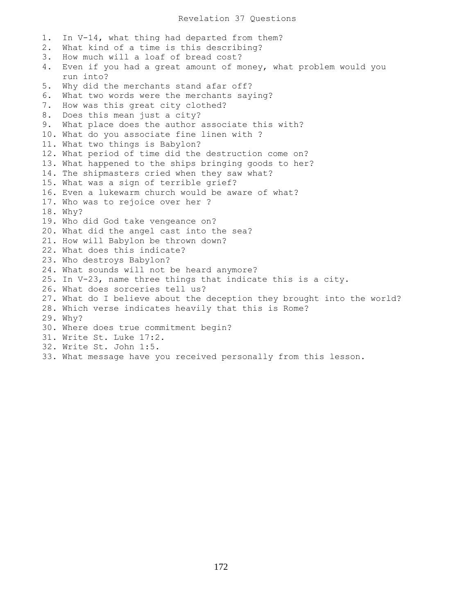1. In V-14, what thing had departed from them? 2. What kind of a time is this describing? 3. How much will a loaf of bread cost? 4. Even if you had a great amount of money, what problem would you run into? 5. Why did the merchants stand afar off? 6. What two words were the merchants saying? 7. How was this great city clothed? 8. Does this mean just a city? 9. What place does the author associate this with? 10. What do you associate fine linen with ? 11. What two things is Babylon? 12. What period of time did the destruction come on? 13. What happened to the ships bringing goods to her? 14. The shipmasters cried when they saw what? 15. What was a sign of terrible grief? 16. Even a lukewarm church would be aware of what? 17. Who was to rejoice over her ? 18. Why? 19. Who did God take vengeance on? 20. What did the angel cast into the sea? 21. How will Babylon be thrown down? 22. What does this indicate? 23. Who destroys Babylon? 24. What sounds will not be heard anymore? 25. In V-23, name three things that indicate this is a city. 26. What does sorceries tell us? 27. What do I believe about the deception they brought into the world? 28. Which verse indicates heavily that this is Rome? 29. Why? 30. Where does true commitment begin? 31. Write St. Luke 17:2. 32. Write St. John 1:5. 33. What message have you received personally from this lesson.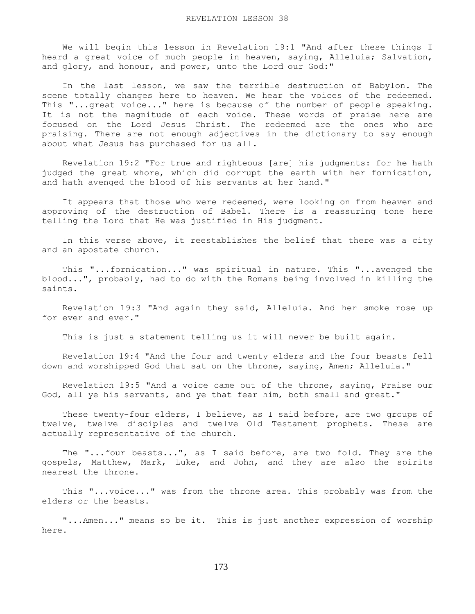We will begin this lesson in Revelation 19:1 "And after these things I heard a great voice of much people in heaven, saying, Alleluia; Salvation, and glory, and honour, and power, unto the Lord our God:"

 In the last lesson, we saw the terrible destruction of Babylon. The scene totally changes here to heaven. We hear the voices of the redeemed. This "...great voice..." here is because of the number of people speaking. It is not the magnitude of each voice. These words of praise here are focused on the Lord Jesus Christ. The redeemed are the ones who are praising. There are not enough adjectives in the dictionary to say enough about what Jesus has purchased for us all.

 Revelation 19:2 "For true and righteous [are] his judgments: for he hath judged the great whore, which did corrupt the earth with her fornication, and hath avenged the blood of his servants at her hand."

 It appears that those who were redeemed, were looking on from heaven and approving of the destruction of Babel. There is a reassuring tone here telling the Lord that He was justified in His judgment.

 In this verse above, it reestablishes the belief that there was a city and an apostate church.

 This "...fornication..." was spiritual in nature. This "...avenged the blood...", probably, had to do with the Romans being involved in killing the saints.

 Revelation 19:3 "And again they said, Alleluia. And her smoke rose up for ever and ever."

This is just a statement telling us it will never be built again.

 Revelation 19:4 "And the four and twenty elders and the four beasts fell down and worshipped God that sat on the throne, saying, Amen; Alleluia."

 Revelation 19:5 "And a voice came out of the throne, saying, Praise our God, all ye his servants, and ye that fear him, both small and great."

 These twenty-four elders, I believe, as I said before, are two groups of twelve, twelve disciples and twelve Old Testament prophets. These are actually representative of the church.

 The "...four beasts...", as I said before, are two fold. They are the gospels, Matthew, Mark, Luke, and John, and they are also the spirits nearest the throne.

 This "...voice..." was from the throne area. This probably was from the elders or the beasts.

 "...Amen..." means so be it. This is just another expression of worship here.

173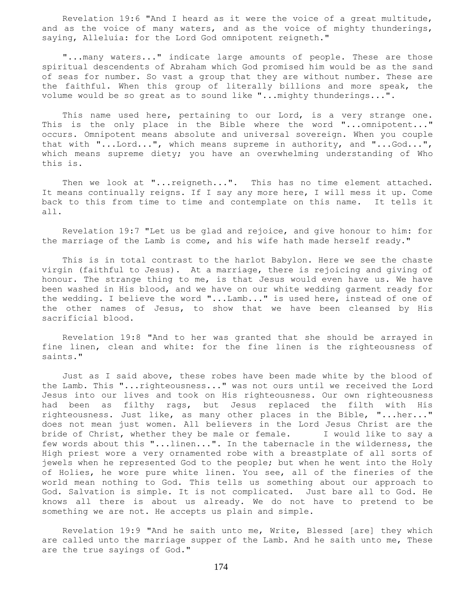Revelation 19:6 "And I heard as it were the voice of a great multitude, and as the voice of many waters, and as the voice of mighty thunderings, saying, Alleluia: for the Lord God omnipotent reigneth."

 "...many waters..." indicate large amounts of people. These are those spiritual descendents of Abraham which God promised him would be as the sand of seas for number. So vast a group that they are without number. These are the faithful. When this group of literally billions and more speak, the volume would be so great as to sound like "...mighty thunderings...".

This name used here, pertaining to our Lord, is a very strange one. This is the only place in the Bible where the word "...omnipotent..." occurs. Omnipotent means absolute and universal sovereign. When you couple that with "...Lord...", which means supreme in authority, and "...God...", which means supreme diety; you have an overwhelming understanding of Who this is.

Then we look at "...reigneth...". This has no time element attached. It means continually reigns. If I say any more here, I will mess it up. Come back to this from time to time and contemplate on this name. It tells it all.

 Revelation 19:7 "Let us be glad and rejoice, and give honour to him: for the marriage of the Lamb is come, and his wife hath made herself ready."

 This is in total contrast to the harlot Babylon. Here we see the chaste virgin (faithful to Jesus). At a marriage, there is rejoicing and giving of honour. The strange thing to me, is that Jesus would even have us. We have been washed in His blood, and we have on our white wedding garment ready for the wedding. I believe the word "...Lamb..." is used here, instead of one of the other names of Jesus, to show that we have been cleansed by His sacrificial blood.

 Revelation 19:8 "And to her was granted that she should be arrayed in fine linen, clean and white: for the fine linen is the righteousness of saints."

 Just as I said above, these robes have been made white by the blood of the Lamb. This "...righteousness..." was not ours until we received the Lord Jesus into our lives and took on His righteousness. Our own righteousness had been as filthy rags, but Jesus replaced the filth with His righteousness. Just like, as many other places in the Bible, "...her..." does not mean just women. All believers in the Lord Jesus Christ are the bride of Christ, whether they be male or female. I would like to say a few words about this "...linen...". In the tabernacle in the wilderness, the High priest wore a very ornamented robe with a breastplate of all sorts of jewels when he represented God to the people; but when he went into the Holy of Holies, he wore pure white linen. You see, all of the fineries of the world mean nothing to God. This tells us something about our approach to God. Salvation is simple. It is not complicated. Just bare all to God. He knows all there is about us already. We do not have to pretend to be something we are not. He accepts us plain and simple.

 Revelation 19:9 "And he saith unto me, Write, Blessed [are] they which are called unto the marriage supper of the Lamb. And he saith unto me, These are the true sayings of God."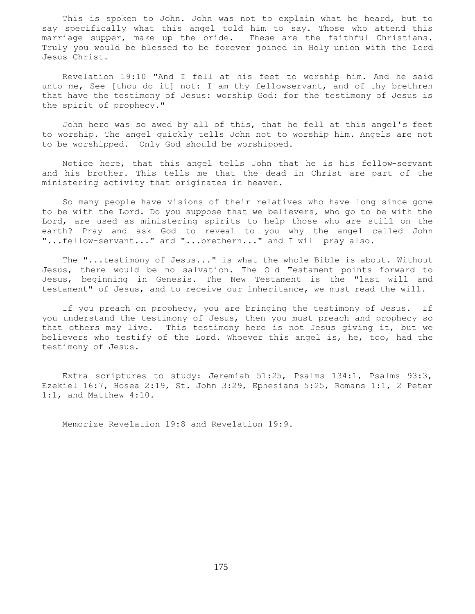This is spoken to John. John was not to explain what he heard, but to say specifically what this angel told him to say. Those who attend this marriage supper, make up the bride. These are the faithful Christians. Truly you would be blessed to be forever joined in Holy union with the Lord Jesus Christ.

 Revelation 19:10 "And I fell at his feet to worship him. And he said unto me, See [thou do it] not: I am thy fellowservant, and of thy brethren that have the testimony of Jesus: worship God: for the testimony of Jesus is the spirit of prophecy."

 John here was so awed by all of this, that he fell at this angel's feet to worship. The angel quickly tells John not to worship him. Angels are not to be worshipped. Only God should be worshipped.

 Notice here, that this angel tells John that he is his fellow-servant and his brother. This tells me that the dead in Christ are part of the ministering activity that originates in heaven.

 So many people have visions of their relatives who have long since gone to be with the Lord. Do you suppose that we believers, who go to be with the Lord, are used as ministering spirits to help those who are still on the earth? Pray and ask God to reveal to you why the angel called John "...fellow-servant..." and "...brethern..." and I will pray also.

 The "...testimony of Jesus..." is what the whole Bible is about. Without Jesus, there would be no salvation. The Old Testament points forward to Jesus, beginning in Genesis. The New Testament is the "last will and testament" of Jesus, and to receive our inheritance, we must read the will.

 If you preach on prophecy, you are bringing the testimony of Jesus. If you understand the testimony of Jesus, then you must preach and prophecy so that others may live. This testimony here is not Jesus giving it, but we believers who testify of the Lord. Whoever this angel is, he, too, had the testimony of Jesus.

 Extra scriptures to study: Jeremiah 51:25, Psalms 134:1, Psalms 93:3, Ezekiel 16:7, Hosea 2:19, St. John 3:29, Ephesians 5:25, Romans 1:1, 2 Peter 1:1, and Matthew 4:10.

Memorize Revelation 19:8 and Revelation 19:9.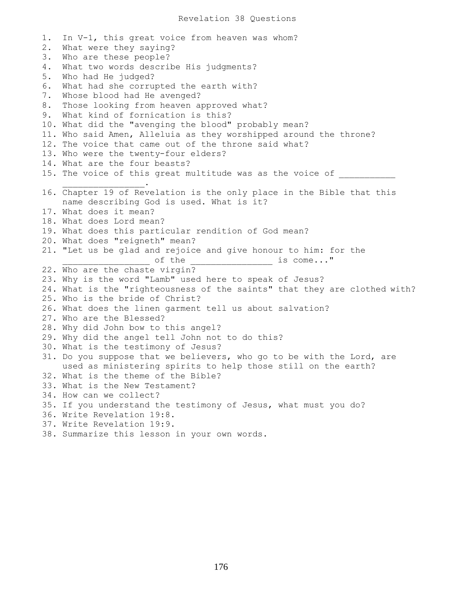1. In V-1, this great voice from heaven was whom? 2. What were they saying? 3. Who are these people? 4. What two words describe His judgments? 5. Who had He judged? 6. What had she corrupted the earth with? 7. Whose blood had He avenged? 8. Those looking from heaven approved what? 9. What kind of fornication is this? 10. What did the "avenging the blood" probably mean? 11. Who said Amen, Alleluia as they worshipped around the throne? 12. The voice that came out of the throne said what? 13. Who were the twenty-four elders? 14. What are the four beasts? 15. The voice of this great multitude was as the voice of  $\overline{\phantom{a}}$  ,  $\overline{\phantom{a}}$  ,  $\overline{\phantom{a}}$  ,  $\overline{\phantom{a}}$  ,  $\overline{\phantom{a}}$  ,  $\overline{\phantom{a}}$  ,  $\overline{\phantom{a}}$  ,  $\overline{\phantom{a}}$  ,  $\overline{\phantom{a}}$  ,  $\overline{\phantom{a}}$  ,  $\overline{\phantom{a}}$  ,  $\overline{\phantom{a}}$  ,  $\overline{\phantom{a}}$  ,  $\overline{\phantom{a}}$  ,  $\overline{\phantom{a}}$  ,  $\overline{\phantom{a}}$ 16. Chapter 19 of Revelation is the only place in the Bible that this name describing God is used. What is it? 17. What does it mean? 18. What does Lord mean? 19. What does this particular rendition of God mean? 20. What does "reigneth" mean? 21. "Let us be glad and rejoice and give honour to him: for the \_\_\_\_\_\_\_\_\_\_ of the \_\_\_\_\_\_\_\_\_\_\_\_\_\_\_\_\_\_\_\_\_\_\_\_\_\_ is come..." 22. Who are the chaste virgin? 23. Why is the word "Lamb" used here to speak of Jesus? 24. What is the "righteousness of the saints" that they are clothed with? 25. Who is the bride of Christ? 26. What does the linen garment tell us about salvation? 27. Who are the Blessed? 28. Why did John bow to this angel? 29. Why did the angel tell John not to do this? 30. What is the testimony of Jesus? 31. Do you suppose that we believers, who go to be with the Lord, are used as ministering spirits to help those still on the earth? 32. What is the theme of the Bible? 33. What is the New Testament? 34. How can we collect? 35. If you understand the testimony of Jesus, what must you do? 36. Write Revelation 19:8. 37. Write Revelation 19:9. 38. Summarize this lesson in your own words.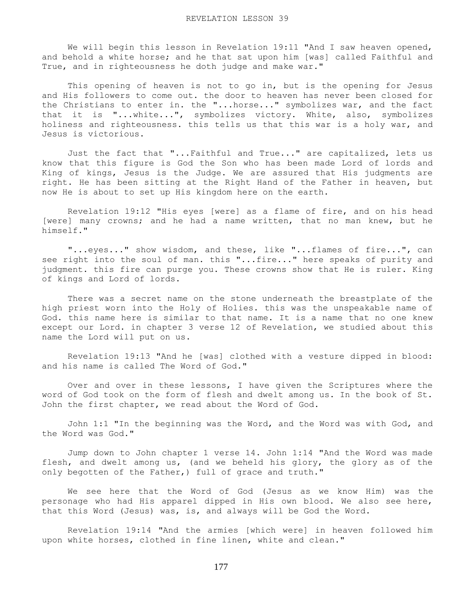We will begin this lesson in Revelation 19:11 "And I saw heaven opened, and behold a white horse; and he that sat upon him [was] called Faithful and True, and in righteousness he doth judge and make war."

This opening of heaven is not to go in, but is the opening for Jesus and His followers to come out. the door to heaven has never been closed for the Christians to enter in. the "...horse..." symbolizes war, and the fact that it is "...white...", symbolizes victory. White, also, symbolizes holiness and righteousness. this tells us that this war is a holy war, and Jesus is victorious.

 Just the fact that "...Faithful and True..." are capitalized, lets us know that this figure is God the Son who has been made Lord of lords and King of kings, Jesus is the Judge. We are assured that His judgments are right. He has been sitting at the Right Hand of the Father in heaven, but now He is about to set up His kingdom here on the earth.

 Revelation 19:12 "His eyes [were] as a flame of fire, and on his head [were] many crowns; and he had a name written, that no man knew, but he himself."

 "...eyes..." show wisdom, and these, like "...flames of fire...", can see right into the soul of man. this "...fire..." here speaks of purity and judgment. this fire can purge you. These crowns show that He is ruler. King of kings and Lord of lords.

 There was a secret name on the stone underneath the breastplate of the high priest worn into the Holy of Holies. this was the unspeakable name of God. this name here is similar to that name. It is a name that no one knew except our Lord. in chapter 3 verse 12 of Revelation, we studied about this name the Lord will put on us.

 Revelation 19:13 "And he [was] clothed with a vesture dipped in blood: and his name is called The Word of God."

 Over and over in these lessons, I have given the Scriptures where the word of God took on the form of flesh and dwelt among us. In the book of St. John the first chapter, we read about the Word of God.

 John 1:1 "In the beginning was the Word, and the Word was with God, and the Word was God."

 Jump down to John chapter 1 verse 14. John 1:14 "And the Word was made flesh, and dwelt among us, (and we beheld his glory, the glory as of the only begotten of the Father,) full of grace and truth."

 We see here that the Word of God (Jesus as we know Him) was the personage who had His apparel dipped in His own blood. We also see here, that this Word (Jesus) was, is, and always will be God the Word.

 Revelation 19:14 "And the armies [which were] in heaven followed him upon white horses, clothed in fine linen, white and clean."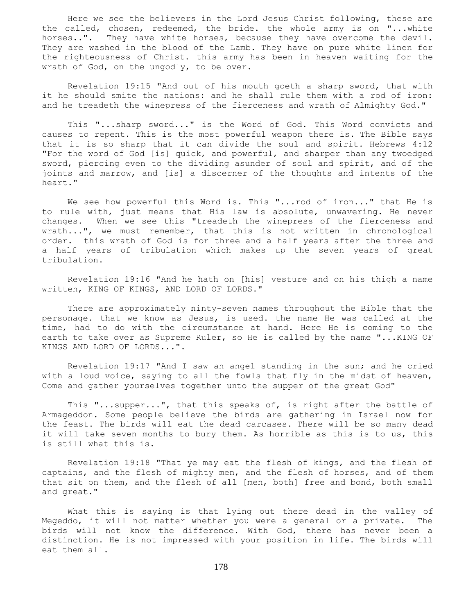Here we see the believers in the Lord Jesus Christ following, these are the called, chosen, redeemed, the bride. the whole army is on "...white horses..". They have white horses, because they have overcome the devil. They are washed in the blood of the Lamb. They have on pure white linen for the righteousness of Christ. this army has been in heaven waiting for the wrath of God, on the ungodly, to be over.

 Revelation 19:15 "And out of his mouth goeth a sharp sword, that with it he should smite the nations: and he shall rule them with a rod of iron: and he treadeth the winepress of the fierceness and wrath of Almighty God."

 This "...sharp sword..." is the Word of God. This Word convicts and causes to repent. This is the most powerful weapon there is. The Bible says that it is so sharp that it can divide the soul and spirit. Hebrews 4:12 "For the word of God [is] quick, and powerful, and sharper than any twoedged sword, piercing even to the dividing asunder of soul and spirit, and of the joints and marrow, and [is] a discerner of the thoughts and intents of the heart."

We see how powerful this Word is. This "...rod of iron..." that He is to rule with, just means that His law is absolute, unwavering. He never changes. When we see this "treadeth the winepress of the fierceness and wrath...", we must remember, that this is not written in chronological order. this wrath of God is for three and a half years after the three and a half years of tribulation which makes up the seven years of great tribulation.

 Revelation 19:16 "And he hath on [his] vesture and on his thigh a name written, KING OF KINGS, AND LORD OF LORDS."

 There are approximately ninty-seven names throughout the Bible that the personage. that we know as Jesus, is used. the name He was called at the time, had to do with the circumstance at hand. Here He is coming to the earth to take over as Supreme Ruler, so He is called by the name "... KING OF KINGS AND LORD OF LORDS...".

 Revelation 19:17 "And I saw an angel standing in the sun; and he cried with a loud voice, saying to all the fowls that fly in the midst of heaven, Come and gather yourselves together unto the supper of the great God"

 This "...supper...", that this speaks of, is right after the battle of Armageddon. Some people believe the birds are gathering in Israel now for the feast. The birds will eat the dead carcases. There will be so many dead it will take seven months to bury them. As horrible as this is to us, this is still what this is.

 Revelation 19:18 "That ye may eat the flesh of kings, and the flesh of captains, and the flesh of mighty men, and the flesh of horses, and of them that sit on them, and the flesh of all [men, both] free and bond, both small and great."

 What this is saying is that lying out there dead in the valley of Megeddo, it will not matter whether you were a general or a private. The birds will not know the difference. With God, there has never been a distinction. He is not impressed with your position in life. The birds will eat them all.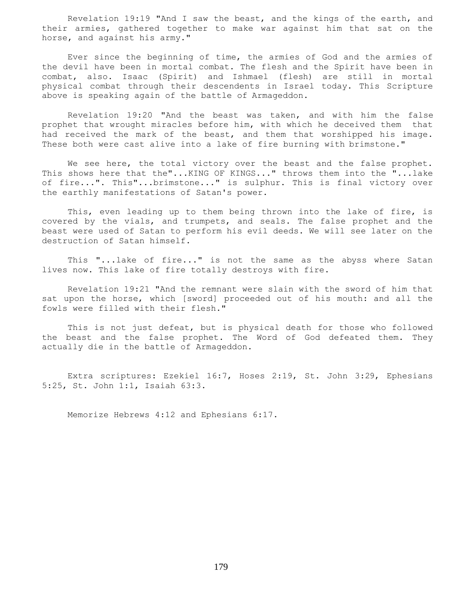Revelation 19:19 "And I saw the beast, and the kings of the earth, and their armies, gathered together to make war against him that sat on the horse, and against his army."

 Ever since the beginning of time, the armies of God and the armies of the devil have been in mortal combat. The flesh and the Spirit have been in combat, also. Isaac (Spirit) and Ishmael (flesh) are still in mortal physical combat through their descendents in Israel today. This Scripture above is speaking again of the battle of Armageddon.

 Revelation 19:20 "And the beast was taken, and with him the false prophet that wrought miracles before him, with which he deceived them that had received the mark of the beast, and them that worshipped his image. These both were cast alive into a lake of fire burning with brimstone."

We see here, the total victory over the beast and the false prophet. This shows here that the"...KING OF KINGS..." throws them into the "...lake of fire...". This"...brimstone..." is sulphur. This is final victory over the earthly manifestations of Satan's power.

 This, even leading up to them being thrown into the lake of fire, is covered by the vials, and trumpets, and seals. The false prophet and the beast were used of Satan to perform his evil deeds. We will see later on the destruction of Satan himself.

 This "...lake of fire..." is not the same as the abyss where Satan lives now. This lake of fire totally destroys with fire.

 Revelation 19:21 "And the remnant were slain with the sword of him that sat upon the horse, which [sword] proceeded out of his mouth: and all the fowls were filled with their flesh."

 This is not just defeat, but is physical death for those who followed the beast and the false prophet. The Word of God defeated them. They actually die in the battle of Armageddon.

 Extra scriptures: Ezekiel 16:7, Hoses 2:19, St. John 3:29, Ephesians 5:25, St. John 1:1, Isaiah 63:3.

Memorize Hebrews 4:12 and Ephesians 6:17.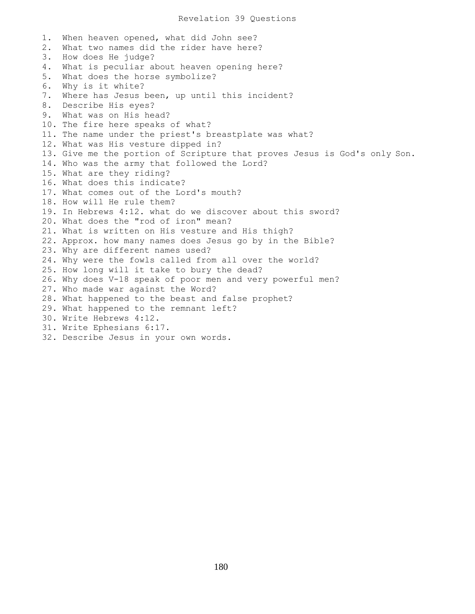1. When heaven opened, what did John see? 2. What two names did the rider have here? 3. How does He judge? 4. What is peculiar about heaven opening here? 5. What does the horse symbolize? 6. Why is it white? 7. Where has Jesus been, up until this incident? 8. Describe His eyes? 9. What was on His head? 10. The fire here speaks of what? 11. The name under the priest's breastplate was what? 12. What was His vesture dipped in? 13. Give me the portion of Scripture that proves Jesus is God's only Son. 14. Who was the army that followed the Lord? 15. What are they riding? 16. What does this indicate? 17. What comes out of the Lord's mouth? 18. How will He rule them? 19. In Hebrews 4:12. what do we discover about this sword? 20. What does the "rod of iron" mean? 21. What is written on His vesture and His thigh? 22. Approx. how many names does Jesus go by in the Bible? 23. Why are different names used? 24. Why were the fowls called from all over the world? 25. How long will it take to bury the dead? 26. Why does V-18 speak of poor men and very powerful men? 27. Who made war against the Word? 28. What happened to the beast and false prophet? 29. What happened to the remnant left? 30. Write Hebrews 4:12. 31. Write Ephesians 6:17. 32. Describe Jesus in your own words.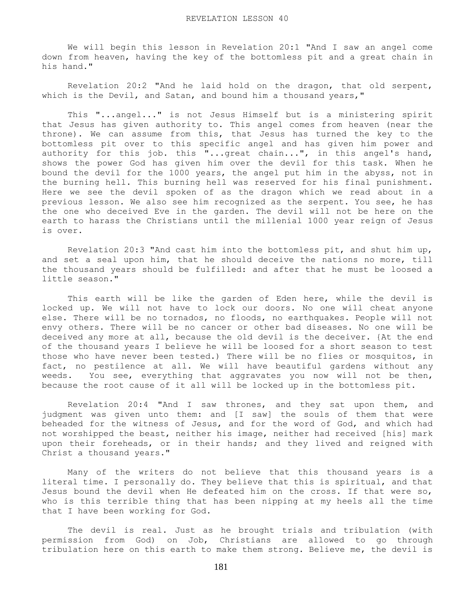We will begin this lesson in Revelation 20:1 "And I saw an angel come down from heaven, having the key of the bottomless pit and a great chain in his hand."

 Revelation 20:2 "And he laid hold on the dragon, that old serpent, which is the Devil, and Satan, and bound him a thousand years,"

 This "...angel..." is not Jesus Himself but is a ministering spirit that Jesus has given authority to. This angel comes from heaven (near the throne). We can assume from this, that Jesus has turned the key to the bottomless pit over to this specific angel and has given him power and authority for this job. this "...great chain...", in this angel's hand, shows the power God has given him over the devil for this task. When he bound the devil for the 1000 years, the angel put him in the abyss, not in the burning hell. This burning hell was reserved for his final punishment. Here we see the devil spoken of as the dragon which we read about in a previous lesson. We also see him recognized as the serpent. You see, he has the one who deceived Eve in the garden. The devil will not be here on the earth to harass the Christians until the millenial 1000 year reign of Jesus is over.

 Revelation 20:3 "And cast him into the bottomless pit, and shut him up, and set a seal upon him, that he should deceive the nations no more, till the thousand years should be fulfilled: and after that he must be loosed a little season."

 This earth will be like the garden of Eden here, while the devil is locked up. We will not have to lock our doors. No one will cheat anyone else. There will be no tornados, no floods, no earthquakes. People will not envy others. There will be no cancer or other bad diseases. No one will be deceived any more at all, because the old devil is the deceiver. {At the end of the thousand years I believe he will be loosed for a short season to test those who have never been tested.) There will be no flies or mosquitos, in fact, no pestilence at all. We will have beautiful gardens without any weeds. You see, everything that aggravates you now will not be then, because the root cause of it all will be locked up in the bottomless pit.

 Revelation 20:4 "And I saw thrones, and they sat upon them, and judgment was given unto them: and [I saw] the souls of them that were beheaded for the witness of Jesus, and for the word of God, and which had not worshipped the beast, neither his image, neither had received [his] mark upon their foreheads, or in their hands; and they lived and reigned with Christ a thousand years."

 Many of the writers do not believe that this thousand years is a literal time. I personally do. They believe that this is spiritual, and that Jesus bound the devil when He defeated him on the cross. If that were so, who is this terrible thing that has been nipping at my heels all the time that I have been working for God.

 The devil is real. Just as he brought trials and tribulation (with permission from God) on Job, Christians are allowed to go through tribulation here on this earth to make them strong. Believe me, the devil is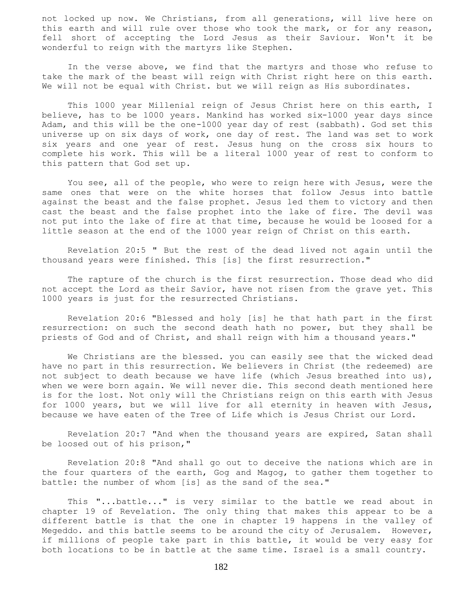not locked up now. We Christians, from all generations, will live here on this earth and will rule over those who took the mark, or for any reason, fell short of accepting the Lord Jesus as their Saviour. Won't it be wonderful to reign with the martyrs like Stephen.

 In the verse above, we find that the martyrs and those who refuse to take the mark of the beast will reign with Christ right here on this earth. We will not be equal with Christ. but we will reign as His subordinates.

 This 1000 year Millenial reign of Jesus Christ here on this earth, I believe, has to be 1000 years. Mankind has worked six-1000 year days since Adam, and this will be the one-1000 year day of rest (sabbath). God set this universe up on six days of work, one day of rest. The land was set to work six years and one year of rest. Jesus hung on the cross six hours to complete his work. This will be a literal 1000 year of rest to conform to this pattern that God set up.

 You see, all of the people, who were to reign here with Jesus, were the same ones that were on the white horses that follow Jesus into battle against the beast and the false prophet. Jesus led them to victory and then cast the beast and the false prophet into the lake of fire. The devil was not put into the lake of fire at that time, because he would be loosed for a little season at the end of the 1000 year reign of Christ on this earth.

 Revelation 20:5 " But the rest of the dead lived not again until the thousand years were finished. This [is] the first resurrection."

 The rapture of the church is the first resurrection. Those dead who did not accept the Lord as their Savior, have not risen from the grave yet. This 1000 years is just for the resurrected Christians.

 Revelation 20:6 "Blessed and holy [is] he that hath part in the first resurrection: on such the second death hath no power, but they shall be priests of God and of Christ, and shall reign with him a thousand years."

 We Christians are the blessed. you can easily see that the wicked dead have no part in this resurrection. We believers in Christ (the redeemed) are not subject to death because we have life (which Jesus breathed into us), when we were born again. We will never die. This second death mentioned here is for the lost. Not only will the Christians reign on this earth with Jesus for 1000 years, but we will live for all eternity in heaven with Jesus, because we have eaten of the Tree of Life which is Jesus Christ our Lord.

 Revelation 20:7 "And when the thousand years are expired, Satan shall be loosed out of his prison,"

 Revelation 20:8 "And shall go out to deceive the nations which are in the four quarters of the earth, Gog and Magog, to gather them together to battle: the number of whom [is] as the sand of the sea."

 This "...battle..." is very similar to the battle we read about in chapter 19 of Revelation. The only thing that makes this appear to be a different battle is that the one in chapter 19 happens in the valley of Megeddo. and this battle seems to be around the city of Jerusalem. However, if millions of people take part in this battle, it would be very easy for both locations to be in battle at the same time. Israel is a small country.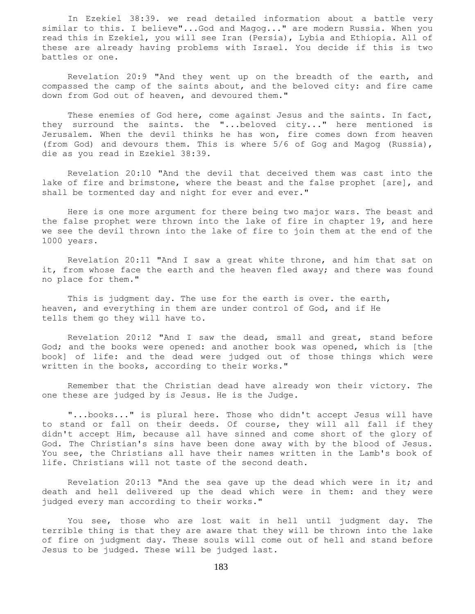In Ezekiel 38:39. we read detailed information about a battle very similar to this. I believe"...God and Magog..." are modern Russia. When you read this in Ezekiel, you will see Iran (Persia), Lybia and Ethiopia. All of these are already having problems with Israel. You decide if this is two battles or one.

 Revelation 20:9 "And they went up on the breadth of the earth, and compassed the camp of the saints about, and the beloved city: and fire came down from God out of heaven, and devoured them."

 These enemies of God here, come against Jesus and the saints. In fact, they surround the saints. the "...beloved city..." here mentioned is Jerusalem. When the devil thinks he has won, fire comes down from heaven (from God) and devours them. This is where 5/6 of Gog and Magog (Russia), die as you read in Ezekiel 38:39.

 Revelation 20:10 "And the devil that deceived them was cast into the lake of fire and brimstone, where the beast and the false prophet [are], and shall be tormented day and night for ever and ever."

 Here is one more argument for there being two major wars. The beast and the false prophet were thrown into the lake of fire in chapter 19, and here we see the devil thrown into the lake of fire to join them at the end of the 1000 years.

 Revelation 20:11 "And I saw a great white throne, and him that sat on it, from whose face the earth and the heaven fled away; and there was found no place for them."

This is judgment day. The use for the earth is over. the earth, heaven, and everything in them are under control of God, and if He tells them go they will have to.

 Revelation 20:12 "And I saw the dead, small and great, stand before God; and the books were opened: and another book was opened, which is [the book] of life: and the dead were judged out of those things which were written in the books, according to their works."

 Remember that the Christian dead have already won their victory. The one these are judged by is Jesus. He is the Judge.

 "...books..." is plural here. Those who didn't accept Jesus will have to stand or fall on their deeds. Of course, they will all fall if they didn't accept Him, because all have sinned and come short of the glory of God. The Christian's sins have been done away with by the blood of Jesus. You see, the Christians all have their names written in the Lamb's book of life. Christians will not taste of the second death.

Revelation 20:13 "And the sea gave up the dead which were in it; and death and hell delivered up the dead which were in them: and they were judged every man according to their works."

 You see, those who are lost wait in hell until judgment day. The terrible thing is that they are aware that they will be thrown into the lake of fire on judgment day. These souls will come out of hell and stand before Jesus to be judged. These will be judged last.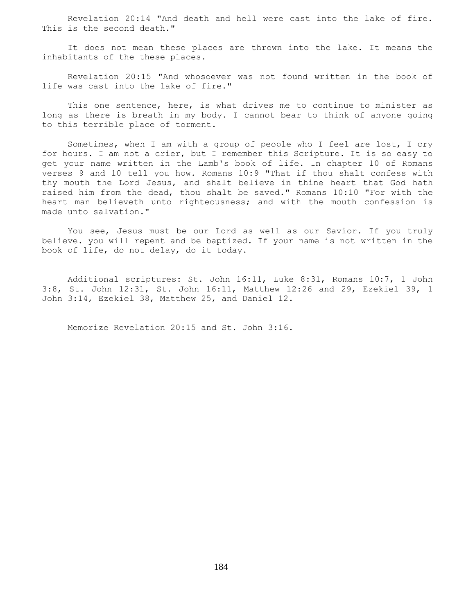Revelation 20:14 "And death and hell were cast into the lake of fire. This is the second death."

 It does not mean these places are thrown into the lake. It means the inhabitants of the these places.

 Revelation 20:15 "And whosoever was not found written in the book of life was cast into the lake of fire."

 This one sentence, here, is what drives me to continue to minister as long as there is breath in my body. I cannot bear to think of anyone going to this terrible place of torment.

 Sometimes, when I am with a group of people who I feel are lost, I cry for hours. I am not a crier, but I remember this Scripture. It is so easy to get your name written in the Lamb's book of life. In chapter 10 of Romans verses 9 and 10 tell you how. Romans 10:9 "That if thou shalt confess with thy mouth the Lord Jesus, and shalt believe in thine heart that God hath raised him from the dead, thou shalt be saved." Romans 10:10 "For with the heart man believeth unto righteousness; and with the mouth confession is made unto salvation."

 You see, Jesus must be our Lord as well as our Savior. If you truly believe. you will repent and be baptized. If your name is not written in the book of life, do not delay, do it today.

 Additional scriptures: St. John 16:11, Luke 8:31, Romans 10:7, 1 John 3:8, St. John 12:31, St. John 16:11, Matthew 12:26 and 29, Ezekiel 39, 1 John 3:14, Ezekiel 38, Matthew 25, and Daniel 12.

Memorize Revelation 20:15 and St. John 3:16.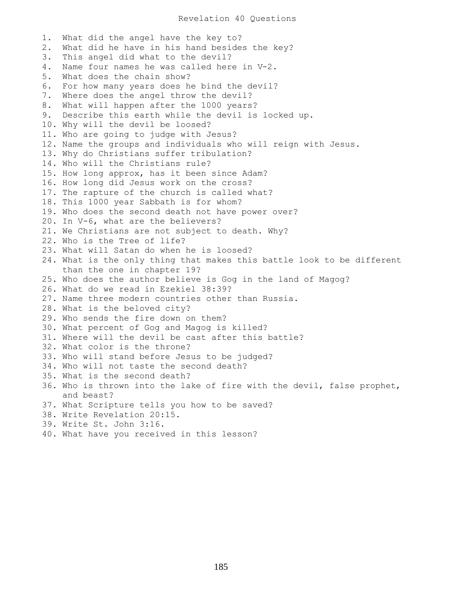1. What did the angel have the key to? 2. What did he have in his hand besides the key? 3. This angel did what to the devil? 4. Name four names he was called here in V-2. 5. What does the chain show? 6. For how many years does he bind the devil? 7. Where does the angel throw the devil? 8. What will happen after the 1000 years? 9. Describe this earth while the devil is locked up. 10. Why will the devil be loosed? 11. Who are going to judge with Jesus? 12. Name the groups and individuals who will reign with Jesus. 13. Why do Christians suffer tribulation? 14. Who will the Christians rule? 15. How long approx, has it been since Adam? 16. How long did Jesus work on the cross? 17. The rapture of the church is called what? 18. This 1000 year Sabbath is for whom? 19. Who does the second death not have power over? 20. In V-6, what are the believers? 21. We Christians are not subject to death. Why? 22. Who is the Tree of life? 23. What will Satan do when he is loosed? 24. What is the only thing that makes this battle look to be different than the one in chapter 19? 25. Who does the author believe is Gog in the land of Magog? 26. What do we read in Ezekiel 38:39? 27. Name three modern countries other than Russia. 28. What is the beloved city? 29. Who sends the fire down on them? 30. What percent of Gog and Magog is killed? 31. Where will the devil be cast after this battle? 32. What color is the throne? 33. Who will stand before Jesus to be judged? 34. Who will not taste the second death? 35. What is the second death? 36. Who is thrown into the lake of fire with the devil, false prophet, and beast? 37. What Scripture tells you how to be saved? 38. Write Revelation 20:15. 39. Write St. John 3:16. 40. What have you received in this lesson?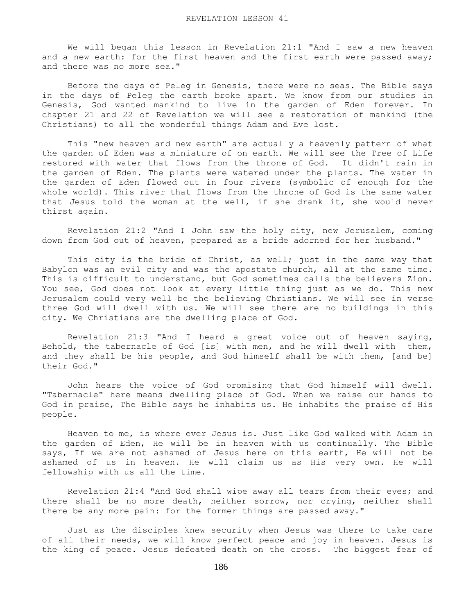We will began this lesson in Revelation 21:1 "And I saw a new heaven and a new earth: for the first heaven and the first earth were passed away; and there was no more sea."

 Before the days of Peleg in Genesis, there were no seas. The Bible says in the days of Peleg the earth broke apart. We know from our studies in Genesis, God wanted mankind to live in the garden of Eden forever. In chapter 21 and 22 of Revelation we will see a restoration of mankind (the Christians) to all the wonderful things Adam and Eve lost.

 This "new heaven and new earth" are actually a heavenly pattern of what the garden of Eden was a miniature of on earth. We will see the Tree of Life restored with water that flows from the throne of God. It didn't rain in the garden of Eden. The plants were watered under the plants. The water in the garden of Eden flowed out in four rivers (symbolic of enough for the whole world). This river that flows from the throne of God is the same water that Jesus told the woman at the well, if she drank it, she would never thirst again.

 Revelation 21:2 "And I John saw the holy city, new Jerusalem, coming down from God out of heaven, prepared as a bride adorned for her husband."

This city is the bride of Christ, as well; just in the same way that Babylon was an evil city and was the apostate church, all at the same time. This is difficult to understand, but God sometimes calls the believers Zion. You see, God does not look at every little thing just as we do. This new Jerusalem could very well be the believing Christians. We will see in verse three God will dwell with us. We will see there are no buildings in this city. We Christians are the dwelling place of God.

 Revelation 21:3 "And I heard a great voice out of heaven saying, Behold, the tabernacle of God [is] with men, and he will dwell with them, and they shall be his people, and God himself shall be with them, [and be] their God."

 John hears the voice of God promising that God himself will dwell. "Tabernacle" here means dwelling place of God. When we raise our hands to God in praise, The Bible says he inhabits us. He inhabits the praise of His people.

 Heaven to me, is where ever Jesus is. Just like God walked with Adam in the garden of Eden, He will be in heaven with us continually. The Bible says, If we are not ashamed of Jesus here on this earth, He will not be ashamed of us in heaven. He will claim us as His very own. He will fellowship with us all the time.

 Revelation 21:4 "And God shall wipe away all tears from their eyes; and there shall be no more death, neither sorrow, nor crying, neither shall there be any more pain: for the former things are passed away."

 Just as the disciples knew security when Jesus was there to take care of all their needs, we will know perfect peace and joy in heaven. Jesus is the king of peace. Jesus defeated death on the cross. The biggest fear of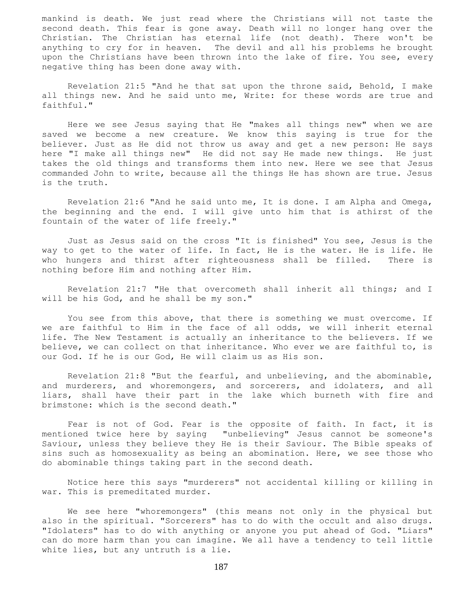mankind is death. We just read where the Christians will not taste the second death. This fear is gone away. Death will no longer hang over the Christian. The Christian has eternal life (not death). There won't be anything to cry for in heaven. The devil and all his problems he brought upon the Christians have been thrown into the lake of fire. You see, every negative thing has been done away with.

 Revelation 21:5 "And he that sat upon the throne said, Behold, I make all things new. And he said unto me, Write: for these words are true and faithful."

 Here we see Jesus saying that He "makes all things new" when we are saved we become a new creature. We know this saying is true for the believer. Just as He did not throw us away and get a new person: He says here "I make all things new" He did not say He made new things. He just takes the old things and transforms them into new. Here we see that Jesus commanded John to write, because all the things He has shown are true. Jesus is the truth.

 Revelation 21:6 "And he said unto me, It is done. I am Alpha and Omega, the beginning and the end. I will give unto him that is athirst of the fountain of the water of life freely."

 Just as Jesus said on the cross "It is finished" You see, Jesus is the way to get to the water of life. In fact, He is the water. He is life. He who hungers and thirst after righteousness shall be filled. There is nothing before Him and nothing after Him.

 Revelation 21:7 "He that overcometh shall inherit all things; and I will be his God, and he shall be my son."

You see from this above, that there is something we must overcome. If we are faithful to Him in the face of all odds, we will inherit eternal life. The New Testament is actually an inheritance to the believers. If we believe, we can collect on that inheritance. Who ever we are faithful to, is our God. If he is our God, He will claim us as His son.

 Revelation 21:8 "But the fearful, and unbelieving, and the abominable, and murderers, and whoremongers, and sorcerers, and idolaters, and all liars, shall have their part in the lake which burneth with fire and brimstone: which is the second death."

 Fear is not of God. Fear is the opposite of faith. In fact, it is mentioned twice here by saying "unbelieving" Jesus cannot be someone's Saviour, unless they believe they He is their Saviour. The Bible speaks of sins such as homosexuality as being an abomination. Here, we see those who do abominable things taking part in the second death.

 Notice here this says "murderers" not accidental killing or killing in war. This is premeditated murder.

 We see here "whoremongers" (this means not only in the physical but also in the spiritual. "Sorcerers" has to do with the occult and also drugs. "Idolaters" has to do with anything or anyone you put ahead of God. "Liars" can do more harm than you can imagine. We all have a tendency to tell little white lies, but any untruth is a lie.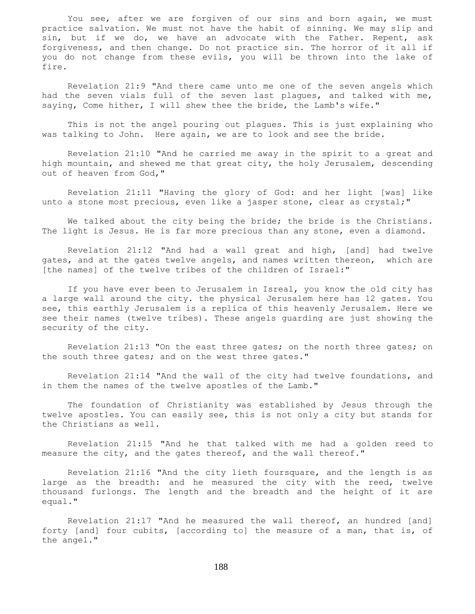You see, after we are forgiven of our sins and born again, we must practice salvation. We must not have the habit of sinning. We may slip and sin, but if we do, we have an advocate with the Father. Repent, ask forgiveness, and then change. Do not practice sin. The horror of it all if you do not change from these evils, you will be thrown into the lake of fire.

 Revelation 21:9 "And there came unto me one of the seven angels which had the seven vials full of the seven last plagues, and talked with me, saying, Come hither, I will shew thee the bride, the Lamb's wife."

 This is not the angel pouring out plagues. This is just explaining who was talking to John. Here again, we are to look and see the bride.

 Revelation 21:10 "And he carried me away in the spirit to a great and high mountain, and shewed me that great city, the holy Jerusalem, descending out of heaven from God,"

 Revelation 21:11 "Having the glory of God: and her light [was] like unto a stone most precious, even like a jasper stone, clear as crystal;"

 We talked about the city being the bride; the bride is the Christians. The light is Jesus. He is far more precious than any stone, even a diamond.

 Revelation 21:12 "And had a wall great and high, [and] had twelve gates, and at the gates twelve angels, and names written thereon, which are [the names] of the twelve tribes of the children of Israel:"

 If you have ever been to Jerusalem in Isreal, you know the old city has a large wall around the city. the physical Jerusalem here has 12 gates. You see, this earthly Jerusalem is a replica of this heavenly Jerusalem. Here we see their names (twelve tribes). These angels guarding are just showing the security of the city.

 Revelation 21:13 "On the east three gates; on the north three gates; on the south three gates; and on the west three gates."

 Revelation 21:14 "And the wall of the city had twelve foundations, and in them the names of the twelve apostles of the Lamb."

 The foundation of Christianity was established by Jesus through the twelve apostles. You can easily see, this is not only a city but stands for the Christians as well.

 Revelation 21:15 "And he that talked with me had a golden reed to measure the city, and the gates thereof, and the wall thereof."

 Revelation 21:16 "And the city lieth foursquare, and the length is as large as the breadth: and he measured the city with the reed, twelve thousand furlongs. The length and the breadth and the height of it are equal."

 Revelation 21:17 "And he measured the wall thereof, an hundred [and] forty [and] four cubits, [according to] the measure of a man, that is, of the angel."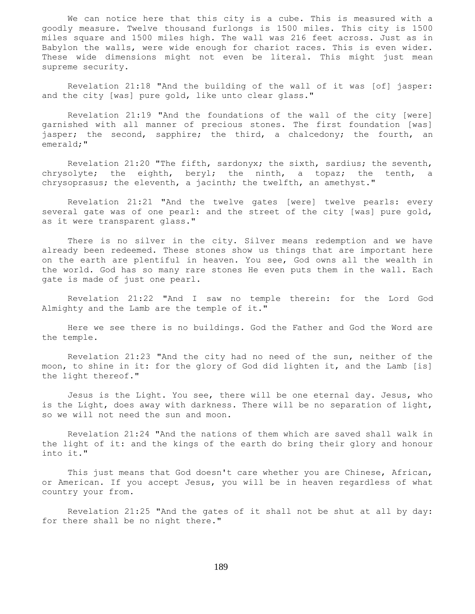We can notice here that this city is a cube. This is measured with a goodly measure. Twelve thousand furlongs is 1500 miles. This city is 1500 miles square and 1500 miles high. The wall was 216 feet across. Just as in Babylon the walls, were wide enough for chariot races. This is even wider. These wide dimensions might not even be literal. This might just mean supreme security.

 Revelation 21:18 "And the building of the wall of it was [of] jasper: and the city [was] pure gold, like unto clear glass."

 Revelation 21:19 "And the foundations of the wall of the city [were] garnished with all manner of precious stones. The first foundation [was] jasper; the second, sapphire; the third, a chalcedony; the fourth, an emerald;"

 Revelation 21:20 "The fifth, sardonyx; the sixth, sardius; the seventh, chrysolyte; the eighth, beryl; the ninth, a topaz; the tenth, a chrysoprasus; the eleventh, a jacinth; the twelfth, an amethyst."

 Revelation 21:21 "And the twelve gates [were] twelve pearls: every several gate was of one pearl: and the street of the city [was] pure gold, as it were transparent glass."

 There is no silver in the city. Silver means redemption and we have already been redeemed. These stones show us things that are important here on the earth are plentiful in heaven. You see, God owns all the wealth in the world. God has so many rare stones He even puts them in the wall. Each gate is made of just one pearl.

 Revelation 21:22 "And I saw no temple therein: for the Lord God Almighty and the Lamb are the temple of it."

 Here we see there is no buildings. God the Father and God the Word are the temple.

 Revelation 21:23 "And the city had no need of the sun, neither of the moon, to shine in it: for the glory of God did lighten it, and the Lamb [is] the light thereof."

 Jesus is the Light. You see, there will be one eternal day. Jesus, who is the Light, does away with darkness. There will be no separation of light, so we will not need the sun and moon.

 Revelation 21:24 "And the nations of them which are saved shall walk in the light of it: and the kings of the earth do bring their glory and honour into it."

 This just means that God doesn't care whether you are Chinese, African, or American. If you accept Jesus, you will be in heaven regardless of what country your from.

 Revelation 21:25 "And the gates of it shall not be shut at all by day: for there shall be no night there."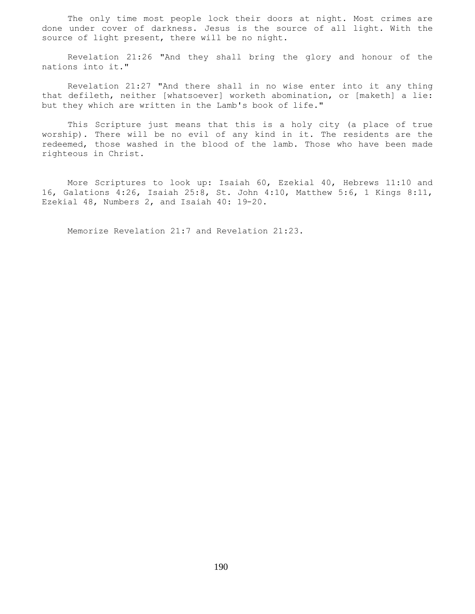The only time most people lock their doors at night. Most crimes are done under cover of darkness. Jesus is the source of all light. With the source of light present, there will be no night.

 Revelation 21:26 "And they shall bring the glory and honour of the nations into it."

 Revelation 21:27 "And there shall in no wise enter into it any thing that defileth, neither [whatsoever] worketh abomination, or [maketh] a lie: but they which are written in the Lamb's book of life."

 This Scripture just means that this is a holy city (a place of true worship). There will be no evil of any kind in it. The residents are the redeemed, those washed in the blood of the lamb. Those who have been made righteous in Christ.

 More Scriptures to look up: Isaiah 60, Ezekial 40, Hebrews 11:10 and 16, Galations 4:26, Isaiah 25:8, St. John 4:10, Matthew 5:6, 1 Kings 8:11, Ezekial 48, Numbers 2, and Isaiah 40: 19-20.

Memorize Revelation 21:7 and Revelation 21:23.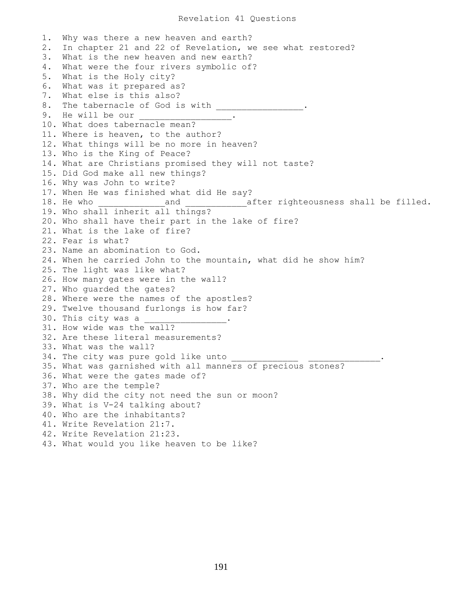## Revelation 41 Questions

1. Why was there a new heaven and earth? 2. In chapter 21 and 22 of Revelation, we see what restored? 3. What is the new heaven and new earth? 4. What were the four rivers symbolic of? 5. What is the Holy city? 6. What was it prepared as? 7. What else is this also? 8. The tabernacle of God is with \_\_\_\_\_ 9. He will be our 10. What does tabernacle mean? 11. Where is heaven, to the author? 12. What things will be no more in heaven? 13. Who is the King of Peace? 14. What are Christians promised they will not taste? 15. Did God make all new things? 16. Why was John to write? 17. When He was finished what did He say? 18. He who \_\_\_\_\_\_\_\_\_\_\_\_\_and \_\_\_\_\_\_\_\_\_\_\_\_after righteousness shall be filled. 19. Who shall inherit all things? 20. Who shall have their part in the lake of fire? 21. What is the lake of fire? 22. Fear is what? 23. Name an abomination to God. 24. When he carried John to the mountain, what did he show him? 25. The light was like what? 26. How many gates were in the wall? 27. Who guarded the gates? 28. Where were the names of the apostles? 29. Twelve thousand furlongs is how far? 30. This city was a 31. How wide was the wall? 32. Are these literal measurements? 33. What was the wall? 34. The city was pure gold like unto 35. What was garnished with all manners of precious stones? 36. What were the gates made of? 37. Who are the temple? 38. Why did the city not need the sun or moon? 39. What is V-24 talking about? 40. Who are the inhabitants? 41. Write Revelation 21:7. 42. Write Revelation 21:23. 43. What would you like heaven to be like?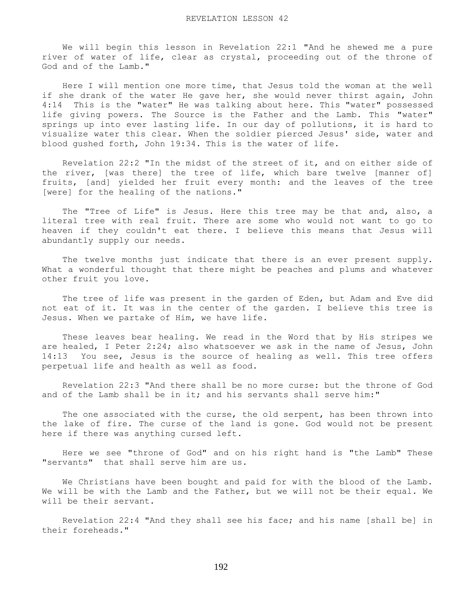We will begin this lesson in Revelation 22:1 "And he shewed me a pure river of water of life, clear as crystal, proceeding out of the throne of God and of the Lamb."

 Here I will mention one more time, that Jesus told the woman at the well if she drank of the water He gave her, she would never thirst again, John 4:14 This is the "water" He was talking about here. This "water" possessed life giving powers. The Source is the Father and the Lamb. This "water" springs up into ever lasting life. In our day of pollutions, it is hard to visualize water this clear. When the soldier pierced Jesus' side, water and blood gushed forth, John 19:34. This is the water of life.

 Revelation 22:2 "In the midst of the street of it, and on either side of the river, [was there] the tree of life, which bare twelve [manner of] fruits, [and] yielded her fruit every month: and the leaves of the tree [were] for the healing of the nations."

The "Tree of Life" is Jesus. Here this tree may be that and, also, a literal tree with real fruit. There are some who would not want to go to heaven if they couldn't eat there. I believe this means that Jesus will abundantly supply our needs.

The twelve months just indicate that there is an ever present supply. What a wonderful thought that there might be peaches and plums and whatever other fruit you love.

 The tree of life was present in the garden of Eden, but Adam and Eve did not eat of it. It was in the center of the garden. I believe this tree is Jesus. When we partake of Him, we have life.

 These leaves bear healing. We read in the Word that by His stripes we are healed, I Peter 2:24; also whatsoever we ask in the name of Jesus, John 14:13 You see, Jesus is the source of healing as well. This tree offers perpetual life and health as well as food.

 Revelation 22:3 "And there shall be no more curse: but the throne of God and of the Lamb shall be in it; and his servants shall serve him:"

 The one associated with the curse, the old serpent, has been thrown into the lake of fire. The curse of the land is gone. God would not be present here if there was anything cursed left.

 Here we see "throne of God" and on his right hand is "the Lamb" These "servants" that shall serve him are us.

 We Christians have been bought and paid for with the blood of the Lamb. We will be with the Lamb and the Father, but we will not be their equal. We will be their servant.

 Revelation 22:4 "And they shall see his face; and his name [shall be] in their foreheads."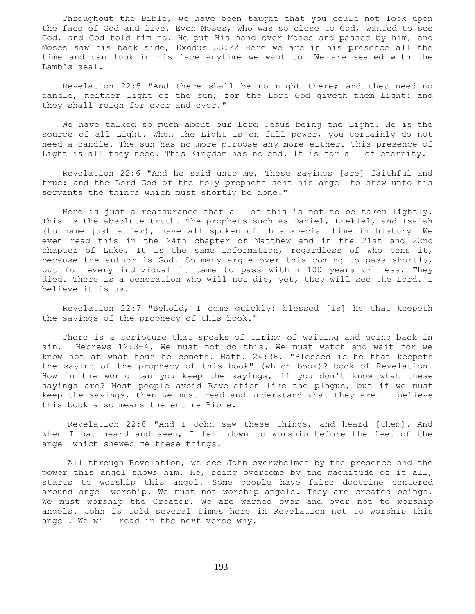Throughout the Bible, we have been taught that you could not look upon the face of God and live. Even Moses, who was so close to God, wanted to see God, and God told him no. He put His hand over Moses and passed by him, and Moses saw his back side, Exodus 33:22 Here we are in his presence all the time and can look in his face anytime we want to. We are sealed with the Lamb's seal.

 Revelation 22:5 "And there shall be no night there; and they need no candle, neither light of the sun; for the Lord God giveth them light: and they shall reign for ever and ever."

 We have talked so much about our Lord Jesus being the Light. He is the source of all Light. When the Light is on full power, you certainly do not need a candle. The sun has no more purpose any more either. This presence of Light is all they need. This Kingdom has no end. It is for all of eternity.

 Revelation 22:6 "And he said unto me, These sayings [are] faithful and true: and the Lord God of the holy prophets sent his angel to shew unto his servants the things which must shortly be done."

 Here is just a reassurance that all of this is not to be taken lightly. This is the absolute truth. The prophets such as Daniel, Ezekiel, and Isaiah (to name just a few), have all spoken of this special time in history. We even read this in the 24th chapter of Matthew and in the 21st and 22nd chapter of Luke. It is the same information, regardless of who pens it, because the author is God. So many argue over this coming to pass shortly, but for every individual it came to pass within 100 years or less. They died. There is a generation who will not die, yet, they will see the Lord. I believe it is us.

 Revelation 22:7 "Behold, I come quickly: blessed [is] he that keepeth the sayings of the prophecy of this book."

 There is a scripture that speaks of tiring of waiting and going back in sin, Hebrews 12:3-4. We must not do this. We must watch and wait for we know not at what hour he cometh. Matt. 24:36. "Blessed is he that keepeth the saying of the prophecy of this book" (which book)? book of Revelation. How in the world can you keep the sayings, if you don't know what these sayings are? Most people avoid Revelation like the plague, but if we must keep the sayings, then we must read and understand what they are. I believe this book also means the entire Bible.

 Revelation 22:8 "And I John saw these things, and heard [them]. And when I had heard and seen, I fell down to worship before the feet of the angel which shewed me these things.

 All through Revelation, we see John overwhelmed by the presence and the power this angel shows him. He, being overcome by the magnitude of it all, starts to worship this angel. Some people have false doctrine centered around angel worship. We must not worship angels. They are created beings. We must worship the Creator. We are warned over and over not to worship angels. John is told several times here in Revelation not to worship this angel. We will read in the next verse why.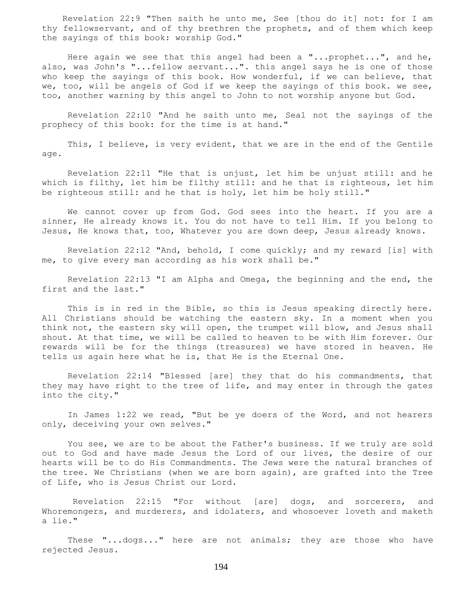Revelation 22:9 "Then saith he unto me, See [thou do it] not: for I am thy fellowservant, and of thy brethren the prophets, and of them which keep the sayings of this book: worship God."

 Here again we see that this angel had been a "...prophet...", and he, also, was John's "...fellow servant...". this angel says he is one of those who keep the sayings of this book. How wonderful, if we can believe, that we, too, will be angels of God if we keep the sayings of this book. we see, too, another warning by this angel to John to not worship anyone but God.

 Revelation 22:10 "And he saith unto me, Seal not the sayings of the prophecy of this book: for the time is at hand."

 This, I believe, is very evident, that we are in the end of the Gentile age.

 Revelation 22:11 "He that is unjust, let him be unjust still: and he which is filthy, let him be filthy still: and he that is righteous, let him be righteous still: and he that is holy, let him be holy still."

 We cannot cover up from God. God sees into the heart. If you are a sinner, He already knows it. You do not have to tell Him. If you belong to Jesus, He knows that, too, Whatever you are down deep, Jesus already knows.

 Revelation 22:12 "And, behold, I come quickly; and my reward [is] with me, to give every man according as his work shall be."

 Revelation 22:13 "I am Alpha and Omega, the beginning and the end, the first and the last."

 This is in red in the Bible, so this is Jesus speaking directly here. All Christians should be watching the eastern sky. In a moment when you think not, the eastern sky will open, the trumpet will blow, and Jesus shall shout. At that time, we will be called to heaven to be with Him forever. Our rewards will be for the things (treasures) we have stored in heaven. He tells us again here what he is, that He is the Eternal One.

 Revelation 22:14 "Blessed [are] they that do his commandments, that they may have right to the tree of life, and may enter in through the gates into the city."

 In James 1:22 we read, "But be ye doers of the Word, and not hearers only, deceiving your own selves."

 You see, we are to be about the Father's business. If we truly are sold out to God and have made Jesus the Lord of our lives, the desire of our hearts will be to do His Commandments. The Jews were the natural branches of the tree. We Christians (when we are born again), are grafted into the Tree of Life, who is Jesus Christ our Lord.

 Revelation 22:15 "For without [are] dogs, and sorcerers, and Whoremongers, and murderers, and idolaters, and whosoever loveth and maketh a lie."

These "...dogs..." here are not animals; they are those who have rejected Jesus.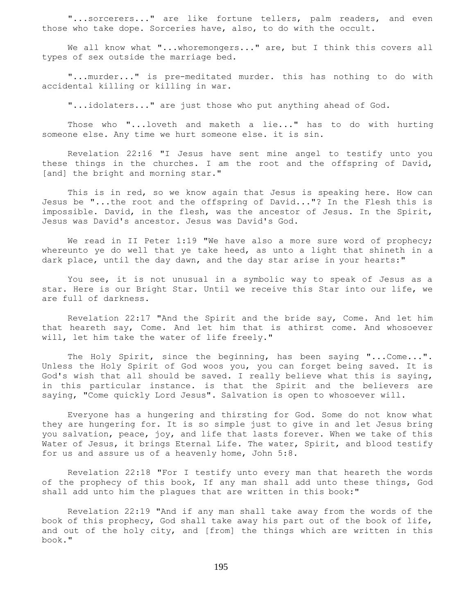"...sorcerers..." are like fortune tellers, palm readers, and even those who take dope. Sorceries have, also, to do with the occult.

We all know what "...whoremongers..." are, but I think this covers all types of sex outside the marriage bed.

 "...murder..." is pre-meditated murder. this has nothing to do with accidental killing or killing in war.

"...idolaters..." are just those who put anything ahead of God.

 Those who "...loveth and maketh a lie..." has to do with hurting someone else. Any time we hurt someone else. it is sin.

 Revelation 22:16 "I Jesus have sent mine angel to testify unto you these things in the churches. I am the root and the offspring of David, [and] the bright and morning star."

 This is in red, so we know again that Jesus is speaking here. How can Jesus be "...the root and the offspring of David..."? In the Flesh this is impossible. David, in the flesh, was the ancestor of Jesus. In the Spirit, Jesus was David's ancestor. Jesus was David's God.

We read in II Peter 1:19 "We have also a more sure word of prophecy; whereunto ye do well that ye take heed, as unto a light that shineth in a dark place, until the day dawn, and the day star arise in your hearts:"

 You see, it is not unusual in a symbolic way to speak of Jesus as a star. Here is our Bright Star. Until we receive this Star into our life, we are full of darkness.

 Revelation 22:17 "And the Spirit and the bride say, Come. And let him that heareth say, Come. And let him that is athirst come. And whosoever will, let him take the water of life freely."

 The Holy Spirit, since the beginning, has been saying "...Come...". Unless the Holy Spirit of God woos you, you can forget being saved. It is God's wish that all should be saved. I really believe what this is saying, in this particular instance. is that the Spirit and the believers are saying, "Come quickly Lord Jesus". Salvation is open to whosoever will.

 Everyone has a hungering and thirsting for God. Some do not know what they are hungering for. It is so simple just to give in and let Jesus bring you salvation, peace, joy, and life that lasts forever. When we take of this Water of Jesus, it brings Eternal Life. The water, Spirit, and blood testify for us and assure us of a heavenly home, John 5:8.

 Revelation 22:18 "For I testify unto every man that heareth the words of the prophecy of this book, If any man shall add unto these things, God shall add unto him the plagues that are written in this book:"

 Revelation 22:19 "And if any man shall take away from the words of the book of this prophecy, God shall take away his part out of the book of life, and out of the holy city, and [from] the things which are written in this book."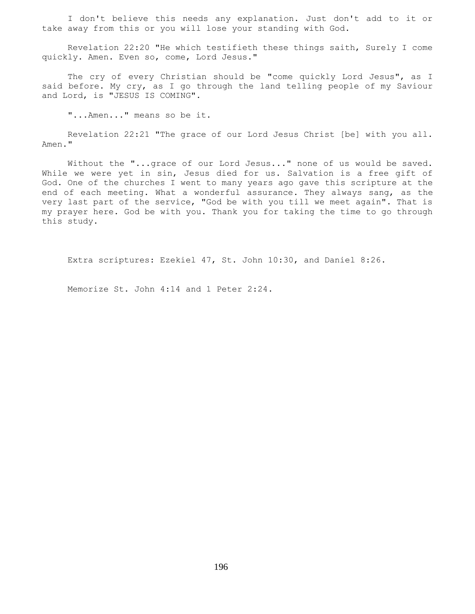I don't believe this needs any explanation. Just don't add to it or take away from this or you will lose your standing with God.

 Revelation 22:20 "He which testifieth these things saith, Surely I come quickly. Amen. Even so, come, Lord Jesus."

The cry of every Christian should be "come quickly Lord Jesus", as I said before. My cry, as I go through the land telling people of my Saviour and Lord, is "JESUS IS COMING".

"...Amen..." means so be it.

 Revelation 22:21 "The grace of our Lord Jesus Christ [be] with you all. Amen."

 Without the "...grace of our Lord Jesus..." none of us would be saved. While we were yet in sin, Jesus died for us. Salvation is a free gift of God. One of the churches I went to many years ago gave this scripture at the end of each meeting. What a wonderful assurance. They always sang, as the very last part of the service, "God be with you till we meet again". That is my prayer here. God be with you. Thank you for taking the time to go through this study.

Extra scriptures: Ezekiel 47, St. John 10:30, and Daniel 8:26.

Memorize St. John 4:14 and 1 Peter 2:24.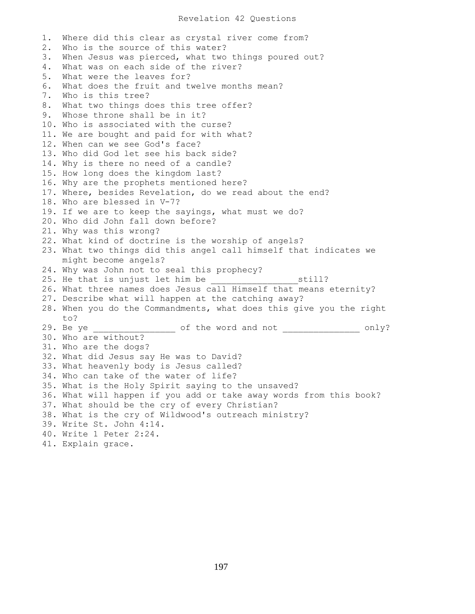## Revelation 42 Questions

1. Where did this clear as crystal river come from? 2. Who is the source of this water? 3. When Jesus was pierced, what two things poured out? 4. What was on each side of the river? 5. What were the leaves for? 6. What does the fruit and twelve months mean? 7. Who is this tree? 8. What two things does this tree offer? 9. Whose throne shall be in it? 10. Who is associated with the curse? 11. We are bought and paid for with what? 12. When can we see God's face? 13. Who did God let see his back side? 14. Why is there no need of a candle? 15. How long does the kingdom last? 16. Why are the prophets mentioned here? 17. Where, besides Revelation, do we read about the end? 18. Who are blessed in V-7? 19. If we are to keep the sayings, what must we do? 20. Who did John fall down before? 21. Why was this wrong? 22. What kind of doctrine is the worship of angels? 23. What two things did this angel call himself that indicates we might become angels? 24. Why was John not to seal this prophecy? 25. He that is unjust let him be  $\qquad \qquad$  still? 26. What three names does Jesus call Himself that means eternity? 27. Describe what will happen at the catching away? 28. When you do the Commandments, what does this give you the right to? 29. Be ye \_\_\_\_\_\_\_\_\_\_\_\_\_\_\_\_\_\_\_\_ of the word and not \_\_\_\_\_\_\_\_\_\_\_\_\_\_\_\_\_\_\_ only? 30. Who are without? 31. Who are the dogs? 32. What did Jesus say He was to David? 33. What heavenly body is Jesus called? 34. Who can take of the water of life? 35. What is the Holy Spirit saying to the unsaved? 36. What will happen if you add or take away words from this book? 37. What should be the cry of every Christian? 38. What is the cry of Wildwood's outreach ministry? 39. Write St. John 4:14. 40. Write 1 Peter 2:24. 41. Explain grace.